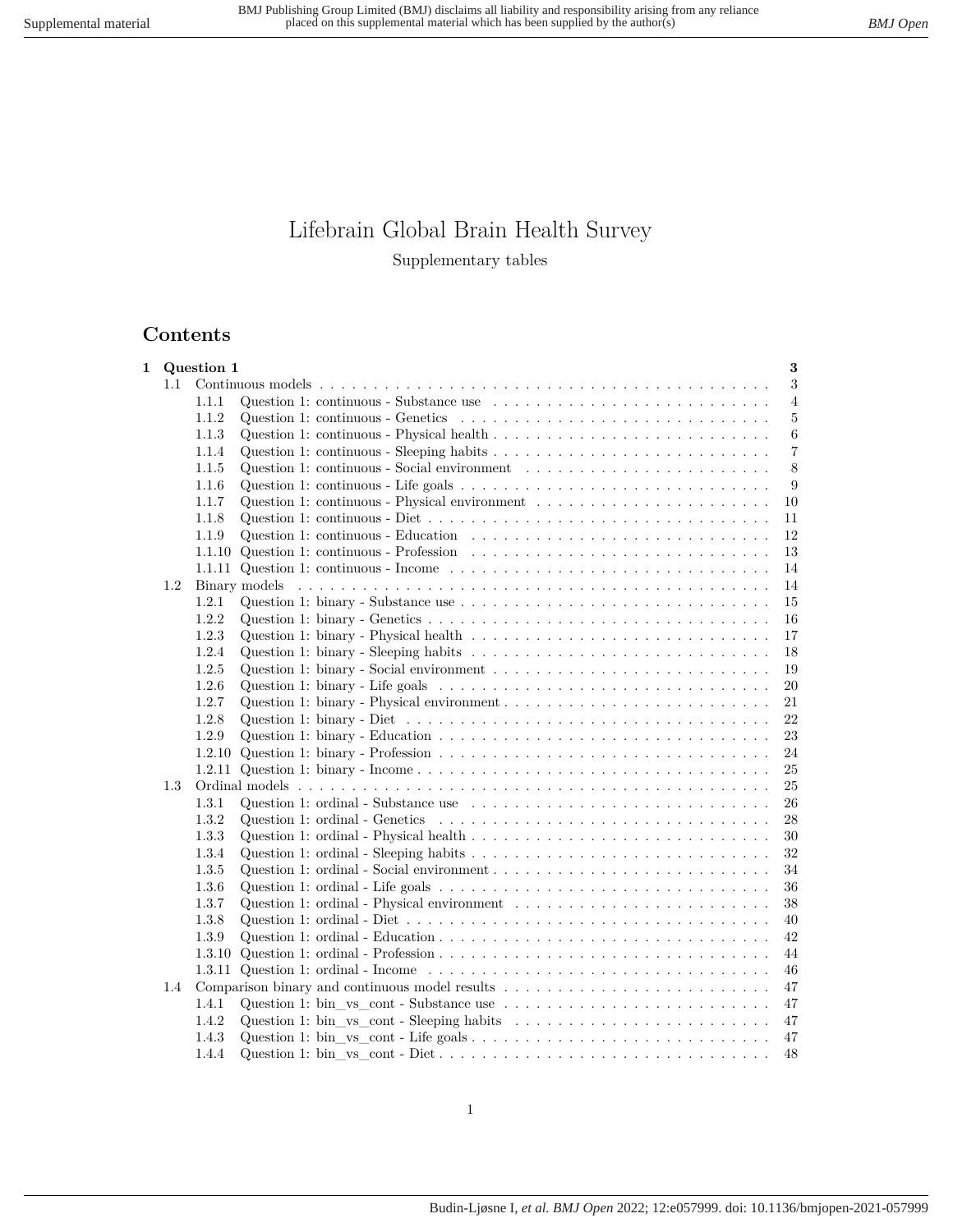# Lifebrain Global Brain Health Survey Supplementary tables

## **Contents**

| 1 |     | Question 1 | 3                                                                                                                         |
|---|-----|------------|---------------------------------------------------------------------------------------------------------------------------|
|   | 1.1 |            | 3                                                                                                                         |
|   |     | 1.1.1      | Question 1: continuous - Substance use $\ldots \ldots \ldots \ldots \ldots \ldots \ldots \ldots \ldots$<br>$\overline{4}$ |
|   |     | 1.1.2      | Question 1: continuous - Genetics $\ldots \ldots \ldots \ldots \ldots \ldots \ldots \ldots \ldots \ldots \ldots$<br>5     |
|   |     | 1.1.3      | $\,6\,$                                                                                                                   |
|   |     | 1.1.4      | $\overline{7}$                                                                                                            |
|   |     | 1.1.5      | 8                                                                                                                         |
|   |     | 1.1.6      | 9                                                                                                                         |
|   |     | 1.1.7      | Question 1: continuous - Physical environment $\dots \dots \dots \dots \dots \dots \dots \dots$<br>10                     |
|   |     | 1.1.8      | Question 1: continuous - Diet $\dots \dots \dots \dots \dots \dots \dots \dots \dots \dots \dots \dots \dots \dots$<br>11 |
|   |     | 1.1.9      | Question 1: continuous - Education $\ldots \ldots \ldots \ldots \ldots \ldots \ldots \ldots \ldots \ldots$<br>12          |
|   |     | 1.1.10     | 13                                                                                                                        |
|   |     | 1.1.11     | Question 1: continuous - Income $\dots \dots \dots \dots \dots \dots \dots \dots \dots \dots \dots \dots$<br>14           |
|   | 1.2 |            | 14                                                                                                                        |
|   |     | 1.2.1      | 15                                                                                                                        |
|   |     | 1.2.2      | 16                                                                                                                        |
|   |     | 1.2.3      | 17                                                                                                                        |
|   |     | 1.2.4      | Question 1: binary - Sleeping habits $\ldots \ldots \ldots \ldots \ldots \ldots \ldots \ldots \ldots \ldots$<br>18        |
|   |     | 1.2.5      | Question 1: binary - Social environment $\ldots \ldots \ldots \ldots \ldots \ldots \ldots \ldots \ldots \ldots$<br>19     |
|   |     | 1.2.6      | 20                                                                                                                        |
|   |     | 1.2.7      | Question 1: binary - Physical environment $\dots \dots \dots \dots \dots \dots \dots \dots \dots \dots$<br>21             |
|   |     | 1.2.8      | 22                                                                                                                        |
|   |     | 1.2.9      | Question 1: binary - Education $\ldots \ldots \ldots \ldots \ldots \ldots \ldots \ldots \ldots \ldots \ldots$<br>23       |
|   |     | 1.2.10     | 24                                                                                                                        |
|   |     | 1.2.11     | $25\,$                                                                                                                    |
|   | 1.3 |            | 25                                                                                                                        |
|   |     | 1.3.1      | Question 1: ordinal - Substance use $\ldots \ldots \ldots \ldots \ldots \ldots \ldots \ldots \ldots \ldots$<br>26         |
|   |     | 1.3.2      | Question 1: ordinal - Genetics $\ldots \ldots \ldots \ldots \ldots \ldots \ldots \ldots \ldots \ldots \ldots$<br>28       |
|   |     | 1.3.3      | 30                                                                                                                        |
|   |     | 1.3.4      | 32                                                                                                                        |
|   |     | 1.3.5      | 34                                                                                                                        |
|   |     | 1.3.6      | 36                                                                                                                        |
|   |     | 1.3.7      | Question 1: ordinal - Physical environment $\dots \dots \dots \dots \dots \dots \dots \dots \dots$<br>38                  |
|   |     | 1.3.8      | 40                                                                                                                        |
|   |     | 1.3.9      | 42                                                                                                                        |
|   |     | 1.3.10     | 44                                                                                                                        |
|   |     | 1.3.11     | Question 1: ordinal - Income $\dots \dots \dots \dots \dots \dots \dots \dots \dots \dots \dots \dots \dots$<br>46        |
|   | 1.4 |            | 47                                                                                                                        |
|   |     | 1.4.1      | Question 1: bin _vs_cont - Substance use $\dots \dots \dots \dots \dots \dots \dots \dots \dots \dots$<br>47              |
|   |     | 1.4.2      | 47                                                                                                                        |
|   |     | 1.4.3      | 47                                                                                                                        |
|   |     | 1.4.4      | 48                                                                                                                        |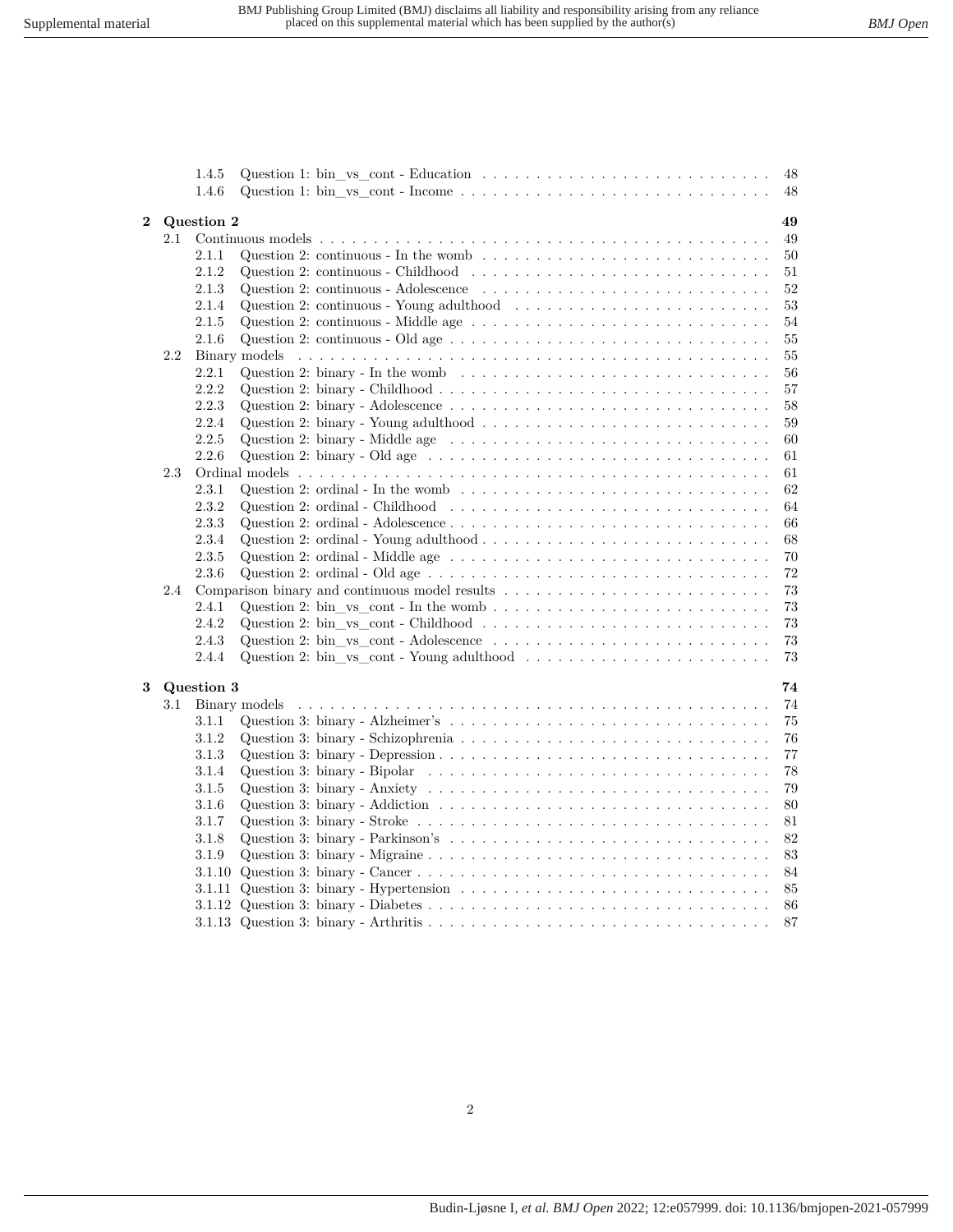|                |     | 1.4.5      | Question 1: bin _vs_cont - Education $\dots \dots \dots \dots \dots \dots \dots \dots \dots \dots \dots$<br>48                 |  |
|----------------|-----|------------|--------------------------------------------------------------------------------------------------------------------------------|--|
|                |     | 1.4.6      | 48                                                                                                                             |  |
| $\overline{2}$ |     | Question 2 | 49                                                                                                                             |  |
|                | 2.1 |            | 49                                                                                                                             |  |
|                |     | 2.1.1      | Question 2: continuous - In the womb $\ldots \ldots \ldots \ldots \ldots \ldots \ldots \ldots \ldots \ldots$<br>50             |  |
|                |     | 2.1.2      | Question 2: continuous - Childhood $\ldots \ldots \ldots \ldots \ldots \ldots \ldots \ldots \ldots \ldots$<br>51               |  |
|                |     | 2.1.3      | $52\,$                                                                                                                         |  |
|                |     | 2.1.4      | Question 2: continuous - Young adulthood $\ldots \ldots \ldots \ldots \ldots \ldots \ldots \ldots$<br>53                       |  |
|                |     | 2.1.5      | 54                                                                                                                             |  |
|                |     | 2.1.6      | 55                                                                                                                             |  |
|                | 2.2 |            | 55                                                                                                                             |  |
|                |     | 2.2.1      | Question 2: binary - In the womb $\ldots \ldots \ldots \ldots \ldots \ldots \ldots \ldots \ldots \ldots \ldots$<br>56          |  |
|                |     | 2.2.2      | 57                                                                                                                             |  |
|                |     | 2.2.3      | Question 2: binary - Adolescence $\ldots \ldots \ldots \ldots \ldots \ldots \ldots \ldots \ldots \ldots \ldots$<br>58          |  |
|                |     | 2.2.4      | Question 2: binary - Young adulthood $\ldots \ldots \ldots \ldots \ldots \ldots \ldots \ldots \ldots \ldots$<br>59             |  |
|                |     | 2.2.5      | Question 2: binary - Middle age $\dots \dots \dots \dots \dots \dots \dots \dots \dots \dots \dots \dots \dots$<br>60          |  |
|                |     | 2.2.6      | Question 2: binary - Old age $\dots \dots \dots \dots \dots \dots \dots \dots \dots \dots \dots \dots \dots$<br>61             |  |
|                | 2.3 |            | 61                                                                                                                             |  |
|                |     | 2.3.1      | Question 2: ordinal - In the womb $\ldots \ldots \ldots \ldots \ldots \ldots \ldots \ldots \ldots \ldots \ldots$<br>62         |  |
|                |     | 2.3.2      | 64                                                                                                                             |  |
|                |     | 2.3.3      | 66                                                                                                                             |  |
|                |     | 2.3.4      | 68                                                                                                                             |  |
|                |     | 2.3.5      | Question 2: ordinal - Middle age $\dots \dots \dots \dots \dots \dots \dots \dots \dots \dots \dots \dots \dots$<br>70         |  |
|                |     | 2.3.6      | Question 2: ordinal - Old age $\dots \dots \dots \dots \dots \dots \dots \dots \dots \dots \dots \dots \dots \dots$<br>72      |  |
|                | 2.4 |            | Comparison binary and continuous model results $\ldots \ldots \ldots \ldots \ldots \ldots \ldots \ldots \ldots$<br>73          |  |
|                |     | 2.4.1      | $73\,$                                                                                                                         |  |
|                |     | 2.4.2      | 73                                                                                                                             |  |
|                |     | 2.4.3      | $73\,$                                                                                                                         |  |
|                |     | 2.4.4      | 73                                                                                                                             |  |
|                |     |            |                                                                                                                                |  |
| 3              |     | Question 3 | 74                                                                                                                             |  |
|                | 3.1 |            | Binary models<br>74                                                                                                            |  |
|                |     | 3.1.1      | 75                                                                                                                             |  |
|                |     | 3.1.2      | 76                                                                                                                             |  |
|                |     | 3.1.3      | 77                                                                                                                             |  |
|                |     | 3.1.4      | Question 3: binary - Bipolar $\dots \dots \dots \dots \dots \dots \dots \dots \dots \dots \dots \dots \dots \dots$<br>78       |  |
|                |     | 3.1.5      | Question 3: binary - Anxiety $\ldots \ldots \ldots \ldots \ldots \ldots \ldots \ldots \ldots \ldots \ldots \ldots$<br>79       |  |
|                |     | 3.1.6      | 80                                                                                                                             |  |
|                |     | 3.1.7      | Question 3: binary - Stroke $\ldots \ldots \ldots \ldots \ldots \ldots \ldots \ldots \ldots \ldots \ldots \ldots \ldots$<br>81 |  |
|                |     | 3.1.8      | $82\,$                                                                                                                         |  |
|                |     | 3.1.9      | 83                                                                                                                             |  |
|                |     | 3.1.10     | 84                                                                                                                             |  |
|                |     | 3.1.11     | Question 3: binary - Hypertension $\ldots \ldots \ldots \ldots \ldots \ldots \ldots \ldots \ldots \ldots \ldots$<br>85         |  |
|                |     | 3.1.12     | 86                                                                                                                             |  |
|                |     |            | 87                                                                                                                             |  |
|                |     |            |                                                                                                                                |  |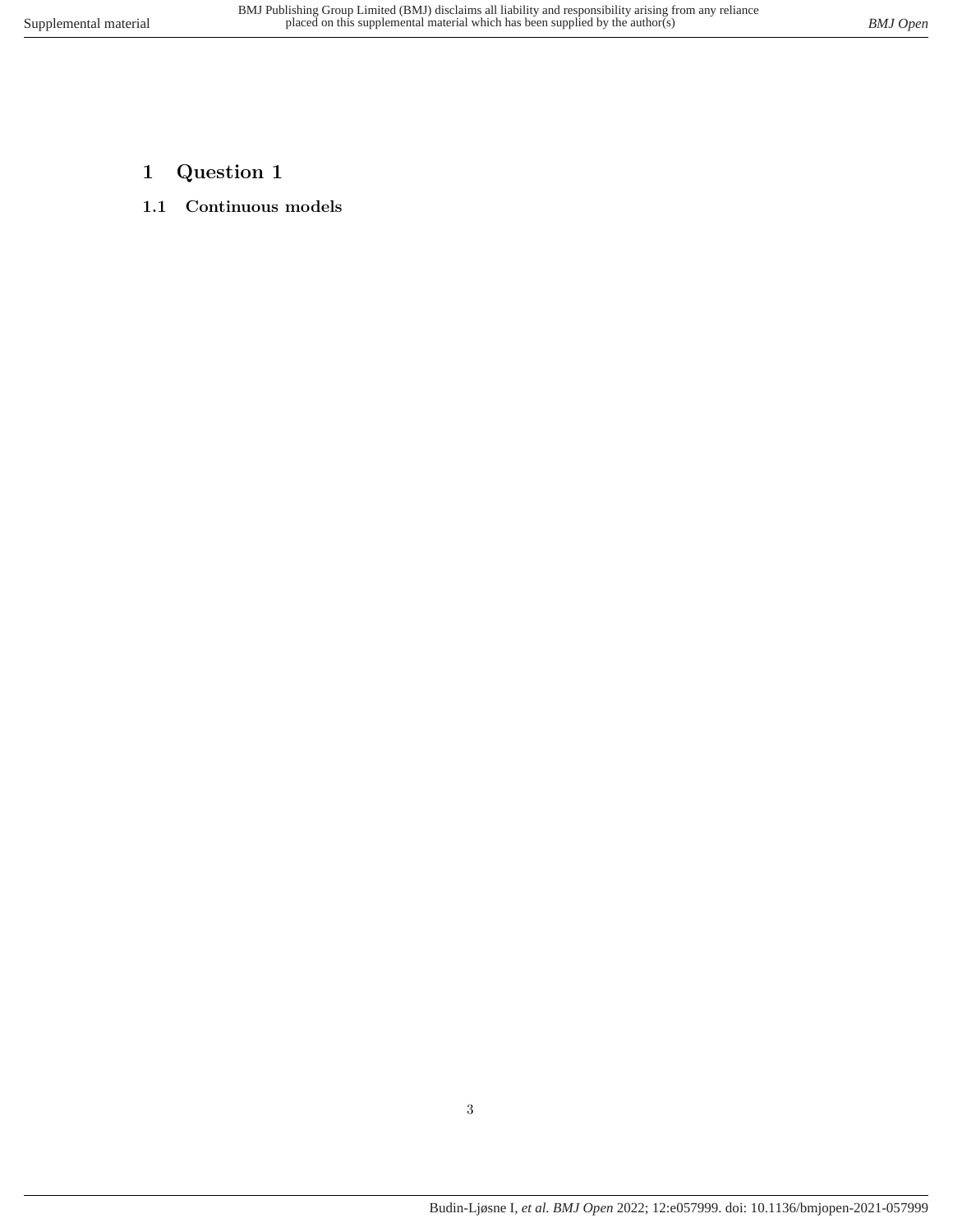- <span id="page-2-1"></span><span id="page-2-0"></span>**1 Question 1**
- **1.1 Continuous models**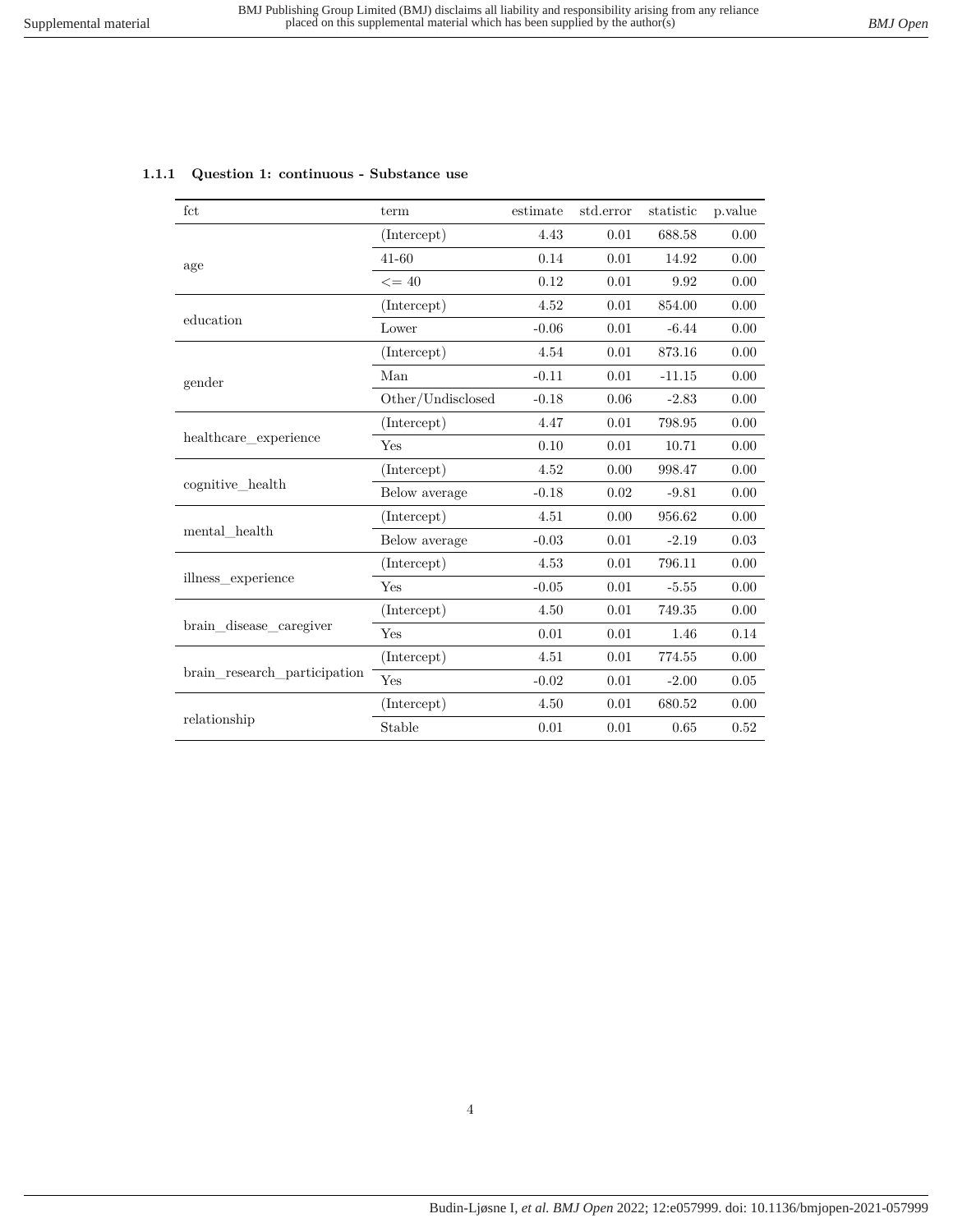| fct                          | term              | estimate | std.error | statistic | p.value |
|------------------------------|-------------------|----------|-----------|-----------|---------|
|                              | (Intercept)       | 4.43     | 0.01      | 688.58    | 0.00    |
| age                          | $41 - 60$         | 0.14     | 0.01      | 14.92     | 0.00    |
|                              | $<=40$            | 0.12     | 0.01      | 9.92      | 0.00    |
|                              | (Intercept)       | 4.52     | 0.01      | 854.00    | 0.00    |
| education                    | Lower             | $-0.06$  | 0.01      | $-6.44$   | 0.00    |
|                              | (Intercept)       | 4.54     | 0.01      | 873.16    | 0.00    |
| gender                       | Man               | $-0.11$  | 0.01      | $-11.15$  | 0.00    |
|                              | Other/Undisclosed | $-0.18$  | 0.06      | $-2.83$   | 0.00    |
| healthcare experience        | (Intercept)       | 4.47     | 0.01      | 798.95    | 0.00    |
|                              | Yes               | 0.10     | 0.01      | 10.71     | 0.00    |
|                              | (Intercept)       | 4.52     | 0.00      | 998.47    | 0.00    |
| cognitive health             | Below average     | $-0.18$  | 0.02      | $-9.81$   | 0.00    |
|                              | (Intercept)       | 4.51     | 0.00      | 956.62    | 0.00    |
| $\mbox{mental\_health}$      | Below average     | $-0.03$  | 0.01      | $-2.19$   | 0.03    |
|                              | (Intercept)       | 4.53     | 0.01      | 796.11    | 0.00    |
| illness_experience           | Yes               | $-0.05$  | 0.01      | $-5.55$   | 0.00    |
|                              | (Intercept)       | 4.50     | 0.01      | 749.35    | 0.00    |
| brain disease caregiver      | Yes               | 0.01     | 0.01      | 1.46      | 0.14    |
|                              | (Intercept)       | 4.51     | 0.01      | 774.55    | 0.00    |
| brain research participation | Yes               | $-0.02$  | 0.01      | $-2.00$   | 0.05    |
|                              | (Intercept)       | 4.50     | 0.01      | 680.52    | 0.00    |
| relationship                 | Stable            | 0.01     | 0.01      | 0.65      | 0.52    |

#### <span id="page-3-0"></span>**1.1.1 Question 1: continuous - Substance use**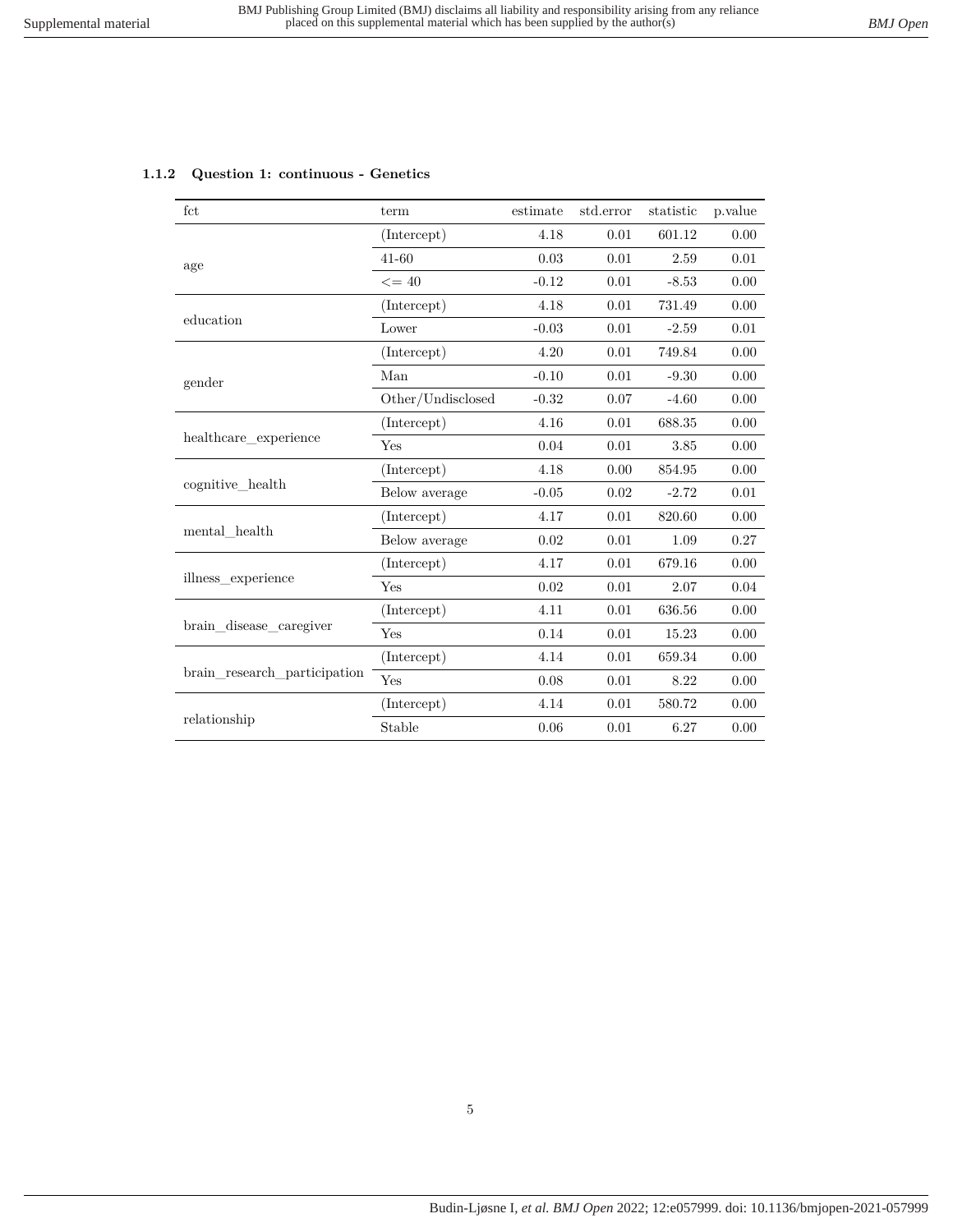| fct                                                                                                                      | term              | estimate | std.error                                                                                                           | statistic | p.value  |
|--------------------------------------------------------------------------------------------------------------------------|-------------------|----------|---------------------------------------------------------------------------------------------------------------------|-----------|----------|
|                                                                                                                          | (Intercept)       | 4.18     | 0.01                                                                                                                | 601.12    | 0.00     |
| age                                                                                                                      | 41-60             | 0.03     | 0.01                                                                                                                | 2.59      | 0.01     |
|                                                                                                                          | $\leq$ = 40       | $-0.12$  | 0.01                                                                                                                | $-8.53$   | 0.00     |
|                                                                                                                          | (Intercept)       | 4.18     | 0.01                                                                                                                | 731.49    | 0.00     |
| education                                                                                                                | Lower             | $-0.03$  | 0.01                                                                                                                | $-2.59$   | 0.01     |
|                                                                                                                          | (Intercept)       | 4.20     | 0.01                                                                                                                | 749.84    | 0.00     |
|                                                                                                                          | Man               | $-0.10$  | $0.01\,$                                                                                                            | $-9.30$   | 0.00     |
|                                                                                                                          | Other/Undisclosed | $-0.32$  | 0.07                                                                                                                | $-4.60$   | 0.00     |
| healthcare experience<br>cognitive_health                                                                                | (Intercept)       | 4.16     | 0.01                                                                                                                | 688.35    | 0.00     |
|                                                                                                                          | Yes               | 0.04     | 0.01                                                                                                                | 3.85      | 0.00     |
|                                                                                                                          | (Intercept)       | 4.18     | 0.00                                                                                                                | 854.95    | 0.00     |
|                                                                                                                          | Below average     | $-0.05$  | 0.02                                                                                                                | $-2.72$   | 0.01     |
|                                                                                                                          | (Intercept)       | 4.17     | 0.01                                                                                                                | 820.60    | 0.00     |
|                                                                                                                          | Below average     | 0.02     | 0.01                                                                                                                | 1.09      | 0.27     |
|                                                                                                                          | (Intercept)       | 4.17     | 0.01                                                                                                                | 679.16    | 0.00     |
|                                                                                                                          | Yes               | 0.02     | 0.01<br>2.07<br>0.01<br>636.56<br>0.01<br>15.23<br>0.01<br>659.34<br>0.01<br>8.22<br>580.72<br>0.01<br>0.01<br>6.27 | 0.04      |          |
|                                                                                                                          | (Intercept)       | 4.11     |                                                                                                                     |           | 0.00     |
|                                                                                                                          | <b>Yes</b>        | 0.14     |                                                                                                                     |           | 0.00     |
|                                                                                                                          | (Intercept)       | 4.14     |                                                                                                                     |           | 0.00     |
|                                                                                                                          | Yes               | 0.08     |                                                                                                                     |           | 0.00     |
| gender<br>mental health<br>illness experience<br>brain disease caregiver<br>brain research participation<br>relationship | (Intercept)       | 4.14     |                                                                                                                     |           | 0.00     |
|                                                                                                                          | Stable            | 0.06     |                                                                                                                     |           | $0.00\,$ |

#### <span id="page-4-0"></span>**1.1.2 Question 1: continuous - Genetics**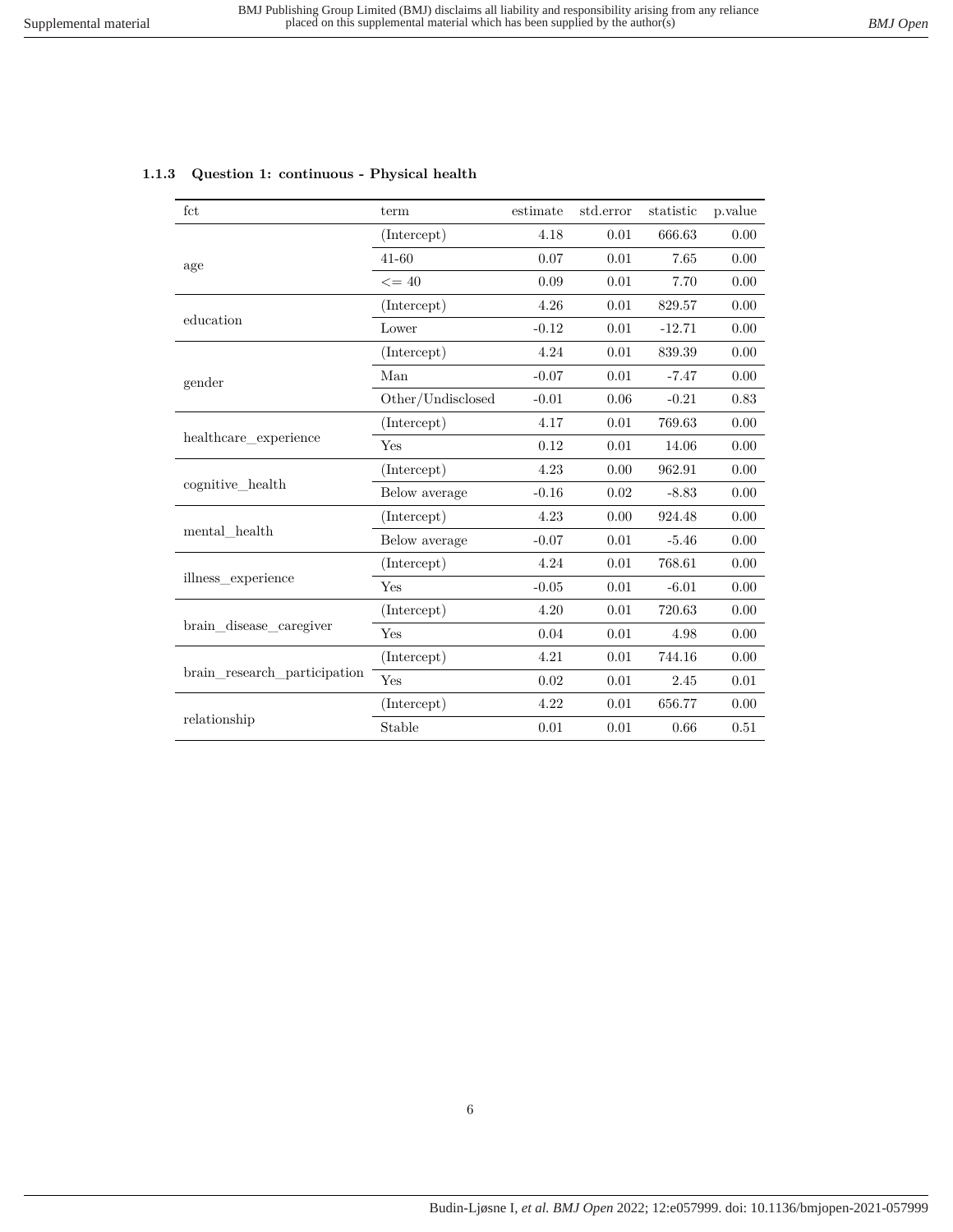| fct                                                            | term                                                     | estimate | std.error | statistic | p.value |
|----------------------------------------------------------------|----------------------------------------------------------|----------|-----------|-----------|---------|
|                                                                | (Intercept)                                              | 4.18     | 0.01      | 666.63    | 0.00    |
| age                                                            | $41 - 60$                                                | 0.07     | 0.01      | 7.65      | 0.00    |
|                                                                | $\leq$ = 40                                              | 0.09     | 0.01      | 7.70      | 0.00    |
|                                                                | (Intercept)                                              | 4.26     | 0.01      | 829.57    | 0.00    |
| education                                                      | Lower                                                    | $-0.12$  | 0.01      | $-12.71$  | 0.00    |
|                                                                | (Intercept)                                              | 4.24     | 0.01      | 839.39    | 0.00    |
| gender                                                         | Man                                                      | $-0.07$  | 0.01      | $-7.47$   | 0.00    |
|                                                                | Other/Undisclosed                                        | $-0.01$  | 0.06      | $-0.21$   | 0.83    |
| healthcare experience                                          | (Intercept)                                              | 4.17     | 0.01      | 769.63    | 0.00    |
|                                                                | Yes                                                      | 0.12     | 0.01      | 14.06     | 0.00    |
|                                                                | (Intercept)                                              | 4.23     | 0.00      | 962.91    | 0.00    |
| cognitive_health                                               | Below average                                            | $-0.16$  | 0.02      | $-8.83$   | 0.00    |
|                                                                | (Intercept)                                              | 4.23     | 0.00      | 924.48    | 0.00    |
|                                                                | Below average                                            | $-0.07$  | 0.01      | $-5.46$   | 0.00    |
|                                                                | (Intercept)                                              | 4.24     | 0.01      | 768.61    | 0.00    |
|                                                                | Yes                                                      | $-0.05$  | 0.01      | $-6.01$   | 0.00    |
| mental health<br>illness experience<br>brain_disease_caregiver | (Intercept)                                              | 4.20     | 0.01      | 720.63    | 0.00    |
|                                                                | Yes                                                      | 0.04     | 0.01      | 4.98      | 0.00    |
|                                                                | (Intercept)                                              | 4.21     | 0.01      | 744.16    | 0.00    |
| brain research participation                                   | Yes<br>$0.02\,$<br>(Intercept)<br>4.22<br>Stable<br>0.01 | 0.01     | 2.45      | 0.01      |         |
|                                                                |                                                          |          | 0.01      | 656.77    | 0.00    |
| relationship                                                   |                                                          |          | 0.01      | 0.66      | 0.51    |

#### <span id="page-5-0"></span>**1.1.3 Question 1: continuous - Physical health**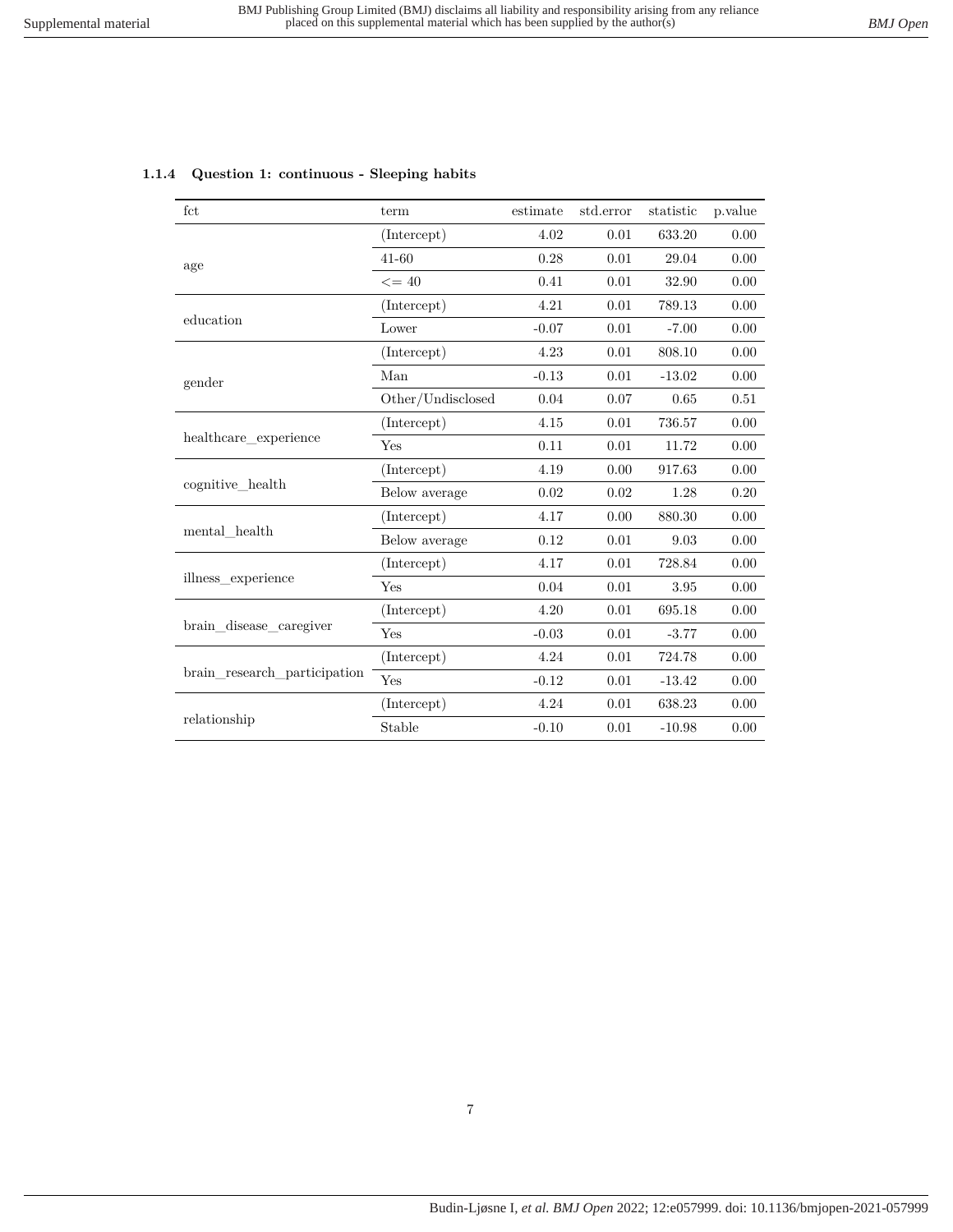| fct                                                            | term              | estimate                                                                                                                                                                                                                                                                                                                                                                                                                                                                                                                                              | std.error | statistic | p.value |
|----------------------------------------------------------------|-------------------|-------------------------------------------------------------------------------------------------------------------------------------------------------------------------------------------------------------------------------------------------------------------------------------------------------------------------------------------------------------------------------------------------------------------------------------------------------------------------------------------------------------------------------------------------------|-----------|-----------|---------|
|                                                                | (Intercept)       | 4.02                                                                                                                                                                                                                                                                                                                                                                                                                                                                                                                                                  | 0.01      | 633.20    | 0.00    |
| age                                                            | $41 - 60$         | 0.28                                                                                                                                                                                                                                                                                                                                                                                                                                                                                                                                                  | 0.01      | 29.04     | 0.00    |
|                                                                | $\leq$ = 40       | 0.41<br>0.01<br>32.90<br>4.21<br>0.01<br>789.13<br>$-0.07$<br>0.01<br>$-7.00$<br>4.23<br>0.01<br>808.10<br>$-0.13$<br>0.01<br>$-13.02$<br>0.07<br>0.04<br>0.65<br>$0.01\,$<br>4.15<br>736.57<br>0.11<br>0.01<br>11.72<br>4.19<br>0.00<br>917.63<br>0.02<br>0.02<br>1.28<br>4.17<br>0.00<br>880.30<br>0.12<br>0.01<br>9.03<br>4.17<br>0.01<br>728.84<br>0.04<br>0.01<br>3.95<br>4.20<br>0.01<br>695.18<br>$-0.03$<br>0.01<br>$-3.77$<br>4.24<br>0.01<br>724.78<br>$-0.12$<br>0.01<br>$-13.42$<br>4.24<br>0.01<br>638.23<br>$-0.10$<br>0.01<br>$-10.98$ | 0.00      |           |         |
|                                                                | (Intercept)       |                                                                                                                                                                                                                                                                                                                                                                                                                                                                                                                                                       |           |           | 0.00    |
| education                                                      | Lower             |                                                                                                                                                                                                                                                                                                                                                                                                                                                                                                                                                       |           |           | 0.00    |
|                                                                | (Intercept)       |                                                                                                                                                                                                                                                                                                                                                                                                                                                                                                                                                       |           |           | 0.00    |
| gender                                                         | Man               |                                                                                                                                                                                                                                                                                                                                                                                                                                                                                                                                                       |           |           | 0.00    |
|                                                                | Other/Undisclosed |                                                                                                                                                                                                                                                                                                                                                                                                                                                                                                                                                       |           |           | 0.51    |
| healthcare experience                                          | (Intercept)       |                                                                                                                                                                                                                                                                                                                                                                                                                                                                                                                                                       |           |           | 0.00    |
|                                                                | Yes               |                                                                                                                                                                                                                                                                                                                                                                                                                                                                                                                                                       |           |           | 0.00    |
|                                                                | (Intercept)       |                                                                                                                                                                                                                                                                                                                                                                                                                                                                                                                                                       |           |           | 0.00    |
| cognitive health                                               | Below average     |                                                                                                                                                                                                                                                                                                                                                                                                                                                                                                                                                       |           |           | 0.20    |
|                                                                | (Intercept)       |                                                                                                                                                                                                                                                                                                                                                                                                                                                                                                                                                       |           |           | 0.00    |
|                                                                | Below average     |                                                                                                                                                                                                                                                                                                                                                                                                                                                                                                                                                       |           |           | 0.00    |
|                                                                | (Intercept)       |                                                                                                                                                                                                                                                                                                                                                                                                                                                                                                                                                       |           |           | 0.00    |
|                                                                | Yes               |                                                                                                                                                                                                                                                                                                                                                                                                                                                                                                                                                       |           |           | 0.00    |
|                                                                | (Intercept)       |                                                                                                                                                                                                                                                                                                                                                                                                                                                                                                                                                       |           |           | 0.00    |
| mental health<br>illness experience<br>brain_disease_caregiver | Yes               |                                                                                                                                                                                                                                                                                                                                                                                                                                                                                                                                                       |           |           | 0.00    |
|                                                                | (Intercept)       |                                                                                                                                                                                                                                                                                                                                                                                                                                                                                                                                                       |           |           | 0.00    |
| brain research participation                                   | Yes               |                                                                                                                                                                                                                                                                                                                                                                                                                                                                                                                                                       |           |           | 0.00    |
|                                                                | (Intercept)       |                                                                                                                                                                                                                                                                                                                                                                                                                                                                                                                                                       |           |           | 0.00    |
| relationship                                                   | Stable            |                                                                                                                                                                                                                                                                                                                                                                                                                                                                                                                                                       |           |           | 0.00    |

#### <span id="page-6-0"></span>**1.1.4 Question 1: continuous - Sleeping habits**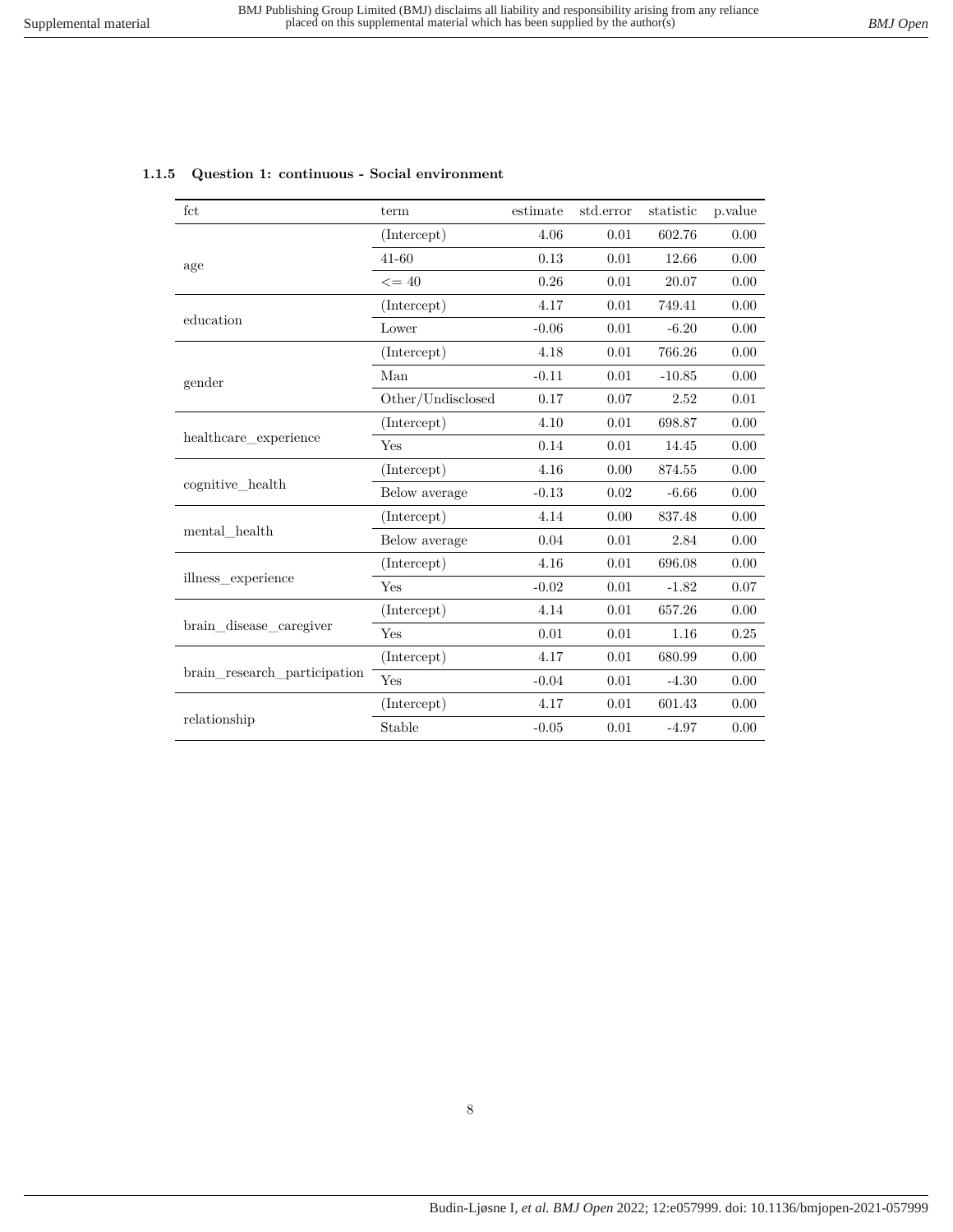| fct                                                            | term                                                                                                                                                                                                                                                                                                                                                                                                                                              | estimate | std.error                                            | statistic | p.value  |
|----------------------------------------------------------------|---------------------------------------------------------------------------------------------------------------------------------------------------------------------------------------------------------------------------------------------------------------------------------------------------------------------------------------------------------------------------------------------------------------------------------------------------|----------|------------------------------------------------------|-----------|----------|
|                                                                | (Intercept)                                                                                                                                                                                                                                                                                                                                                                                                                                       | 4.06     | 0.01                                                 | 602.76    | 0.00     |
| age                                                            | 41-60                                                                                                                                                                                                                                                                                                                                                                                                                                             | 0.13     | 0.01                                                 | 12.66     | 0.00     |
|                                                                | $\leq$ = 40<br>0.26<br>4.17<br>(Intercept)<br>Lower<br>$-0.06$<br>4.18<br>(Intercept)<br>Man<br>$-0.11$<br>Other/Undisclosed<br>0.17<br>(Intercept)<br>4.10<br>0.14<br>Yes<br>(Intercept)<br>4.16<br>Below average<br>$-0.13$<br>(Intercept)<br>4.14<br>Below average<br>0.04<br>(Intercept)<br>4.16<br>Yes<br>$-0.02$<br>4.14<br>(Intercept)<br>0.01<br>Yes<br>(Intercept)<br>4.17<br>Yes<br>$-0.04$<br>(Intercept)<br>4.17<br>Stable<br>$-0.05$ | 0.01     | 20.07                                                | 0.00      |          |
|                                                                |                                                                                                                                                                                                                                                                                                                                                                                                                                                   |          | 0.01                                                 | 749.41    | 0.00     |
| education                                                      |                                                                                                                                                                                                                                                                                                                                                                                                                                                   |          | 0.01                                                 | $-6.20$   | 0.00     |
|                                                                |                                                                                                                                                                                                                                                                                                                                                                                                                                                   |          | 0.01                                                 | 766.26    | 0.00     |
| gender<br>healthcare experience                                |                                                                                                                                                                                                                                                                                                                                                                                                                                                   |          | 0.01                                                 | $-10.85$  | 0.00     |
|                                                                |                                                                                                                                                                                                                                                                                                                                                                                                                                                   |          | 0.07                                                 | 2.52      | 0.01     |
|                                                                |                                                                                                                                                                                                                                                                                                                                                                                                                                                   |          | 0.01                                                 | 698.87    | 0.00     |
|                                                                |                                                                                                                                                                                                                                                                                                                                                                                                                                                   |          | 0.01                                                 | 14.45     | 0.00     |
|                                                                |                                                                                                                                                                                                                                                                                                                                                                                                                                                   |          | 0.00                                                 | 874.55    | 0.00     |
| cognitive_health                                               |                                                                                                                                                                                                                                                                                                                                                                                                                                                   |          | 0.02                                                 | $-6.66$   | 0.00     |
|                                                                |                                                                                                                                                                                                                                                                                                                                                                                                                                                   |          | 0.00                                                 | 837.48    | 0.00     |
|                                                                |                                                                                                                                                                                                                                                                                                                                                                                                                                                   |          | 0.01                                                 | 2.84      | 0.00     |
|                                                                |                                                                                                                                                                                                                                                                                                                                                                                                                                                   |          | 0.01                                                 | 696.08    | 0.00     |
|                                                                |                                                                                                                                                                                                                                                                                                                                                                                                                                                   |          | 0.01                                                 | $-1.82$   | 0.07     |
| mental health<br>illness experience<br>brain_disease_caregiver |                                                                                                                                                                                                                                                                                                                                                                                                                                                   |          | 0.01                                                 | 657.26    | 0.00     |
|                                                                |                                                                                                                                                                                                                                                                                                                                                                                                                                                   |          | 0.01                                                 | 1.16      | $0.25\,$ |
|                                                                |                                                                                                                                                                                                                                                                                                                                                                                                                                                   |          | 0.01                                                 | 680.99    | 0.00     |
| brain research participation                                   |                                                                                                                                                                                                                                                                                                                                                                                                                                                   |          | 0.01<br>$-4.30$<br>0.01<br>601.43<br>0.01<br>$-4.97$ | 0.00      |          |
|                                                                |                                                                                                                                                                                                                                                                                                                                                                                                                                                   |          |                                                      |           | 0.00     |
| relationship                                                   |                                                                                                                                                                                                                                                                                                                                                                                                                                                   |          |                                                      |           | 0.00     |

#### <span id="page-7-0"></span>**1.1.5 Question 1: continuous - Social environment**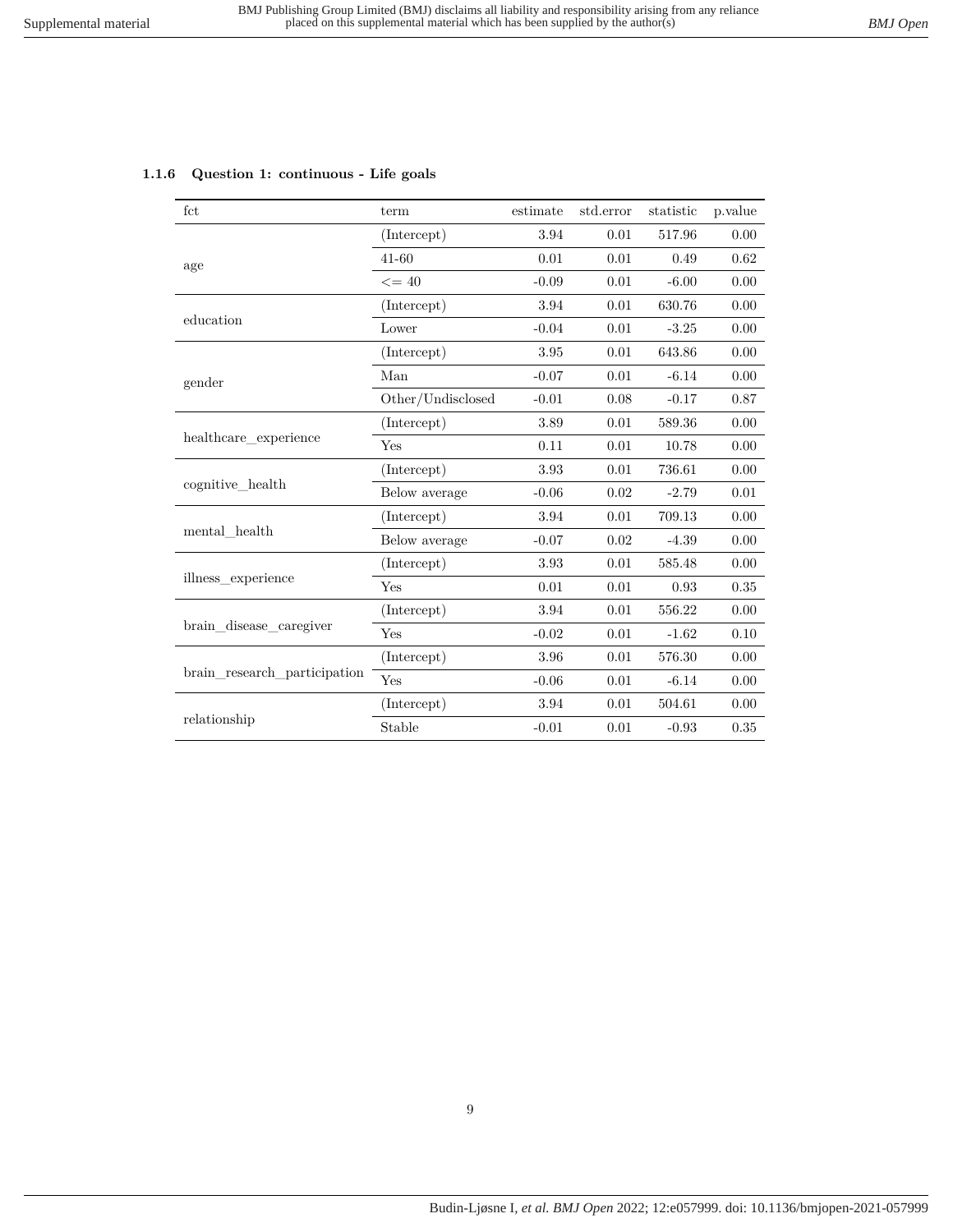<span id="page-8-0"></span>

| 1.1.6 Question 1: continuous - Life goals |
|-------------------------------------------|
|                                           |

| fct                                                        | term              | estimate                                                                                                                                                                                                                                                                                                                                                                                                                                                                                                                                                              | std.error | statistic | p.value |
|------------------------------------------------------------|-------------------|-----------------------------------------------------------------------------------------------------------------------------------------------------------------------------------------------------------------------------------------------------------------------------------------------------------------------------------------------------------------------------------------------------------------------------------------------------------------------------------------------------------------------------------------------------------------------|-----------|-----------|---------|
|                                                            | (Intercept)       | 3.94                                                                                                                                                                                                                                                                                                                                                                                                                                                                                                                                                                  | 0.01      | 517.96    | 0.00    |
| age                                                        | $41 - 60$         | 0.01                                                                                                                                                                                                                                                                                                                                                                                                                                                                                                                                                                  | 0.01      | 0.49      | 0.62    |
|                                                            | $\leq$ = 40       | 0.01<br>$-0.09$<br>$-6.00$<br>3.94<br>0.01<br>630.76<br>$-0.04$<br>0.01<br>$-3.25$<br>3.95<br>0.01<br>643.86<br>0.01<br>$-6.14$<br>$-0.07$<br>$-0.01$<br>0.08<br>$-0.17$<br>0.01<br>3.89<br>589.36<br>0.01<br>0.11<br>10.78<br>3.93<br>0.01<br>736.61<br>0.02<br>$-0.06$<br>$-2.79$<br>0.01<br>3.94<br>709.13<br>0.02<br>$-4.39$<br>$-0.07$<br>3.93<br>0.01<br>585.48<br>0.01<br>0.01<br>0.93<br>0.01<br>3.94<br>556.22<br>$-0.02$<br>0.01<br>$-1.62$<br>3.96<br>0.01<br>576.30<br>$-0.06$<br>0.01<br>$-6.14$<br>3.94<br>0.01<br>504.61<br>0.01<br>$-0.01$<br>$-0.93$ | 0.00      |           |         |
|                                                            | (Intercept)       |                                                                                                                                                                                                                                                                                                                                                                                                                                                                                                                                                                       |           |           | 0.00    |
| education                                                  | Lower             |                                                                                                                                                                                                                                                                                                                                                                                                                                                                                                                                                                       |           |           | 0.00    |
|                                                            | (Intercept)       |                                                                                                                                                                                                                                                                                                                                                                                                                                                                                                                                                                       |           |           | 0.00    |
| gender                                                     | Man               |                                                                                                                                                                                                                                                                                                                                                                                                                                                                                                                                                                       |           |           | 0.00    |
|                                                            | Other/Undisclosed |                                                                                                                                                                                                                                                                                                                                                                                                                                                                                                                                                                       |           |           | 0.87    |
|                                                            | (Intercept)       |                                                                                                                                                                                                                                                                                                                                                                                                                                                                                                                                                                       |           |           | 0.00    |
|                                                            | Yes               |                                                                                                                                                                                                                                                                                                                                                                                                                                                                                                                                                                       |           |           | 0.00    |
|                                                            | (Intercept)       |                                                                                                                                                                                                                                                                                                                                                                                                                                                                                                                                                                       |           |           | 0.00    |
| healthcare experience<br>cognitive health<br>mental health | Below average     |                                                                                                                                                                                                                                                                                                                                                                                                                                                                                                                                                                       |           |           | 0.01    |
|                                                            | (Intercept)       |                                                                                                                                                                                                                                                                                                                                                                                                                                                                                                                                                                       |           |           | 0.00    |
|                                                            | Below average     |                                                                                                                                                                                                                                                                                                                                                                                                                                                                                                                                                                       |           |           | 0.00    |
|                                                            | (Intercept)       |                                                                                                                                                                                                                                                                                                                                                                                                                                                                                                                                                                       |           |           | 0.00    |
| illness experience                                         | Yes               |                                                                                                                                                                                                                                                                                                                                                                                                                                                                                                                                                                       | 0.35      |           |         |
|                                                            | (Intercept)       |                                                                                                                                                                                                                                                                                                                                                                                                                                                                                                                                                                       |           |           | 0.00    |
| brain disease caregiver                                    | Yes               |                                                                                                                                                                                                                                                                                                                                                                                                                                                                                                                                                                       |           |           | 0.10    |
|                                                            | (Intercept)       |                                                                                                                                                                                                                                                                                                                                                                                                                                                                                                                                                                       |           |           | 0.00    |
| brain research participation                               | Yes               |                                                                                                                                                                                                                                                                                                                                                                                                                                                                                                                                                                       | 0.00      |           |         |
|                                                            | (Intercept)       |                                                                                                                                                                                                                                                                                                                                                                                                                                                                                                                                                                       |           |           | 0.00    |
| relationship                                               | Stable            |                                                                                                                                                                                                                                                                                                                                                                                                                                                                                                                                                                       |           |           | 0.35    |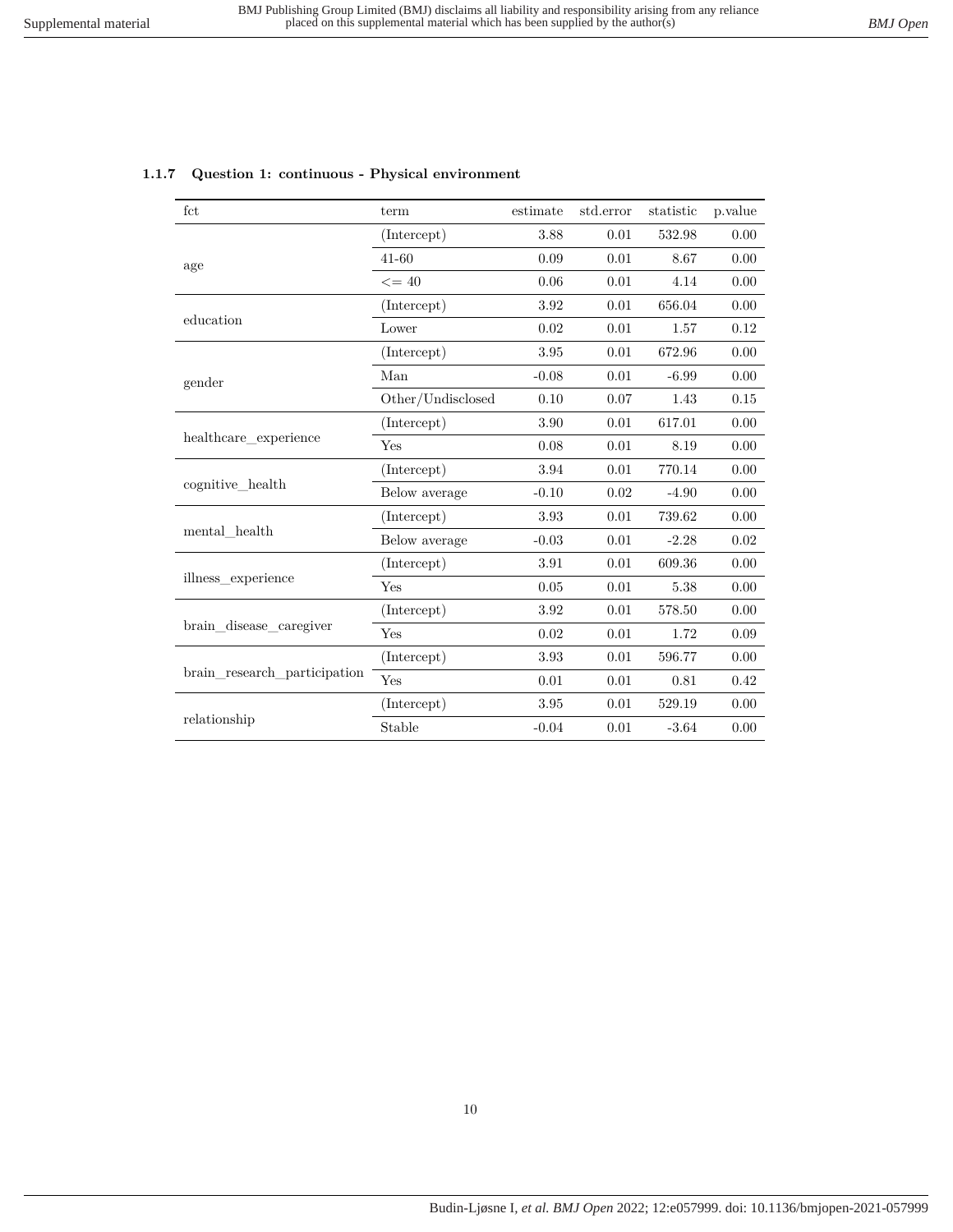<span id="page-9-0"></span>

|  |  | 1.1.7 Question 1: continuous - Physical environment |  |  |
|--|--|-----------------------------------------------------|--|--|
|--|--|-----------------------------------------------------|--|--|

| fct                                                                                                            | term              | estimate                                                                                                                                                                                                                                                                                                                                                                                                                                                                                                                               | std.error | statistic | p.value |
|----------------------------------------------------------------------------------------------------------------|-------------------|----------------------------------------------------------------------------------------------------------------------------------------------------------------------------------------------------------------------------------------------------------------------------------------------------------------------------------------------------------------------------------------------------------------------------------------------------------------------------------------------------------------------------------------|-----------|-----------|---------|
|                                                                                                                | (Intercept)       | 3.88                                                                                                                                                                                                                                                                                                                                                                                                                                                                                                                                   | 0.01      | 532.98    | 0.00    |
| age<br>education<br>gender<br>healthcare experience<br>cognitive health<br>mental health<br>illness experience | $41 - 60$         | 0.09                                                                                                                                                                                                                                                                                                                                                                                                                                                                                                                                   | 0.01      | 8.67      | 0.00    |
|                                                                                                                | $\leq$ = 40       | 0.06<br>0.01<br>4.14<br>3.92<br>0.01<br>656.04<br>0.02<br>0.01<br>1.57<br>3.95<br>0.01<br>672.96<br>0.01<br>$-0.08$<br>$-6.99$<br>0.10<br>0.07<br>1.43<br>3.90<br>0.01<br>617.01<br>0.08<br>0.01<br>8.19<br>770.14<br>3.94<br>0.01<br>$-0.10$<br>0.02<br>$-4.90$<br>3.93<br>0.01<br>739.62<br>$-0.03$<br>0.01<br>$-2.28$<br>3.91<br>0.01<br>609.36<br>0.05<br>0.01<br>5.38<br>3.92<br>0.01<br>578.50<br>0.02<br>0.01<br>1.72<br>3.93<br>0.01<br>596.77<br>0.01<br>0.01<br>0.81<br>3.95<br>0.01<br>529.19<br>0.01<br>$-0.04$<br>$-3.64$ | 0.00      |           |         |
|                                                                                                                | (Intercept)       |                                                                                                                                                                                                                                                                                                                                                                                                                                                                                                                                        |           |           | 0.00    |
|                                                                                                                | Lower             |                                                                                                                                                                                                                                                                                                                                                                                                                                                                                                                                        |           |           | 0.12    |
|                                                                                                                | (Intercept)       |                                                                                                                                                                                                                                                                                                                                                                                                                                                                                                                                        |           |           | 0.00    |
|                                                                                                                | Man               |                                                                                                                                                                                                                                                                                                                                                                                                                                                                                                                                        |           |           | 0.00    |
|                                                                                                                | Other/Undisclosed |                                                                                                                                                                                                                                                                                                                                                                                                                                                                                                                                        |           |           | 0.15    |
|                                                                                                                | (Intercept)       |                                                                                                                                                                                                                                                                                                                                                                                                                                                                                                                                        |           |           | 0.00    |
|                                                                                                                | Yes               |                                                                                                                                                                                                                                                                                                                                                                                                                                                                                                                                        |           |           | 0.00    |
|                                                                                                                | (Intercept)       |                                                                                                                                                                                                                                                                                                                                                                                                                                                                                                                                        |           |           | 0.00    |
|                                                                                                                | Below average     |                                                                                                                                                                                                                                                                                                                                                                                                                                                                                                                                        |           |           | 0.00    |
|                                                                                                                | (Intercept)       |                                                                                                                                                                                                                                                                                                                                                                                                                                                                                                                                        |           |           | 0.00    |
|                                                                                                                | Below average     |                                                                                                                                                                                                                                                                                                                                                                                                                                                                                                                                        |           |           | 0.02    |
|                                                                                                                | (Intercept)       |                                                                                                                                                                                                                                                                                                                                                                                                                                                                                                                                        |           |           | 0.00    |
|                                                                                                                | Yes               |                                                                                                                                                                                                                                                                                                                                                                                                                                                                                                                                        | 0.00      |           |         |
|                                                                                                                | (Intercept)       |                                                                                                                                                                                                                                                                                                                                                                                                                                                                                                                                        |           |           | 0.00    |
| brain disease caregiver                                                                                        | Yes               |                                                                                                                                                                                                                                                                                                                                                                                                                                                                                                                                        |           |           | 0.09    |
|                                                                                                                | (Intercept)       |                                                                                                                                                                                                                                                                                                                                                                                                                                                                                                                                        |           |           | 0.00    |
| brain research participation                                                                                   | Yes               |                                                                                                                                                                                                                                                                                                                                                                                                                                                                                                                                        | 0.42      |           |         |
|                                                                                                                | (Intercept)       |                                                                                                                                                                                                                                                                                                                                                                                                                                                                                                                                        |           |           | 0.00    |
| relationship                                                                                                   | Stable            |                                                                                                                                                                                                                                                                                                                                                                                                                                                                                                                                        |           |           | 0.00    |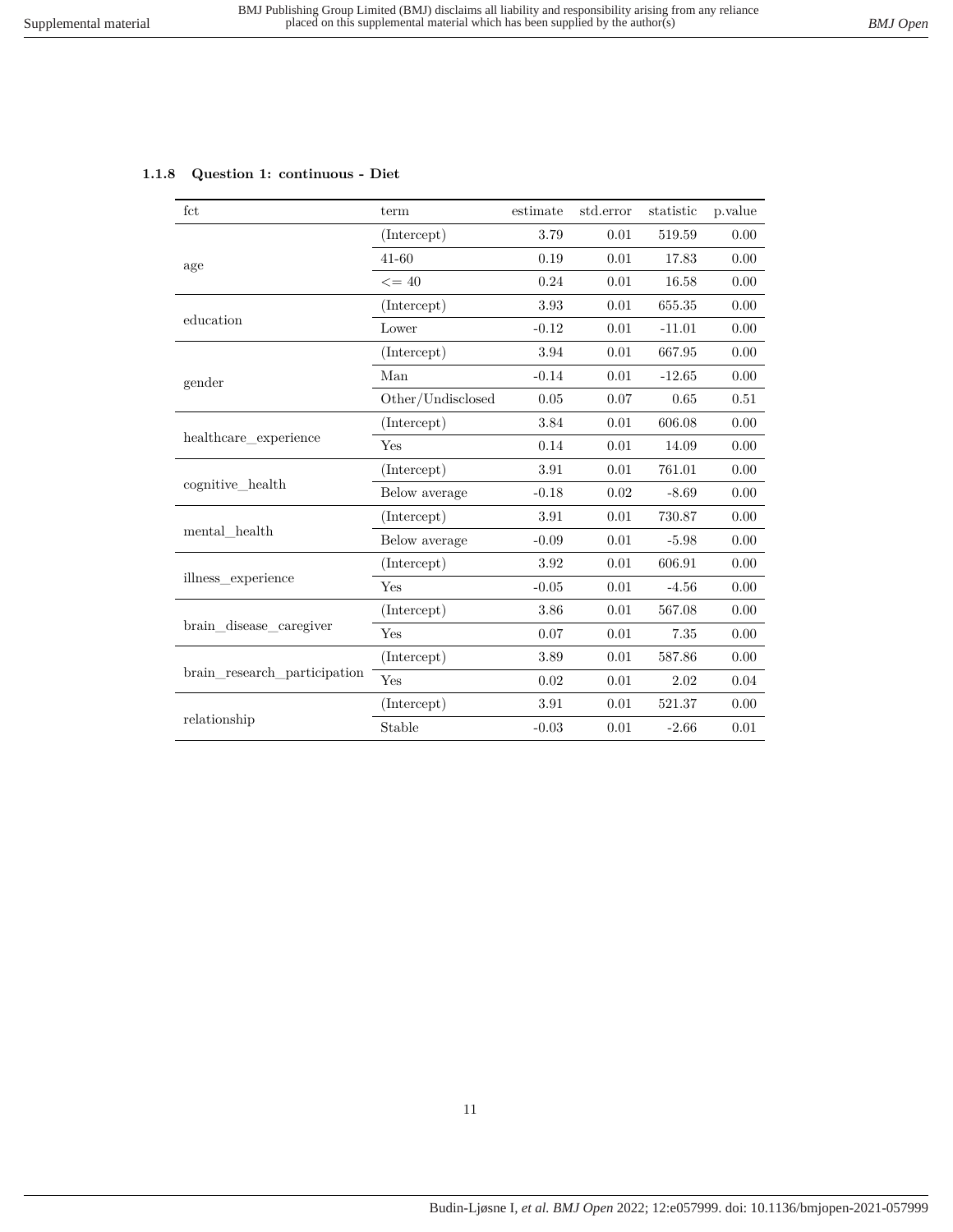## <span id="page-10-0"></span>**1.1.8 Question 1: continuous - Diet**

| fct                                                        | term                         | estimate                                                                                                                                                                                                                                                                                                                                                                                                                                                                                                                                               | std.error | statistic | p.value |
|------------------------------------------------------------|------------------------------|--------------------------------------------------------------------------------------------------------------------------------------------------------------------------------------------------------------------------------------------------------------------------------------------------------------------------------------------------------------------------------------------------------------------------------------------------------------------------------------------------------------------------------------------------------|-----------|-----------|---------|
|                                                            | (Intercept)                  | 3.79                                                                                                                                                                                                                                                                                                                                                                                                                                                                                                                                                   | 0.01      | 519.59    | 0.00    |
| age                                                        | $41 - 60$                    | 0.19                                                                                                                                                                                                                                                                                                                                                                                                                                                                                                                                                   | 0.01      | 17.83     | 0.00    |
|                                                            | $\leq$ = 40                  | 0.01<br>0.24<br>16.58<br>0.01<br>3.93<br>655.35<br>$-0.12$<br>0.01<br>$-11.01$<br>3.94<br>0.01<br>667.95<br>$-0.14$<br>0.01<br>$-12.65$<br>0.05<br>0.07<br>0.65<br>3.84<br>0.01<br>606.08<br>0.14<br>0.01<br>14.09<br>0.01<br>761.01<br>3.91<br>$-0.18$<br>0.02<br>$-8.69$<br>3.91<br>0.01<br>730.87<br>$-0.09$<br>0.01<br>$-5.98$<br>0.01<br>606.91<br>3.92<br>$-0.05$<br>0.01<br>$-4.56$<br>3.86<br>0.01<br>567.08<br>0.07<br>0.01<br>7.35<br>3.89<br>0.01<br>587.86<br>0.01<br>0.02<br>2.02<br>3.91<br>0.01<br>521.37<br>0.01<br>$-2.66$<br>$-0.03$ | 0.00      |           |         |
|                                                            | (Intercept)                  |                                                                                                                                                                                                                                                                                                                                                                                                                                                                                                                                                        |           |           | 0.00    |
| education                                                  | Lower                        |                                                                                                                                                                                                                                                                                                                                                                                                                                                                                                                                                        |           |           | 0.00    |
|                                                            | (Intercept)                  |                                                                                                                                                                                                                                                                                                                                                                                                                                                                                                                                                        |           |           | 0.00    |
| gender                                                     | Man                          |                                                                                                                                                                                                                                                                                                                                                                                                                                                                                                                                                        |           |           | 0.00    |
|                                                            | Other/Undisclosed            |                                                                                                                                                                                                                                                                                                                                                                                                                                                                                                                                                        |           |           | 0.51    |
|                                                            | (Intercept)                  |                                                                                                                                                                                                                                                                                                                                                                                                                                                                                                                                                        |           |           | 0.00    |
|                                                            | Yes                          |                                                                                                                                                                                                                                                                                                                                                                                                                                                                                                                                                        |           |           | 0.00    |
|                                                            | (Intercept)                  |                                                                                                                                                                                                                                                                                                                                                                                                                                                                                                                                                        |           |           | 0.00    |
| healthcare experience<br>cognitive_health<br>mental health | Below average                |                                                                                                                                                                                                                                                                                                                                                                                                                                                                                                                                                        |           |           | 0.00    |
|                                                            | (Intercept)                  |                                                                                                                                                                                                                                                                                                                                                                                                                                                                                                                                                        |           |           | 0.00    |
|                                                            | Below average                |                                                                                                                                                                                                                                                                                                                                                                                                                                                                                                                                                        |           |           | 0.00    |
|                                                            | (Intercept)                  |                                                                                                                                                                                                                                                                                                                                                                                                                                                                                                                                                        |           |           | 0.00    |
| illness experience                                         | Yes                          |                                                                                                                                                                                                                                                                                                                                                                                                                                                                                                                                                        | 0.00      |           |         |
|                                                            | (Intercept)                  |                                                                                                                                                                                                                                                                                                                                                                                                                                                                                                                                                        |           |           | 0.00    |
| brain disease caregiver                                    | Yes                          |                                                                                                                                                                                                                                                                                                                                                                                                                                                                                                                                                        |           |           | 0.00    |
|                                                            | (Intercept)                  |                                                                                                                                                                                                                                                                                                                                                                                                                                                                                                                                                        |           |           | 0.00    |
| brain research participation                               | Yes<br>(Intercept)<br>Stable | $0.04\,$                                                                                                                                                                                                                                                                                                                                                                                                                                                                                                                                               |           |           |         |
|                                                            |                              |                                                                                                                                                                                                                                                                                                                                                                                                                                                                                                                                                        |           |           | 0.00    |
| relationship                                               |                              |                                                                                                                                                                                                                                                                                                                                                                                                                                                                                                                                                        |           |           | 0.01    |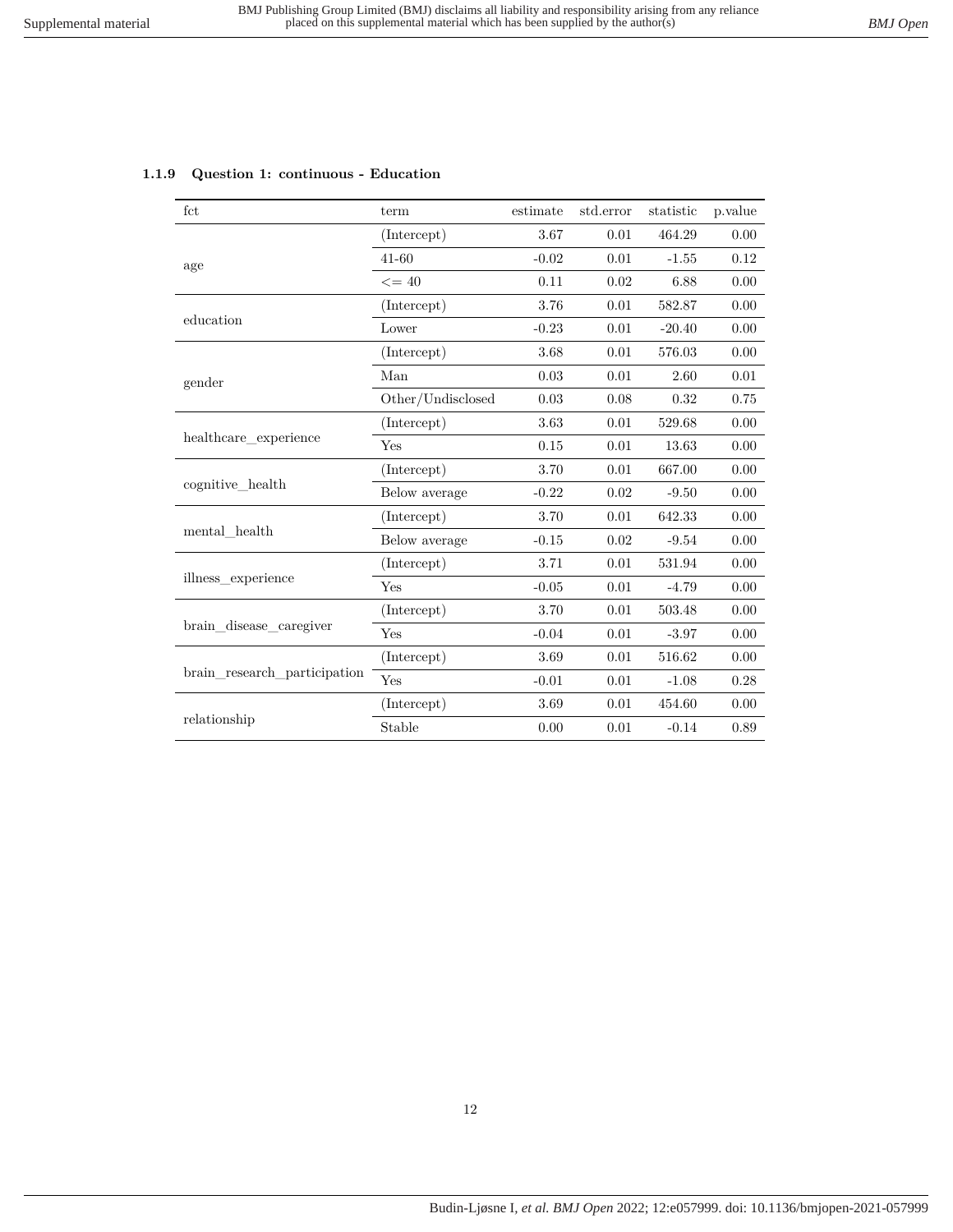<span id="page-11-0"></span>

| 1.1.9 Question 1: continuous - Education |  |  |  |
|------------------------------------------|--|--|--|
|------------------------------------------|--|--|--|

| (Intercept)<br>3.67<br>0.01<br>464.29                             | 0.00 |
|-------------------------------------------------------------------|------|
|                                                                   |      |
| 0.01<br>$41 - 60$<br>$-0.02$<br>$-1.55$<br>age                    | 0.12 |
| 0.02<br>$\leq$ = 40<br>0.11<br>6.88                               | 0.00 |
| 3.76<br>0.01<br>(Intercept)<br>582.87                             | 0.00 |
| education<br>Lower<br>0.01<br>$-0.23$<br>$-20.40$                 | 0.00 |
| 3.68<br>576.03<br>(Intercept)<br>0.01                             | 0.00 |
| 0.03<br>0.01<br>Man<br>2.60<br>gender                             | 0.01 |
| Other/Undisclosed<br>0.03<br>0.08<br>0.32                         | 0.75 |
| (Intercept)<br>3.63<br>0.01<br>529.68                             | 0.00 |
| healthcare experience<br>Yes<br>0.01<br>0.15<br>13.63             | 0.00 |
| (Intercept)<br>3.70<br>0.01<br>667.00                             | 0.00 |
| cognitive health<br>0.02<br>Below average<br>$-0.22$<br>$-9.50$   | 0.00 |
| 0.01<br>(Intercept)<br>3.70<br>642.33                             | 0.00 |
| mental health<br>0.02<br>Below average<br>$-0.15$<br>$-9.54$      | 0.00 |
| 0.01<br>(Intercept)<br>3.71<br>531.94                             | 0.00 |
| illness_experience<br>Yes<br>$-0.05$<br>0.01<br>$-4.79$           | 0.00 |
| 3.70<br>0.01<br>(Intercept)<br>503.48                             | 0.00 |
| brain disease caregiver<br>Yes<br>$-0.04$<br>0.01<br>$-3.97$      | 0.00 |
| 3.69<br>0.01<br>516.62<br>(Intercept)                             | 0.00 |
| brain research participation<br>Yes<br>$-0.01$<br>0.01<br>$-1.08$ | 0.28 |
| (Intercept)<br>3.69<br>0.01<br>454.60                             | 0.00 |
| relationship<br>Stable<br>0.01<br>$-0.14$<br>0.00                 | 0.89 |

## 12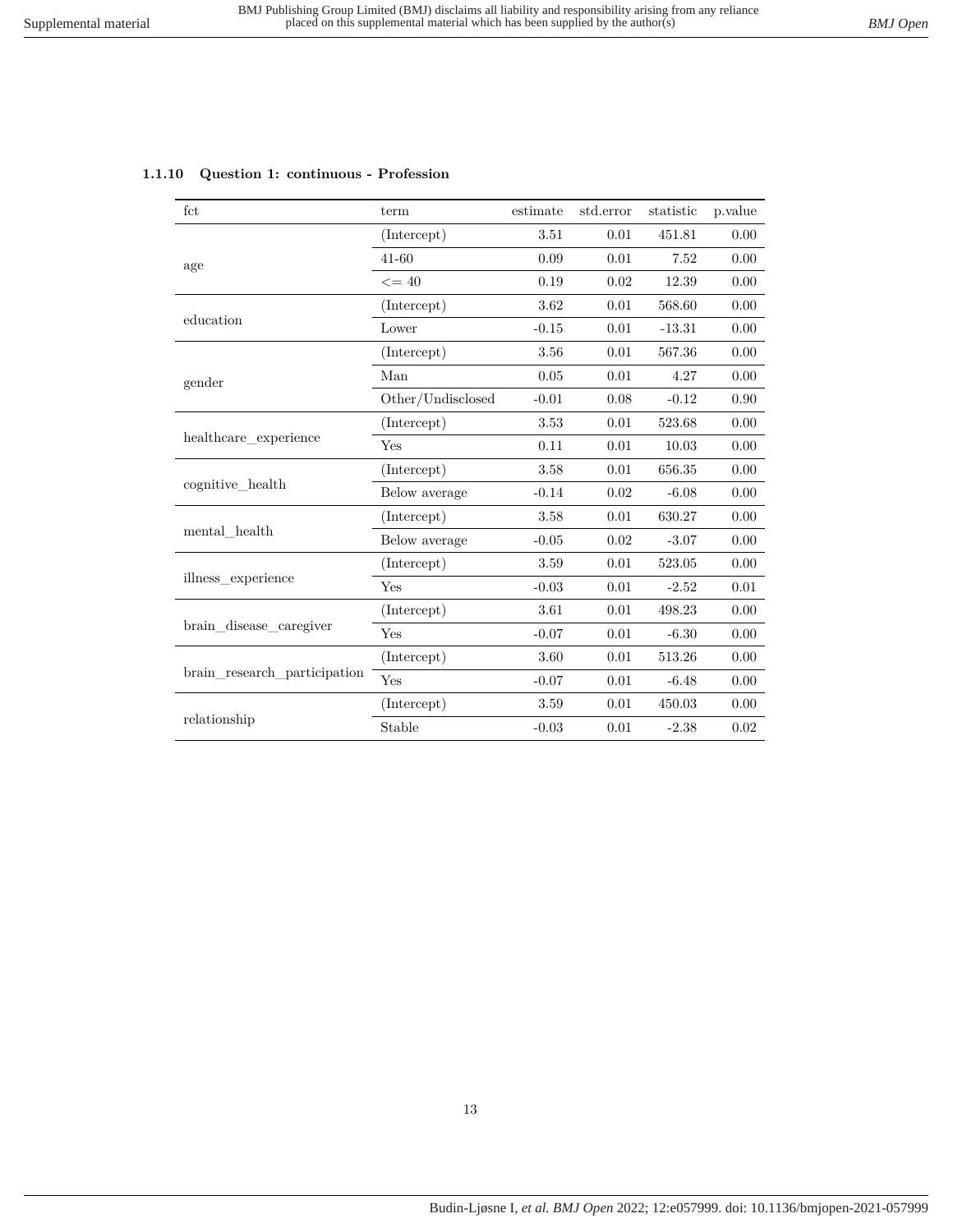| fct                          | term              | estimate | std.error | statistic | p.value |
|------------------------------|-------------------|----------|-----------|-----------|---------|
|                              | (Intercept)       | 3.51     | 0.01      | 451.81    | 0.00    |
| age                          | $41 - 60$         | 0.09     | 0.01      | 7.52      | 0.00    |
|                              | $\leq$ = 40       | 0.19     | 0.02      | 12.39     | 0.00    |
|                              | (Intercept)       | 3.62     | 0.01      | 568.60    | 0.00    |
| education                    | Lower             | $-0.15$  | 0.01      | $-13.31$  | 0.00    |
|                              | (Intercept)       | 3.56     | 0.01      | 567.36    | 0.00    |
| gender                       | Man               | 0.05     | 0.01      | 4.27      | 0.00    |
|                              | Other/Undisclosed | $-0.01$  | 0.08      | $-0.12$   | 0.90    |
|                              | (Intercept)       | 3.53     | 0.01      | 523.68    | 0.00    |
| healthcare experience        | Yes               | 0.11     | 0.01      | 10.03     | 0.00    |
|                              | (Intercept)       | 3.58     | 0.01      | 656.35    | 0.00    |
| cognitive_health             | Below average     | $-0.14$  | 0.02      | $-6.08$   | 0.00    |
|                              | (Intercept)       | 3.58     | 0.01      | 630.27    | 0.00    |
| mental health                | Below average     | $-0.05$  | 0.02      | $-3.07$   | 0.00    |
|                              | (Intercept)       | 3.59     | 0.01      | 523.05    | 0.00    |
| illness experience           | Yes               | $-0.03$  | 0.01      | $-2.52$   | 0.01    |
|                              | (Intercept)       | 3.61     | 0.01      | 498.23    | 0.00    |
| brain disease caregiver      | Yes               | $-0.07$  | 0.01      | $-6.30$   | 0.00    |
|                              | (Intercept)       | 3.60     | 0.01      | 513.26    | 0.00    |
| brain_research_participation | Yes               | $-0.07$  | 0.01      | $-6.48$   | 0.00    |
|                              | (Intercept)       | 3.59     | 0.01      | 450.03    | 0.00    |
| relationship                 | Stable            | $-0.03$  | 0.01      | $-2.38$   | 0.02    |

#### <span id="page-12-0"></span>**1.1.10 Question 1: continuous - Profession**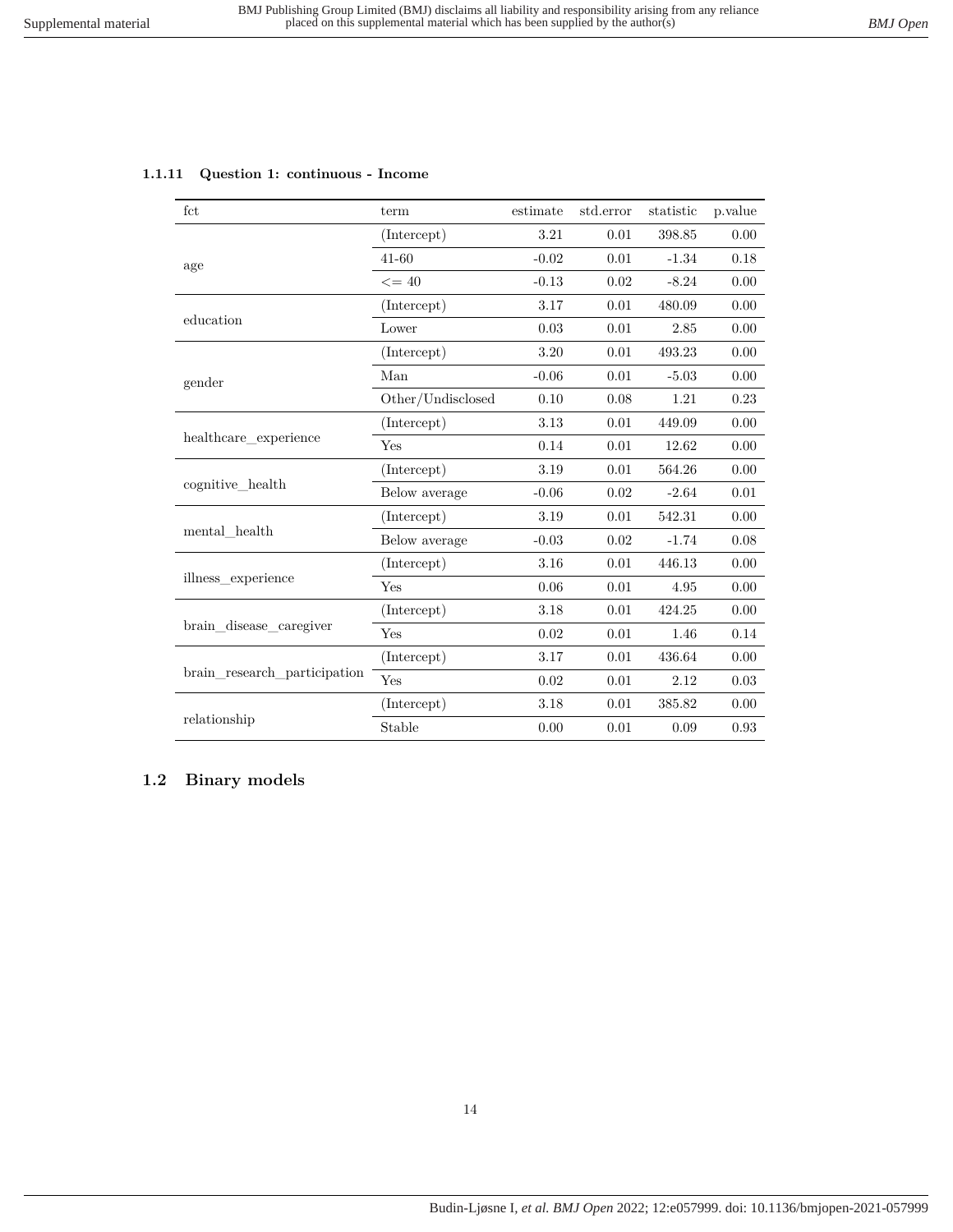| fct                          | term              | estimate | std.error | statistic | p.value |
|------------------------------|-------------------|----------|-----------|-----------|---------|
|                              | (Intercept)       | 3.21     | 0.01      | 398.85    | 0.00    |
| age                          | $41 - 60$         | $-0.02$  | 0.01      | $-1.34$   | 0.18    |
|                              | $\leq$ = 40       | $-0.13$  | 0.02      | $-8.24$   | 0.00    |
|                              | (Intercept)       | 3.17     | 0.01      | 480.09    | 0.00    |
| education                    | Lower             | 0.03     | 0.01      | 2.85      | 0.00    |
|                              | (Intercept)       | 3.20     | 0.01      | 493.23    | 0.00    |
| gender                       | Man               | $-0.06$  | $0.01\,$  | $-5.03$   | 0.00    |
|                              | Other/Undisclosed | 0.10     | 0.08      | 1.21      | 0.23    |
|                              | (Intercept)       | 3.13     | 0.01      | 449.09    | 0.00    |
| healthcare_experience        | Yes               | 0.14     | 0.01      | 12.62     | 0.00    |
|                              | (Intercept)       | 3.19     | 0.01      | 564.26    | 0.00    |
| cognitive_health             | Below average     | $-0.06$  | 0.02      | $-2.64$   | 0.01    |
|                              | (Intercept)       | 3.19     | 0.01      | 542.31    | 0.00    |
| mental health                | Below average     | $-0.03$  | $0.02\,$  | $-1.74$   | 0.08    |
|                              | (Intercept)       | 3.16     | 0.01      | 446.13    | 0.00    |
| illness experience           | Yes               | 0.06     | 0.01      | 4.95      | 0.00    |
|                              | (Intercept)       | 3.18     | 0.01      | 424.25    | 0.00    |
| brain_disease_caregiver      | Yes               | 0.02     | 0.01      | 1.46      | 0.14    |
|                              | (Intercept)       | 3.17     | 0.01      | 436.64    | 0.00    |
| brain research participation | Yes               | 0.02     | 0.01      | 2.12      | 0.03    |
|                              | (Intercept)       | 3.18     | 0.01      | 385.82    | 0.00    |
| relationship                 | Stable            | 0.00     | 0.01      | 0.09      | 0.93    |

#### <span id="page-13-0"></span>**1.1.11 Question 1: continuous - Income**

## <span id="page-13-1"></span>**1.2 Binary models**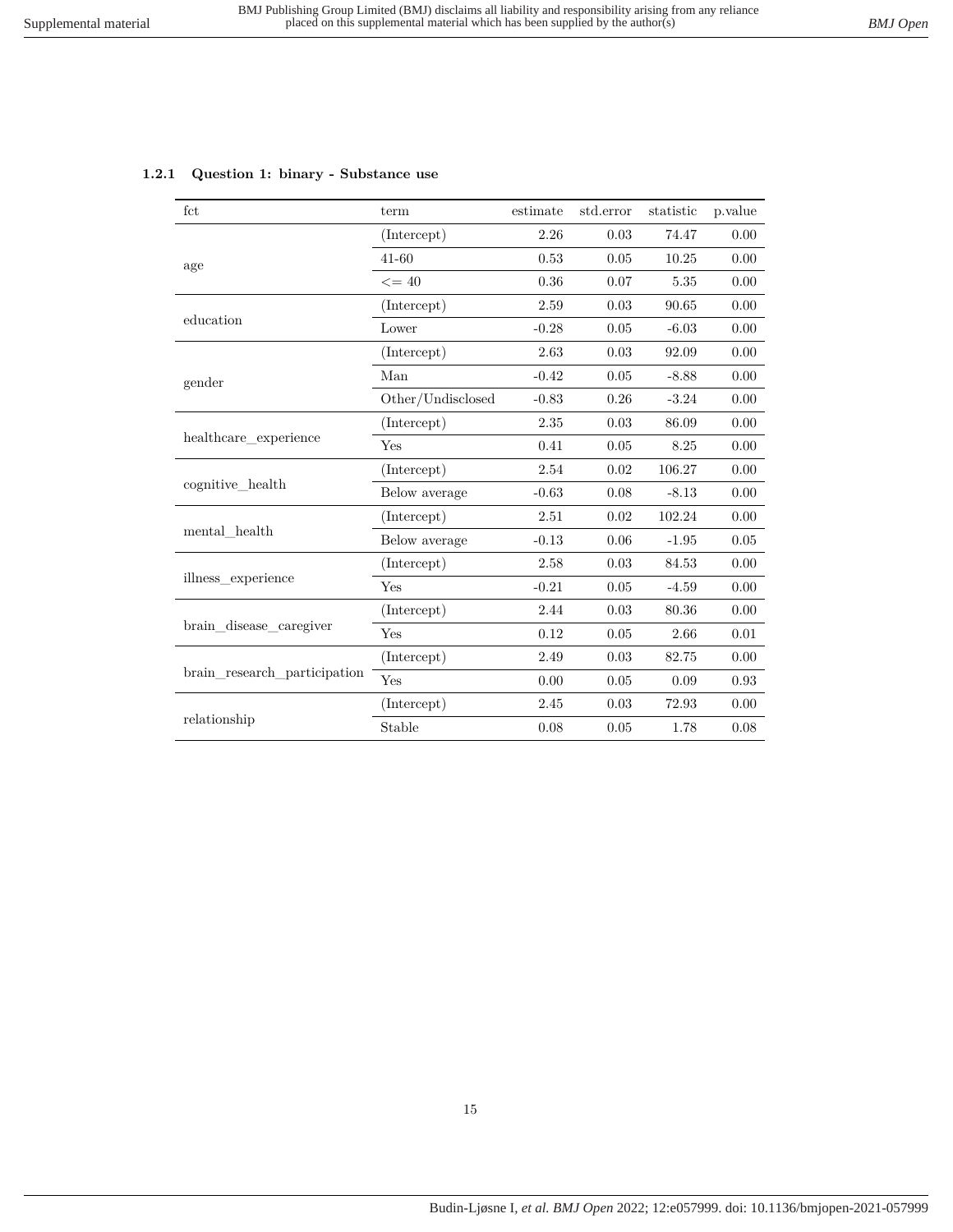| $_{\rm fct}$          | term              | estimate | std.error | statistic | p.value |
|-----------------------|-------------------|----------|-----------|-----------|---------|
|                       | (Intercept)       | 2.26     | 0.03      | 74.47     | 0.00    |
| age                   | $41 - 60$         | 0.53     | 0.05      | 10.25     | 0.00    |
|                       | $\leq$ = 40       | 0.36     | 0.07      | 5.35      | 0.00    |
|                       | (Intercept)       | 2.59     | 0.03      | 90.65     | 0.00    |
| education             | Lower             | $-0.28$  | 0.05      | $-6.03$   | 0.00    |
|                       | (Intercept)       | 2.63     | 0.03      | 92.09     | 0.00    |
| gender                | Man               | $-0.42$  | 0.05      | $-8.88$   | 0.00    |
|                       | Other/Undisclosed | $-0.83$  | 0.26      | $-3.24$   | 0.00    |
|                       | (Intercept)       | 2.35     | 0.03      | 86.09     | 0.00    |
| healthcare experience | Yes               | 0.41     | 0.05      | 8.25      | 0.00    |
|                       | (Intercept)       | 2.54     | 0.02      | 106.27    | 0.00    |
| cognitive_health      | Below average     | $-0.63$  | 0.08      | $-8.13$   | 0.00    |
| mental health         | (Intercept)       | 2.51     | 0.02      | 102.24    | 0.00    |
|                       | Below average     | $-0.13$  | 0.06      | $-1.95$   | 0.05    |
|                       | (Intercept)       | 2.58     | 0.03      | 84.53     | 0.00    |
| illness experience    | Yes               | $-0.21$  | 0.05      | $-4.59$   | 0.00    |

brain\_disease\_caregiver  $Y_{\text{ES}}$  0.12 0.05 2.66 0.01

brain\_research\_participation  $Y_{\text{res}}$  0.00 0.05 0.09 0.93

relationship  $5$ table  $0.08$   $0.05$   $1.78$   $0.08$ 

 $(Intercept)$  2.44 0.03 80.36 0.00

(Intercept) 2.49 0.03 82.75 0.00

 $( \mbox{Intercept}) \qquad \qquad 2.45 \qquad \qquad 0.03 \qquad \quad 72.93 \qquad \quad 0.00$ 

#### <span id="page-14-0"></span>**1.2.1 Question 1: binary - Substance use**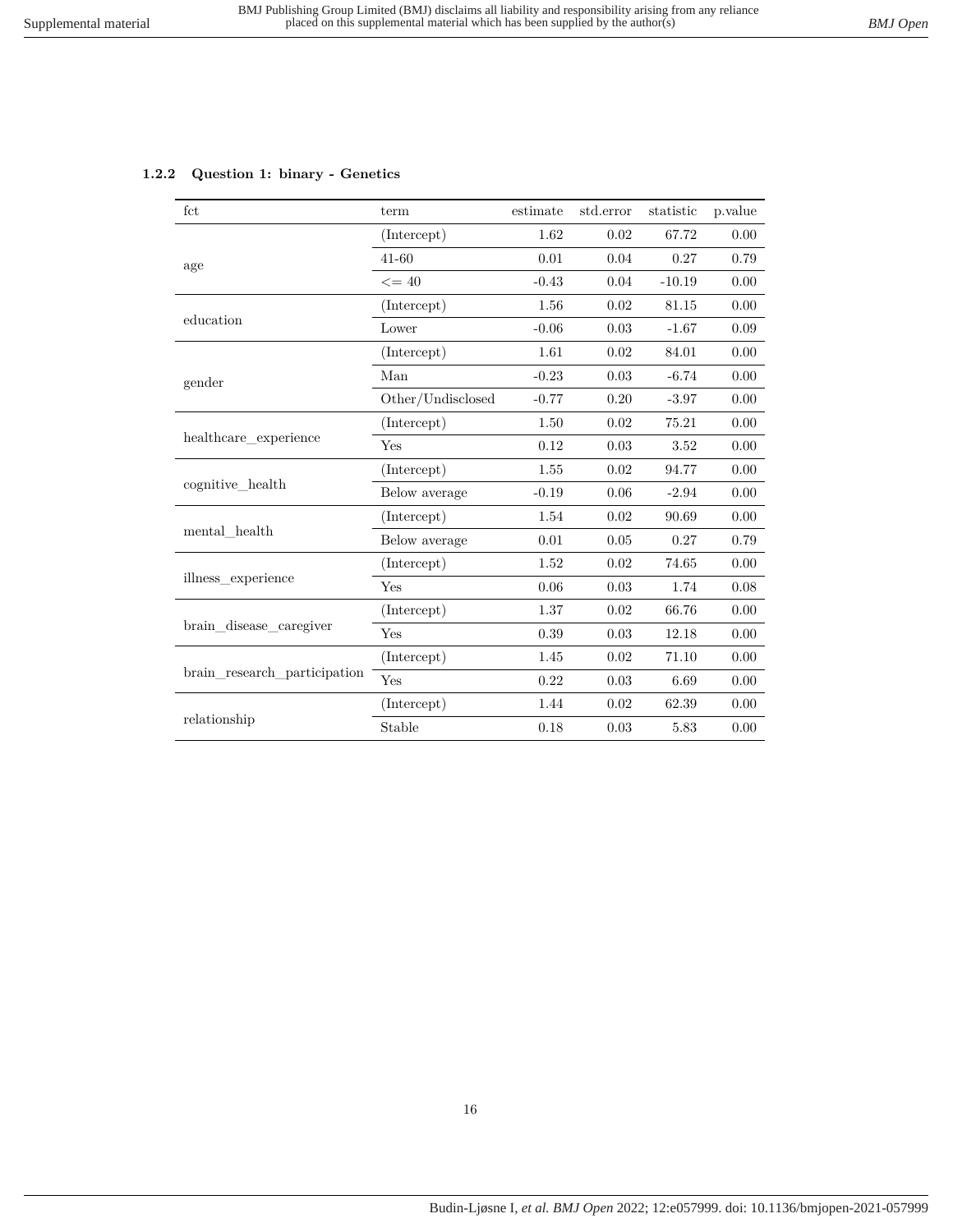## <span id="page-15-0"></span>**1.2.2 Question 1: binary - Genetics**

| fct                          | term              | estimate | std.error | statistic | p.value |
|------------------------------|-------------------|----------|-----------|-----------|---------|
|                              | (Intercept)       | 1.62     | 0.02      | 67.72     | 0.00    |
| age                          | $41 - 60$         | 0.01     | 0.04      | 0.27      | 0.79    |
|                              | $\leq$ = 40       | $-0.43$  | 0.04      | $-10.19$  | 0.00    |
|                              | (Intercept)       | 1.56     | 0.02      | 81.15     | 0.00    |
| education                    | Lower             | $-0.06$  | 0.03      | $-1.67$   | 0.09    |
|                              | (Intercept)       | 1.61     | 0.02      | 84.01     | 0.00    |
| gender                       | Man               | $-0.23$  | 0.03      | $-6.74$   | 0.00    |
|                              | Other/Undisclosed | $-0.77$  | 0.20      | $-3.97$   | 0.00    |
|                              | (Intercept)       | 1.50     | 0.02      | 75.21     | 0.00    |
| healthcare experience        | Yes               | 0.12     | 0.03      | 3.52      | 0.00    |
|                              | (Intercept)       | 1.55     | 0.02      | 94.77     | 0.00    |
| cognitive health             | Below average     | $-0.19$  | 0.06      | $-2.94$   | 0.00    |
|                              | (Intercept)       | 1.54     | 0.02      | 90.69     | 0.00    |
| mental health                | Below average     | 0.01     | 0.05      | 0.27      | 0.79    |
|                              | (Intercept)       | 1.52     | 0.02      | 74.65     | 0.00    |
| illness experience           | Yes               | 0.06     | 0.03      | 1.74      | 0.08    |
|                              | (Intercept)       | 1.37     | 0.02      | 66.76     | 0.00    |
| brain disease caregiver      | Yes               | 0.39     | 0.03      | 12.18     | 0.00    |
|                              | (Intercept)       | 1.45     | 0.02      | 71.10     | 0.00    |
| brain_research_participation | Yes               | 0.22     | 0.03      | 6.69      | 0.00    |
|                              | (Intercept)       | 1.44     | 0.02      | 62.39     | 0.00    |
| relationship                 | Stable            | 0.18     | 0.03      | 5.83      | 0.00    |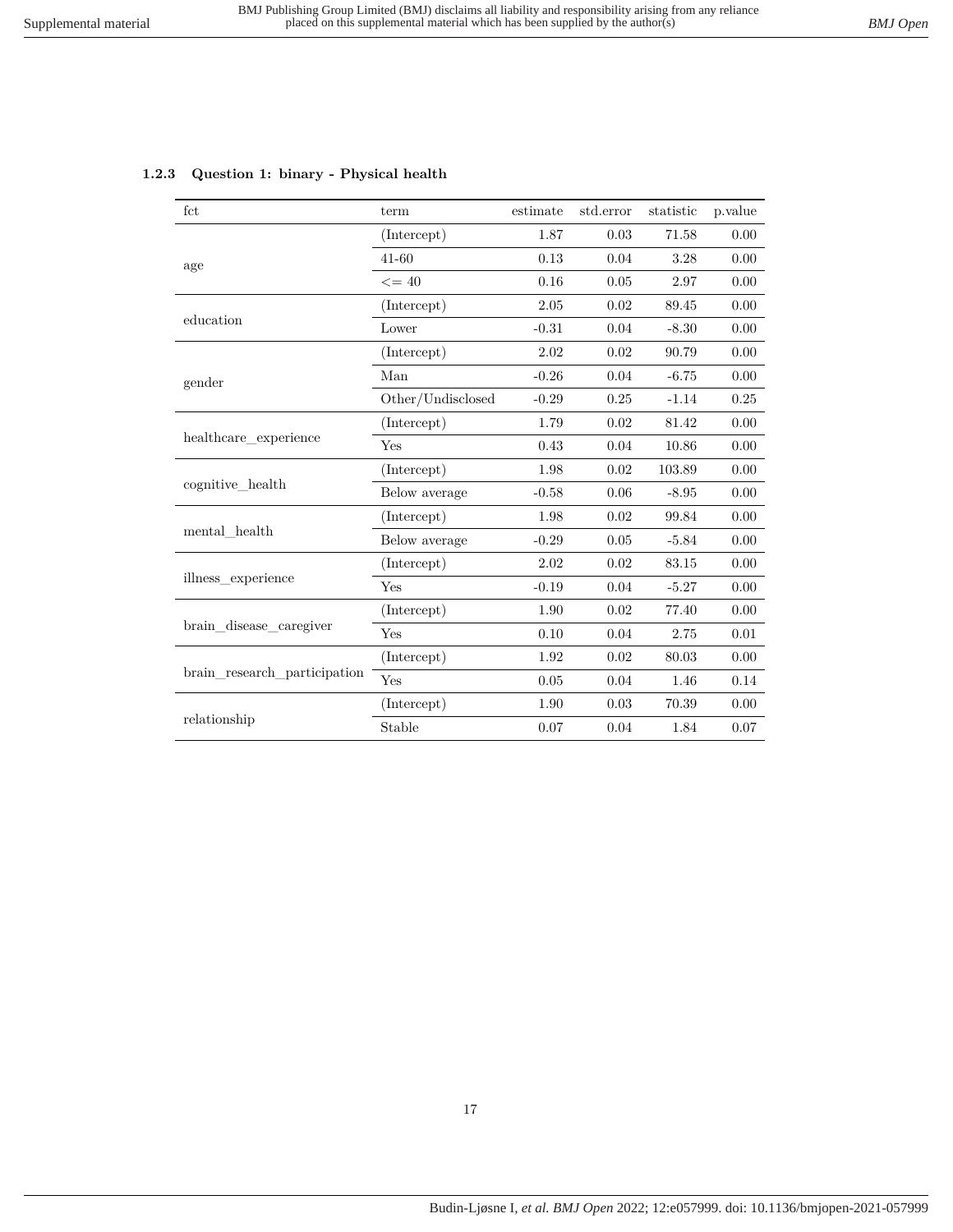| fct                          | term              | estimate | std.error | statistic | p.value |
|------------------------------|-------------------|----------|-----------|-----------|---------|
|                              | (Intercept)       | 1.87     | 0.03      | 71.58     | 0.00    |
| age                          | $41 - 60$         | 0.13     | 0.04      | 3.28      | 0.00    |
|                              | $\leq$ = 40       | 0.16     | 0.05      | 2.97      | 0.00    |
|                              | (Intercept)       | 2.05     | 0.02      | 89.45     | 0.00    |
| education                    | Lower             | $-0.31$  | 0.04      | $-8.30$   | 0.00    |
|                              | (Intercept)       | 2.02     | 0.02      | 90.79     | 0.00    |
| gender                       | Man               | $-0.26$  | 0.04      | $-6.75$   | 0.00    |
|                              | Other/Undisclosed | $-0.29$  | 0.25      | $-1.14$   | 0.25    |
|                              | (Intercept)       | 1.79     | 0.02      | 81.42     | 0.00    |
| healthcare experience        | Yes               | 0.43     | 0.04      | 10.86     | 0.00    |
|                              | (Intercept)       | 1.98     | 0.02      | 103.89    | 0.00    |
| cognitive_health             | Below average     | $-0.58$  | 0.06      | $-8.95$   | 0.00    |
|                              | (Intercept)       | 1.98     | 0.02      | 99.84     | 0.00    |
| mental health                | Below average     | $-0.29$  | 0.05      | $-5.84$   | 0.00    |
|                              | (Intercept)       | 2.02     | 0.02      | 83.15     | 0.00    |
| illness experience           | Yes               | $-0.19$  | 0.04      | $-5.27$   | 0.00    |
|                              | (Intercept)       | 1.90     | 0.02      | 77.40     | 0.00    |
| brain disease caregiver      | Yes               | 0.10     | 0.04      | 2.75      | 0.01    |
|                              | (Intercept)       | 1.92     | 0.02      | 80.03     | 0.00    |
| brain_research_participation | Yes               | 0.05     | 0.04      | 1.46      | 0.14    |
|                              | (Intercept)       | 1.90     | 0.03      | 70.39     | 0.00    |
| relationship                 | Stable            | 0.07     | 0.04      | 1.84      | 0.07    |

#### <span id="page-16-0"></span>**1.2.3 Question 1: binary - Physical health**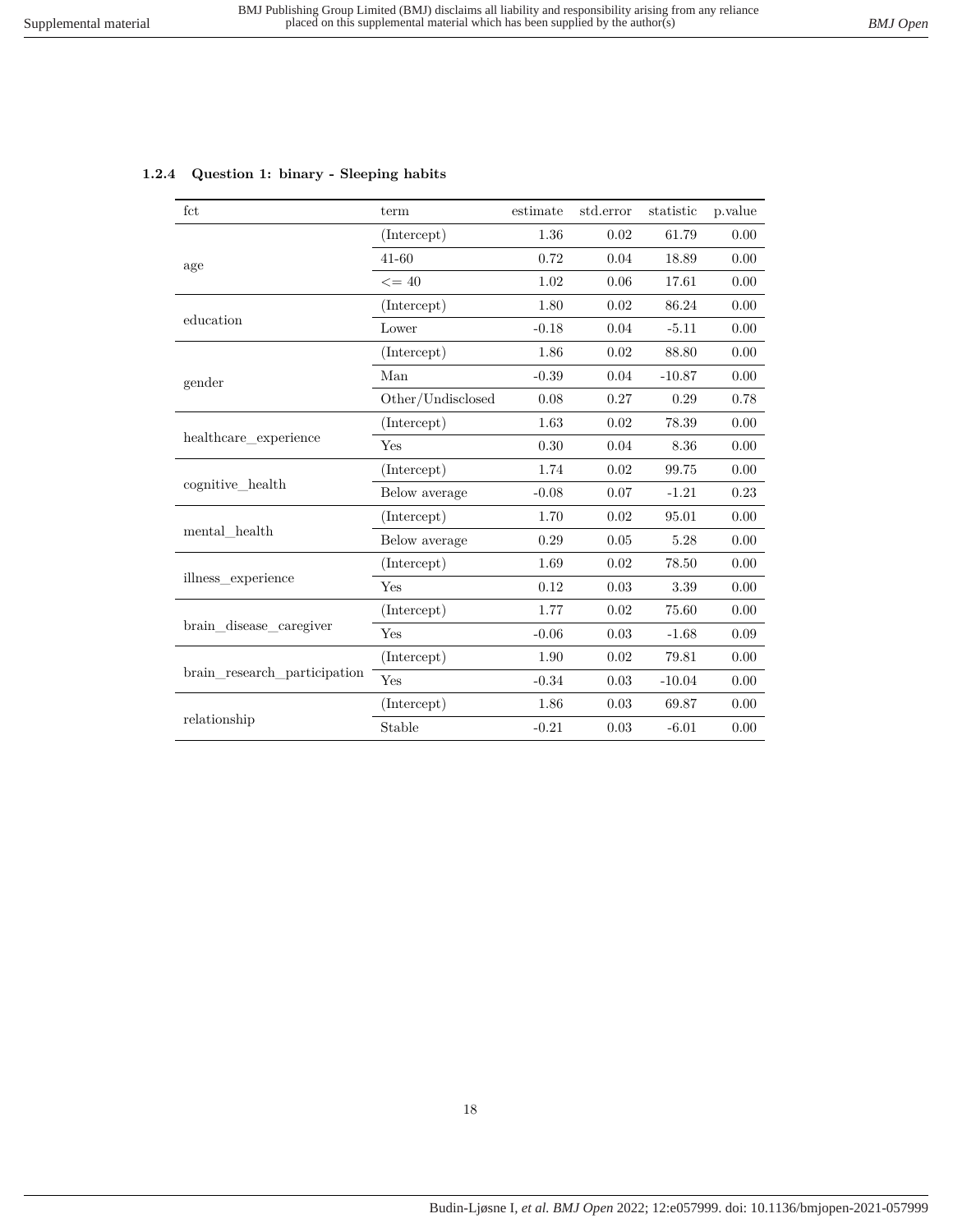| $_{\rm fct}$ | term                 |          | estimate std.error statistic p.value |       |          |
|--------------|----------------------|----------|--------------------------------------|-------|----------|
|              | (Intercept)          | $1.36\,$ | 0.02                                 | 61.79 | 0.00     |
| age          | $41-60$              | 0.72     | 0.04                                 | 18.89 | 0.00     |
|              | $\sim$ $\sim$ $\sim$ |          | $\overline{1}$ 000 $\overline{1}$ 01 |       | $\Omega$ |

#### <span id="page-17-0"></span>**1.2.4 Question 1: binary - Sleeping habits**

| age                          |                   |         |      |          |          |
|------------------------------|-------------------|---------|------|----------|----------|
|                              | $\leq$ = 40       | 1.02    | 0.06 | 17.61    | $0.00\,$ |
|                              | (Intercept)       | 1.80    | 0.02 | 86.24    | 0.00     |
| education                    | Lower             | $-0.18$ | 0.04 | $-5.11$  | 0.00     |
|                              | (Intercept)       | 1.86    | 0.02 | 88.80    | 0.00     |
| gender                       | Man               | $-0.39$ | 0.04 | $-10.87$ | 0.00     |
|                              | Other/Undisclosed | 0.08    | 0.27 | 0.29     | 0.78     |
|                              | (Intercept)       | 1.63    | 0.02 | 78.39    | 0.00     |
| healthcare experience        | Yes               | 0.30    | 0.04 | 8.36     | 0.00     |
|                              | (Intercept)       | 1.74    | 0.02 | 99.75    | 0.00     |
| cognitive health             | Below average     | $-0.08$ | 0.07 | $-1.21$  | 0.23     |
|                              | (Intercept)       | 1.70    | 0.02 | 95.01    | 0.00     |
| $\mathrm{mental\_health}$    | Below average     | 0.29    | 0.05 | 5.28     | 0.00     |
|                              | (Intercept)       | 1.69    | 0.02 | 78.50    | 0.00     |
| illness_experience           | Yes               | 0.12    | 0.03 | 3.39     | 0.00     |
|                              | (Intercept)       | 1.77    | 0.02 | 75.60    | 0.00     |
| brain_disease_caregiver      | Yes               | $-0.06$ | 0.03 | $-1.68$  | 0.09     |
|                              | (Intercept)       | 1.90    | 0.02 | 79.81    | 0.00     |
| brain_research_participation | Yes               | $-0.34$ | 0.03 | $-10.04$ | 0.00     |
|                              | (Intercept)       | 1.86    | 0.03 | 69.87    | 0.00     |
| relationship                 | Stable            | $-0.21$ | 0.03 | $-6.01$  | 0.00     |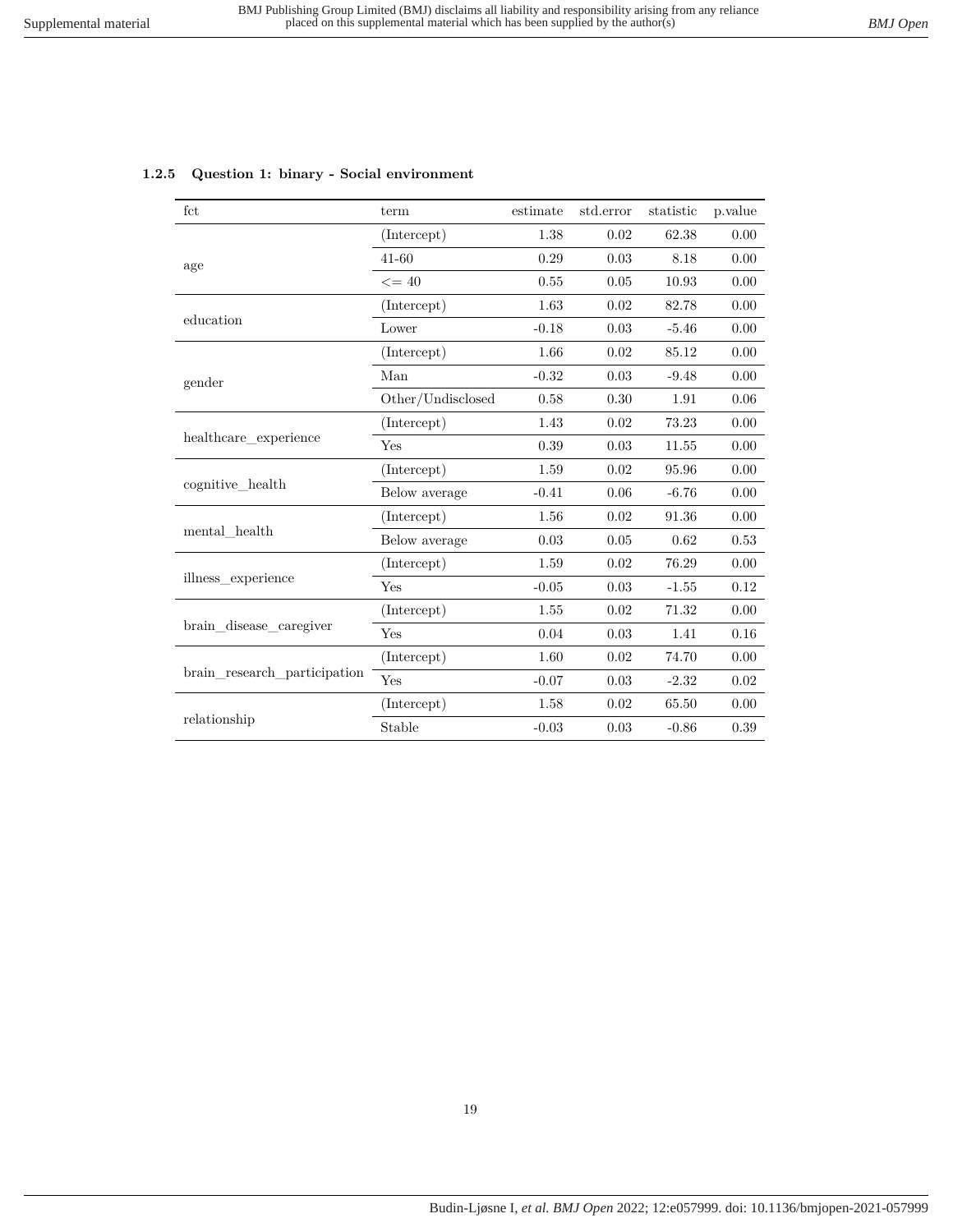| fct                          | term              | estimate | std.error  | statistic | p.value |
|------------------------------|-------------------|----------|------------|-----------|---------|
|                              | (Intercept)       | 1.38     | 0.02       | 62.38     | 0.00    |
| age                          | 41-60             | 0.29     | $\rm 0.03$ | 8.18      | 0.00    |
|                              | $\leq$ = 40       | 0.55     | 0.05       | 10.93     | 0.00    |
|                              | (Intercept)       | 1.63     | 0.02       | 82.78     | 0.00    |
| education                    | Lower             | $-0.18$  | 0.03       | $-5.46$   | 0.00    |
|                              | (Intercept)       | 1.66     | 0.02       | 85.12     | 0.00    |
| gender                       | Man               | $-0.32$  | 0.03       | $-9.48$   | 0.00    |
|                              | Other/Undisclosed | 0.58     | 0.30       | 1.91      | 0.06    |
|                              | (Intercept)       | 1.43     | 0.02       | 73.23     | 0.00    |
| healthcare_experience        | Yes               | 0.39     | 0.03       | 11.55     | 0.00    |
|                              | (Intercept)       | 1.59     | 0.02       | 95.96     | 0.00    |
| cognitive health             | Below average     | $-0.41$  | 0.06       | $-6.76$   | 0.00    |
|                              | (Intercept)       | 1.56     | 0.02       | 91.36     | 0.00    |
| mental health                | Below average     | 0.03     | 0.05       | 0.62      | 0.53    |
|                              | (Intercept)       | 1.59     | 0.02       | 76.29     | 0.00    |
| illness_experience           | Yes               | $-0.05$  | 0.03       | $-1.55$   | 0.12    |
|                              | (Intercept)       | 1.55     | 0.02       | 71.32     | 0.00    |
| brain_disease_caregiver      | Yes               | 0.04     | 0.03       | 1.41      | 0.16    |
|                              | (Intercept)       | 1.60     | 0.02       | 74.70     | 0.00    |
| brain research participation | Yes               | $-0.07$  | 0.03       | $-2.32$   | 0.02    |
|                              | (Intercept)       | 1.58     | 0.02       | 65.50     | 0.00    |
| relationship                 | Stable            | $-0.03$  | 0.03       | $-0.86$   | 0.39    |

#### <span id="page-18-0"></span>**1.2.5 Question 1: binary - Social environment**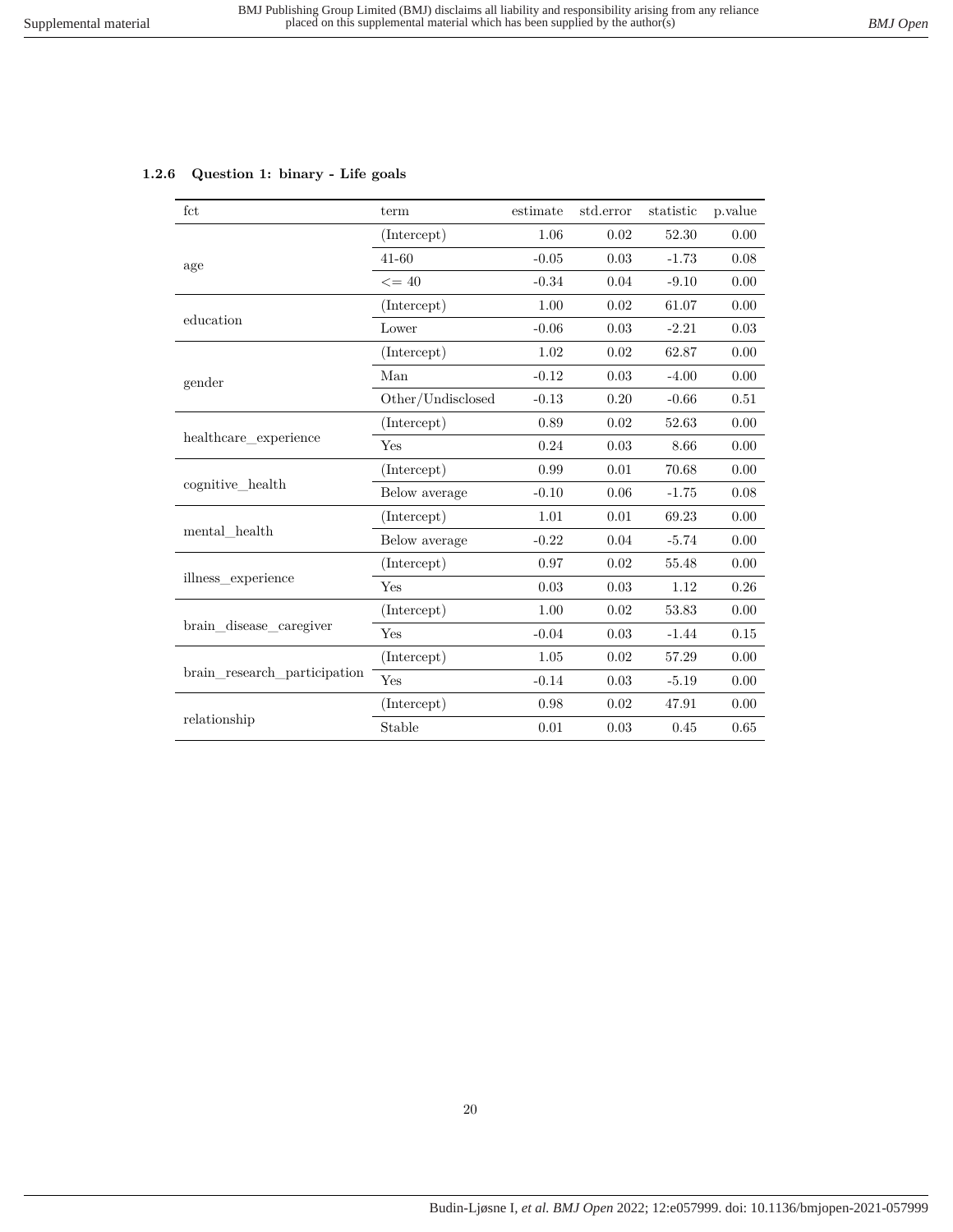<span id="page-19-0"></span>

|  | 1.2.6 Question 1: binary - Life goals |  |  |  |  |
|--|---------------------------------------|--|--|--|--|
|--|---------------------------------------|--|--|--|--|

| fct                          | term              | estimate | std.error | statistic | p.value  |
|------------------------------|-------------------|----------|-----------|-----------|----------|
|                              | (Intercept)       | 1.06     | 0.02      | 52.30     | 0.00     |
| age                          | $41 - 60$         | $-0.05$  | 0.03      | $-1.73$   | 0.08     |
|                              | $\leq$ = 40       | $-0.34$  | 0.04      | $-9.10$   | 0.00     |
|                              | (Intercept)       | 1.00     | 0.02      | 61.07     | 0.00     |
| education                    | Lower             | $-0.06$  | 0.03      | $-2.21$   | 0.03     |
|                              | (Intercept)       | 1.02     | 0.02      | 62.87     | 0.00     |
| gender                       | Man               | $-0.12$  | 0.03      | $-4.00$   | 0.00     |
|                              | Other/Undisclosed | $-0.13$  | 0.20      | $-0.66$   | $0.51\,$ |
|                              | (Intercept)       | 0.89     | 0.02      | 52.63     | 0.00     |
| healthcare experience        | Yes               | 0.24     | 0.03      | 8.66      | 0.00     |
|                              | (Intercept)       | 0.99     | 0.01      | 70.68     | 0.00     |
| cognitive health             | Below average     | $-0.10$  | 0.06      | $-1.75$   | 0.08     |
|                              | (Intercept)       | 1.01     | 0.01      | 69.23     | 0.00     |
| mental health                | Below average     | $-0.22$  | 0.04      | $-5.74$   | 0.00     |
|                              | (Intercept)       | 0.97     | 0.02      | 55.48     | 0.00     |
| illness experience           | Yes               | 0.03     | 0.03      | 1.12      | 0.26     |
|                              | (Intercept)       | 1.00     | 0.02      | 53.83     | 0.00     |
| brain disease caregiver      | Yes               | $-0.04$  | 0.03      | $-1.44$   | 0.15     |
|                              | (Intercept)       | 1.05     | 0.02      | 57.29     | 0.00     |
| brain research participation | Yes               | $-0.14$  | 0.03      | $-5.19$   | 0.00     |
|                              | (Intercept)       | 0.98     | 0.02      | 47.91     | 0.00     |
| relationship                 | Stable            | 0.01     | 0.03      | 0.45      | 0.65     |

## 20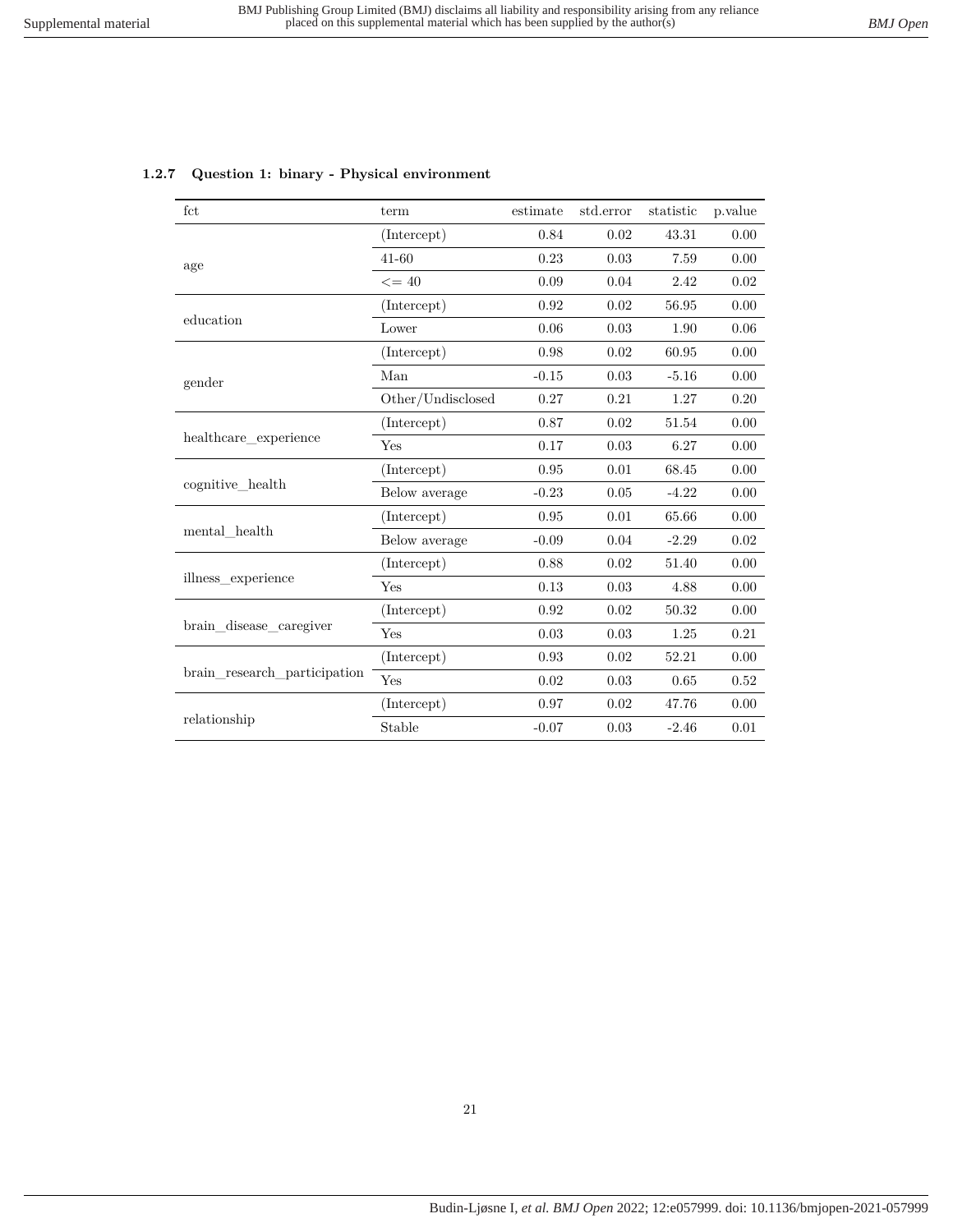| $_{\rm fct}$                    | term              | estimate | std.error | statistic | p.value |
|---------------------------------|-------------------|----------|-----------|-----------|---------|
|                                 | (Intercept)       | 0.84     | 0.02      | 43.31     | 0.00    |
| age                             | $41 - 60$         | 0.23     | 0.03      | 7.59      | 0.00    |
|                                 | $\leq$ = 40       | 0.09     | 0.04      | 2.42      | 0.02    |
|                                 | (Intercept)       | 0.92     | 0.02      | 56.95     | 0.00    |
| education                       | Lower             | 0.06     | 0.03      | 1.90      | 0.06    |
|                                 | (Intercept)       | 0.98     | 0.02      | 60.95     | 0.00    |
| gender                          | Man               | $-0.15$  | 0.03      | $-5.16$   | 0.00    |
|                                 | Other/Undisclosed | 0.27     | 0.21      | 1.27      | 0.20    |
| healthcare experience           | (Intercept)       | 0.87     | 0.02      | 51.54     | 0.00    |
|                                 | Yes               | 0.17     | 0.03      | 6.27      | 0.00    |
|                                 | (Intercept)       | 0.95     | 0.01      | 68.45     | 0.00    |
| cognitive health                | Below average     | $-0.23$  | 0.05      | $-4.22$   | 0.00    |
|                                 | (Intercept)       | 0.95     | 0.01      | 65.66     | 0.00    |
| $\operatorname{mental\_health}$ | Below average     | $-0.09$  | 0.04      | $-2.29$   | 0.02    |
|                                 | (Intercept)       | 0.88     | 0.02      | 51.40     | 0.00    |
| illness experience              | Yes               | 0.13     | 0.03      | 4.88      | 0.00    |
|                                 | (Intercept)       | 0.92     | 0.02      | 50.32     | 0.00    |
| brain disease caregiver         | Yes               | 0.03     | 0.03      | 1.25      | 0.21    |
|                                 | (Intercept)       | 0.93     | 0.02      | 52.21     | 0.00    |
| brain research participation    | Yes               | 0.02     | 0.03      | 0.65      | 0.52    |
|                                 | (Intercept)       | 0.97     | 0.02      | 47.76     | 0.00    |
| relationship                    | Stable<br>$-0.07$ | 0.03     | $-2.46$   | 0.01      |         |
|                                 |                   |          |           |           |         |

#### <span id="page-20-0"></span>**1.2.7 Question 1: binary - Physical environment**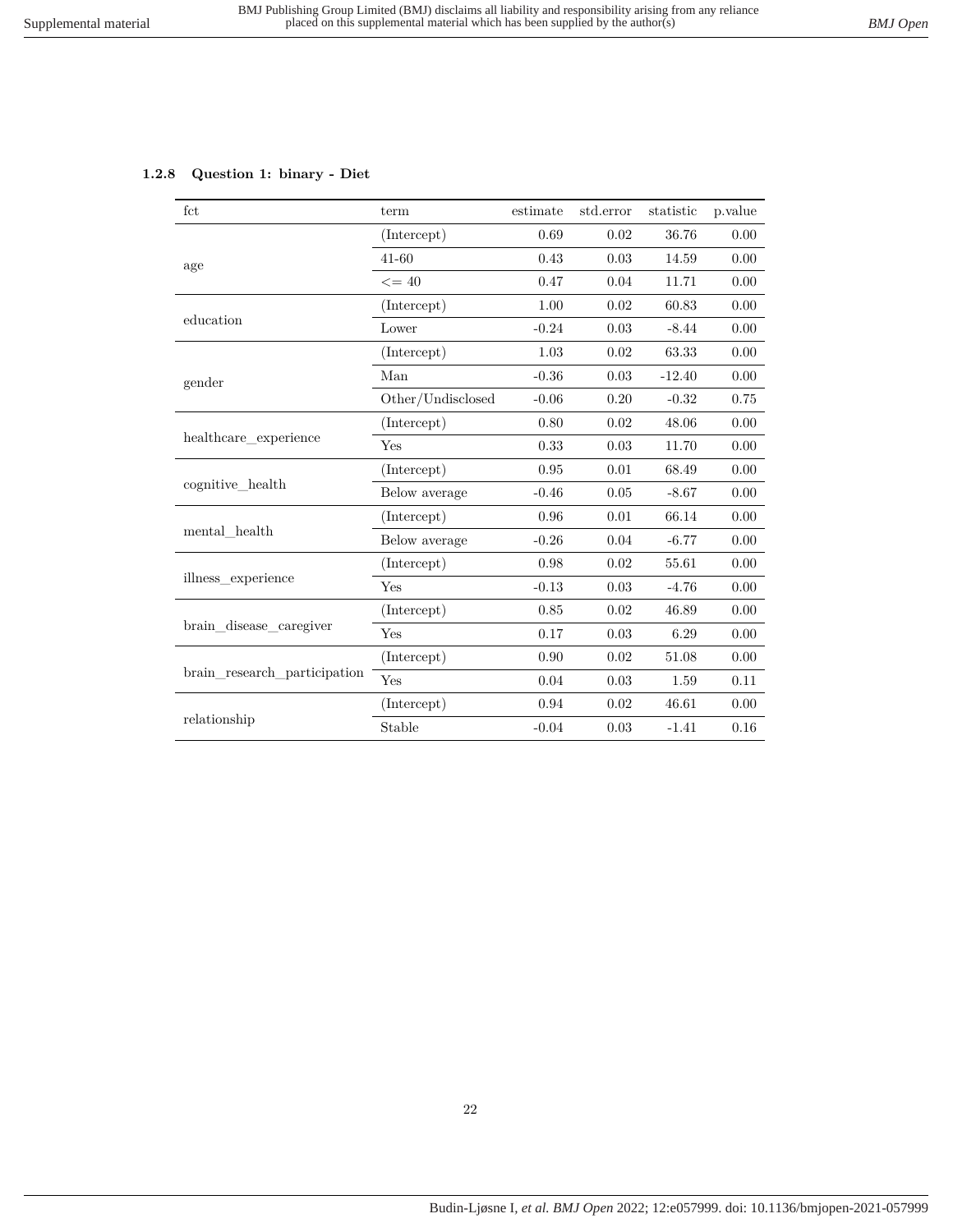#### <span id="page-21-0"></span>**1.2.8 Question 1: binary - Diet**

| fct                          | term              | estimate | std.error | statistic | p.value |
|------------------------------|-------------------|----------|-----------|-----------|---------|
|                              | (Intercept)       | 0.69     | 0.02      | 36.76     | 0.00    |
| age                          | $41 - 60$         | 0.43     | 0.03      | 14.59     | 0.00    |
|                              | $\leq$ = 40       | 0.47     | 0.04      | 11.71     | 0.00    |
|                              | (Intercept)       | 1.00     | 0.02      | 60.83     | 0.00    |
| education                    | Lower             | $-0.24$  | 0.03      | $-8.44$   | 0.00    |
|                              | (Intercept)       | 1.03     | 0.02      | 63.33     | 0.00    |
| gender                       | Man               | $-0.36$  | 0.03      | $-12.40$  | 0.00    |
|                              | Other/Undisclosed | $-0.06$  | 0.20      | $-0.32$   | 0.75    |
| healthcare experience        | (Intercept)       | 0.80     | 0.02      | 48.06     | 0.00    |
|                              | Yes               | 0.33     | 0.03      | 11.70     | 0.00    |
|                              | (Intercept)       | 0.95     | 0.01      | 68.49     | 0.00    |
| cognitive_health             | Below average     | $-0.46$  | 0.05      | $-8.67$   | 0.00    |
|                              | (Intercept)       | 0.96     | 0.01      | 66.14     | 0.00    |
| mental health                | Below average     | $-0.26$  | 0.04      | $-6.77$   | 0.00    |
|                              | (Intercept)       | 0.98     | 0.02      | 55.61     | 0.00    |
| illness experience           | Yes               | $-0.13$  | 0.03      | $-4.76$   | 0.00    |
|                              | (Intercept)       | 0.85     | 0.02      | 46.89     | 0.00    |
| brain_disease_caregiver      | Yes               | 0.17     | 0.03      | 6.29      | 0.00    |
|                              | (Intercept)       | 0.90     | 0.02      | 51.08     | 0.00    |
| brain research participation | Yes               | 0.04     | 0.03      | 1.59      | 0.11    |
|                              | (Intercept)       | 0.94     | 0.02      | 46.61     | 0.00    |
| relationship                 | Stable            | $-0.04$  | 0.03      | $-1.41$   | 0.16    |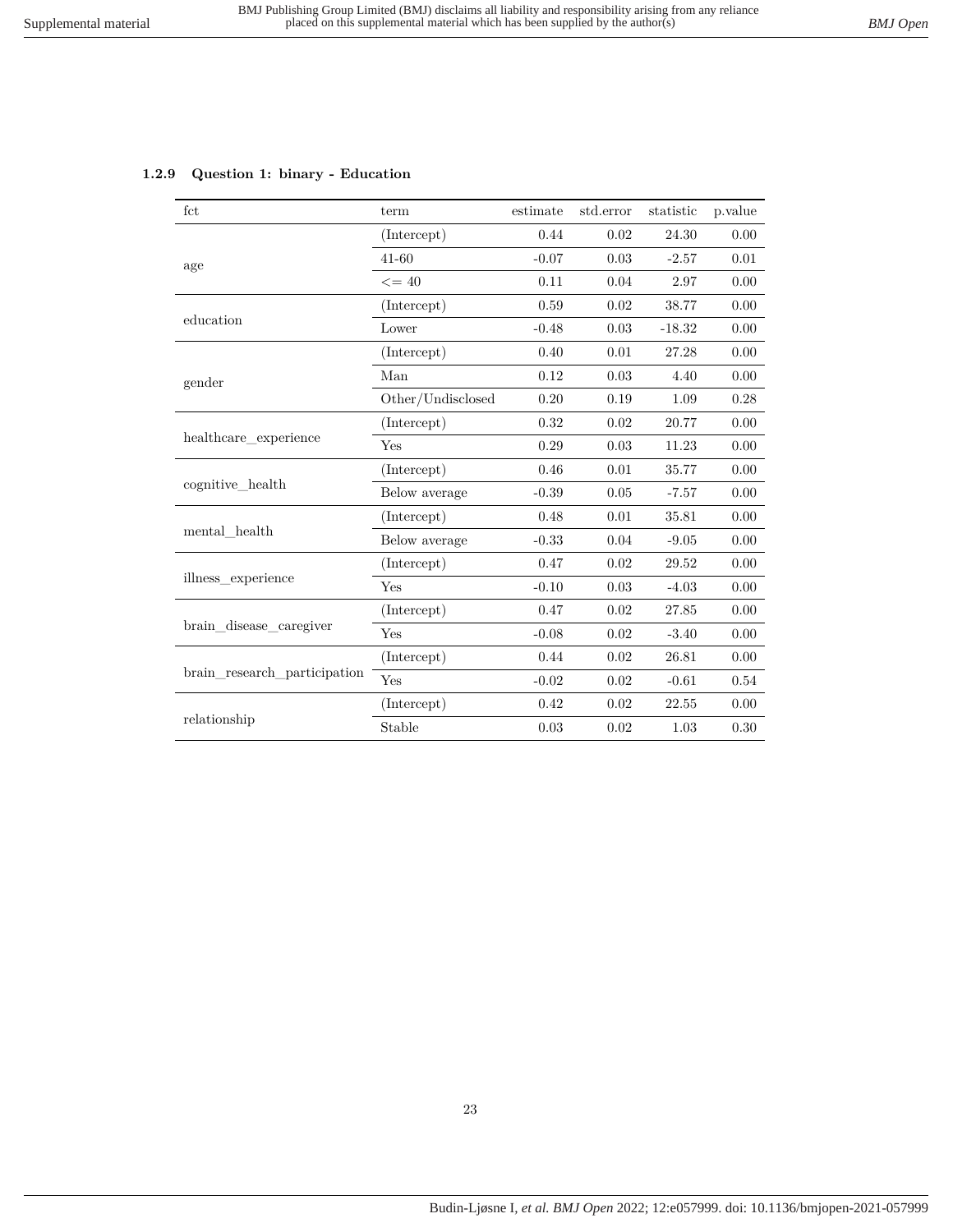<span id="page-22-0"></span>

|  |  |  |  | 1.2.9 Question 1: binary - Education |
|--|--|--|--|--------------------------------------|
|--|--|--|--|--------------------------------------|

| fct                          | term              | estimate | std.error | statistic | p.value |
|------------------------------|-------------------|----------|-----------|-----------|---------|
|                              | (Intercept)       | 0.44     | 0.02      | 24.30     | 0.00    |
| age                          | $41 - 60$         | $-0.07$  | 0.03      | $-2.57$   | 0.01    |
|                              | $\leq$ = 40       | 0.11     | 0.04      | 2.97      | 0.00    |
|                              | (Intercept)       | 0.59     | 0.02      | 38.77     | 0.00    |
| education                    | Lower             | $-0.48$  | 0.03      | $-18.32$  | 0.00    |
|                              | (Intercept)       | 0.40     | 0.01      | 27.28     | 0.00    |
| gender                       | Man               | 0.12     | 0.03      | 4.40      | 0.00    |
|                              | Other/Undisclosed | 0.20     | 0.19      | 1.09      | 0.28    |
| healthcare experience        | (Intercept)       | 0.32     | 0.02      | 20.77     | 0.00    |
|                              | Yes               | 0.29     | 0.03      | 11.23     | 0.00    |
|                              | (Intercept)       | 0.46     | 0.01      | 35.77     | 0.00    |
| cognitive health             | Below average     | $-0.39$  | 0.05      | $-7.57$   | 0.00    |
|                              | (Intercept)       | 0.48     | 0.01      | 35.81     | 0.00    |
| mental health                | Below average     | $-0.33$  | 0.04      | $-9.05$   | 0.00    |
|                              | (Intercept)       | 0.47     | 0.02      | 29.52     | 0.00    |
| illness experience           | Yes               | $-0.10$  | 0.03      | $-4.03$   | 0.00    |
|                              | (Intercept)       | 0.47     | 0.02      | 27.85     | 0.00    |
| brain disease caregiver      | Yes               | $-0.08$  | 0.02      | $-3.40$   | 0.00    |
|                              | (Intercept)       | 0.44     | 0.02      | 26.81     | 0.00    |
| brain_research_participation | Yes               | $-0.02$  | 0.02      | $-0.61$   | 0.54    |
|                              | (Intercept)       | 0.42     | 0.02      | 22.55     | 0.00    |
| relationship                 | Stable            | 0.03     | 0.02      | 1.03      | 0.30    |

#### 23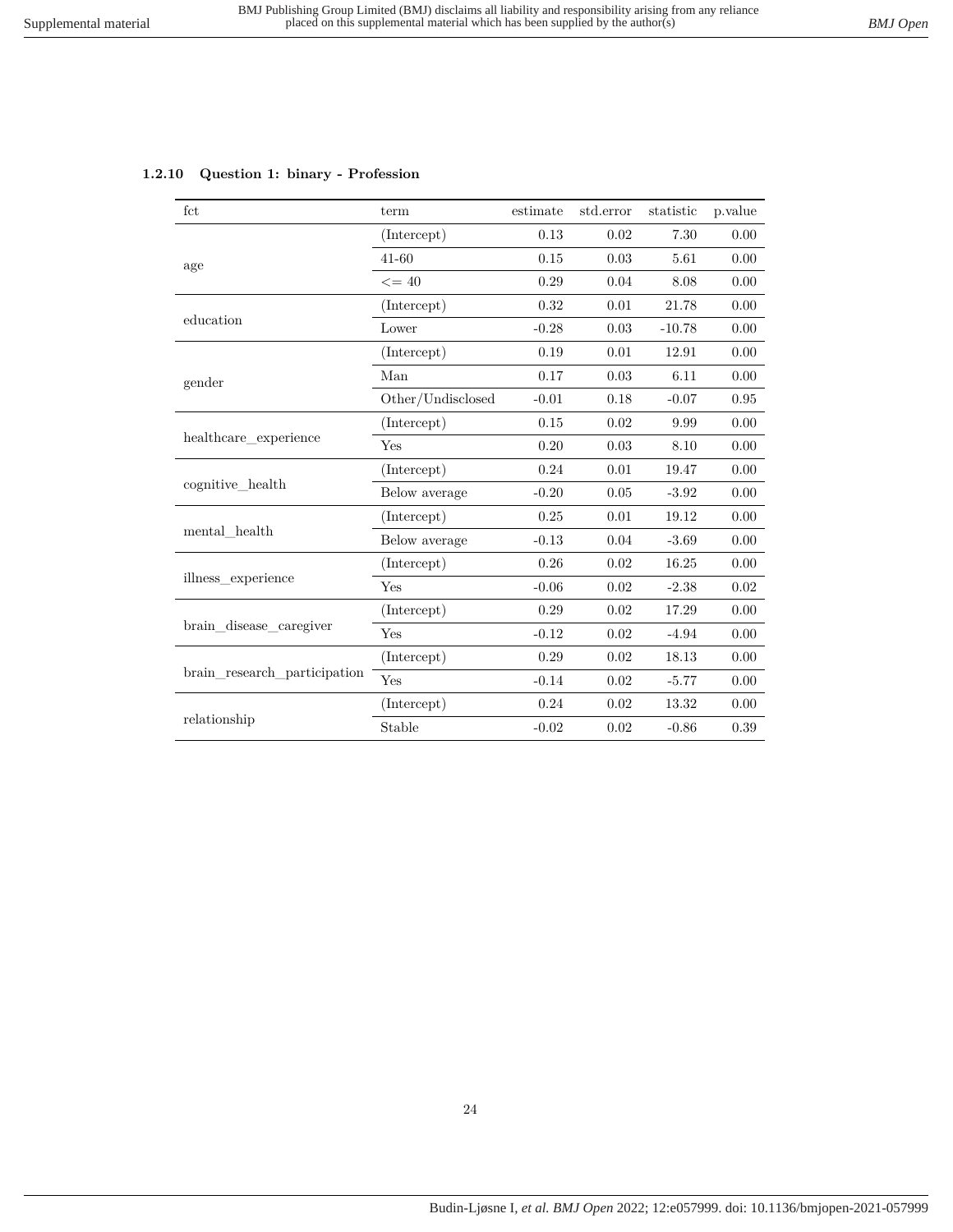## <span id="page-23-0"></span>**1.2.10 Question 1: binary - Profession**

| fct                          | term              | estimate | std.error | statistic | p.value    |
|------------------------------|-------------------|----------|-----------|-----------|------------|
|                              | (Intercept)       | 0.13     | 0.02      | 7.30      | 0.00       |
| age                          | $41 - 60$         | 0.15     | 0.03      | 5.61      | 0.00       |
|                              | $\leq$ = 40       | 0.29     | 0.04      | 8.08      | 0.00       |
|                              | (Intercept)       | 0.32     | 0.01      | 21.78     | 0.00       |
| education                    | Lower             | $-0.28$  | 0.03      | $-10.78$  | 0.00       |
|                              | (Intercept)       | 0.19     | 0.01      | 12.91     | 0.00       |
| gender                       | Man               | 0.17     | 0.03      | 6.11      | 0.00       |
|                              | Other/Undisclosed | $-0.01$  | 0.18      | $-0.07$   | $\rm 0.95$ |
| healthcare_experience        | (Intercept)       | 0.15     | 0.02      | 9.99      | 0.00       |
|                              | Yes               | 0.20     | 0.03      | 8.10      | 0.00       |
|                              | (Intercept)       | 0.24     | 0.01      | 19.47     | 0.00       |
| cognitive health             | Below average     | $-0.20$  | 0.05      | $-3.92$   | 0.00       |
|                              | (Intercept)       | 0.25     | 0.01      | 19.12     | 0.00       |
| mental health                | Below average     | $-0.13$  | 0.04      | $-3.69$   | 0.00       |
|                              | (Intercept)       | 0.26     | 0.02      | 16.25     | 0.00       |
| illness_experience           | Yes               | $-0.06$  | 0.02      | $-2.38$   | $0.02\,$   |
|                              | (Intercept)       | 0.29     | 0.02      | 17.29     | 0.00       |
| brain disease caregiver      | Yes               | $-0.12$  | 0.02      | $-4.94$   | 0.00       |
|                              | (Intercept)       | 0.29     | 0.02      | 18.13     | 0.00       |
| brain research participation | Yes               | $-0.14$  | 0.02      | $-5.77$   | 0.00       |
|                              | (Intercept)       | 0.24     | 0.02      | 13.32     | 0.00       |
| relationship                 | Stable            | $-0.02$  | 0.02      | $-0.86$   | 0.39       |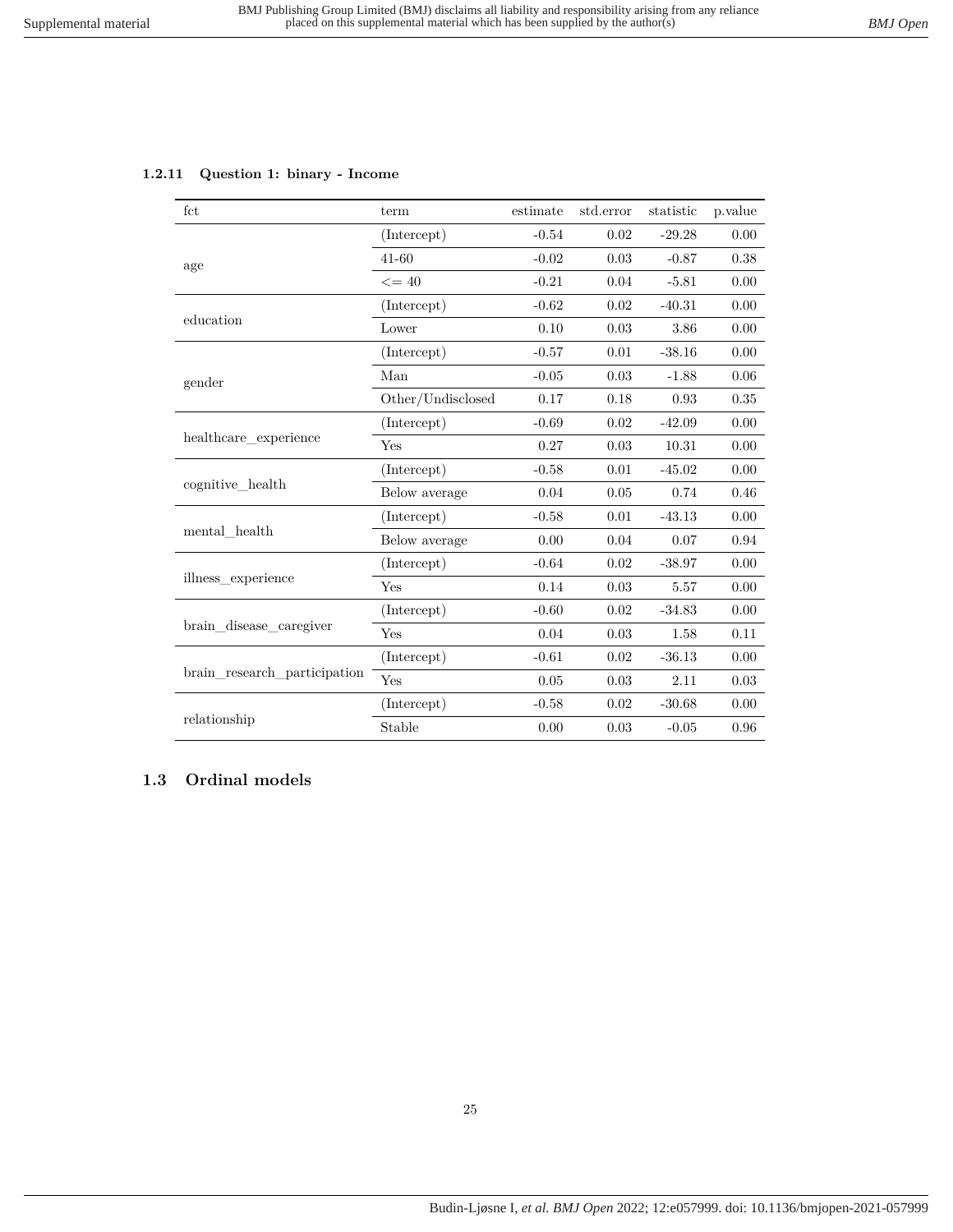## <span id="page-24-0"></span>**1.2.11 Question 1: binary - Income**

| fct                          | term              | estimate | std.error | statistic | p.value  |
|------------------------------|-------------------|----------|-----------|-----------|----------|
|                              | (Intercept)       | $-0.54$  | 0.02      | $-29.28$  | 0.00     |
| age                          | $41 - 60$         | $-0.02$  | 0.03      | $-0.87$   | 0.38     |
|                              | $\leq$ = 40       | $-0.21$  | 0.04      | $-5.81$   | 0.00     |
|                              | (Intercept)       | $-0.62$  | 0.02      | $-40.31$  | 0.00     |
| education                    | Lower             | 0.10     | 0.03      | 3.86      | 0.00     |
|                              | (Intercept)       | $-0.57$  | 0.01      | $-38.16$  | 0.00     |
| gender                       | Man               | $-0.05$  | 0.03      | $-1.88$   | 0.06     |
|                              | Other/Undisclosed | 0.17     | 0.18      | 0.93      | $0.35\,$ |
| healthcare_experience        | (Intercept)       | $-0.69$  | 0.02      | $-42.09$  | 0.00     |
|                              | Yes               | 0.27     | $0.03\,$  | 10.31     | 0.00     |
|                              | (Intercept)       | $-0.58$  | 0.01      | $-45.02$  | 0.00     |
| cognitive_health             | Below average     | 0.04     | 0.05      | 0.74      | 0.46     |
|                              | (Intercept)       | $-0.58$  | 0.01      | $-43.13$  | 0.00     |
| mental health                | Below average     | 0.00     | 0.04      | 0.07      | 0.94     |
|                              | (Intercept)       | $-0.64$  | 0.02      | $-38.97$  | 0.00     |
| illness experience           | Yes               | 0.14     | 0.03      | 5.57      | 0.00     |
|                              | (Intercept)       | $-0.60$  | 0.02      | $-34.83$  | 0.00     |
| brain_disease_caregiver      | Yes               | 0.04     | 0.03      | 1.58      | 0.11     |
| brain research participation | (Intercept)       | $-0.61$  | 0.02      | $-36.13$  | 0.00     |
|                              | Yes               | 0.05     | 0.03      | 2.11      | 0.03     |
|                              | (Intercept)       | $-0.58$  | 0.02      | $-30.68$  | 0.00     |
| relationship                 | Stable            | 0.00     | 0.03      | $-0.05$   | 0.96     |

## <span id="page-24-1"></span>**1.3 Ordinal models**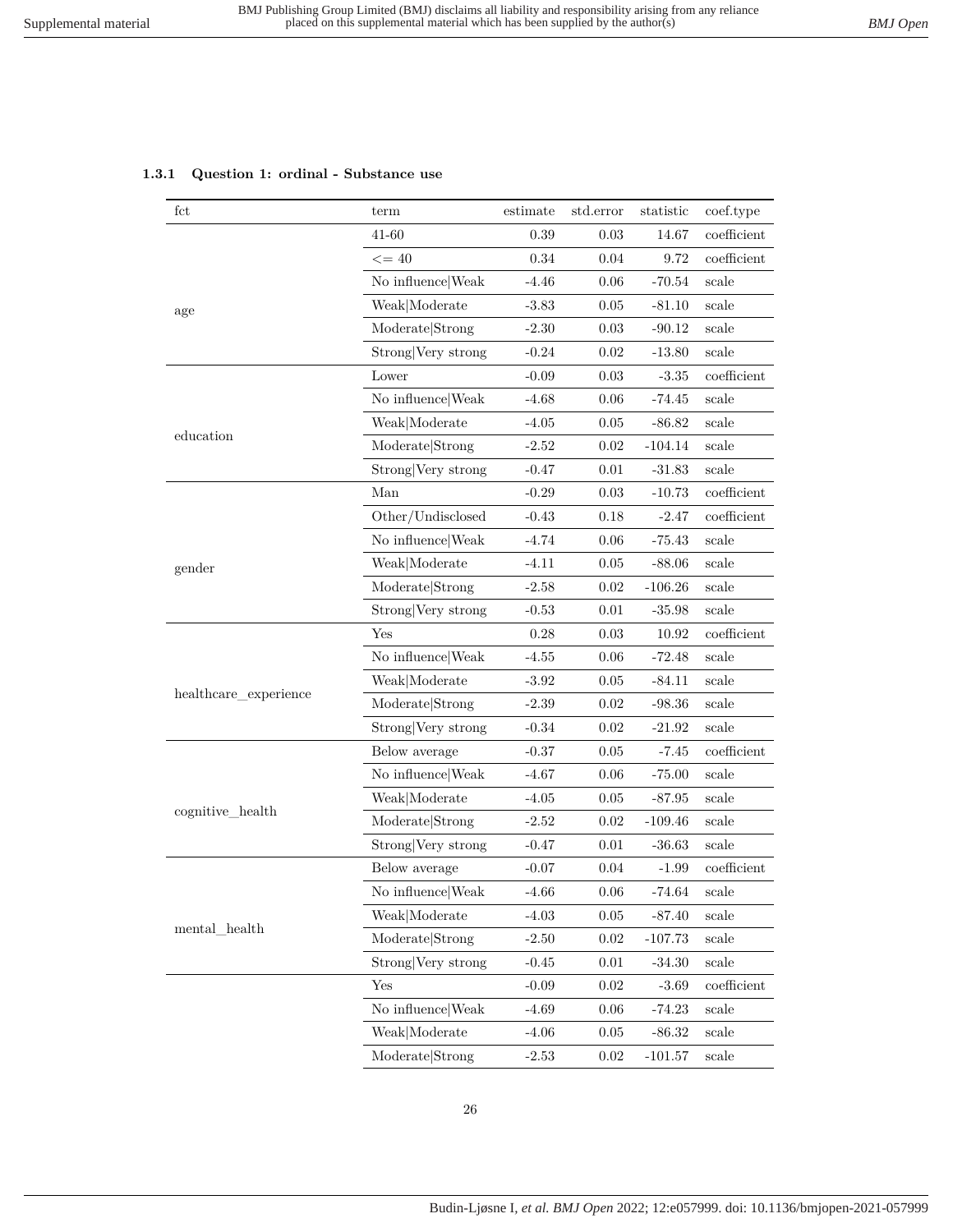## <span id="page-25-0"></span>**1.3.1 Question 1: ordinal - Substance use**

| fct                       | term               | estimate | std.error | statistic | coef.type      |
|---------------------------|--------------------|----------|-----------|-----------|----------------|
|                           | 41-60              | 0.39     | 0.03      | 14.67     | coefficient    |
|                           | $\leq$ = 40        | 0.34     | 0.04      | 9.72      | coefficient    |
| age                       | No influence Weak  | $-4.46$  | 0.06      | $-70.54$  | scale          |
|                           | Weak Moderate      | $-3.83$  | 0.05      | $-81.10$  | $_{\rm scale}$ |
|                           | Moderate Strong    | $-2.30$  | 0.03      | $-90.12$  | scale          |
|                           | Strong Very strong | $-0.24$  | 0.02      | $-13.80$  | scale          |
|                           | Lower              | $-0.09$  | 0.03      | $-3.35$   | coefficient    |
|                           | No influence Weak  | $-4.68$  | 0.06      | $-74.45$  | scale          |
|                           | Weak Moderate      | $-4.05$  | 0.05      | $-86.82$  | scale          |
| education                 | Moderate Strong    | $-2.52$  | 0.02      | $-104.14$ | scale          |
|                           | Strong Very strong | $-0.47$  | 0.01      | $-31.83$  | scale          |
|                           | Man                | $-0.29$  | 0.03      | $-10.73$  | coefficient    |
|                           | Other/Undisclosed  | $-0.43$  | 0.18      | $-2.47$   | coefficient    |
|                           | No influence Weak  | $-4.74$  | 0.06      | $-75.43$  | scale          |
| gender                    | Weak Moderate      | $-4.11$  | 0.05      | $-88.06$  | scale          |
|                           | Moderate Strong    | $-2.58$  | 0.02      | $-106.26$ | scale          |
|                           | Strong Very strong | $-0.53$  | 0.01      | $-35.98$  | scale          |
|                           | Yes                | 0.28     | $0.03\,$  | 10.92     | $coefficient$  |
|                           | No influence Weak  | $-4.55$  | 0.06      | $-72.48$  | scale          |
|                           | Weak Moderate      | $-3.92$  | 0.05      | $-84.11$  | scale          |
| healthcare_experience     | Moderate Strong    | $-2.39$  | 0.02      | $-98.36$  | scale          |
|                           | Strong Very strong | $-0.34$  | 0.02      | $-21.92$  | scale          |
|                           | Below average      | $-0.37$  | 0.05      | $-7.45$   | coefficient    |
|                           | No influence Weak  | $-4.67$  | 0.06      | $-75.00$  | scale          |
|                           | Weak Moderate      | $-4.05$  | 0.05      | $-87.95$  | scale          |
| cognitive_health          | Moderate Strong    | $-2.52$  | 0.02      | $-109.46$ | scale          |
|                           | Strong Very strong | $-0.47$  | 0.01      | $-36.63$  | scale          |
|                           | Below average      | $-0.07$  | 0.04      | $-1.99$   | coefficient    |
|                           | No influence Weak  | $-4.66$  | 0.06      | -74.64    | scale          |
|                           | Weak Moderate      | $-4.03$  | 0.05      | $-87.40$  | scale          |
| $\mathrm{mental\_health}$ | Moderate Strong    | $-2.50$  | $0.02\,$  | $-107.73$ | scale          |
|                           | Strong Very strong | $-0.45$  | 0.01      | $-34.30$  | scale          |
|                           | Yes                | $-0.09$  | $0.02\,$  | $-3.69$   | $coefficient$  |
|                           | No influence Weak  | $-4.69$  | 0.06      | $-74.23$  | scale          |
|                           | Weak Moderate      | $-4.06$  | 0.05      | $-86.32$  | scale          |
|                           | Moderate Strong    | $-2.53$  | 0.02      | $-101.57$ | scale          |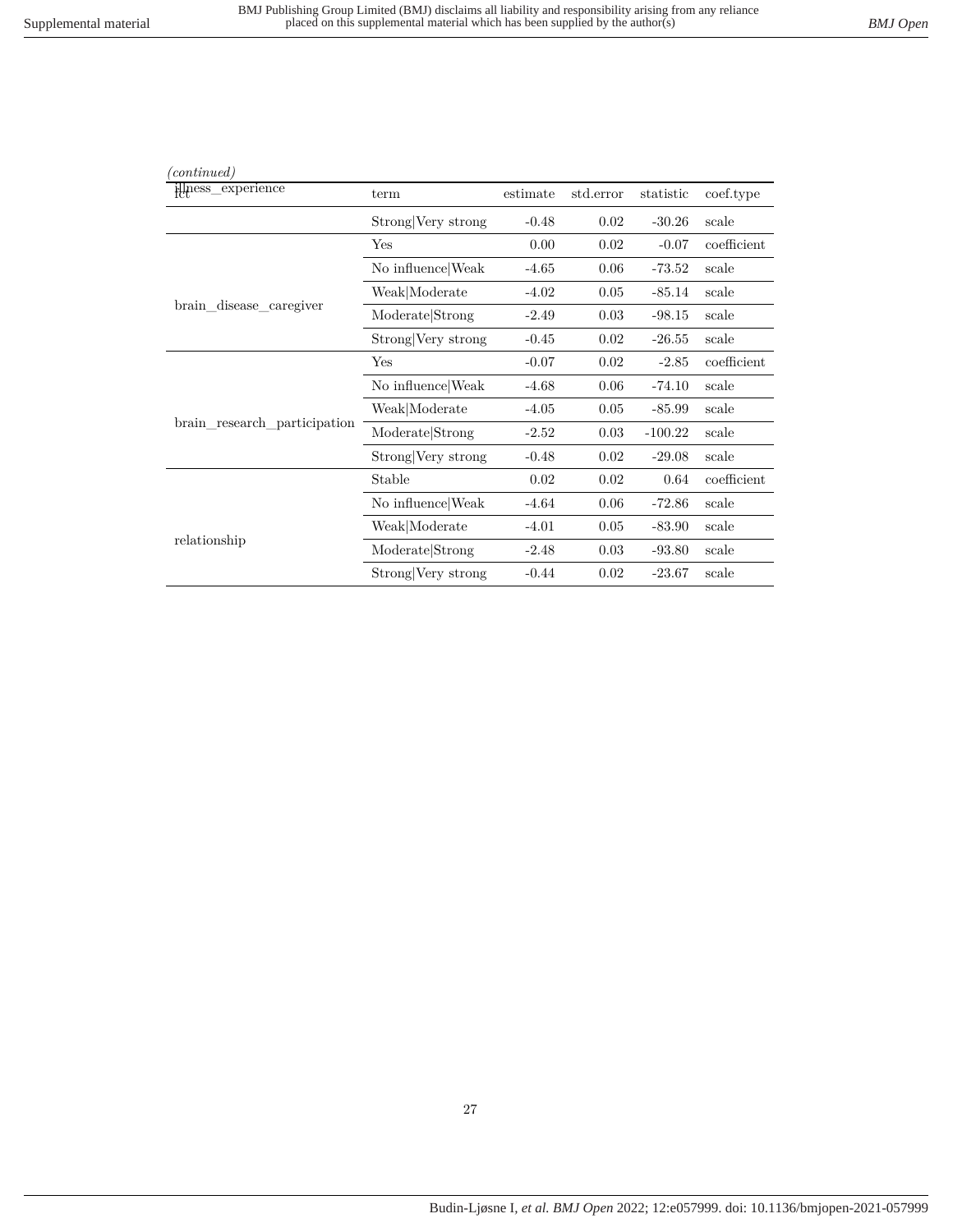| (continued)                  |                    |          |           |           |             |
|------------------------------|--------------------|----------|-----------|-----------|-------------|
| illness_experience           | term               | estimate | std.error | statistic | coef.type   |
|                              | Strong Very strong | $-0.48$  | 0.02      | $-30.26$  | scale       |
|                              | Yes                | 0.00     | 0.02      | $-0.07$   | coefficient |
|                              | No influence Weak  | $-4.65$  | 0.06      | $-73.52$  | scale       |
|                              | Weak Moderate      | $-4.02$  | 0.05      | $-85.14$  | scale       |
| brain_disease_caregiver      | Moderate Strong    | $-2.49$  | 0.03      | $-98.15$  | scale       |
|                              | Strong Very strong | $-0.45$  | 0.02      | $-26.55$  | scale       |
|                              | Yes                | $-0.07$  | 0.02      | $-2.85$   | coefficient |
|                              | No influence Weak  | $-4.68$  | 0.06      | $-74.10$  | scale       |
|                              | Weak Moderate      | $-4.05$  | 0.05      | $-85.99$  | scale       |
| brain research participation | Moderate Strong    | $-2.52$  | 0.03      | $-100.22$ | scale       |
|                              | Strong Very strong | $-0.48$  | 0.02      | $-29.08$  | scale       |
|                              | Stable             | 0.02     | 0.02      | 0.64      | coefficient |
|                              | No influence Weak  | $-4.64$  | 0.06      | $-72.86$  | scale       |
|                              | Weak Moderate      | $-4.01$  | 0.05      | $-83.90$  | scale       |
| relationship                 | Moderate Strong    | $-2.48$  | 0.03      | $-93.80$  | scale       |
|                              | Strong Very strong | $-0.44$  | 0.02      | $-23.67$  | scale       |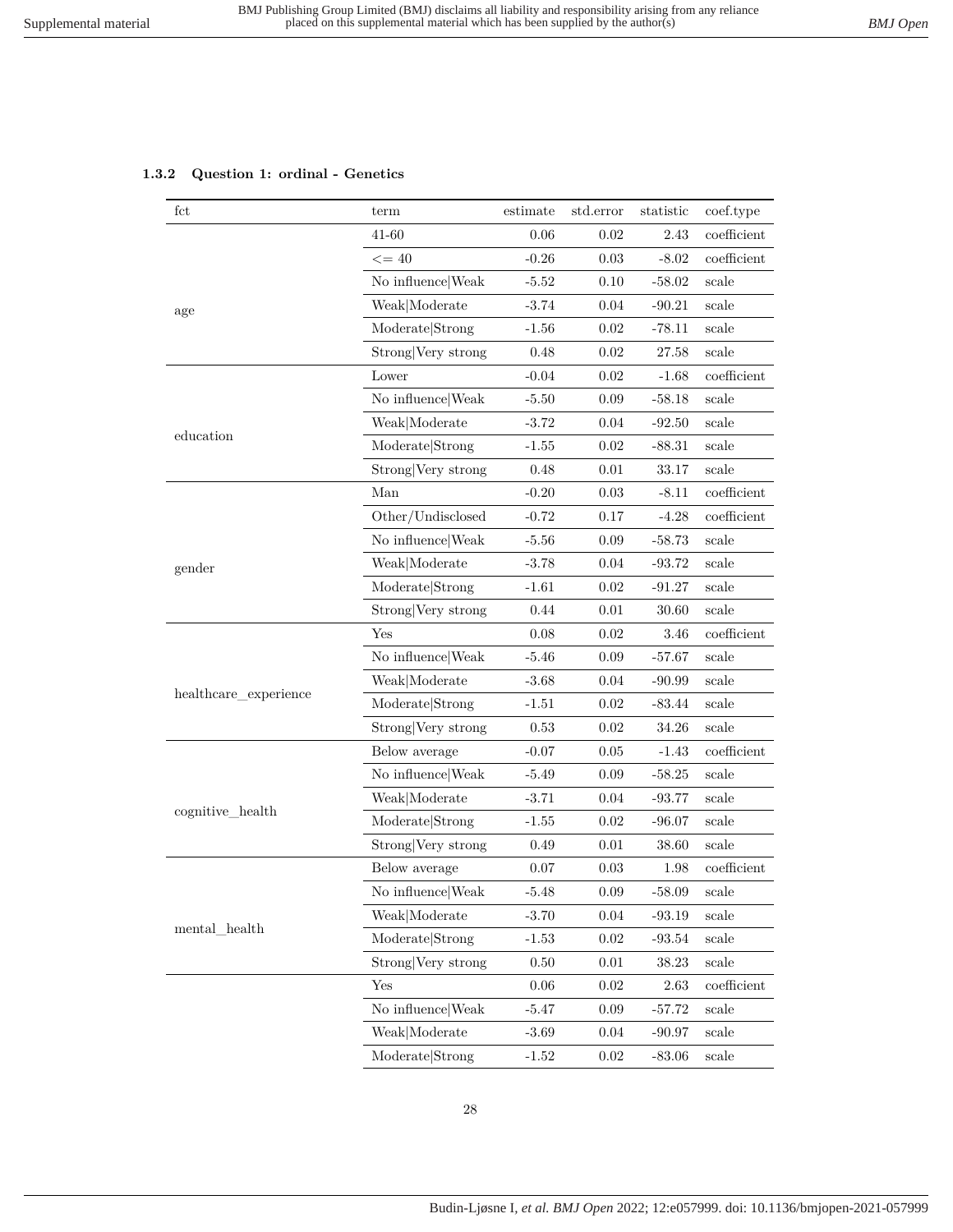## <span id="page-27-0"></span>**1.3.2 Question 1: ordinal - Genetics**

| fct                       | term               | estimate | std.error | statistic | coef.type                    |
|---------------------------|--------------------|----------|-----------|-----------|------------------------------|
|                           | 41-60              | 0.06     | $0.02\,$  | 2.43      | coefficient                  |
|                           | $\leq$ = 40        | $-0.26$  | $0.03\,$  | $-8.02$   | $\operatorname{coefficient}$ |
|                           | No influence Weak  | $-5.52$  | 0.10      | $-58.02$  | scale                        |
| age                       | Weak Moderate      | $-3.74$  | 0.04      | $-90.21$  | scale                        |
|                           | Moderate Strong    | $-1.56$  | 0.02      | $-78.11$  | scale                        |
|                           | Strong Very strong | 0.48     | $0.02\,$  | 27.58     | scale                        |
|                           | Lower              | $-0.04$  | 0.02      | $-1.68$   | coefficient                  |
|                           | No influence Weak  | $-5.50$  | $0.09\,$  | $-58.18$  | scale                        |
|                           | Weak Moderate      | $-3.72$  | 0.04      | $-92.50$  | scale                        |
| education                 | Moderate Strong    | $-1.55$  | 0.02      | $-88.31$  | scale                        |
|                           | Strong Very strong | 0.48     | 0.01      | 33.17     | scale                        |
|                           | Man                | $-0.20$  | $0.03\,$  | $-8.11$   | $coefficient$                |
|                           | Other/Undisclosed  | $-0.72$  | 0.17      | $-4.28$   | coefficient                  |
|                           | No influence Weak  | $-5.56$  | 0.09      | $-58.73$  | scale                        |
| gender                    | Weak Moderate      | $-3.78$  | 0.04      | $-93.72$  | scale                        |
|                           | Moderate Strong    | $-1.61$  | 0.02      | $-91.27$  | scale                        |
|                           | Strong Very strong | 0.44     | 0.01      | 30.60     | scale                        |
|                           | Yes                | 0.08     | 0.02      | 3.46      | $coefficient$                |
|                           | No influence Weak  | $-5.46$  | 0.09      | $-57.67$  | scale                        |
|                           | Weak Moderate      | $-3.68$  | 0.04      | $-90.99$  | scale                        |
| healthcare_experience     | Moderate Strong    | $-1.51$  | 0.02      | $-83.44$  | scale                        |
|                           | Strong Very strong | 0.53     | 0.02      | 34.26     | scale                        |
|                           | Below average      | $-0.07$  | 0.05      | $-1.43$   | coefficient                  |
|                           | No influence Weak  | $-5.49$  | 0.09      | $-58.25$  | scale                        |
|                           | Weak Moderate      | $-3.71$  | 0.04      | $-93.77$  | scale                        |
| cognitive_health          | Moderate Strong    | $-1.55$  | $0.02\,$  | $-96.07$  | scale                        |
|                           | Strong Very strong | 0.49     | 0.01      | 38.60     | scale                        |
|                           | Below average      | 0.07     | 0.03      | 1.98      | coefficient                  |
|                           | No influence Weak  | $-5.48$  | $0.09\,$  | $-58.09$  | scale                        |
|                           | Weak Moderate      | $-3.70$  | 0.04      | $-93.19$  | scale                        |
| $\mathrm{mental\_health}$ | Moderate Strong    | $-1.53$  | 0.02      | $-93.54$  | scale                        |
|                           | Strong Very strong | 0.50     | 0.01      | 38.23     | scale                        |
|                           | Yes                | $0.06\,$ | 0.02      | 2.63      | coefficient                  |
|                           | No influence Weak  | $-5.47$  | 0.09      | $-57.72$  | scale                        |
|                           | Weak Moderate      | $-3.69$  | 0.04      | $-90.97$  | scale                        |
|                           | Moderate Strong    | $-1.52$  | 0.02      | $-83.06$  | scale                        |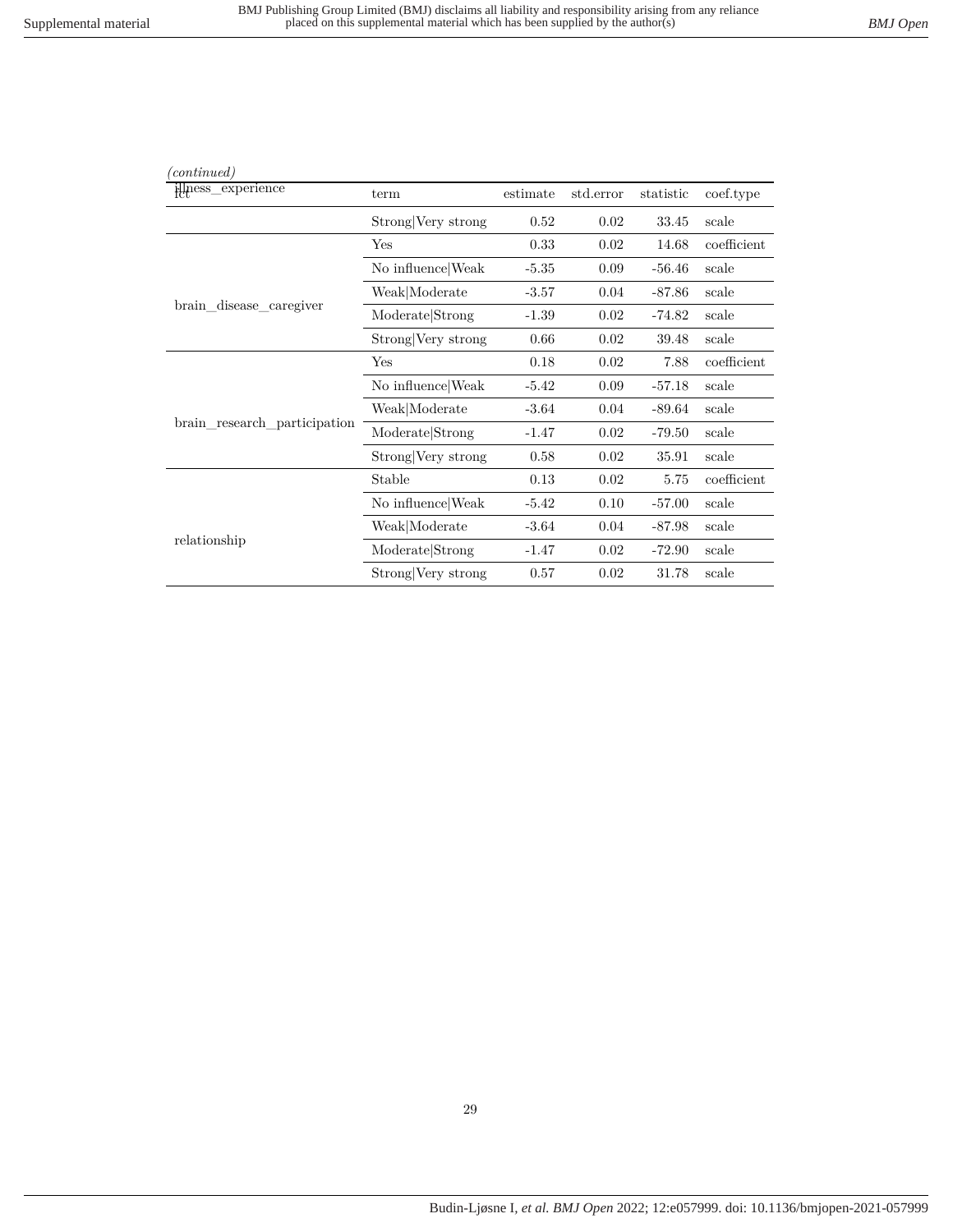| (continued)                  |                    |          |           |           |             |
|------------------------------|--------------------|----------|-----------|-----------|-------------|
| illness_experience           | term               | estimate | std.error | statistic | coef.type   |
|                              | Strong Very strong | 0.52     | 0.02      | 33.45     | scale       |
|                              | Yes                | 0.33     | 0.02      | 14.68     | coefficient |
|                              | No influence Weak  | $-5.35$  | 0.09      | $-56.46$  | scale       |
|                              | Weak Moderate      | $-3.57$  | 0.04      | $-87.86$  | scale       |
| brain_disease_caregiver      | Moderate Strong    | $-1.39$  | 0.02      | $-74.82$  | scale       |
|                              | Strong Very strong | 0.66     | 0.02      | 39.48     | scale       |
|                              | Yes                | 0.18     | 0.02      | 7.88      | coefficient |
|                              | No influence Weak  | $-5.42$  | 0.09      | $-57.18$  | scale       |
|                              | Weak Moderate      | $-3.64$  | 0.04      | $-89.64$  | scale       |
| brain_research_participation | Moderate Strong    | $-1.47$  | 0.02      | $-79.50$  | scale       |
|                              | Strong Very strong | 0.58     | 0.02      | 35.91     | scale       |
|                              | Stable             | 0.13     | 0.02      | 5.75      | coefficient |
|                              | No influence Weak  | $-5.42$  | 0.10      | $-57.00$  | scale       |
|                              | Weak Moderate      | $-3.64$  | 0.04      | $-87.98$  | scale       |
| relationship                 | Moderate Strong    | $-1.47$  | 0.02      | $-72.90$  | scale       |
|                              | Strong Very strong | 0.57     | 0.02      | 31.78     | scale       |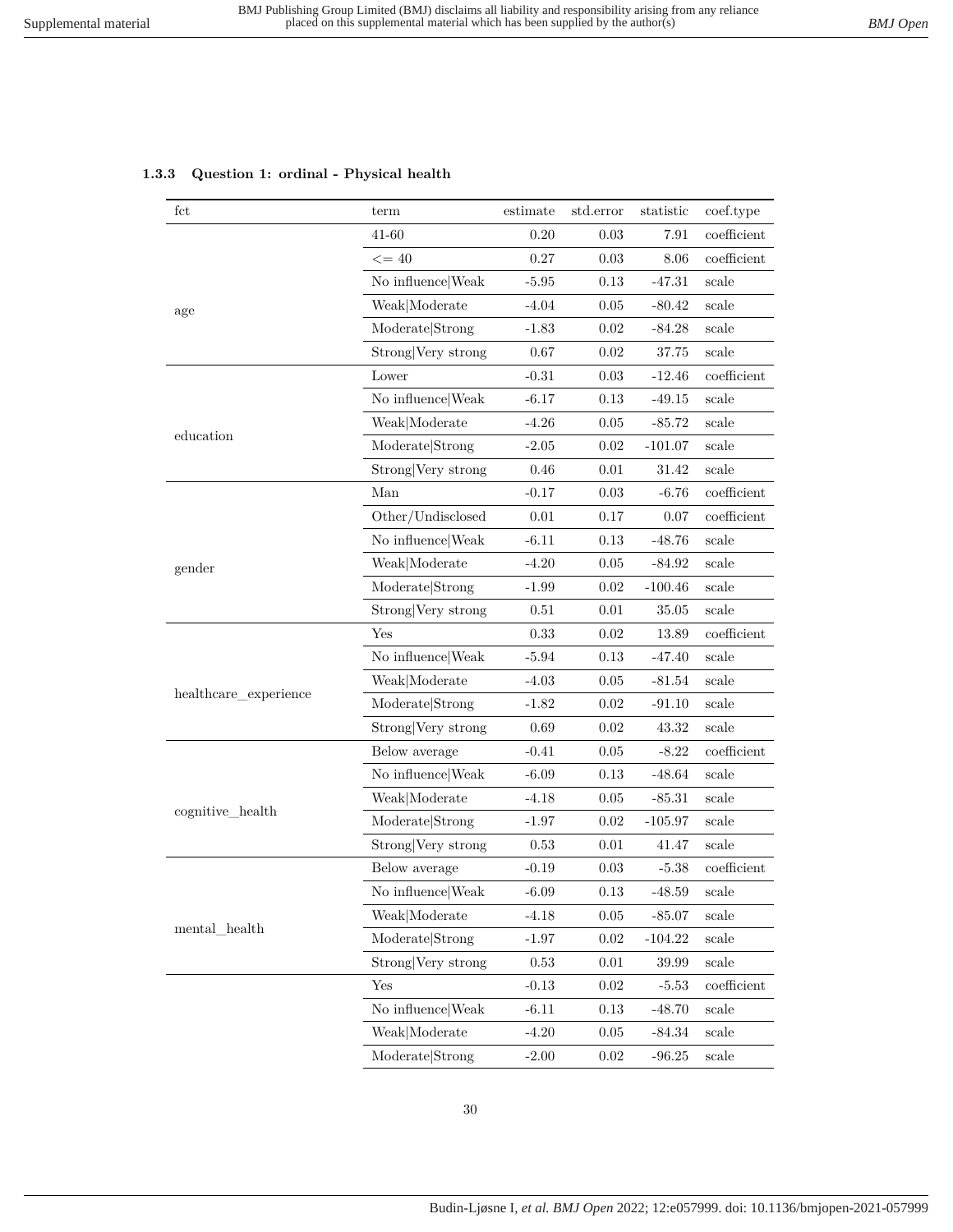#### <span id="page-29-0"></span>**1.3.3 Question 1: ordinal - Physical health**

| fct                   | term               | estimate | std.error | statistic | coef.type      |
|-----------------------|--------------------|----------|-----------|-----------|----------------|
|                       | 41-60              | 0.20     | 0.03      | 7.91      | coefficient    |
|                       | $\leq$ = 40        | 0.27     | 0.03      | 8.06      | coefficient    |
|                       | No influence Weak  | $-5.95$  | 0.13      | $-47.31$  | scale          |
| age                   | Weak Moderate      | $-4.04$  | 0.05      | $-80.42$  | scale          |
|                       | Moderate Strong    | $-1.83$  | 0.02      | $-84.28$  | scale          |
|                       | Strong Very strong | 0.67     | 0.02      | 37.75     | scale          |
|                       | Lower              | $-0.31$  | 0.03      | $-12.46$  | coefficient    |
|                       | No influence Weak  | $-6.17$  | 0.13      | $-49.15$  | scale          |
|                       | Weak Moderate      | $-4.26$  | 0.05      | $-85.72$  | scale          |
| education             | Moderate Strong    | $-2.05$  | 0.02      | $-101.07$ | scale          |
|                       | Strong Very strong | 0.46     | 0.01      | 31.42     | scale          |
|                       | Man                | $-0.17$  | 0.03      | $-6.76$   | coefficient    |
|                       | Other/Undisclosed  | 0.01     | 0.17      | 0.07      | coefficient    |
|                       | No influence Weak  | $-6.11$  | 0.13      | $-48.76$  | scale          |
| gender                | Weak Moderate      | $-4.20$  | 0.05      | $-84.92$  | scale          |
|                       | Moderate Strong    | $-1.99$  | 0.02      | $-100.46$ | scale          |
|                       | Strong Very strong | 0.51     | 0.01      | 35.05     | scale          |
|                       | Yes                | 0.33     | 0.02      | 13.89     | coefficient    |
|                       | No influence Weak  | $-5.94$  | 0.13      | $-47.40$  | scale          |
|                       | Weak Moderate      | $-4.03$  | 0.05      | $-81.54$  | scale          |
| healthcare_experience | Moderate Strong    | $-1.82$  | 0.02      | $-91.10$  | scale          |
|                       | Strong Very strong | 0.69     | 0.02      | 43.32     | $_{\rm scale}$ |
|                       | Below average      | $-0.41$  | 0.05      | $-8.22$   | coefficient    |
|                       | No influence Weak  | $-6.09$  | 0.13      | $-48.64$  | scale          |
|                       | Weak Moderate      | $-4.18$  | 0.05      | $-85.31$  | scale          |
| cognitive_health      | Moderate Strong    | $-1.97$  | 0.02      | $-105.97$ | scale          |
|                       | Strong Very strong | 0.53     | 0.01      | 41.47     | scale          |
|                       | Below average      | $-0.19$  | 0.03      | $-5.38$   | coefficient    |
|                       | No influence Weak  | $-6.09$  | 0.13      | $-48.59$  | scale          |
|                       | Weak Moderate      | $-4.18$  | 0.05      | $-85.07$  | scale          |
| mental_health         | Moderate Strong    | $-1.97$  | 0.02      | $-104.22$ | scale          |
|                       | Strong Very strong | 0.53     | 0.01      | 39.99     | scale          |
|                       | Yes                | $-0.13$  | 0.02      | $-5.53$   | coefficient    |
|                       | No influence Weak  | $-6.11$  | 0.13      | $-48.70$  | scale          |
|                       | Weak Moderate      | $-4.20$  | 0.05      | $-84.34$  | scale          |
|                       | Moderate Strong    | $-2.00$  | 0.02      | $-96.25$  | scale          |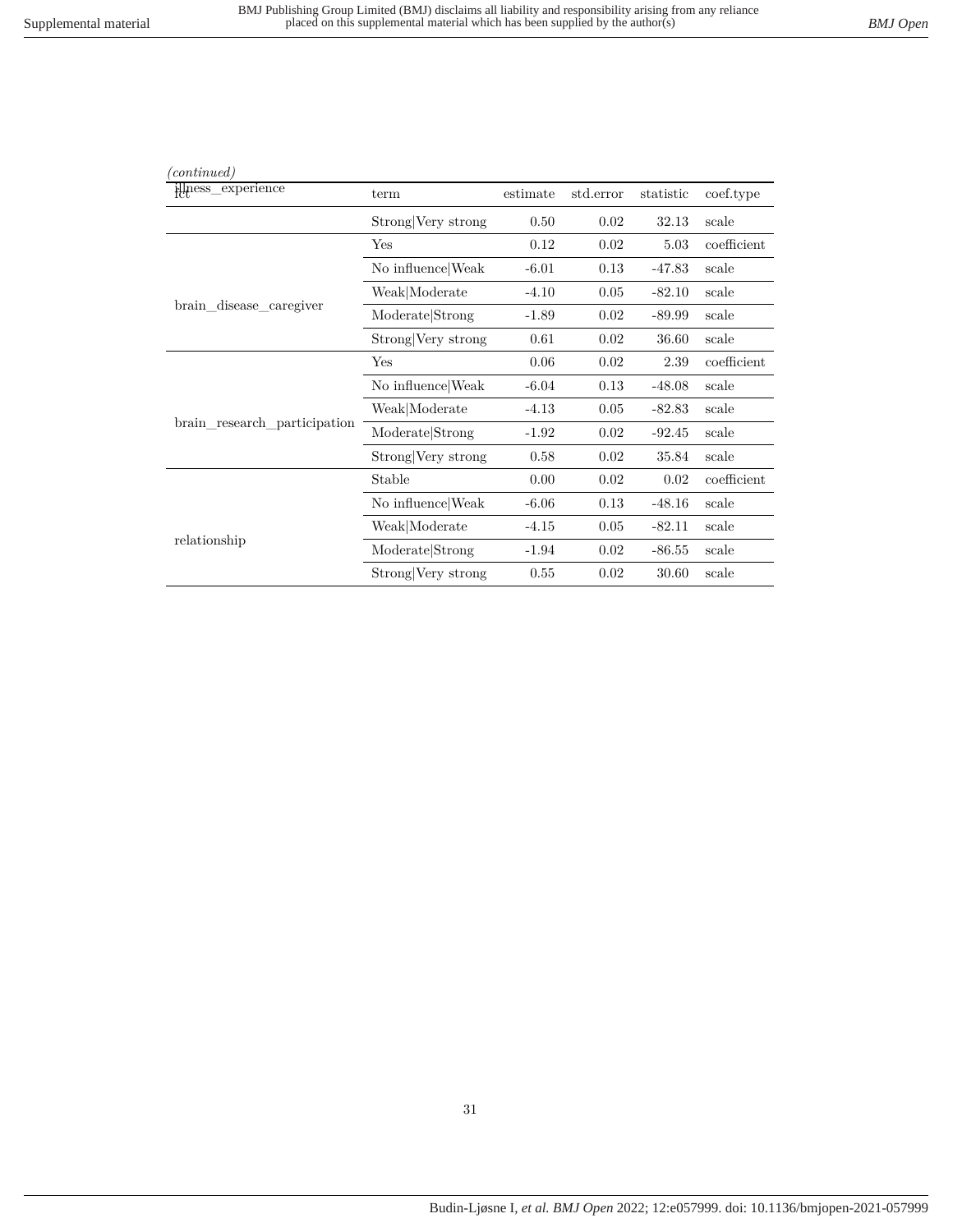| (continued)                  |                    |          |           |           |             |
|------------------------------|--------------------|----------|-----------|-----------|-------------|
| illness_experience           | term               | estimate | std.error | statistic | coef.type   |
|                              | Strong Very strong | 0.50     | 0.02      | 32.13     | scale       |
|                              | Yes                | 0.12     | 0.02      | 5.03      | coefficient |
|                              | No influence Weak  | $-6.01$  | 0.13      | $-47.83$  | scale       |
|                              | Weak Moderate      | $-4.10$  | 0.05      | $-82.10$  | scale       |
| brain_disease_caregiver      | Moderate Strong    | $-1.89$  | 0.02      | $-89.99$  | scale       |
|                              | Strong Very strong | 0.61     | 0.02      | 36.60     | scale       |
|                              | Yes                | 0.06     | 0.02      | 2.39      | coefficient |
|                              | No influence Weak  | $-6.04$  | 0.13      | $-48.08$  | scale       |
|                              | Weak Moderate      | $-4.13$  | 0.05      | $-82.83$  | scale       |
| brain_research_participation | Moderate Strong    | $-1.92$  | 0.02      | $-92.45$  | scale       |
|                              | Strong Very strong | 0.58     | 0.02      | 35.84     | scale       |
|                              | Stable             | 0.00     | 0.02      | 0.02      | coefficient |
|                              | No influence Weak  | $-6.06$  | 0.13      | $-48.16$  | scale       |
|                              | Weak Moderate      | $-4.15$  | 0.05      | $-82.11$  | scale       |
| relationship                 | Moderate Strong    | $-1.94$  | 0.02      | $-86.55$  | scale       |
|                              | Strong Very strong | 0.55     | 0.02      | 30.60     | scale       |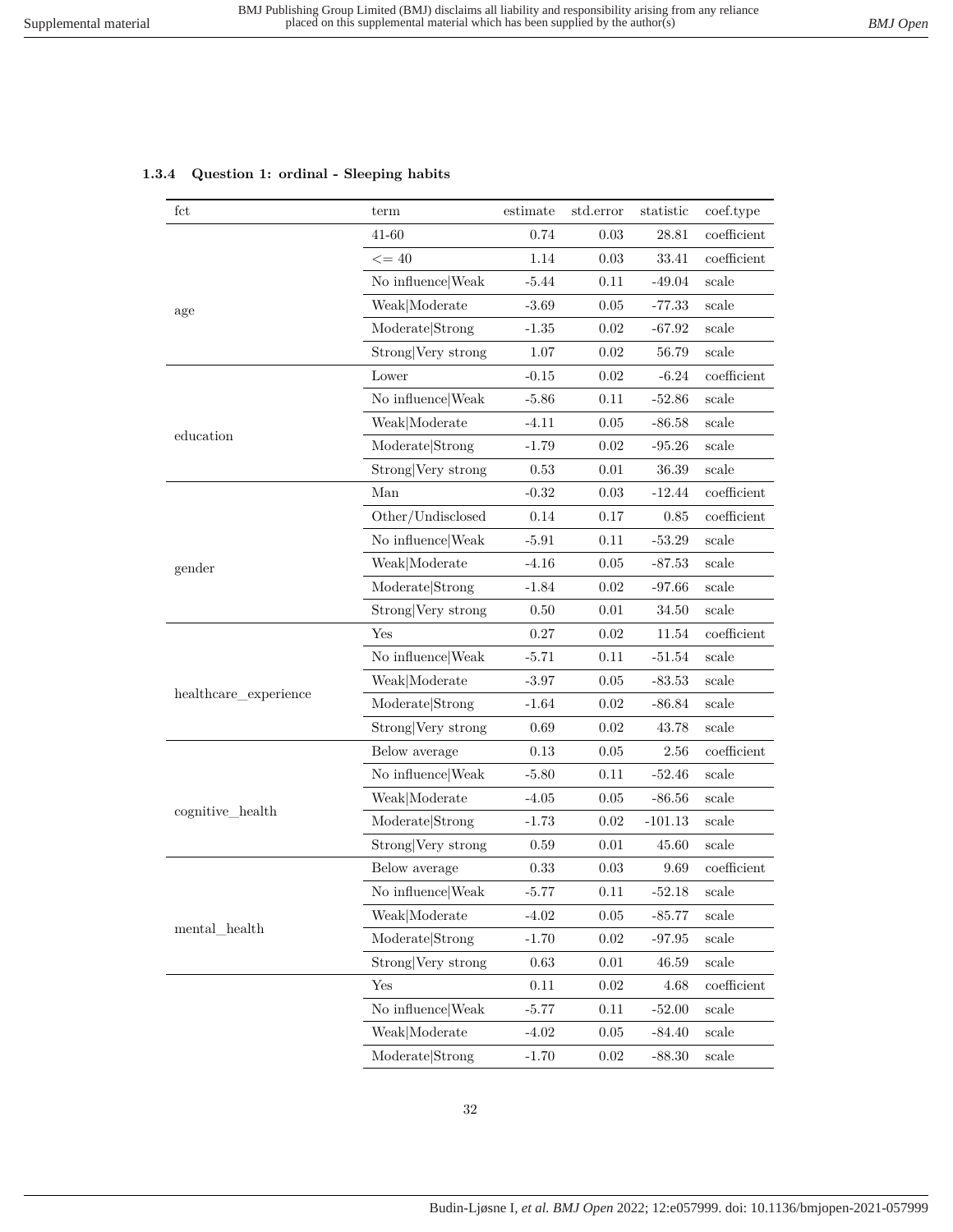#### <span id="page-31-0"></span>**1.3.4 Question 1: ordinal - Sleeping habits**

| fct                       | term               | estimate | std.error | statistic | coef.type      |
|---------------------------|--------------------|----------|-----------|-----------|----------------|
|                           | 41-60              | 0.74     | 0.03      | 28.81     | coefficient    |
| age                       | $\leq$ = 40        | 1.14     | 0.03      | 33.41     | $coefficient$  |
|                           | No influence Weak  | $-5.44$  | 0.11      | $-49.04$  | scale          |
|                           | Weak Moderate      | $-3.69$  | 0.05      | $-77.33$  | scale          |
|                           | Moderate Strong    | $-1.35$  | 0.02      | $-67.92$  | scale          |
|                           | Strong Very strong | 1.07     | 0.02      | 56.79     | scale          |
|                           | Lower              | $-0.15$  | 0.02      | $-6.24$   | coefficient    |
|                           | No influence Weak  | $-5.86$  | 0.11      | $-52.86$  | scale          |
|                           | Weak Moderate      | $-4.11$  | 0.05      | $-86.58$  | scale          |
| education                 | Moderate Strong    | $-1.79$  | 0.02      | $-95.26$  | scale          |
|                           | Strong Very strong | 0.53     | 0.01      | 36.39     | scale          |
|                           | Man                | $-0.32$  | 0.03      | $-12.44$  | coefficient    |
|                           | Other/Undisclosed  | 0.14     | 0.17      | 0.85      | coefficient    |
|                           | No influence Weak  | $-5.91$  | 0.11      | $-53.29$  | scale          |
| gender                    | Weak Moderate      | $-4.16$  | 0.05      | $-87.53$  | scale          |
|                           | Moderate Strong    | $-1.84$  | 0.02      | $-97.66$  | scale          |
|                           | Strong Very strong | $0.50\,$ | 0.01      | 34.50     | scale          |
|                           | Yes                | 0.27     | 0.02      | 11.54     | $coefficient$  |
|                           | No influence Weak  | $-5.71$  | 0.11      | $-51.54$  | scale          |
|                           | Weak Moderate      | $-3.97$  | 0.05      | $-83.53$  | scale          |
| healthcare_experience     | Moderate Strong    | $-1.64$  | 0.02      | $-86.84$  | scale          |
|                           | Strong Very strong | 0.69     | 0.02      | 43.78     | $_{\rm scale}$ |
|                           | Below average      | 0.13     | 0.05      | 2.56      | coefficient    |
|                           | No influence Weak  | $-5.80$  | 0.11      | $-52.46$  | scale          |
|                           | Weak Moderate      | $-4.05$  | 0.05      | $-86.56$  | scale          |
| cognitive_health          | Moderate Strong    | $-1.73$  | 0.02      | $-101.13$ | scale          |
|                           | Strong Very strong | 0.59     | 0.01      | 45.60     | scale          |
| $\mathrm{mental\_health}$ | Below average      | 0.33     | 0.03      | 9.69      | coefficient    |
|                           | No influence Weak  | $-5.77$  | 0.11      | $-52.18$  | scale          |
|                           | Weak Moderate      | $-4.02$  | 0.05      | $-85.77$  | scale          |
|                           | Moderate Strong    | $-1.70$  | 0.02      | $-97.95$  | scale          |
|                           | Strong Very strong | 0.63     | 0.01      | 46.59     | scale          |
|                           | Yes                | 0.11     | 0.02      | 4.68      | coefficient    |
|                           | No influence Weak  | $-5.77$  | 0.11      | $-52.00$  | scale          |
|                           | Weak Moderate      | $-4.02$  | 0.05      | $-84.40$  | scale          |
|                           | Moderate Strong    | $-1.70$  | 0.02      | $-88.30$  | scale          |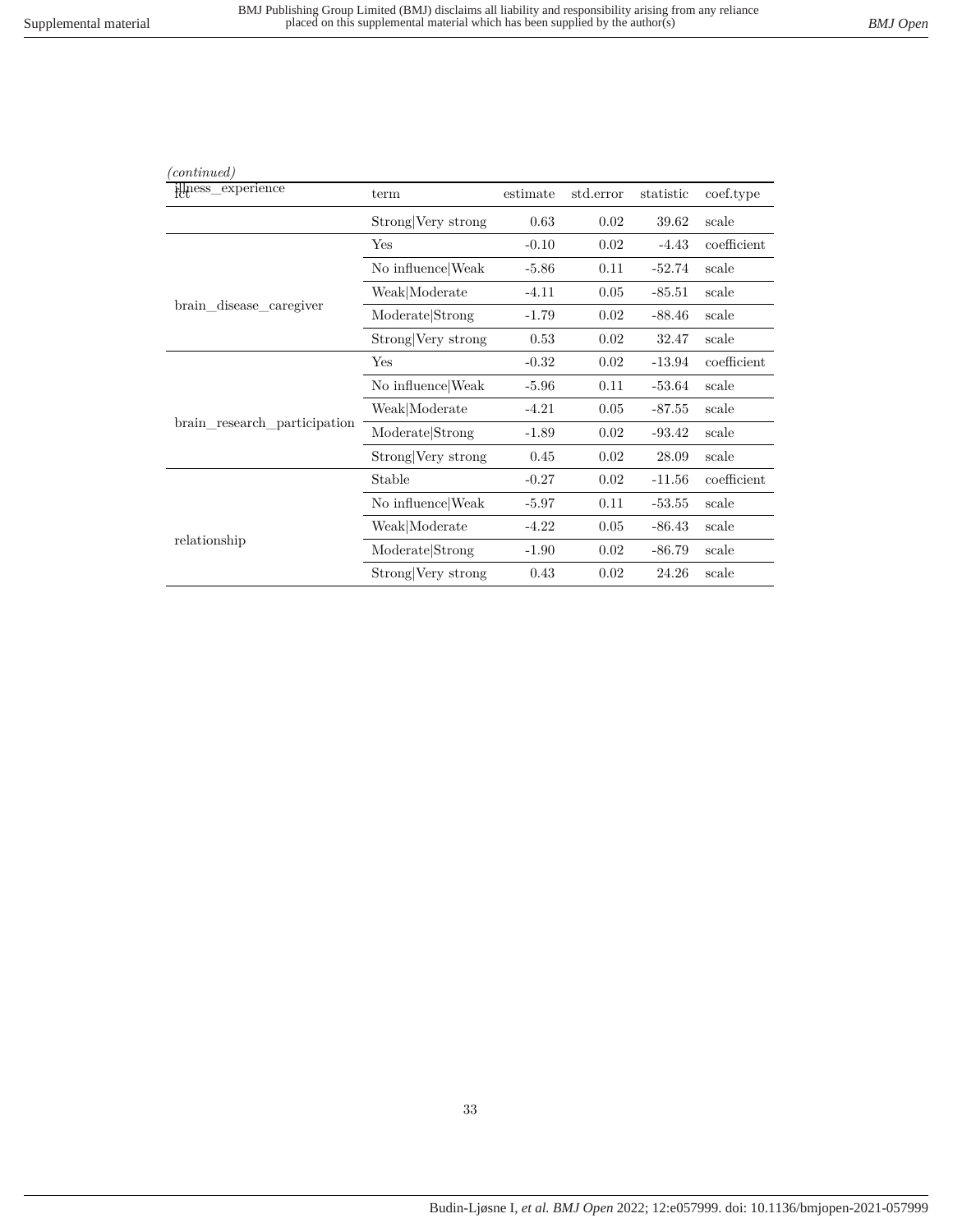| (continued)                  |                    |          |           |           |             |
|------------------------------|--------------------|----------|-----------|-----------|-------------|
| illness_experience           | term               | estimate | std.error | statistic | coef.type   |
|                              | Strong Very strong | 0.63     | 0.02      | 39.62     | scale       |
|                              | Yes                | $-0.10$  | 0.02      | $-4.43$   | coefficient |
|                              | No influence Weak  | $-5.86$  | 0.11      | $-52.74$  | scale       |
|                              | Weak Moderate      | $-4.11$  | 0.05      | $-85.51$  | scale       |
| brain_disease_caregiver      | Moderate Strong    | $-1.79$  | 0.02      | $-88.46$  | scale       |
|                              | Strong Very strong | 0.53     | 0.02      | 32.47     | scale       |
|                              | Yes                | $-0.32$  | 0.02      | $-13.94$  | coefficient |
| brain research participation | No influence Weak  | $-5.96$  | 0.11      | $-53.64$  | scale       |
|                              | Weak Moderate      | $-4.21$  | 0.05      | $-87.55$  | scale       |
|                              | Moderate Strong    | $-1.89$  | 0.02      | $-93.42$  | scale       |
|                              | Strong Very strong | 0.45     | 0.02      | 28.09     | scale       |
| relationship                 | Stable             | $-0.27$  | 0.02      | $-11.56$  | coefficient |
|                              | No influence Weak  | $-5.97$  | 0.11      | $-53.55$  | scale       |
|                              | Weak Moderate      | $-4.22$  | 0.05      | $-86.43$  | scale       |
|                              | Moderate Strong    | $-1.90$  | 0.02      | $-86.79$  | scale       |
|                              | Strong Very strong | 0.43     | 0.02      | 24.26     | scale       |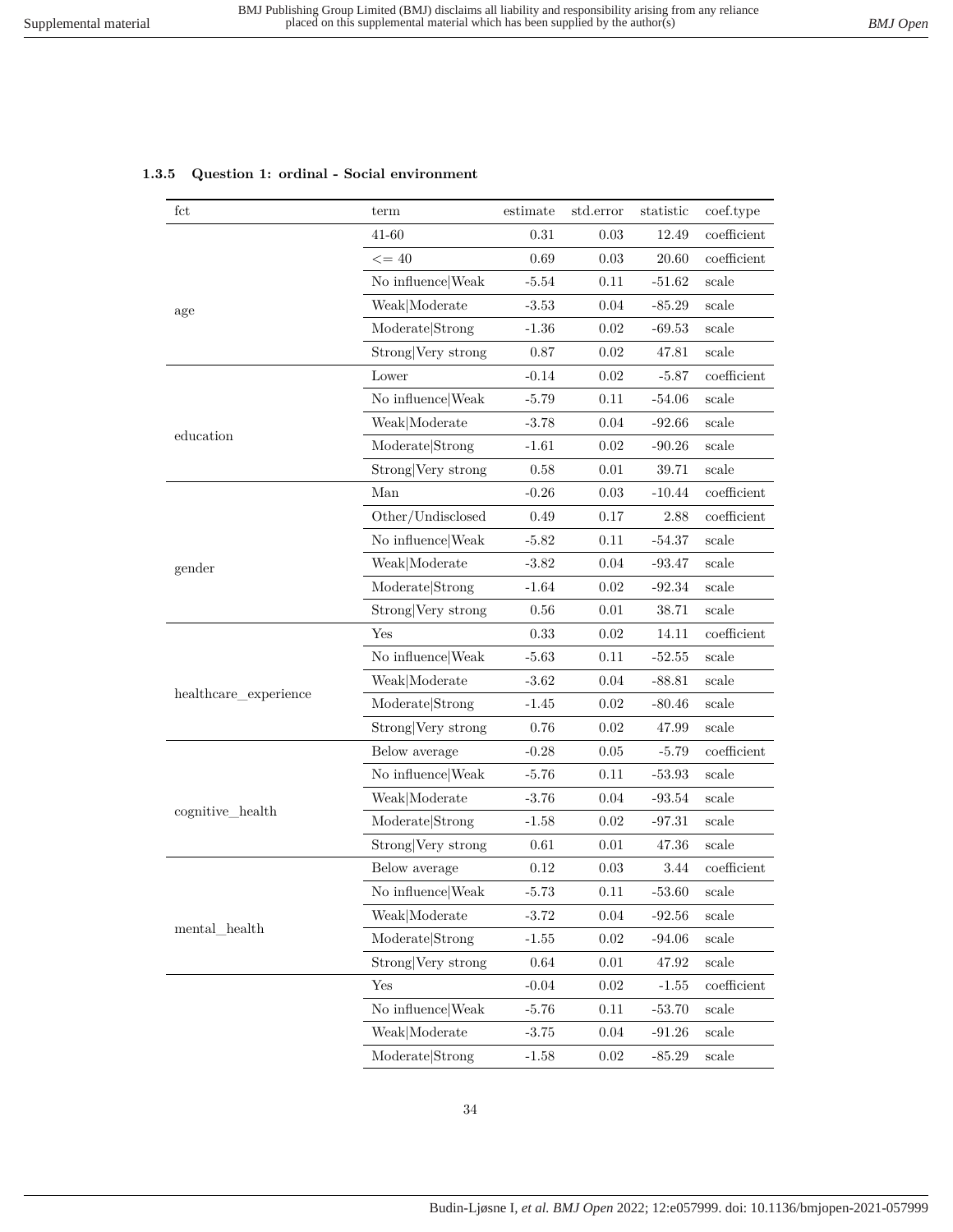#### <span id="page-33-0"></span>**1.3.5 Question 1: ordinal - Social environment**

| fct                   | term               | estimate | std.error | statistic | coef.type      |
|-----------------------|--------------------|----------|-----------|-----------|----------------|
|                       | 41-60              | 0.31     | 0.03      | 12.49     | coefficient    |
| age                   | $\leq$ = 40        | 0.69     | 0.03      | 20.60     | coefficient    |
|                       | No influence Weak  | $-5.54$  | 0.11      | $-51.62$  | scale          |
|                       | Weak Moderate      | $-3.53$  | 0.04      | $-85.29$  | $_{\rm scale}$ |
|                       | Moderate Strong    | $-1.36$  | 0.02      | $-69.53$  | scale          |
|                       | Strong Very strong | 0.87     | 0.02      | 47.81     | scale          |
|                       | Lower              | $-0.14$  | 0.02      | $-5.87$   | coefficient    |
|                       | No influence Weak  | $-5.79$  | 0.11      | $-54.06$  | scale          |
|                       | Weak Moderate      | $-3.78$  | 0.04      | $-92.66$  | scale          |
| education             | Moderate Strong    | $-1.61$  | 0.02      | $-90.26$  | scale          |
|                       | Strong Very strong | 0.58     | 0.01      | 39.71     | scale          |
|                       | Man                | $-0.26$  | 0.03      | $-10.44$  | coefficient    |
|                       | Other/Undisclosed  | 0.49     | 0.17      | 2.88      | coefficient    |
|                       | No influence Weak  | $-5.82$  | 0.11      | $-54.37$  | scale          |
| gender                | Weak Moderate      | $-3.82$  | 0.04      | $-93.47$  | scale          |
|                       | Moderate Strong    | $-1.64$  | 0.02      | $-92.34$  | scale          |
|                       | Strong Very strong | $0.56\,$ | 0.01      | 38.71     | scale          |
|                       | Yes                | 0.33     | $0.02\,$  | 14.11     | $coefficient$  |
|                       | No influence Weak  | $-5.63$  | 0.11      | $-52.55$  | scale          |
|                       | Weak Moderate      | $-3.62$  | 0.04      | -88.81    | scale          |
| healthcare_experience | Moderate Strong    | $-1.45$  | 0.02      | $-80.46$  | scale          |
|                       | Strong Very strong | 0.76     | 0.02      | 47.99     | scale          |
|                       | Below average      | $-0.28$  | 0.05      | $-5.79$   | coefficient    |
|                       | No influence Weak  | $-5.76$  | 0.11      | $-53.93$  | scale          |
|                       | Weak Moderate      | $-3.76$  | $0.04\,$  | $-93.54$  | scale          |
| cognitive_health      | Moderate Strong    | $-1.58$  | 0.02      | $-97.31$  | scale          |
|                       | Strong Very strong | 0.61     | 0.01      | 47.36     | scale          |
|                       | Below average      | 0.12     | 0.03      | 3.44      | coefficient    |
|                       | No influence Weak  | $5.73\,$ | 0.11      | $-53.60$  | scale          |
|                       | Weak Moderate      | $-3.72$  | 0.04      | $-92.56$  | scale          |
| mental_health         | Moderate Strong    | $-1.55$  | $0.02\,$  | $-94.06$  | scale          |
|                       | Strong Very strong | 0.64     | 0.01      | 47.92     | scale          |
|                       | Yes                | $-0.04$  | 0.02      | $-1.55$   | coefficient    |
|                       | No influence Weak  | $-5.76$  | 0.11      | $-53.70$  | scale          |
|                       | Weak Moderate      | $-3.75$  | $0.04\,$  | $-91.26$  | scale          |
|                       | Moderate Strong    | $-1.58$  | 0.02      | $-85.29$  | scale          |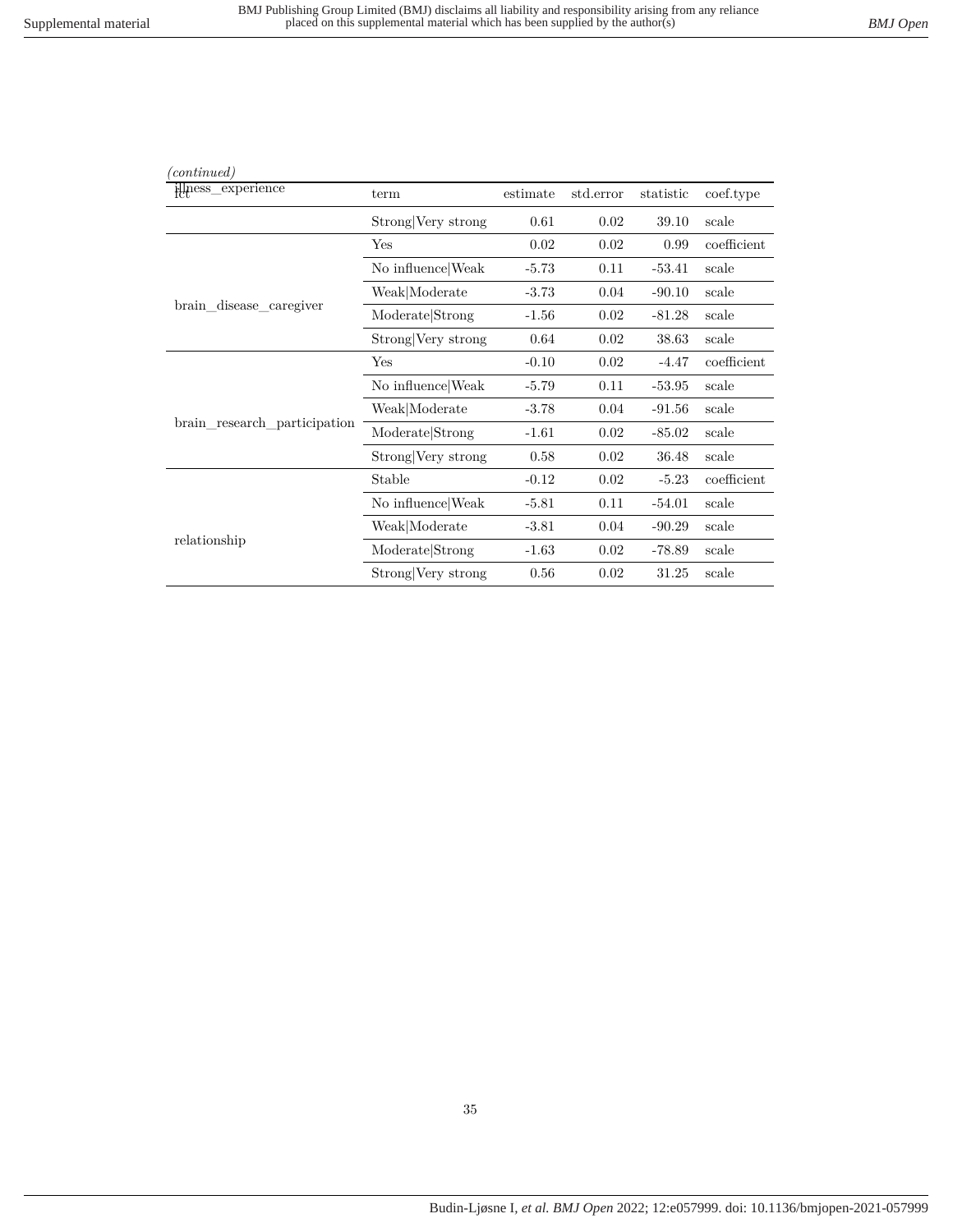| (continued)                  |                    |          |           |           |             |
|------------------------------|--------------------|----------|-----------|-----------|-------------|
| illness_experience           | term               | estimate | std.error | statistic | coef.type   |
|                              | Strong Very strong | 0.61     | 0.02      | 39.10     | scale       |
|                              | Yes                | 0.02     | 0.02      | 0.99      | coefficient |
|                              | No influence Weak  | $-5.73$  | 0.11      | $-53.41$  | scale       |
|                              | Weak Moderate      | $-3.73$  | 0.04      | $-90.10$  | scale       |
| brain_disease_caregiver      | Moderate Strong    | $-1.56$  | 0.02      | $-81.28$  | scale       |
|                              | Strong Very strong | 0.64     | 0.02      | 38.63     | scale       |
|                              | Yes                | $-0.10$  | 0.02      | $-4.47$   | coefficient |
| brain_research_participation | No influence Weak  | $-5.79$  | 0.11      | $-53.95$  | scale       |
|                              | Weak Moderate      | $-3.78$  | 0.04      | $-91.56$  | scale       |
|                              | Moderate Strong    | $-1.61$  | 0.02      | $-85.02$  | scale       |
|                              | Strong Very strong | 0.58     | 0.02      | 36.48     | scale       |
| relationship                 | Stable             | $-0.12$  | 0.02      | $-5.23$   | coefficient |
|                              | No influence Weak  | $-5.81$  | 0.11      | $-54.01$  | scale       |
|                              | Weak Moderate      | $-3.81$  | 0.04      | $-90.29$  | scale       |
|                              | Moderate Strong    | $-1.63$  | 0.02      | $-78.89$  | scale       |
|                              | Strong Very strong | 0.56     | 0.02      | 31.25     | scale       |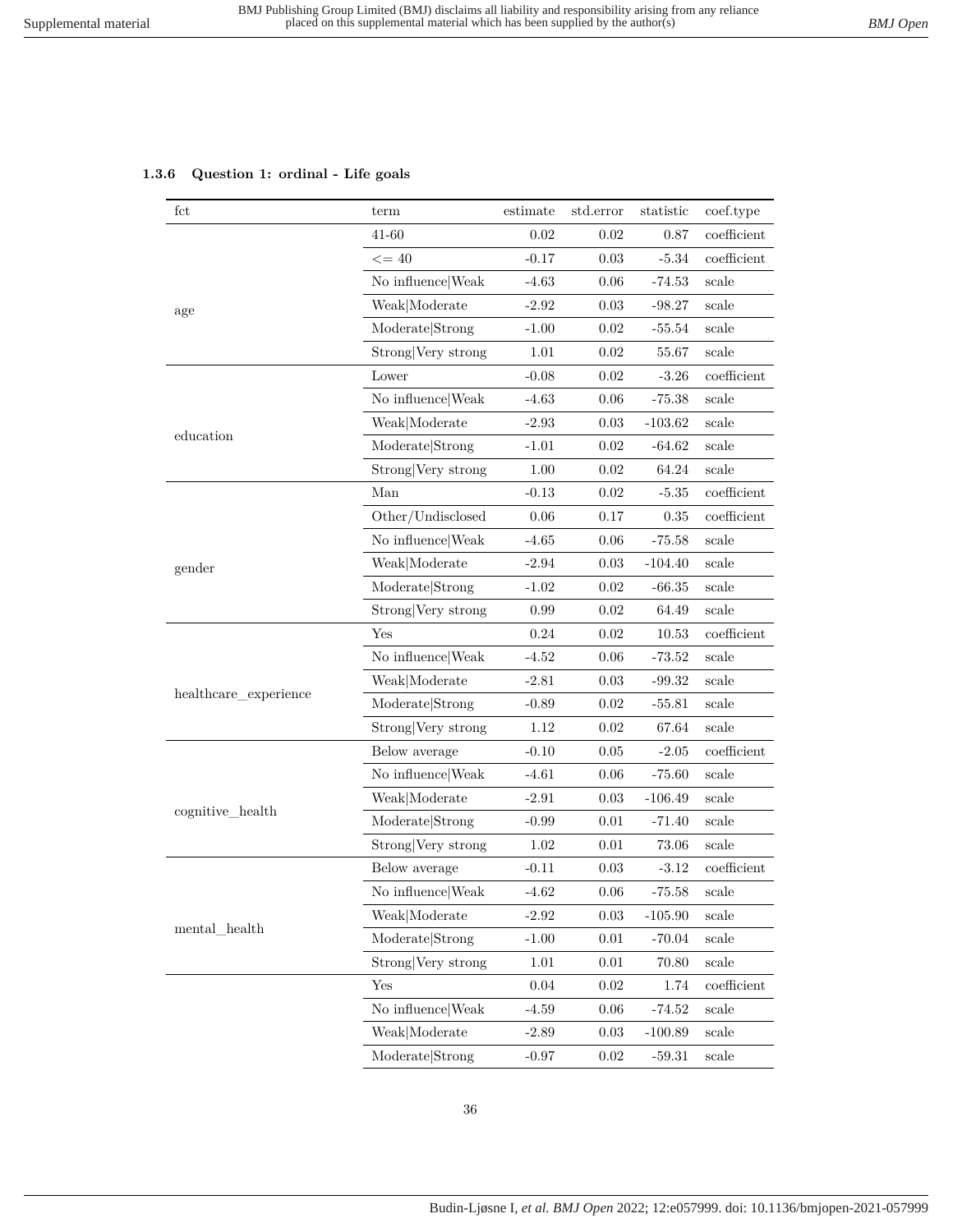## <span id="page-35-0"></span>**1.3.6 Question 1: ordinal - Life goals**

| fct                   | term               | estimate | std.error | statistic | coef.type     |
|-----------------------|--------------------|----------|-----------|-----------|---------------|
|                       | 41-60              | 0.02     | 0.02      | 0.87      | coefficient   |
| age                   | $\leq$ = 40        | $-0.17$  | $0.03\,$  | $-5.34$   | coefficient   |
|                       | No influence Weak  | $-4.63$  | 0.06      | $-74.53$  | scale         |
|                       | Weak Moderate      | $-2.92$  | 0.03      | $-98.27$  | scale         |
|                       | Moderate Strong    | $-1.00$  | 0.02      | $-55.54$  | scale         |
|                       | Strong Very strong | 1.01     | 0.02      | 55.67     | scale         |
|                       | Lower              | $-0.08$  | 0.02      | $-3.26$   | coefficient   |
|                       | No influence Weak  | $-4.63$  | 0.06      | $-75.38$  | scale         |
|                       | Weak Moderate      | $-2.93$  | 0.03      | $-103.62$ | scale         |
| education             | Moderate Strong    | $-1.01$  | 0.02      | $-64.62$  | scale         |
|                       | Strong Very strong | 1.00     | 0.02      | 64.24     | scale         |
|                       | Man                | $-0.13$  | 0.02      | $-5.35$   | $coefficient$ |
|                       | Other/Undisclosed  | 0.06     | 0.17      | 0.35      | coefficient   |
|                       | No influence Weak  | $-4.65$  | 0.06      | $-75.58$  | scale         |
| gender                | Weak Moderate      | $-2.94$  | 0.03      | $-104.40$ | scale         |
|                       | Moderate Strong    | $-1.02$  | 0.02      | $-66.35$  | scale         |
|                       | Strong Very strong | 0.99     | 0.02      | 64.49     | scale         |
|                       | Yes                | 0.24     | 0.02      | 10.53     | coefficient   |
|                       | No influence Weak  | $-4.52$  | 0.06      | $-73.52$  | scale         |
|                       | Weak Moderate      | $-2.81$  | 0.03      | $-99.32$  | scale         |
| healthcare_experience | Moderate Strong    | $-0.89$  | 0.02      | $-55.81$  | scale         |
|                       | Strong Very strong | 1.12     | 0.02      | 67.64     | scale         |
|                       | Below average      | $-0.10$  | 0.05      | $-2.05$   | coefficient   |
|                       | No influence Weak  | $-4.61$  | 0.06      | $-75.60$  | scale         |
|                       | Weak Moderate      | $-2.91$  | 0.03      | $-106.49$ | scale         |
| cognitive_health      | Moderate Strong    | $-0.99$  | 0.01      | $-71.40$  | scale         |
|                       | Strong Very strong | 1.02     | 0.01      | 73.06     | scale         |
| mental_health         | Below average      | $-0.11$  | 0.03      | $-3.12$   | coefficient   |
|                       | No influence Weak  | $-4.62$  | 0.06      | $-75.58$  | scale         |
|                       | Weak Moderate      | $-2.92$  | 0.03      | $-105.90$ | scale         |
|                       | Moderate Strong    | $-1.00$  | 0.01      | $-70.04$  | scale         |
|                       | Strong Very strong | 1.01     | 0.01      | 70.80     | scale         |
|                       | Yes                | $0.04\,$ | 0.02      | 1.74      | coefficient   |
|                       | No influence Weak  | $-4.59$  | 0.06      | $-74.52$  | scale         |
|                       | Weak Moderate      | $-2.89$  | 0.03      | $-100.89$ | scale         |
|                       | Moderate Strong    | $-0.97$  | 0.02      | $-59.31$  | scale         |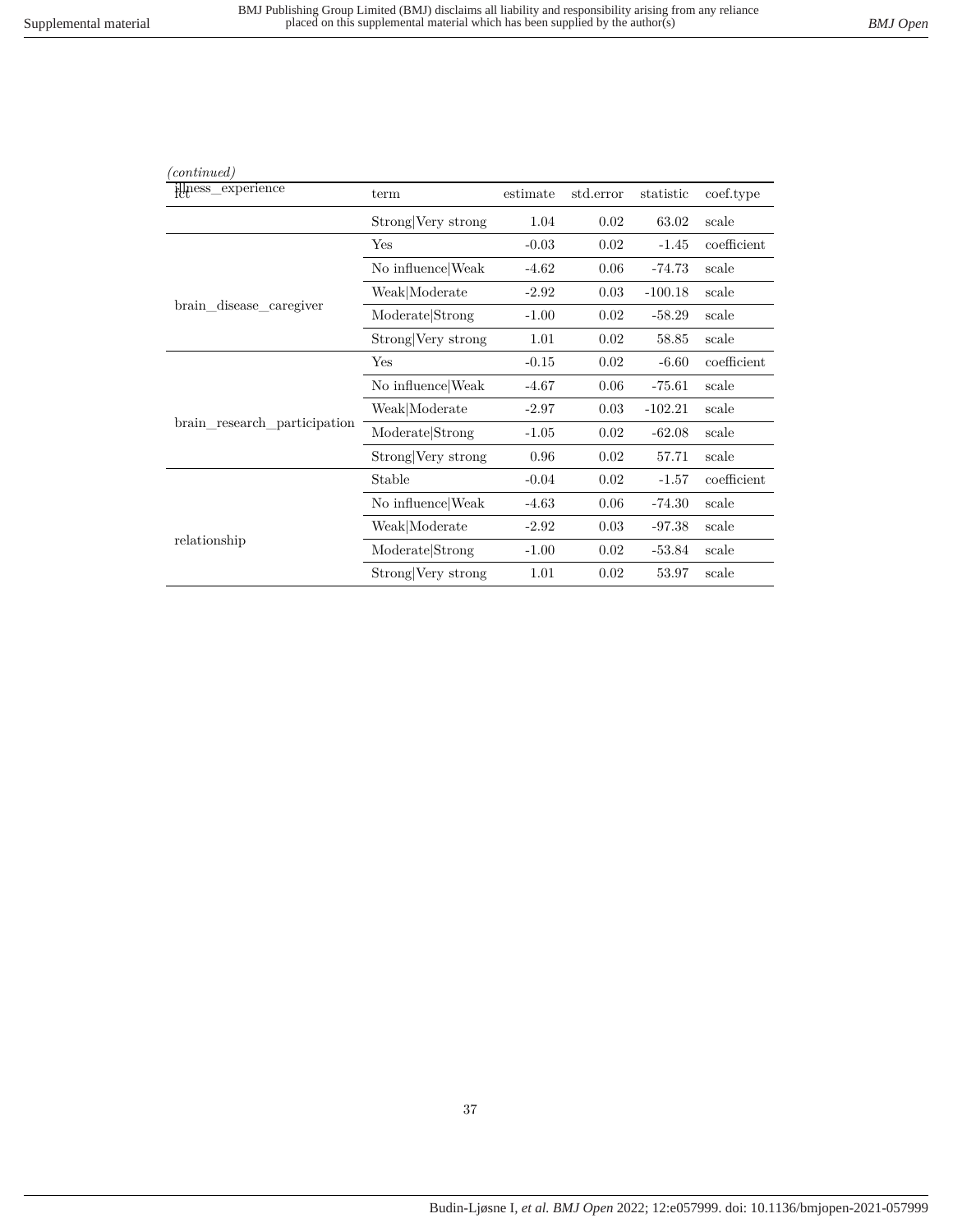| (continued)                  |                    |          |           |           |             |
|------------------------------|--------------------|----------|-----------|-----------|-------------|
| illness_experience           | term               | estimate | std.error | statistic | coef.type   |
|                              | Strong Very strong | 1.04     | 0.02      | 63.02     | scale       |
|                              | Yes                | $-0.03$  | 0.02      | $-1.45$   | coefficient |
|                              | No influence Weak  | $-4.62$  | 0.06      | $-74.73$  | scale       |
|                              | Weak Moderate      | $-2.92$  | 0.03      | $-100.18$ | scale       |
| brain_disease_caregiver      | Moderate Strong    | $-1.00$  | 0.02      | $-58.29$  | scale       |
|                              | Strong Very strong | 1.01     | 0.02      | 58.85     | scale       |
|                              | Yes                | $-0.15$  | 0.02      | $-6.60$   | coefficient |
|                              | No influence Weak  | $-4.67$  | 0.06      | $-75.61$  | scale       |
|                              | Weak Moderate      | $-2.97$  | 0.03      | $-102.21$ | scale       |
| brain_research_participation | Moderate Strong    | $-1.05$  | 0.02      | $-62.08$  | scale       |
|                              | Strong Very strong | 0.96     | 0.02      | 57.71     | scale       |
|                              | Stable             | $-0.04$  | 0.02      | $-1.57$   | coefficient |
|                              | No influence Weak  | $-4.63$  | 0.06      | $-74.30$  | scale       |
|                              | Weak Moderate      | $-2.92$  | 0.03      | $-97.38$  | scale       |
| relationship                 | Moderate Strong    | $-1.00$  | 0.02      | $-53.84$  | scale       |
|                              | Strong Very strong | 1.01     | 0.02      | 53.97     | scale       |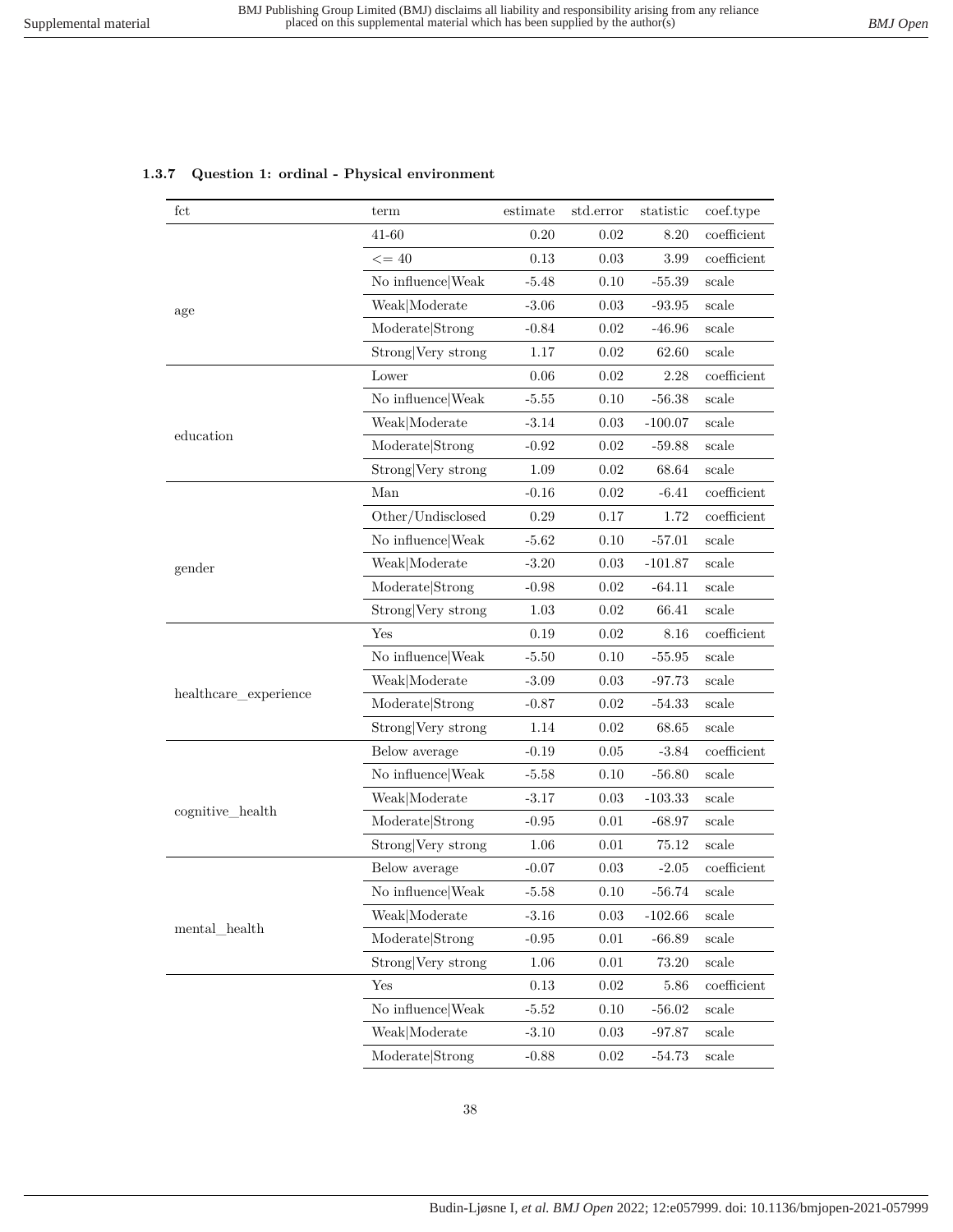### **1.3.7 Question 1: ordinal - Physical environment**

| fct                     | term               | estimate | std.error | statistic | coef.type      |
|-------------------------|--------------------|----------|-----------|-----------|----------------|
|                         | 41-60              | 0.20     | 0.02      | 8.20      | coefficient    |
|                         | $\leq$ = 40        | 0.13     | 0.03      | 3.99      | $coefficient$  |
|                         | No influence Weak  | $-5.48$  | 0.10      | $-55.39$  | scale          |
| age                     | Weak Moderate      | $-3.06$  | 0.03      | $-93.95$  | scale          |
|                         | Moderate Strong    | $-0.84$  | 0.02      | $-46.96$  | scale          |
|                         | Strong Very strong | 1.17     | 0.02      | 62.60     | scale          |
|                         | Lower              | 0.06     | 0.02      | $2.28\,$  | coefficient    |
|                         | No influence Weak  | $-5.55$  | 0.10      | $-56.38$  | scale          |
|                         | Weak Moderate      | $-3.14$  | 0.03      | $-100.07$ | scale          |
| education               | Moderate Strong    | $-0.92$  | 0.02      | $-59.88$  | scale          |
|                         | Strong Very strong | 1.09     | 0.02      | 68.64     | scale          |
|                         | Man                | $-0.16$  | 0.02      | $-6.41$   | coefficient    |
|                         | Other/Undisclosed  | 0.29     | 0.17      | 1.72      | coefficient    |
|                         | No influence Weak  | $-5.62$  | 0.10      | $-57.01$  | scale          |
| gender                  | Weak Moderate      | $-3.20$  | 0.03      | $-101.87$ | scale          |
|                         | Moderate Strong    | $-0.98$  | 0.02      | $-64.11$  | scale          |
|                         | Strong Very strong | 1.03     | 0.02      | 66.41     | scale          |
|                         | Yes                | 0.19     | 0.02      | 8.16      | $coefficient$  |
|                         | No influence Weak  | $-5.50$  | 0.10      | $-55.95$  | scale          |
|                         | Weak Moderate      | $-3.09$  | 0.03      | $-97.73$  | scale          |
| healthcare_experience   | Moderate Strong    | $-0.87$  | 0.02      | $-54.33$  | scale          |
|                         | Strong Very strong | 1.14     | 0.02      | 68.65     | $_{\rm scale}$ |
|                         | Below average      | $-0.19$  | 0.05      | $-3.84$   | coefficient    |
|                         | No influence Weak  | $-5.58$  | 0.10      | $-56.80$  | scale          |
|                         | Weak Moderate      | $-3.17$  | 0.03      | $-103.33$ | scale          |
| cognitive_health        | Moderate Strong    | $-0.95$  | 0.01      | $-68.97$  | scale          |
|                         | Strong Very strong | 1.06     | 0.01      | 75.12     | scale          |
|                         | Below average      | $-0.07$  | 0.03      | $-2.05$   | coefficient    |
|                         | No influence Weak  | $-5.58$  | 0.10      | $-56.74$  | scale          |
|                         | Weak Moderate      | $-3.16$  | 0.03      | $-102.66$ | scale          |
| $\mbox{mental\_health}$ | Moderate Strong    | $-0.95$  | 0.01      | $-66.89$  | scale          |
|                         | Strong Very strong | $1.06\,$ | 0.01      | 73.20     | scale          |
|                         | Yes                | 0.13     | 0.02      | 5.86      | coefficient    |
|                         | No influence Weak  | $-5.52$  | 0.10      | $-56.02$  | scale          |
|                         | Weak Moderate      | $-3.10$  | 0.03      | $-97.87$  | scale          |
|                         | Moderate Strong    | $-0.88$  | 0.02      | $-54.73$  | scale          |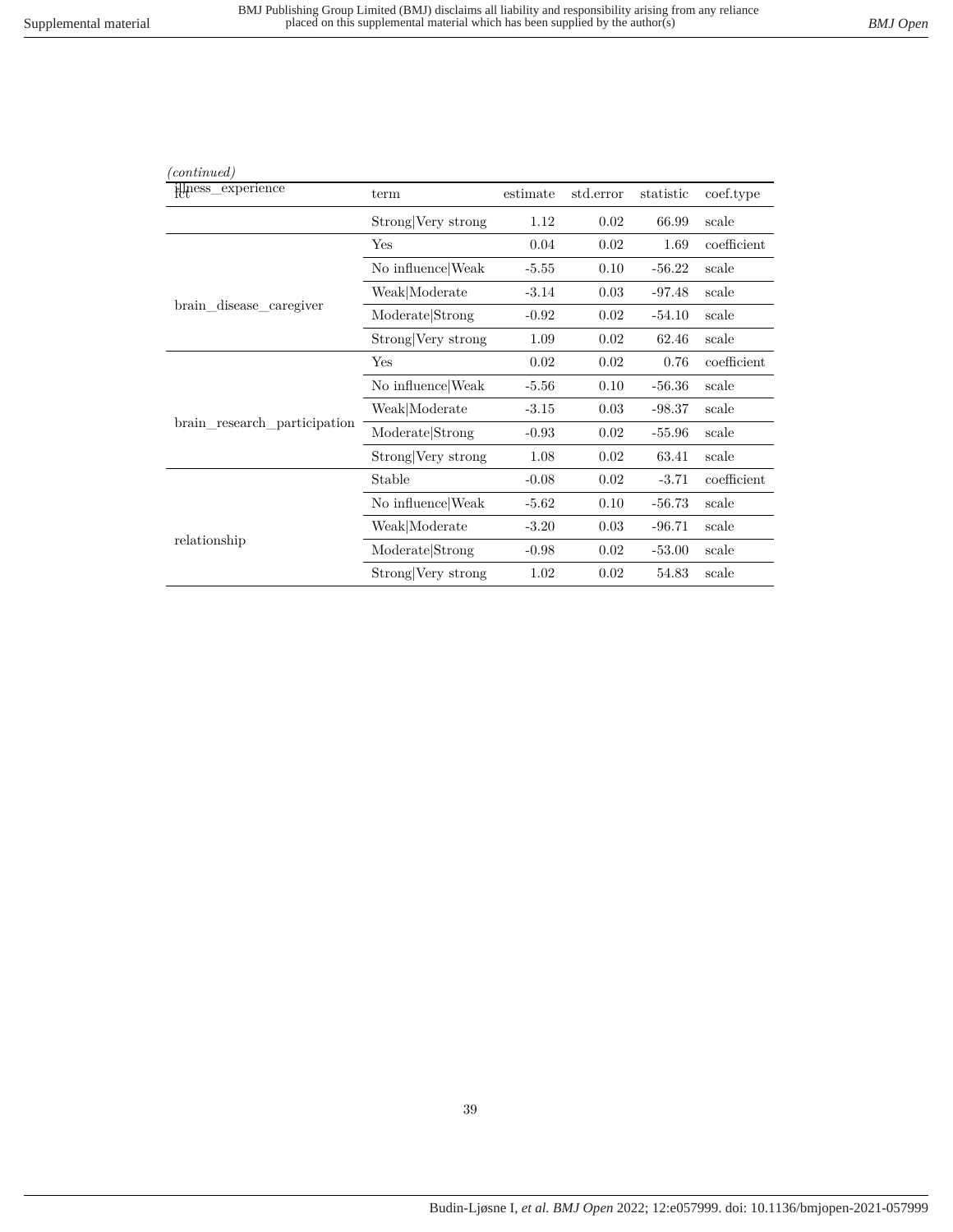| (continued)                  |                    |          |           |           |             |
|------------------------------|--------------------|----------|-----------|-----------|-------------|
| illness_experience           | term               | estimate | std.error | statistic | coef.type   |
|                              | Strong Very strong | 1.12     | 0.02      | 66.99     | scale       |
|                              | Yes                | 0.04     | 0.02      | 1.69      | coefficient |
|                              | No influence Weak  | $-5.55$  | 0.10      | $-56.22$  | scale       |
|                              | Weak Moderate      | $-3.14$  | 0.03      | $-97.48$  | scale       |
| brain_disease_caregiver      | Moderate Strong    | $-0.92$  | 0.02      | $-54.10$  | scale       |
|                              | Strong Very strong | 1.09     | 0.02      | 62.46     | scale       |
|                              | Yes                | 0.02     | 0.02      | 0.76      | coefficient |
|                              | No influence Weak  | $-5.56$  | 0.10      | $-56.36$  | scale       |
|                              | Weak Moderate      | $-3.15$  | 0.03      | $-98.37$  | scale       |
| brain research participation | Moderate Strong    | $-0.93$  | 0.02      | $-55.96$  | scale       |
|                              | Strong Very strong | 1.08     | 0.02      | 63.41     | scale       |
|                              | Stable             | $-0.08$  | 0.02      | $-3.71$   | coefficient |
|                              | No influence Weak  | $-5.62$  | 0.10      | $-56.73$  | scale       |
|                              | Weak Moderate      | $-3.20$  | 0.03      | $-96.71$  | scale       |
| relationship                 | Moderate Strong    | $-0.98$  | 0.02      | $-53.00$  | scale       |
|                              | Strong Very strong | 1.02     | 0.02      | 54.83     | scale       |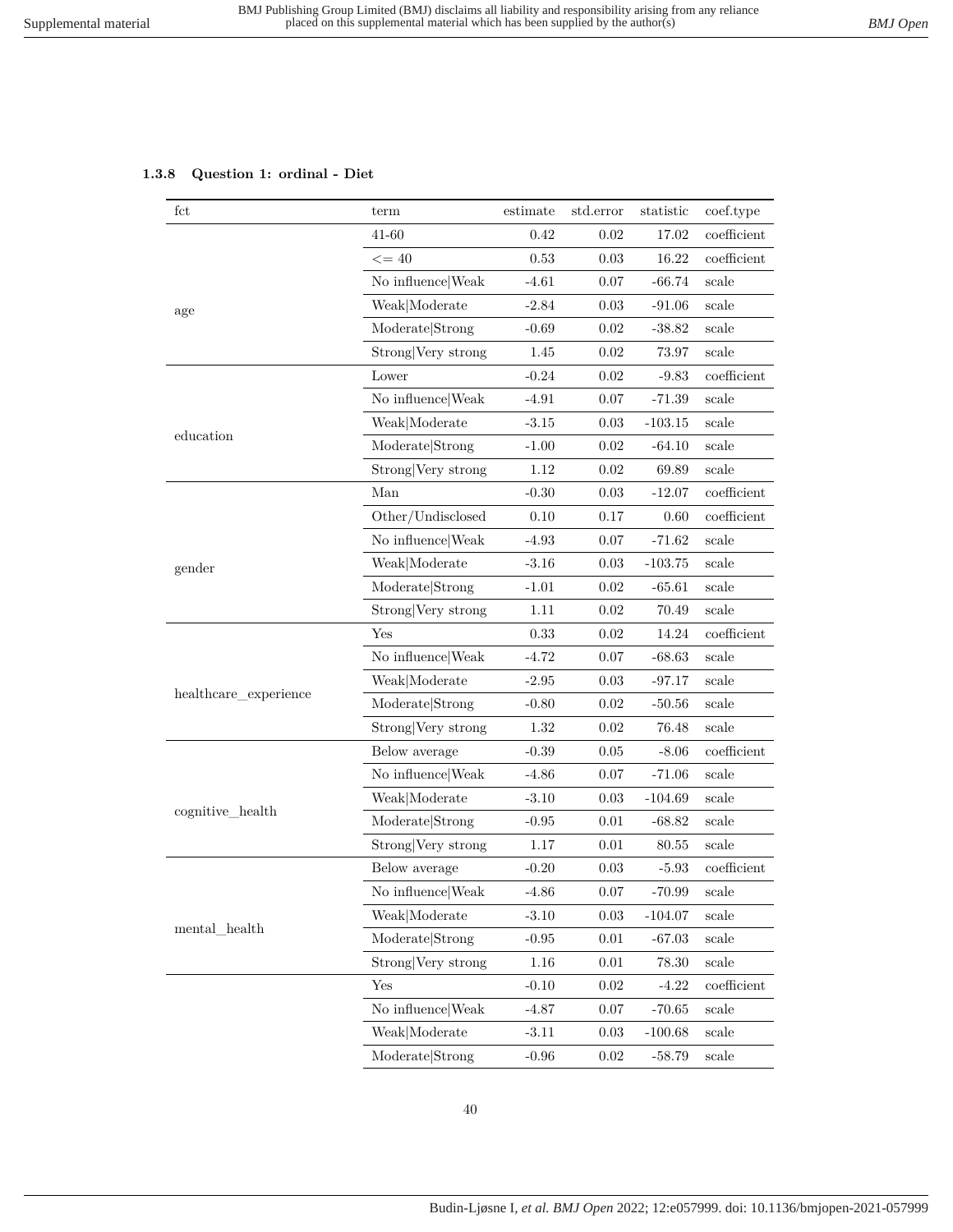# **1.3.8 Question 1: ordinal - Diet**

| fct                   | term               | estimate | std.error | statistic | coef.type     |
|-----------------------|--------------------|----------|-----------|-----------|---------------|
|                       | 41-60              | 0.42     | 0.02      | 17.02     | coefficient   |
|                       | $\leq$ = 40        | 0.53     | 0.03      | 16.22     | $coefficient$ |
|                       | No influence Weak  | $-4.61$  | 0.07      | $-66.74$  | scale         |
| age                   | Weak Moderate      | $-2.84$  | 0.03      | $-91.06$  | scale         |
|                       | Moderate Strong    | $-0.69$  | 0.02      | $-38.82$  | scale         |
|                       | Strong Very strong | 1.45     | 0.02      | 73.97     | scale         |
|                       | Lower              | $-0.24$  | 0.02      | $-9.83$   | coefficient   |
|                       | No influence Weak  | $-4.91$  | 0.07      | $-71.39$  | scale         |
|                       | Weak Moderate      | $-3.15$  | 0.03      | $-103.15$ | scale         |
| education             | Moderate Strong    | $-1.00$  | 0.02      | $-64.10$  | scale         |
|                       | Strong Very strong | 1.12     | 0.02      | 69.89     | scale         |
|                       | Man                | $-0.30$  | 0.03      | $-12.07$  | coefficient   |
|                       | Other/Undisclosed  | 0.10     | 0.17      | 0.60      | coefficient   |
|                       | No influence Weak  | $-4.93$  | 0.07      | $-71.62$  | scale         |
| gender                | Weak Moderate      | $-3.16$  | 0.03      | $-103.75$ | scale         |
|                       | Moderate Strong    | $-1.01$  | 0.02      | $-65.61$  | scale         |
|                       | Strong Very strong | 1.11     | 0.02      | 70.49     | scale         |
|                       | Yes                | 0.33     | 0.02      | 14.24     | coefficient   |
|                       | No influence Weak  | $-4.72$  | 0.07      | $-68.63$  | scale         |
|                       | Weak Moderate      | $-2.95$  | 0.03      | $-97.17$  | scale         |
| healthcare_experience | Moderate Strong    | $-0.80$  | 0.02      | $-50.56$  | scale         |
|                       | Strong Very strong | 1.32     | $0.02\,$  | 76.48     | scale         |
|                       | Below average      | $-0.39$  | 0.05      | $-8.06$   | $coefficient$ |
|                       | No influence Weak  | $-4.86$  | 0.07      | $-71.06$  | scale         |
|                       | Weak Moderate      | $-3.10$  | 0.03      | $-104.69$ | scale         |
| cognitive_health      | Moderate Strong    | $-0.95$  | 0.01      | $-68.82$  | scale         |
|                       | Strong Very strong | 1.17     | 0.01      | 80.55     | scale         |
|                       | Below average      | $-0.20$  | 0.03      | $-5.93$   | coefficient   |
|                       | No influence Weak  | $-4.86$  | 0.07      | $-70.99$  | scale         |
|                       | Weak Moderate      | $-3.10$  | 0.03      | $-104.07$ | scale         |
| mental_health         | Moderate Strong    | $-0.95$  | 0.01      | $-67.03$  | scale         |
|                       | Strong Very strong | $1.16\,$ | 0.01      | 78.30     | scale         |
|                       | Yes                | $-0.10$  | $0.02\,$  | $-4.22$   | coefficient   |
|                       | No influence Weak  | $-4.87$  | 0.07      | $-70.65$  | scale         |
|                       | Weak Moderate      | $-3.11$  | $0.03\,$  | $-100.68$ | scale         |
|                       | Moderate Strong    | $-0.96$  | 0.02      | $-58.79$  | scale         |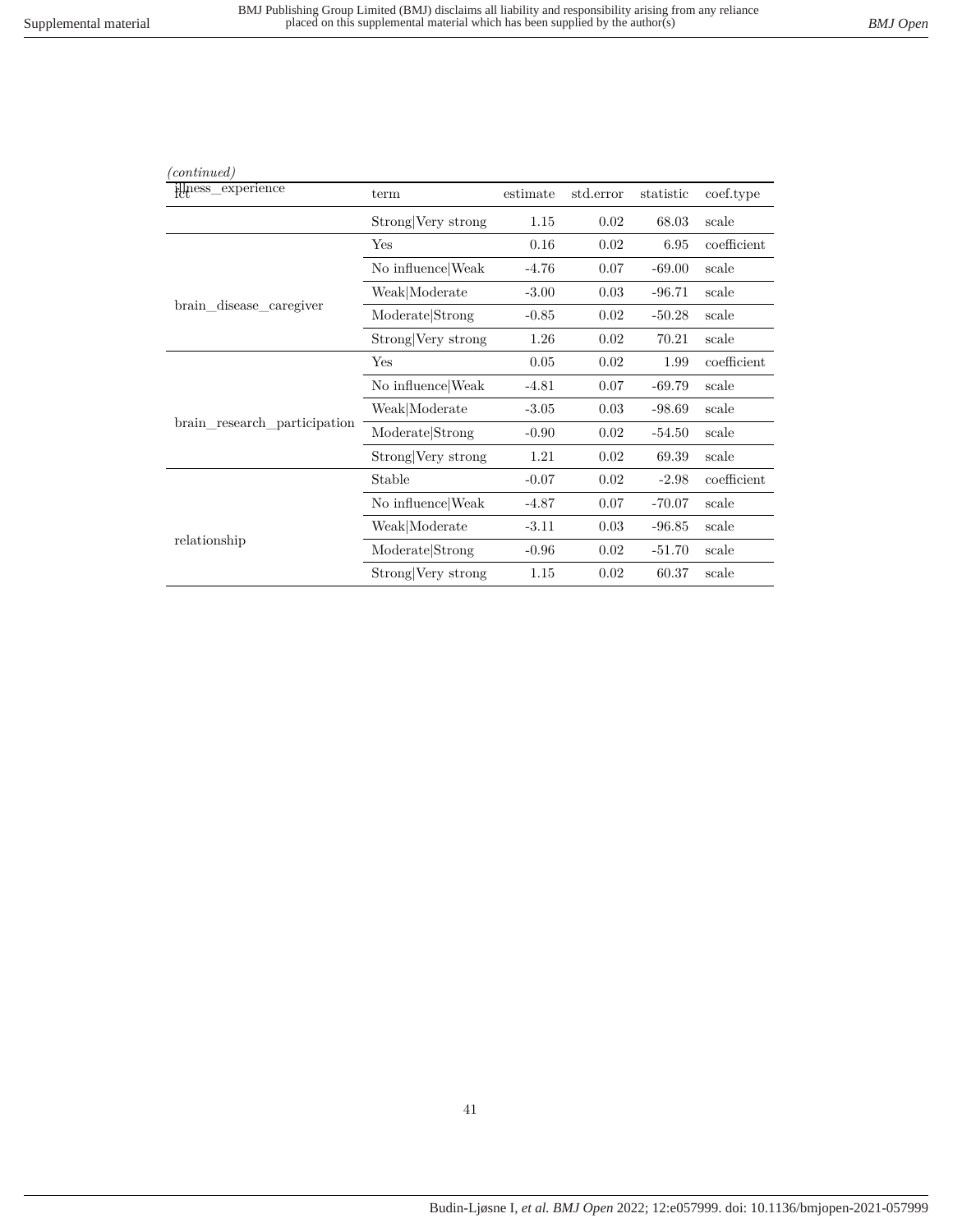| (continued)                  |                    |          |           |           |             |
|------------------------------|--------------------|----------|-----------|-----------|-------------|
| illness_experience           | term               | estimate | std.error | statistic | coef.type   |
|                              | Strong Very strong | 1.15     | 0.02      | 68.03     | scale       |
|                              | Yes                | 0.16     | 0.02      | 6.95      | coefficient |
|                              | No influence Weak  | $-4.76$  | 0.07      | $-69.00$  | scale       |
|                              | Weak Moderate      | $-3.00$  | 0.03      | $-96.71$  | scale       |
| brain disease caregiver      | Moderate Strong    | $-0.85$  | 0.02      | $-50.28$  | scale       |
|                              | Strong Very strong | 1.26     | 0.02      | 70.21     | scale       |
|                              | Yes                | 0.05     | 0.02      | 1.99      | coefficient |
|                              | No influence Weak  | $-4.81$  | 0.07      | $-69.79$  | scale       |
|                              | Weak Moderate      | $-3.05$  | 0.03      | $-98.69$  | scale       |
| brain research participation | Moderate Strong    | $-0.90$  | 0.02      | $-54.50$  | scale       |
|                              | Strong Very strong | 1.21     | 0.02      | 69.39     | scale       |
|                              | Stable             | $-0.07$  | 0.02      | $-2.98$   | coefficient |
|                              | No influence Weak  | $-4.87$  | 0.07      | $-70.07$  | scale       |
|                              | Weak Moderate      | $-3.11$  | 0.03      | $-96.85$  | scale       |
| relationship                 | Moderate Strong    | $-0.96$  | 0.02      | $-51.70$  | scale       |
|                              | Strong Very strong | 1.15     | 0.02      | 60.37     | scale       |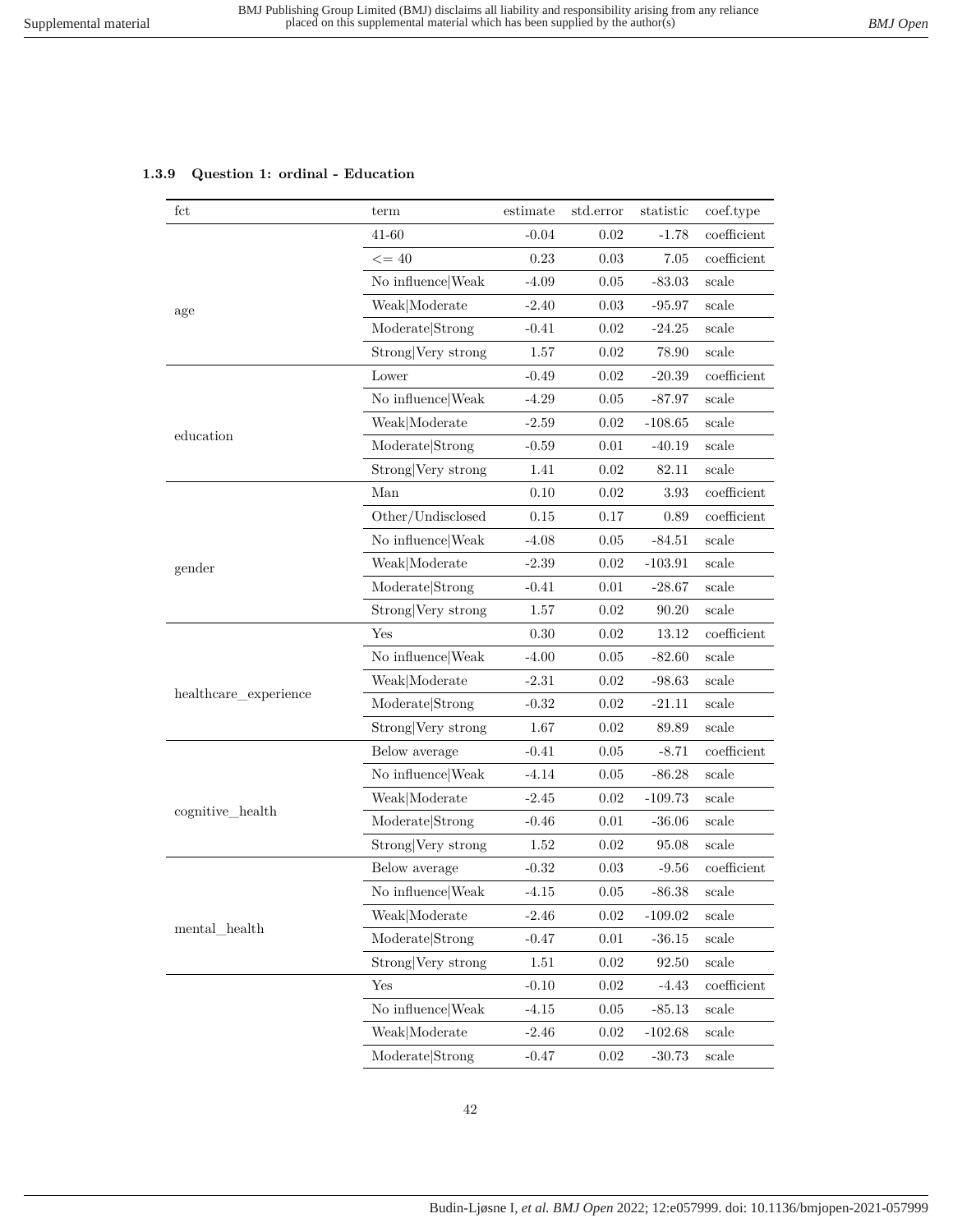## **1.3.9 Question 1: ordinal - Education**

| fct                   | term               | estimate | std.error | statistic | coef.type     |
|-----------------------|--------------------|----------|-----------|-----------|---------------|
|                       | 41-60              | $-0.04$  | 0.02      | $-1.78$   | coefficient   |
|                       | $\leq$ = 40        | 0.23     | $0.03\,$  | 7.05      | coefficient   |
|                       | No influence Weak  | $-4.09$  | 0.05      | $-83.03$  | scale         |
| age                   | Weak Moderate      | $-2.40$  | 0.03      | $-95.97$  | scale         |
|                       | Moderate Strong    | $-0.41$  | 0.02      | $-24.25$  | scale         |
|                       | Strong Very strong | 1.57     | $0.02\,$  | 78.90     | scale         |
|                       | Lower              | $-0.49$  | 0.02      | $-20.39$  | coefficient   |
|                       | No influence Weak  | $-4.29$  | 0.05      | $-87.97$  | scale         |
|                       | Weak Moderate      | $-2.59$  | 0.02      | $-108.65$ | scale         |
| education             | Moderate Strong    | $-0.59$  | 0.01      | $-40.19$  | scale         |
|                       | Strong Very strong | 1.41     | 0.02      | 82.11     | scale         |
|                       | Man                | 0.10     | $0.02\,$  | 3.93      | $coefficient$ |
|                       | Other/Undisclosed  | $0.15\,$ | 0.17      | 0.89      | coefficient   |
|                       | No influence Weak  | $-4.08$  | 0.05      | $-84.51$  | scale         |
| gender                | Weak Moderate      | $-2.39$  | 0.02      | $-103.91$ | scale         |
|                       | Moderate Strong    | $-0.41$  | 0.01      | $-28.67$  | scale         |
|                       | Strong Very strong | 1.57     | 0.02      | 90.20     | scale         |
|                       | Yes                | 0.30     | 0.02      | 13.12     | coefficient   |
|                       | No influence Weak  | $-4.00$  | 0.05      | $-82.60$  | scale         |
|                       | Weak Moderate      | $-2.31$  | 0.02      | $-98.63$  | scale         |
| healthcare_experience | Moderate Strong    | $-0.32$  | 0.02      | $-21.11$  | scale         |
|                       | Strong Very strong | 1.67     | 0.02      | 89.89     | scale         |
|                       | Below average      | $-0.41$  | 0.05      | $-8.71$   | $coefficient$ |
|                       | No influence Weak  | $-4.14$  | 0.05      | $-86.28$  | scale         |
|                       | Weak Moderate      | $-2.45$  | 0.02      | $-109.73$ | scale         |
| cognitive_health      | Moderate Strong    | $-0.46$  | 0.01      | $-36.06$  | scale         |
|                       | Strong Very strong | 1.52     | 0.02      | 95.08     | scale         |
|                       | Below average      | $-0.32$  | 0.03      | $-9.56$   | coefficient   |
|                       | No influence Weak  | $-4.15$  | 0.05      | -86.38    | scale         |
|                       | Weak Moderate      | $-2.46$  | $0.02\,$  | $-109.02$ | scale         |
| mental health         | Moderate Strong    | $-0.47$  | 0.01      | $-36.15$  | scale         |
|                       | Strong Very strong | $1.51\,$ | $0.02\,$  | 92.50     | scale         |
|                       | Yes                | $-0.10$  | 0.02      | $-4.43$   | coefficient   |
|                       | No influence Weak  | $-4.15$  | 0.05      | $-85.13$  | scale         |
|                       | Weak Moderate      | $-2.46$  | 0.02      | $-102.68$ | scale         |
|                       | Moderate Strong    | $-0.47$  | 0.02      | $-30.73$  | scale         |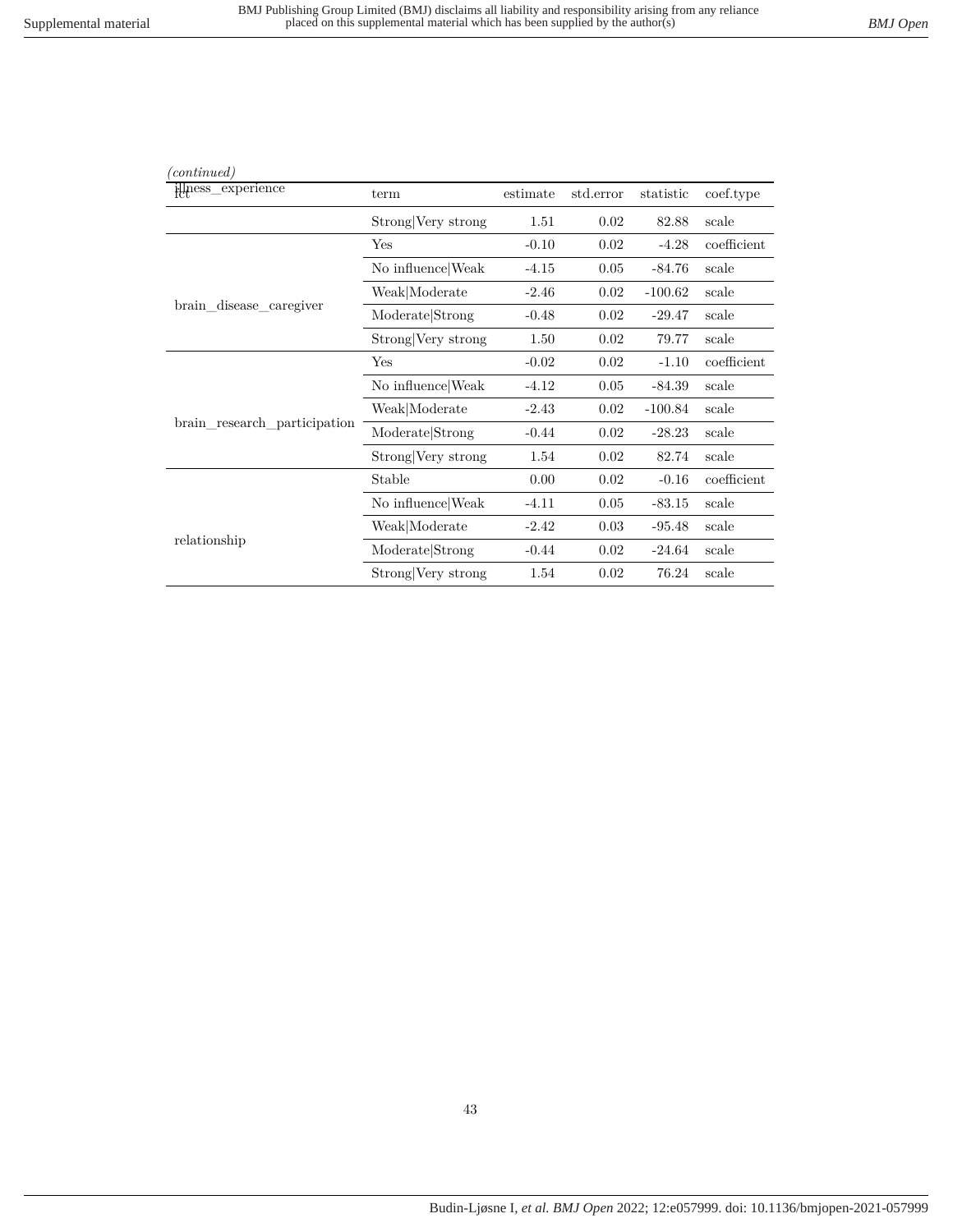| (continued)                  |                    |          |           |           |             |
|------------------------------|--------------------|----------|-----------|-----------|-------------|
| illness_experience           | term               | estimate | std.error | statistic | coef.type   |
|                              | Strong Very strong | 1.51     | 0.02      | 82.88     | scale       |
|                              | Yes                | $-0.10$  | 0.02      | $-4.28$   | coefficient |
|                              | No influence Weak  | $-4.15$  | 0.05      | $-84.76$  | scale       |
|                              | Weak Moderate      | $-2.46$  | 0.02      | $-100.62$ | scale       |
| brain_disease_caregiver      | Moderate Strong    | $-0.48$  | 0.02      | $-29.47$  | scale       |
|                              | Strong Very strong | 1.50     | 0.02      | 79.77     | scale       |
|                              | Yes                | $-0.02$  | 0.02      | $-1.10$   | coefficient |
|                              | No influence Weak  | $-4.12$  | 0.05      | $-84.39$  | scale       |
|                              | Weak Moderate      | $-2.43$  | 0.02      | $-100.84$ | scale       |
| brain_research_participation | Moderate Strong    | $-0.44$  | 0.02      | $-28.23$  | scale       |
|                              | Strong Very strong | 1.54     | 0.02      | 82.74     | scale       |
|                              | Stable             | 0.00     | 0.02      | $-0.16$   | coefficient |
|                              | No influence Weak  | $-4.11$  | 0.05      | $-83.15$  | scale       |
|                              | Weak Moderate      | $-2.42$  | 0.03      | $-95.48$  | scale       |
| relationship                 | Moderate Strong    | $-0.44$  | 0.02      | $-24.64$  | scale       |
|                              | Strong Very strong | 1.54     | 0.02      | 76.24     | scale       |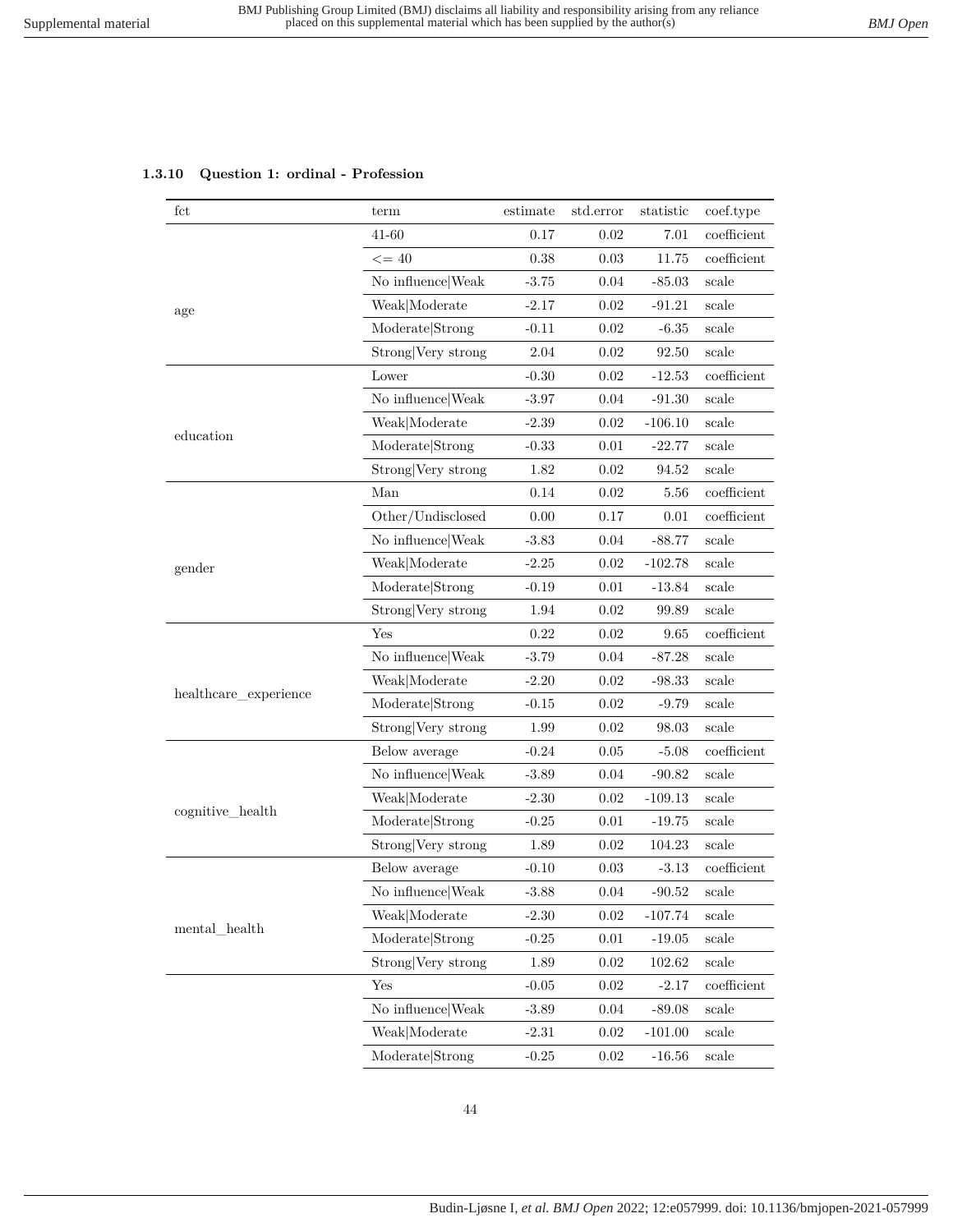# **1.3.10 Question 1: ordinal - Profession**

| fct                   | term               | estimate | std.error | statistic | coef.type     |
|-----------------------|--------------------|----------|-----------|-----------|---------------|
|                       | 41-60              | 0.17     | 0.02      | 7.01      | coefficient   |
|                       | $\leq$ = 40        | 0.38     | 0.03      | 11.75     | coefficient   |
|                       | No influence Weak  | $-3.75$  | 0.04      | $-85.03$  | scale         |
| age                   | Weak Moderate      | $-2.17$  | 0.02      | $-91.21$  | scale         |
|                       | Moderate Strong    | $-0.11$  | 0.02      | $-6.35$   | scale         |
|                       | Strong Very strong | 2.04     | 0.02      | 92.50     | scale         |
|                       | Lower              | $-0.30$  | 0.02      | $-12.53$  | coefficient   |
|                       | No influence Weak  | $-3.97$  | 0.04      | $-91.30$  | scale         |
|                       | Weak Moderate      | $-2.39$  | 0.02      | $-106.10$ | scale         |
| education             | Moderate Strong    | $-0.33$  | 0.01      | $-22.77$  | scale         |
|                       | Strong Very strong | 1.82     | 0.02      | 94.52     | scale         |
|                       | Man                | 0.14     | 0.02      | 5.56      | coefficient   |
|                       | Other/Undisclosed  | 0.00     | 0.17      | 0.01      | coefficient   |
|                       | No influence Weak  | $-3.83$  | 0.04      | $-88.77$  | scale         |
| gender                | Weak Moderate      | $-2.25$  | 0.02      | $-102.78$ | scale         |
|                       | Moderate Strong    | $-0.19$  | 0.01      | $-13.84$  | scale         |
|                       | Strong Very strong | 1.94     | 0.02      | 99.89     | scale         |
|                       | Yes                | 0.22     | 0.02      | 9.65      | coefficient   |
|                       | No influence Weak  | $-3.79$  | 0.04      | $-87.28$  | scale         |
|                       | Weak Moderate      | $-2.20$  | 0.02      | $-98.33$  | scale         |
| healthcare_experience | Moderate Strong    | $-0.15$  | 0.02      | $-9.79$   | scale         |
|                       | Strong Very strong | 1.99     | 0.02      | 98.03     | scale         |
|                       | Below average      | $-0.24$  | 0.05      | $-5.08$   | $coefficient$ |
|                       | No influence Weak  | $-3.89$  | 0.04      | $-90.82$  | scale         |
|                       | Weak Moderate      | $-2.30$  | 0.02      | $-109.13$ | scale         |
| cognitive_health      | Moderate Strong    | $-0.25$  | 0.01      | $-19.75$  | scale         |
|                       | Strong Very strong | 1.89     | 0.02      | 104.23    | scale         |
|                       | Below average      | $-0.10$  | 0.03      | $-3.13$   | coefficient   |
|                       | No influence Weak  | $-3.88$  | 0.04      | $-90.52$  | scale         |
|                       | Weak Moderate      | $-2.30$  | 0.02      | $-107.74$ | scale         |
| mental_health         | Moderate Strong    | $-0.25$  | 0.01      | $-19.05$  | scale         |
|                       | Strong Very strong | 1.89     | 0.02      | 102.62    | scale         |
|                       | Yes                | $-0.05$  | $0.02\,$  | $-2.17$   | coefficient   |
|                       | No influence Weak  | $-3.89$  | 0.04      | $-89.08$  | scale         |
|                       | Weak Moderate      | $-2.31$  | $0.02\,$  | $-101.00$ | scale         |
|                       | Moderate Strong    | $-0.25$  | 0.02      | $-16.56$  | scale         |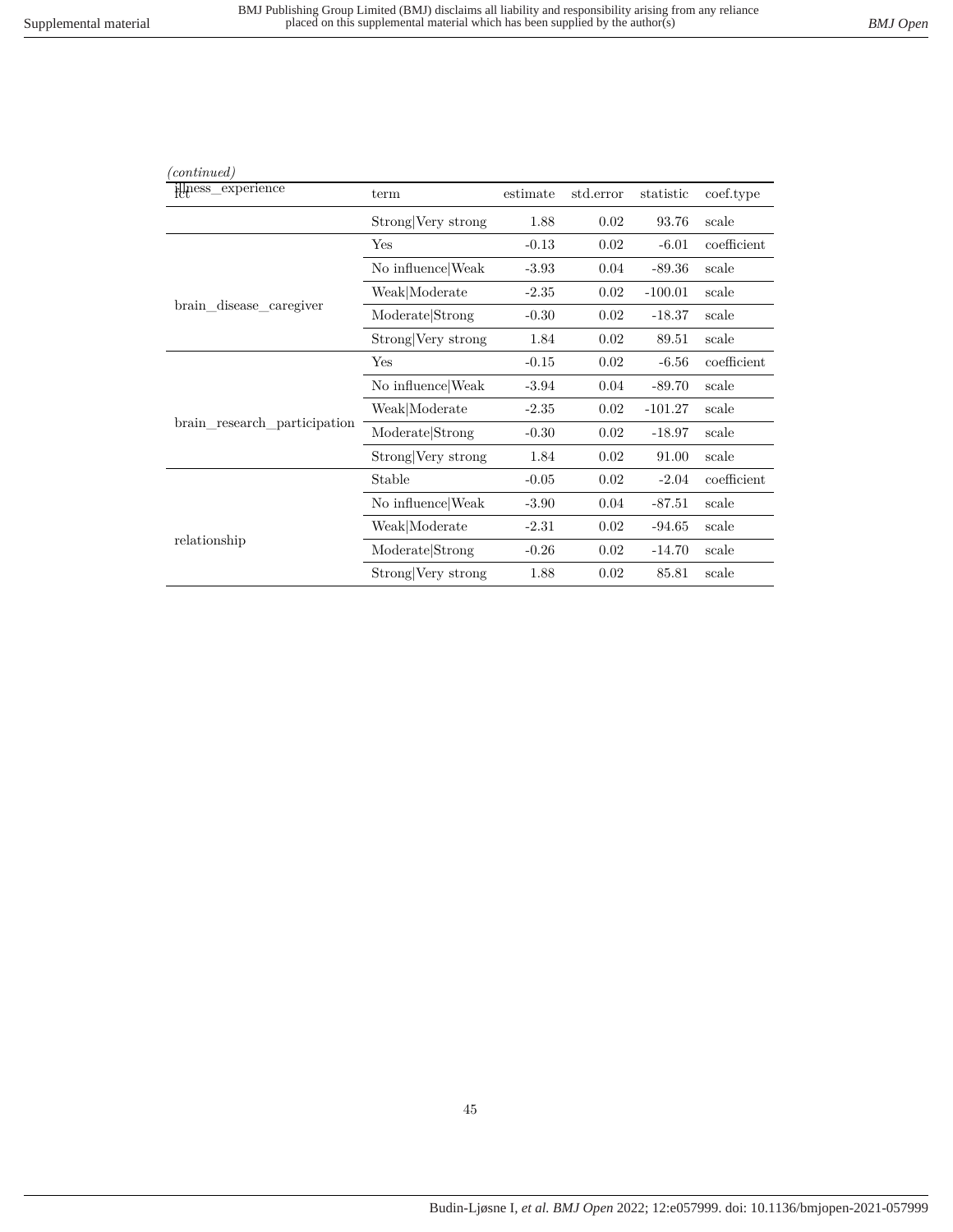| (continued)                  |                    |          |           |           |             |
|------------------------------|--------------------|----------|-----------|-----------|-------------|
| illness_experience           | term               | estimate | std.error | statistic | coef.type   |
|                              | Strong Very strong | 1.88     | 0.02      | 93.76     | scale       |
|                              | Yes                | $-0.13$  | 0.02      | $-6.01$   | coefficient |
|                              | No influence Weak  | $-3.93$  | 0.04      | $-89.36$  | scale       |
|                              | Weak Moderate      | $-2.35$  | 0.02      | $-100.01$ | scale       |
| brain_disease_caregiver      | Moderate Strong    | $-0.30$  | 0.02      | $-18.37$  | scale       |
|                              | Strong Very strong | 1.84     | 0.02      | 89.51     | scale       |
|                              | Yes                | $-0.15$  | 0.02      | $-6.56$   | coefficient |
|                              | No influence Weak  | $-3.94$  | 0.04      | $-89.70$  | scale       |
|                              | Weak Moderate      | $-2.35$  | 0.02      | $-101.27$ | scale       |
| brain research participation | Moderate Strong    | $-0.30$  | 0.02      | $-18.97$  | scale       |
|                              | Strong Very strong | 1.84     | 0.02      | 91.00     | scale       |
|                              | Stable             | $-0.05$  | 0.02      | $-2.04$   | coefficient |
|                              | No influence Weak  | $-3.90$  | 0.04      | $-87.51$  | scale       |
|                              | Weak Moderate      | $-2.31$  | 0.02      | $-94.65$  | scale       |
| relationship                 | Moderate Strong    | $-0.26$  | 0.02      | $-14.70$  | scale       |
|                              | Strong Very strong | 1.88     | 0.02      | 85.81     | scale       |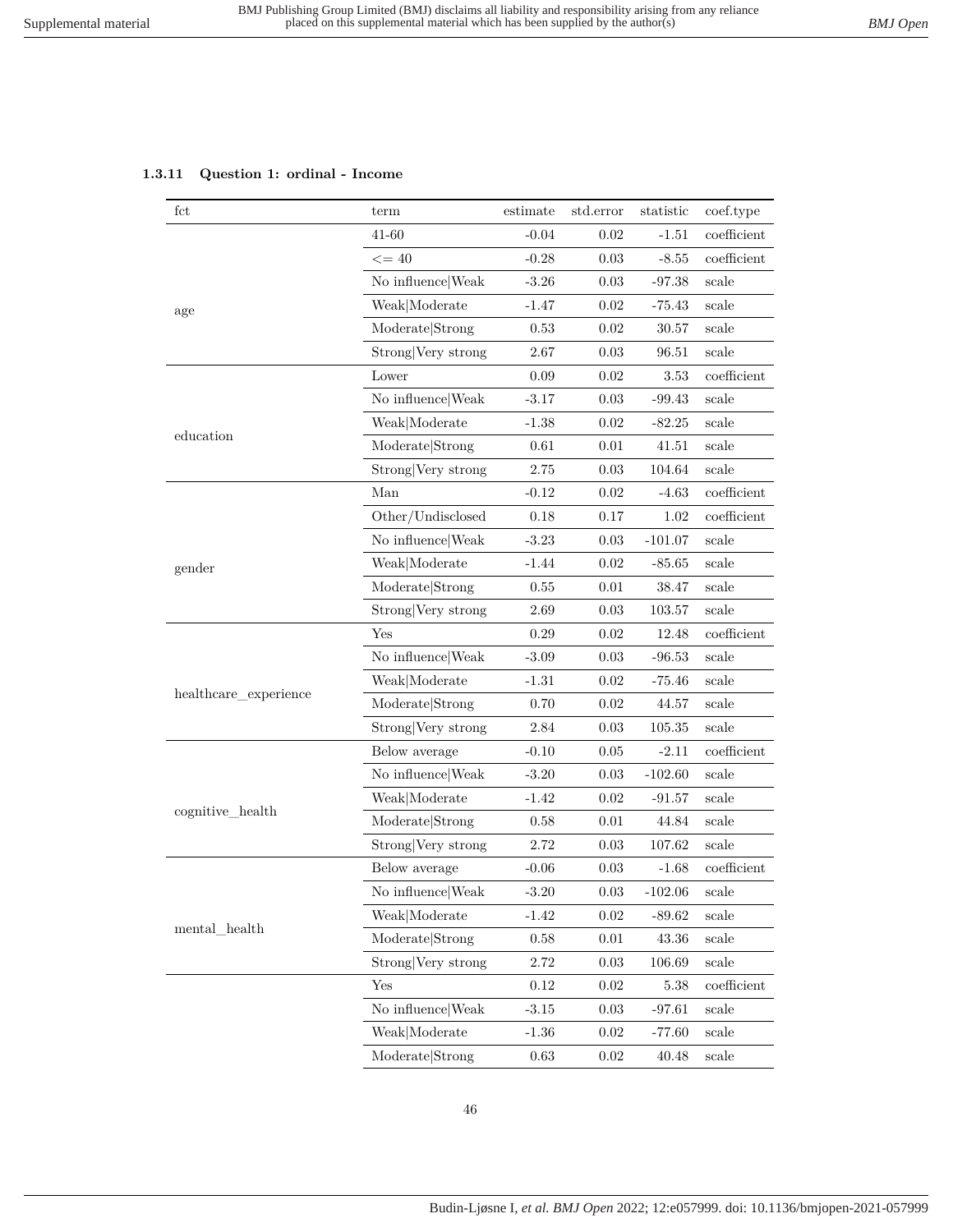## **1.3.11 Question 1: ordinal - Income**

| fct                       | term               | estimate | std.error | statistic | coef.type      |
|---------------------------|--------------------|----------|-----------|-----------|----------------|
|                           | 41-60              | $-0.04$  | 0.02      | $-1.51$   | coefficient    |
|                           | $\leq$ = 40        | $-0.28$  | 0.03      | $-8.55$   | coefficient    |
|                           | No influence Weak  | $-3.26$  | 0.03      | $-97.38$  | scale          |
| age                       | Weak Moderate      | $-1.47$  | $0.02\,$  | $-75.43$  | scale          |
|                           | Moderate Strong    | 0.53     | 0.02      | 30.57     | scale          |
|                           | Strong Very strong | 2.67     | $0.03\,$  | 96.51     | scale          |
|                           | Lower              | 0.09     | 0.02      | 3.53      | coefficient    |
|                           | No influence Weak  | $-3.17$  | 0.03      | $-99.43$  | $_{\rm scale}$ |
|                           | Weak Moderate      | $-1.38$  | 0.02      | $-82.25$  | scale          |
| education                 | Moderate Strong    | 0.61     | 0.01      | 41.51     | scale          |
|                           | Strong Very strong | 2.75     | 0.03      | 104.64    | scale          |
|                           | Man                | $-0.12$  | 0.02      | $-4.63$   | coefficient    |
|                           | Other/Undisclosed  | 0.18     | 0.17      | 1.02      | coefficient    |
|                           | No influence Weak  | $-3.23$  | $0.03\,$  | $-101.07$ | scale          |
| gender                    | Weak Moderate      | $-1.44$  | 0.02      | $-85.65$  | scale          |
|                           | Moderate Strong    | 0.55     | 0.01      | 38.47     | scale          |
|                           | Strong Very strong | 2.69     | 0.03      | 103.57    | scale          |
|                           | Yes                | 0.29     | 0.02      | 12.48     | coefficient    |
|                           | No influence Weak  | $-3.09$  | 0.03      | $-96.53$  | scale          |
|                           | Weak Moderate      | $-1.31$  | $0.02\,$  | $-75.46$  | scale          |
| healthcare_experience     | Moderate Strong    | 0.70     | 0.02      | 44.57     | scale          |
|                           | Strong Very strong | 2.84     | $0.03\,$  | 105.35    | scale          |
|                           | Below average      | $-0.10$  | 0.05      | $-2.11$   | coefficient    |
|                           | No influence Weak  | $-3.20$  | 0.03      | $-102.60$ | scale          |
|                           | Weak Moderate      | $-1.42$  | 0.02      | $-91.57$  | scale          |
| cognitive_health          | Moderate Strong    | 0.58     | 0.01      | 44.84     | scale          |
|                           | Strong Very strong | 2.72     | 0.03      | 107.62    | scale          |
|                           | Below average      | $-0.06$  | 0.03      | $-1.68$   | coefficient    |
|                           | No influence Weak  | $-3.20$  | 0.03      | $-102.06$ | $_{\rm scale}$ |
|                           | Weak Moderate      | $-1.42$  | 0.02      | $-89.62$  | scale          |
| $\mathrm{mental\_health}$ | Moderate Strong    | 0.58     | $0.01\,$  | 43.36     | scale          |
|                           | Strong Very strong | 2.72     | 0.03      | 106.69    | $_{\rm scale}$ |
|                           | Yes                | 0.12     | $0.02\,$  | 5.38      | coefficient    |
|                           | No influence Weak  | $-3.15$  | $0.03\,$  | $-97.61$  | scale          |
|                           | Weak Moderate      | $-1.36$  | $0.02\,$  | $-77.60$  | scale          |
|                           | Moderate Strong    | 0.63     | 0.02      | 40.48     | scale          |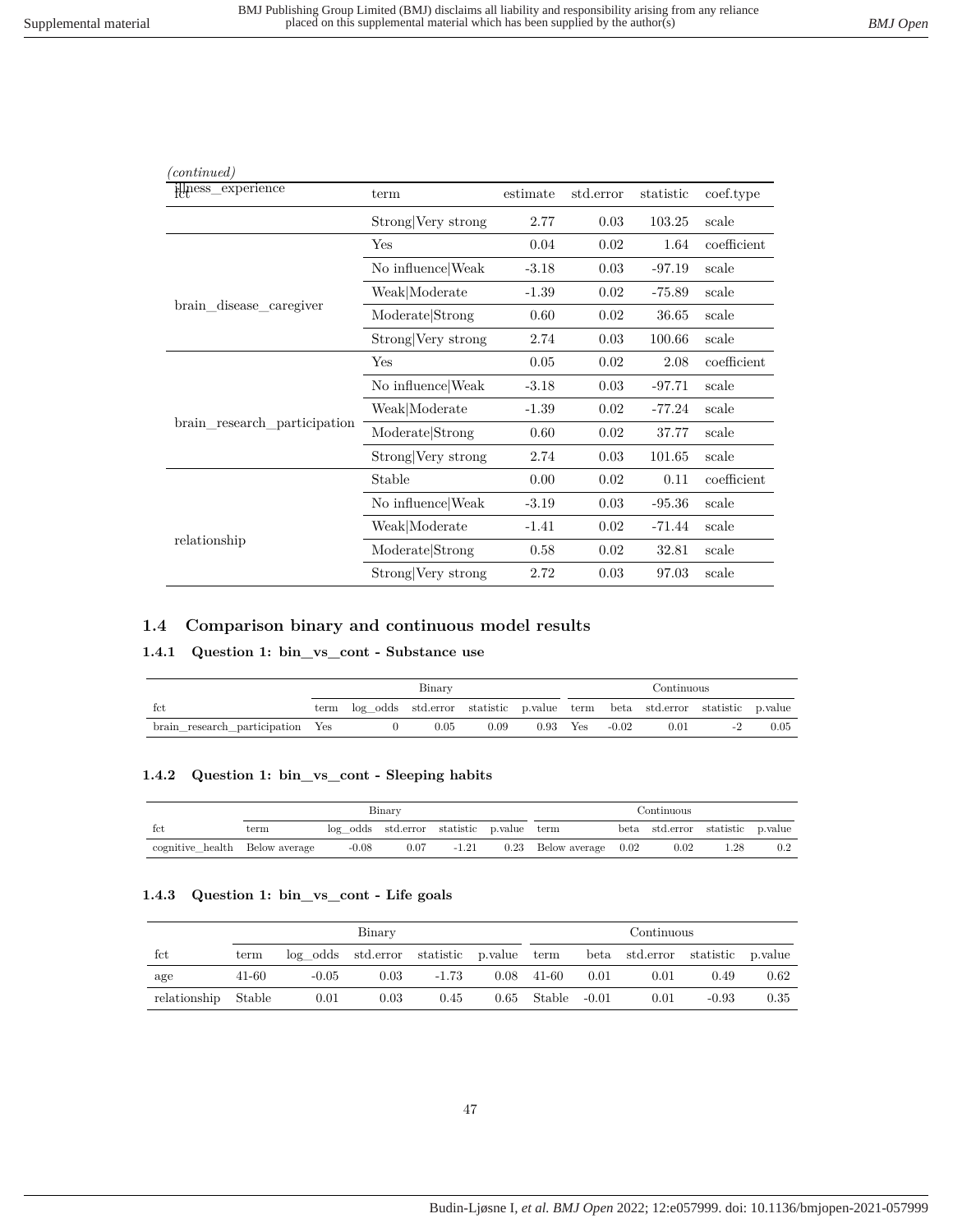| (continued)                  |                    |          |           |           |             |
|------------------------------|--------------------|----------|-----------|-----------|-------------|
| illness_experience           | term               | estimate | std.error | statistic | coef.type   |
|                              | Strong Very strong | 2.77     | 0.03      | 103.25    | scale       |
|                              | Yes                | 0.04     | 0.02      | 1.64      | coefficient |
|                              | No influence Weak  | $-3.18$  | 0.03      | $-97.19$  | scale       |
|                              | Weak Moderate      | $-1.39$  | 0.02      | $-75.89$  | scale       |
| brain disease caregiver      | Moderate Strong    | 0.60     | 0.02      | 36.65     | scale       |
|                              | Strong Very strong | 2.74     | 0.03      | 100.66    | scale       |
|                              | Yes                | 0.05     | 0.02      | 2.08      | coefficient |
|                              | No influence Weak  | $-3.18$  | 0.03      | $-97.71$  | scale       |
|                              | Weak Moderate      | $-1.39$  | 0.02      | $-77.24$  | scale       |
| brain research participation | Moderate Strong    | 0.60     | 0.02      | 37.77     | scale       |
|                              | Strong Very strong | 2.74     | 0.03      | 101.65    | scale       |
|                              | Stable             | 0.00     | 0.02      | 0.11      | coefficient |
|                              | No influence Weak  | $-3.19$  | 0.03      | $-95.36$  | scale       |
|                              | Weak Moderate      | $-1.41$  | 0.02      | $-71.44$  | scale       |
| relationship                 | Moderate Strong    | 0.58     | 0.02      | 32.81     | scale       |
|                              | Strong Very strong | 2.72     | 0.03      | 97.03     | scale       |

## **1.4 Comparison binary and continuous model results**

#### **1.4.1 Question 1: bin\_vs\_cont - Substance use**

|                                  | Binary |                                                                            |      |      | Continuous |         |      |      |
|----------------------------------|--------|----------------------------------------------------------------------------|------|------|------------|---------|------|------|
| fct                              | term   | log odds std.error statistic p.value term beta std.error statistic p.value |      |      |            |         |      |      |
| brain research participation Yes |        |                                                                            | 0.05 | 0.09 | $0.93$ Yes | $-0.02$ | 0.01 | 0.05 |

#### **1.4.2 Question 1: bin\_vs\_cont - Sleeping habits**

|                                | Binary |                                           |      |         |  | Continuous                  |  |                                  |      |         |
|--------------------------------|--------|-------------------------------------------|------|---------|--|-----------------------------|--|----------------------------------|------|---------|
| fct                            | term   | log odds std.error statistic p.value term |      |         |  |                             |  | beta std.error statistic p.value |      |         |
| cognitive health Below average |        | $-0.08$                                   | 0.07 | $-1.21$ |  | $0.23$ Below average $0.02$ |  | 0.02                             | 1.28 | $0.2\,$ |

#### **1.4.3 Question 1: bin\_vs\_cont - Life goals**

|                     | Binary |         |                                           |         |      | Continuous   |      |                                  |         |      |
|---------------------|--------|---------|-------------------------------------------|---------|------|--------------|------|----------------------------------|---------|------|
| fct                 | term   |         | log odds std.error statistic p.value term |         |      |              |      | beta std.error statistic p.value |         |      |
| age                 | 41-60  | $-0.05$ | 0.03                                      | $-1.73$ | 0.08 | 41-60        | 0.01 | 0.01                             | 0.49    | 0.62 |
| relationship Stable |        | 0.01    | 0.03                                      | 0.45    | 0.65 | Stable -0.01 |      | 0.01                             | $-0.93$ | 0.35 |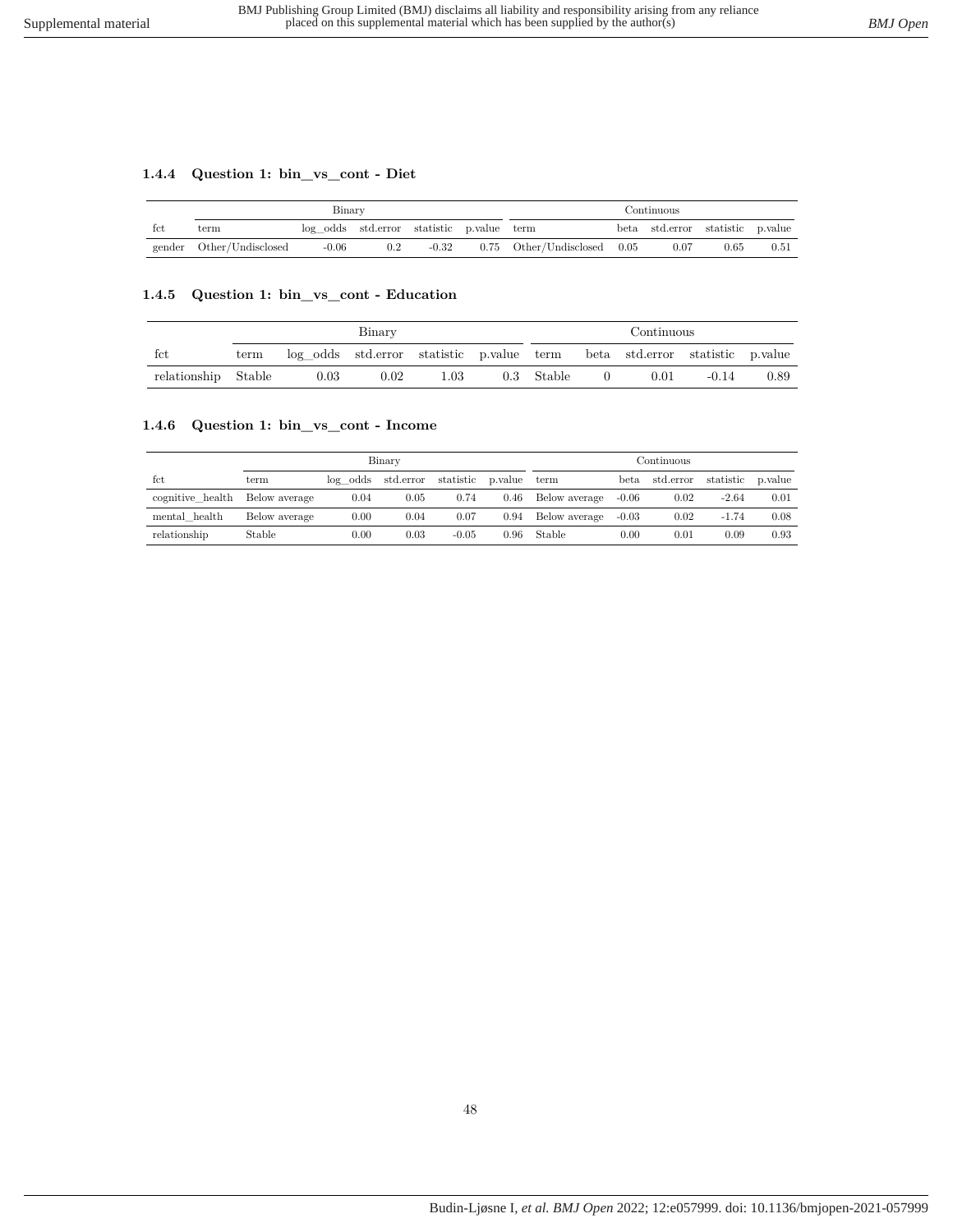# **1.4.4 Question 1: bin\_vs\_cont - Diet**

|        | Binary            |                                           |     |         |  | Continuous                      |  |                                  |      |      |
|--------|-------------------|-------------------------------------------|-----|---------|--|---------------------------------|--|----------------------------------|------|------|
| fct    | term              | log odds std.error statistic p.value term |     |         |  |                                 |  | beta std.error statistic p.value |      |      |
| gender | Other/Undisclosed | $-0.06$                                   | 0.2 | $-0.32$ |  | $0.75$ Other/Undisclosed $0.05$ |  | 0.07                             | 0.65 | 0.51 |

### **1.4.5 Question 1: bin\_vs\_cont - Education**

|                     | Binary |                                                                            |      |          |  | Continuous |  |      |         |      |
|---------------------|--------|----------------------------------------------------------------------------|------|----------|--|------------|--|------|---------|------|
| tct                 | term   | log odds std.error statistic p.value term beta std.error statistic p.value |      |          |  |            |  |      |         |      |
| relationship Stable |        | 0.03                                                                       | 0.02 | $1.03\,$ |  | 0.3 Stable |  | 0.01 | $-0.14$ | 0.89 |

## **1.4.6 Question 1: bin\_vs\_cont - Income**

|                                | Binary        |           |                    |           |         | Continuous    |           |           |           |          |
|--------------------------------|---------------|-----------|--------------------|-----------|---------|---------------|-----------|-----------|-----------|----------|
| fct                            | term          |           | log odds std.error | statistic | p.value | term          | beta      | std.error | statistic | p. value |
| cognitive health Below average |               | 0.04      | 0.05               | 0.74      | 0.46    | Below average | $-0.06$   | 0.02      | $-2.64$   | 0.01     |
| mental health                  | Below average | $0.00\,$  | 0.04               | 0.07      | 0.94    | Below average | $-0.03$   | 0.02      | $-1.74$   | 0.08     |
| relationship                   | Stable        | $_{0.00}$ | 0.03               | $-0.05$   | 0.96    | Stable        | $_{0.00}$ | 0.01      | 0.09      | 0.93     |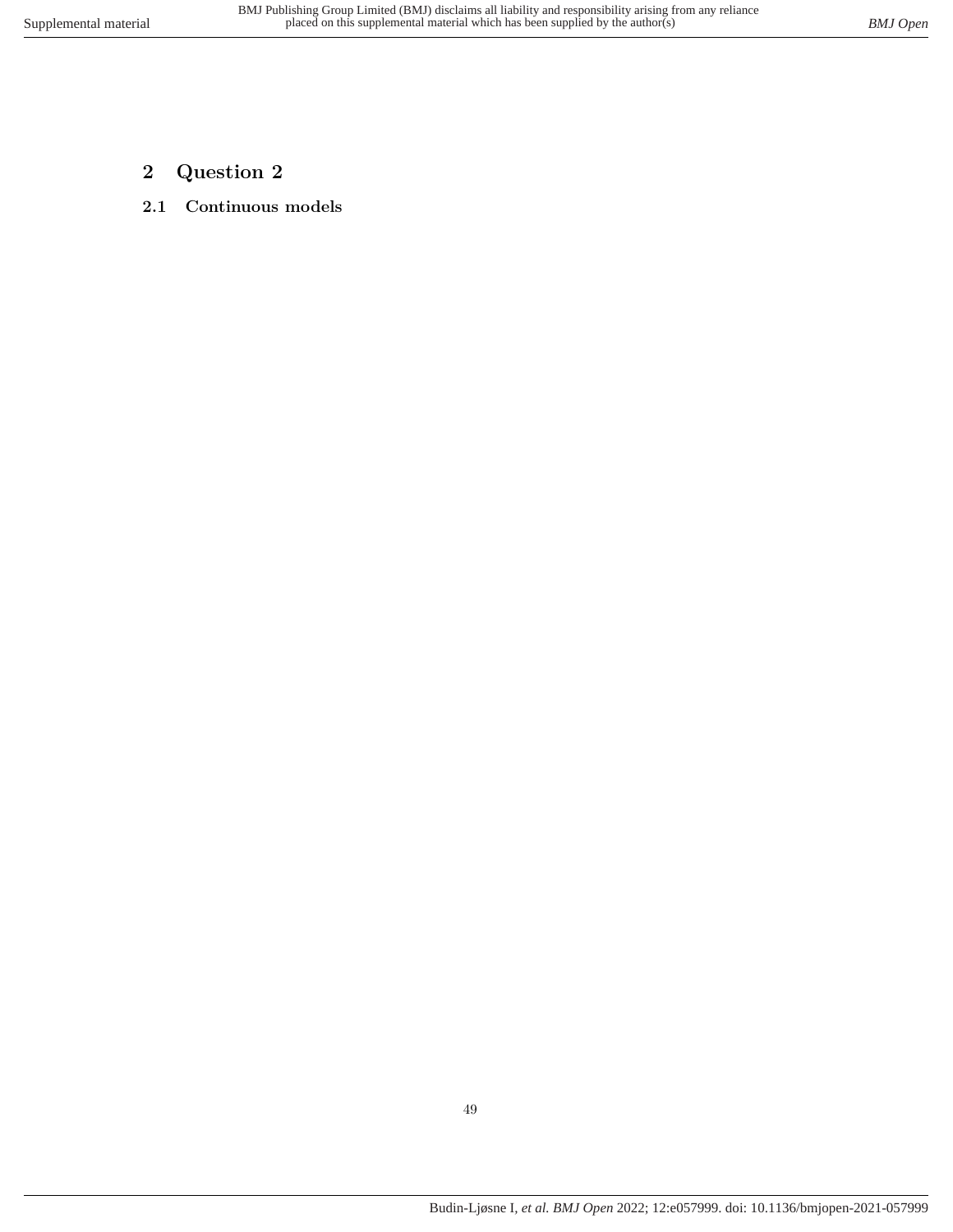- **2 Question 2**
- **2.1 Continuous models**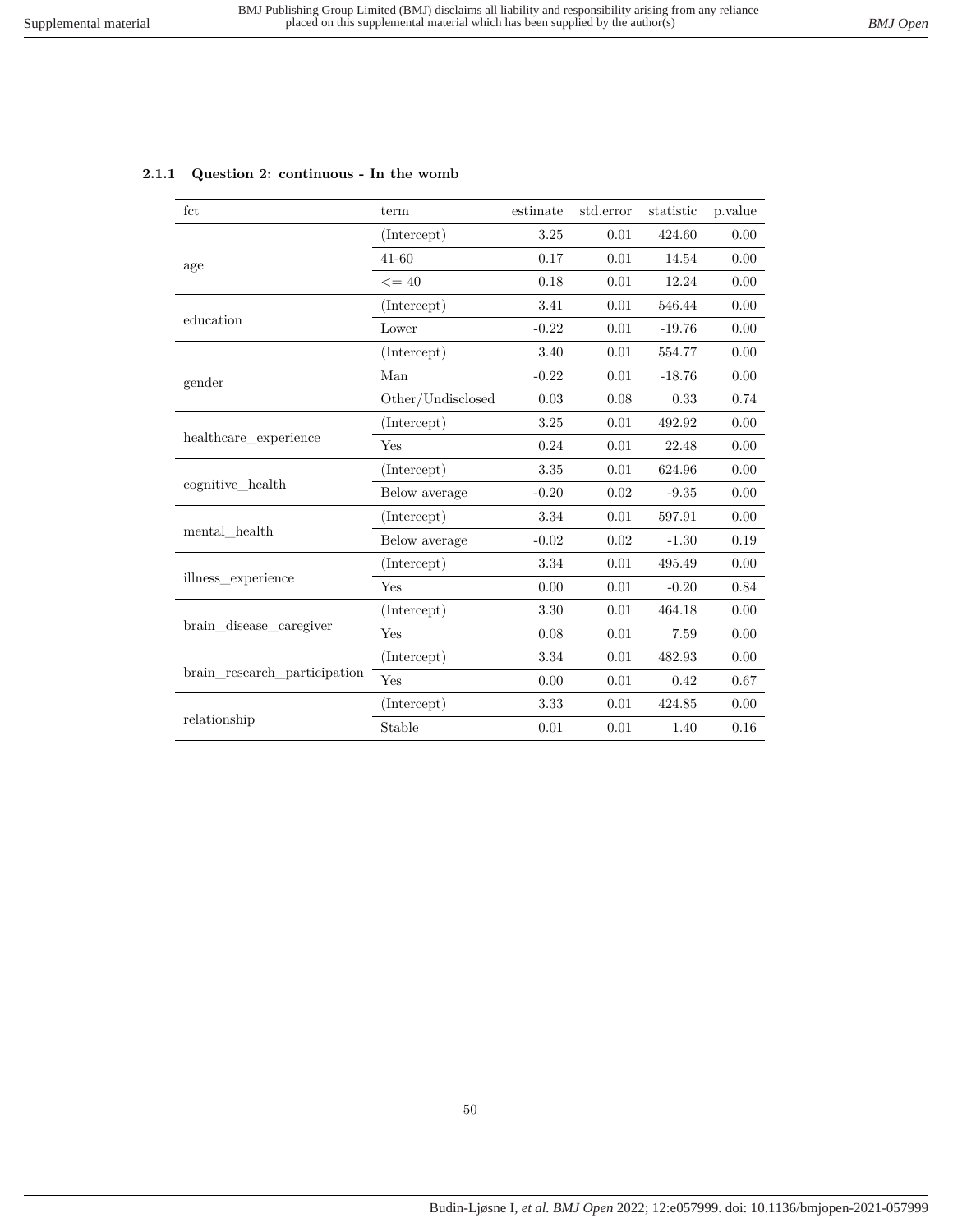| fct                          | term              | estimate | std.error | statistic | p.value |
|------------------------------|-------------------|----------|-----------|-----------|---------|
|                              | (Intercept)       | 3.25     | 0.01      | 424.60    | 0.00    |
| age                          | 41-60             | 0.17     | 0.01      | 14.54     | 0.00    |
|                              | $\leq$ = 40       | 0.18     | 0.01      | 12.24     | 0.00    |
|                              | (Intercept)       | 3.41     | 0.01      | 546.44    | 0.00    |
| education                    | Lower             | $-0.22$  | 0.01      | $-19.76$  | 0.00    |
|                              | (Intercept)       | 3.40     | 0.01      | 554.77    | 0.00    |
| gender                       | Man               | $-0.22$  | 0.01      | $-18.76$  | 0.00    |
|                              | Other/Undisclosed | 0.03     | 0.08      | 0.33      | 0.74    |
|                              | (Intercept)       | 3.25     | 0.01      | 492.92    | 0.00    |
| healthcare experience        | Yes               | 0.24     | 0.01      | 22.48     | 0.00    |
|                              | (Intercept)       | 3.35     | 0.01      | 624.96    | 0.00    |
| cognitive_health             | Below average     | $-0.20$  | 0.02      | $-9.35$   | 0.00    |
|                              | (Intercept)       | 3.34     | 0.01      | 597.91    | 0.00    |
| mental health                | Below average     | $-0.02$  | 0.02      | $-1.30$   | 0.19    |
|                              | (Intercept)       | 3.34     | 0.01      | 495.49    | 0.00    |
| illness experience           | Yes               | 0.00     | 0.01      | $-0.20$   | 0.84    |
|                              | (Intercept)       | 3.30     | 0.01      | 464.18    | 0.00    |
| brain_disease_caregiver      | Yes               | 0.08     | 0.01      | 7.59      | 0.00    |
|                              | (Intercept)       | $\!.34$  | 0.01      | 482.93    | 0.00    |
| brain research participation | Yes               | 0.00     | 0.01      | 0.42      | 0.67    |
|                              | (Intercept)       | 3.33     | 0.01      | 424.85    | 0.00    |
| relationship                 | Stable            | 0.01     | 0.01      | 1.40      | 0.16    |

#### **2.1.1 Question 2: continuous - In the womb**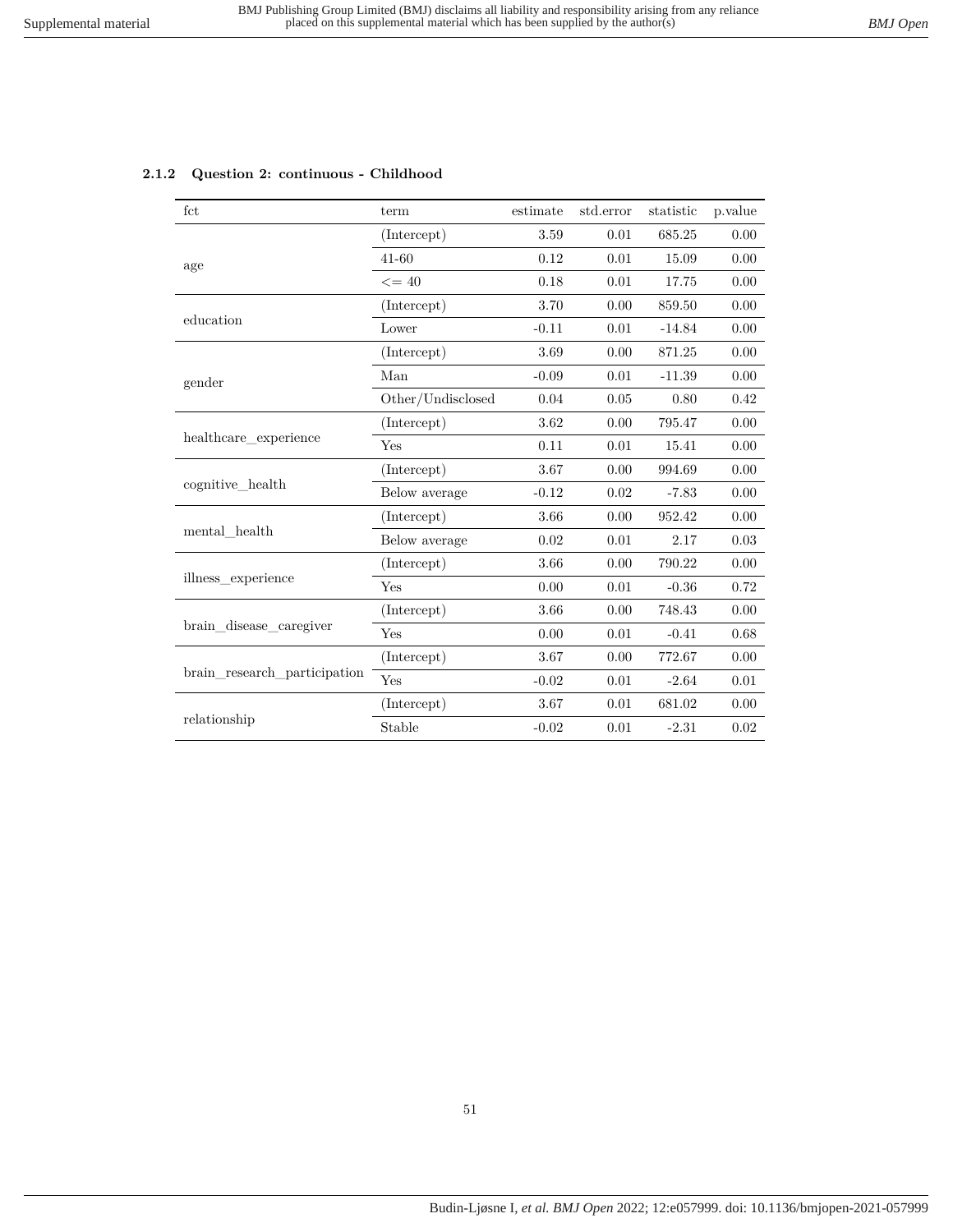| fct                          | term              | estimate | std.error | statistic | p.value  |
|------------------------------|-------------------|----------|-----------|-----------|----------|
|                              | (Intercept)       | 3.59     | 0.01      | 685.25    | 0.00     |
| age                          | $41 - 60$         | 0.12     | 0.01      | 15.09     | 0.00     |
|                              | $\leq$ = 40       | 0.18     | 0.01      | 17.75     | 0.00     |
|                              | (Intercept)       | 3.70     | 0.00      | 859.50    | 0.00     |
| education                    | Lower             | $-0.11$  | 0.01      | $-14.84$  | 0.00     |
|                              | (Intercept)       | 3.69     | 0.00      | 871.25    | 0.00     |
| gender                       | Man               | $-0.09$  | 0.01      | $-11.39$  | 0.00     |
|                              | Other/Undisclosed | 0.04     | 0.05      | 0.80      | 0.42     |
|                              | (Intercept)       | 3.62     | 0.00      | 795.47    | 0.00     |
| healthcare experience        | Yes               | 0.11     | 0.01      | 15.41     | 0.00     |
|                              | (Intercept)       | 3.67     | 0.00      | 994.69    | 0.00     |
| cognitive health             | Below average     | $-0.12$  | 0.02      | $-7.83$   | 0.00     |
|                              | (Intercept)       | 3.66     | 0.00      | 952.42    | 0.00     |
| mental health                | Below average     | 0.02     | 0.01      | 2.17      | 0.03     |
|                              | (Intercept)       | 3.66     | 0.00      | 790.22    | 0.00     |
| illness_experience           | Yes               | 0.00     | 0.01      | $-0.36$   | 0.72     |
|                              | (Intercept)       | 3.66     | 0.00      | 748.43    | 0.00     |
| brain disease caregiver      | Yes               | 0.00     | 0.01      | $-0.41$   | 0.68     |
|                              | (Intercept)       | 3.67     | 0.00      | 772.67    | 0.00     |
| brain research participation | Yes               | $-0.02$  | 0.01      | $-2.64$   | 0.01     |
|                              | (Intercept)       | 3.67     | 0.01      | 681.02    | 0.00     |
| relationship                 | Stable            | $-0.02$  | 0.01      | $-2.31$   | $0.02\,$ |

### **2.1.2 Question 2: continuous - Childhood**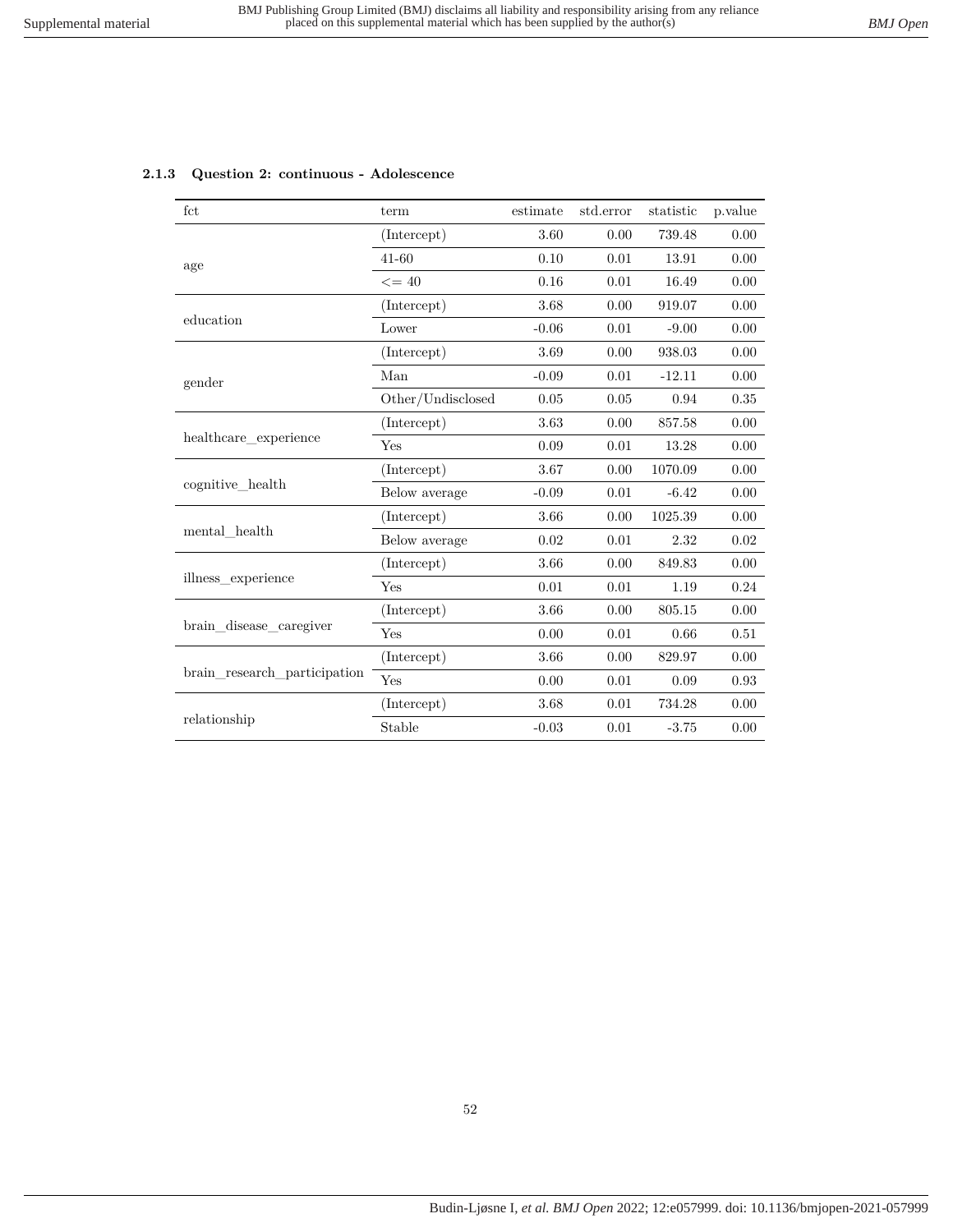| fct                          | term              | estimate | std.error | statistic | p.value |
|------------------------------|-------------------|----------|-----------|-----------|---------|
|                              | (Intercept)       | 3.60     | 0.00      | 739.48    | 0.00    |
| age                          | $41 - 60$         | 0.10     | 0.01      | 13.91     | 0.00    |
|                              | $\leq$ = 40       | 0.16     | 0.01      | 16.49     | 0.00    |
|                              | (Intercept)       | 3.68     | 0.00      | 919.07    | 0.00    |
| education                    | Lower             | $-0.06$  | 0.01      | $-9.00$   | 0.00    |
|                              | (Intercept)       | 3.69     | 0.00      | 938.03    | 0.00    |
| gender                       | Man               | $-0.09$  | 0.01      | $-12.11$  | 0.00    |
|                              | Other/Undisclosed | 0.05     | 0.05      | 0.94      | 0.35    |
|                              | (Intercept)       | 3.63     | 0.00      | 857.58    | 0.00    |
| healthcare experience        | Yes               | 0.09     | 0.01      | 13.28     | 0.00    |
|                              | (Intercept)       | 3.67     | 0.00      | 1070.09   | 0.00    |
| cognitive health             | Below average     | $-0.09$  | 0.01      | $-6.42$   | 0.00    |
|                              | (Intercept)       | 3.66     | 0.00      | 1025.39   | 0.00    |
| mental health                | Below average     | 0.02     | 0.01      | 2.32      | 0.02    |
|                              | (Intercept)       | 3.66     | 0.00      | 849.83    | 0.00    |
| illness experience           | Yes               | 0.01     | 0.01      | 1.19      | 0.24    |
|                              | (Intercept)       | 3.66     | 0.00      | 805.15    | 0.00    |
| brain disease caregiver      | Yes               | 0.00     | 0.01      | 0.66      | 0.51    |
|                              | (Intercept)       | 3.66     | 0.00      | 829.97    | 0.00    |
| brain_research_participation | Yes               | 0.00     | 0.01      | 0.09      | 0.93    |
|                              | (Intercept)       | 3.68     | 0.01      | 734.28    | 0.00    |
| relationship                 | Stable            | $-0.03$  | 0.01      | $-3.75$   | 0.00    |

#### **2.1.3 Question 2: continuous - Adolescence**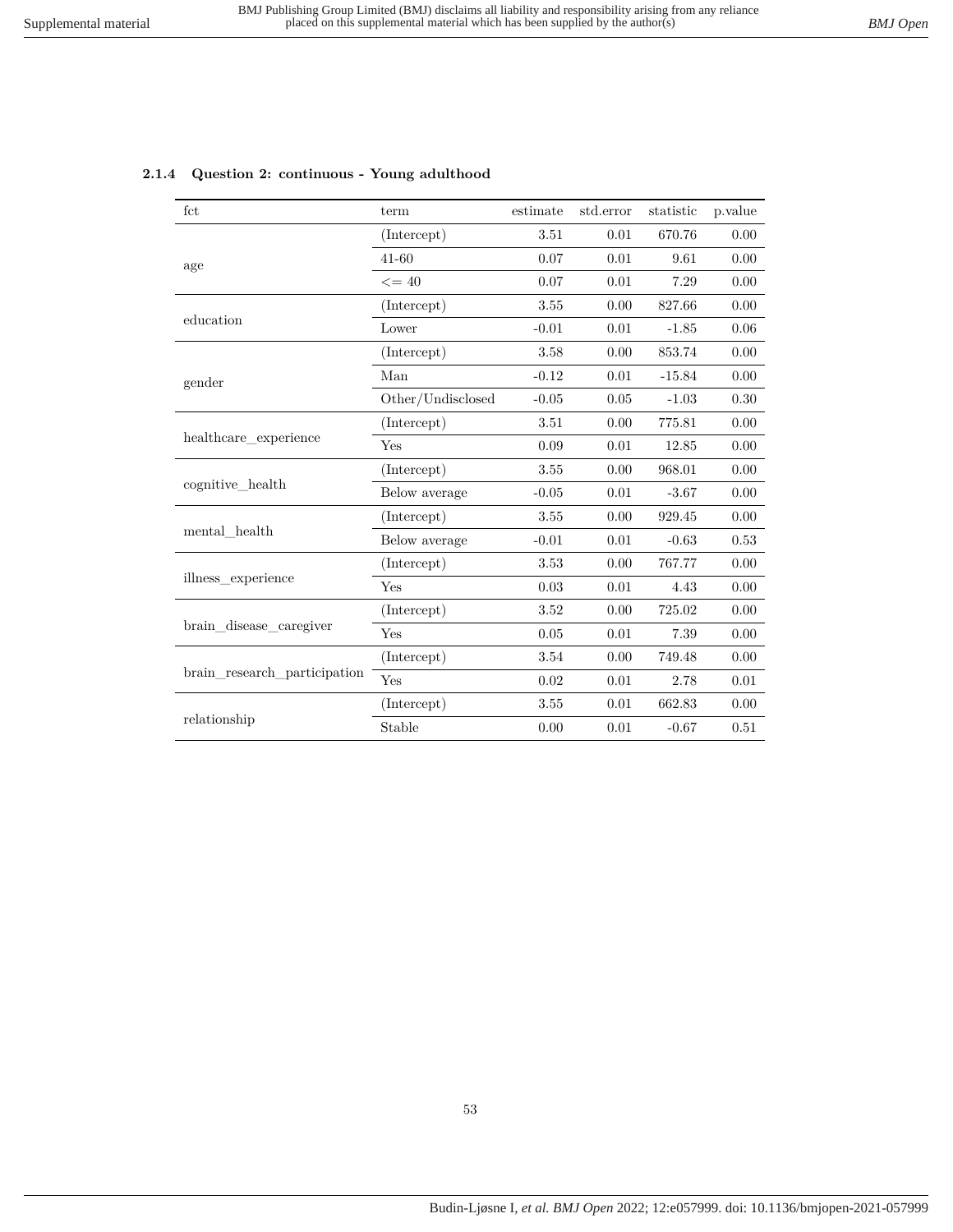| fct                          | term              | estimate | std.error | statistic | p.value |
|------------------------------|-------------------|----------|-----------|-----------|---------|
|                              | (Intercept)       | 3.51     | 0.01      | 670.76    | 0.00    |
| age                          | $41 - 60$         | 0.07     | 0.01      | 9.61      | 0.00    |
|                              | $\leq$ = 40       | $0.07\,$ | 0.01      | 7.29      | 0.00    |
|                              | (Intercept)       | 3.55     | 0.00      | 827.66    | 0.00    |
| education                    | Lower             | $-0.01$  | 0.01      | $-1.85$   | 0.06    |
|                              | (Intercept)       | 3.58     | 0.00      | 853.74    | 0.00    |
| gender                       | Man               | $-0.12$  | 0.01      | $-15.84$  | 0.00    |
|                              | Other/Undisclosed | $-0.05$  | 0.05      | $-1.03$   | 0.30    |
|                              | (Intercept)       | 3.51     | 0.00      | 775.81    | 0.00    |
| healthcare experience        | Yes               | 0.09     | 0.01      | 12.85     | 0.00    |
|                              | (Intercept)       | 3.55     | 0.00      | 968.01    | 0.00    |
| cognitive health             | Below average     | $-0.05$  | 0.01      | $-3.67$   | 0.00    |
|                              | (Intercept)       | 3.55     | 0.00      | 929.45    | 0.00    |
| mental health                | Below average     | $-0.01$  | 0.01      | $-0.63$   | 0.53    |
|                              | (Intercept)       | 3.53     | 0.00      | 767.77    | 0.00    |
| illness experience           | Yes               | 0.03     | 0.01      | 4.43      | 0.00    |
|                              | (Intercept)       | 3.52     | 0.00      | 725.02    | 0.00    |
| brain disease caregiver      | Yes               | 0.05     | 0.01      | 7.39      | 0.00    |
|                              | (Intercept)       | 3.54     | 0.00      | 749.48    | 0.00    |
| brain_research_participation | Yes               | 0.02     | 0.01      | 2.78      | 0.01    |
|                              | (Intercept)       | 3.55     | 0.01      | 662.83    | 0.00    |
| relationship                 | Stable            | 0.00     | 0.01      | $-0.67$   | 0.51    |

#### **2.1.4 Question 2: continuous - Young adulthood**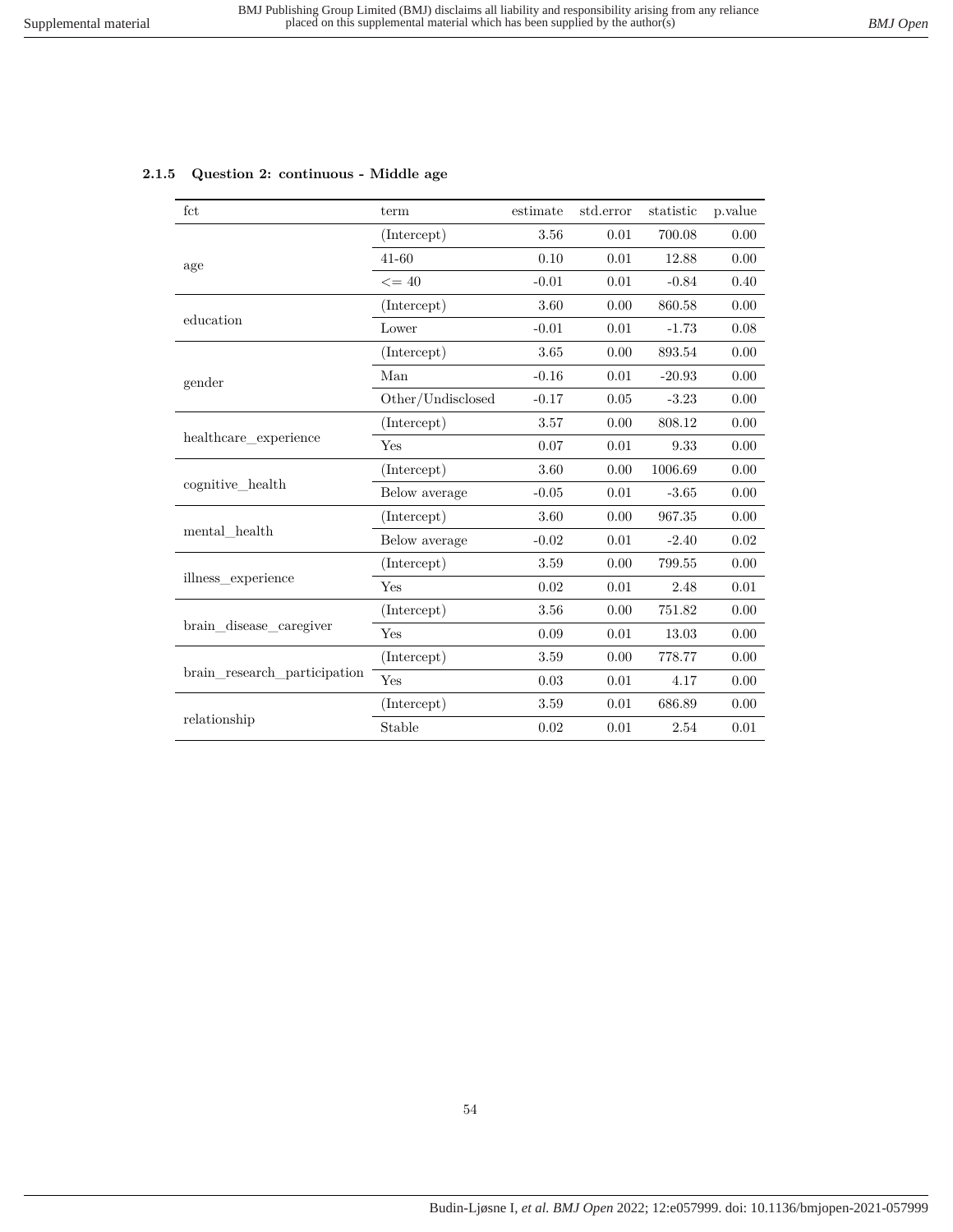|  | 2.1.5 Question 2: continuous - Middle age |
|--|-------------------------------------------|
|--|-------------------------------------------|

| fct                          | term              | estimate | std.error | statistic | p.value  |
|------------------------------|-------------------|----------|-----------|-----------|----------|
|                              | (Intercept)       | 3.56     | 0.01      | 700.08    | 0.00     |
| age                          | $41 - 60$         | 0.10     | 0.01      | 12.88     | 0.00     |
|                              | $\leq$ = 40       | $-0.01$  | $0.01\,$  | $-0.84$   | 0.40     |
|                              | (Intercept)       | 3.60     | 0.00      | 860.58    | 0.00     |
| education                    | Lower             | $-0.01$  | 0.01      | $-1.73$   | 0.08     |
|                              | (Intercept)       | 3.65     | 0.00      | 893.54    | 0.00     |
| gender                       | Man               | $-0.16$  | 0.01      | $-20.93$  | 0.00     |
|                              | Other/Undisclosed | $-0.17$  | 0.05      | $-3.23$   | 0.00     |
|                              | (Intercept)       | 3.57     | 0.00      | 808.12    | 0.00     |
| healthcare_experience        | Yes               | 0.07     | 0.01      | 9.33      | 0.00     |
|                              | (Intercept)       | 3.60     | 0.00      | 1006.69   | 0.00     |
| cognitive health             | Below average     | $-0.05$  | 0.01      | $-3.65$   | 0.00     |
|                              | (Intercept)       | 3.60     | 0.00      | 967.35    | $0.00\,$ |
| mental health                | Below average     | $-0.02$  | 0.01      | $-2.40$   | 0.02     |
|                              | (Intercept)       | 3.59     | 0.00      | 799.55    | 0.00     |
| illness experience           | Yes               | 0.02     | 0.01      | 2.48      | 0.01     |
|                              | (Intercept)       | 3.56     | 0.00      | 751.82    | 0.00     |
| brain disease caregiver      | Yes               | 0.09     | 0.01      | 13.03     | 0.00     |
|                              | (Intercept)       | 3.59     | 0.00      | 778.77    | 0.00     |
| brain research participation | Yes               | 0.03     | 0.01      | 4.17      | 0.00     |
|                              | (Intercept)       | 3.59     | 0.01      | 686.89    | 0.00     |
| relationship                 | Stable            | 0.02     | 0.01      | 2.54      | 0.01     |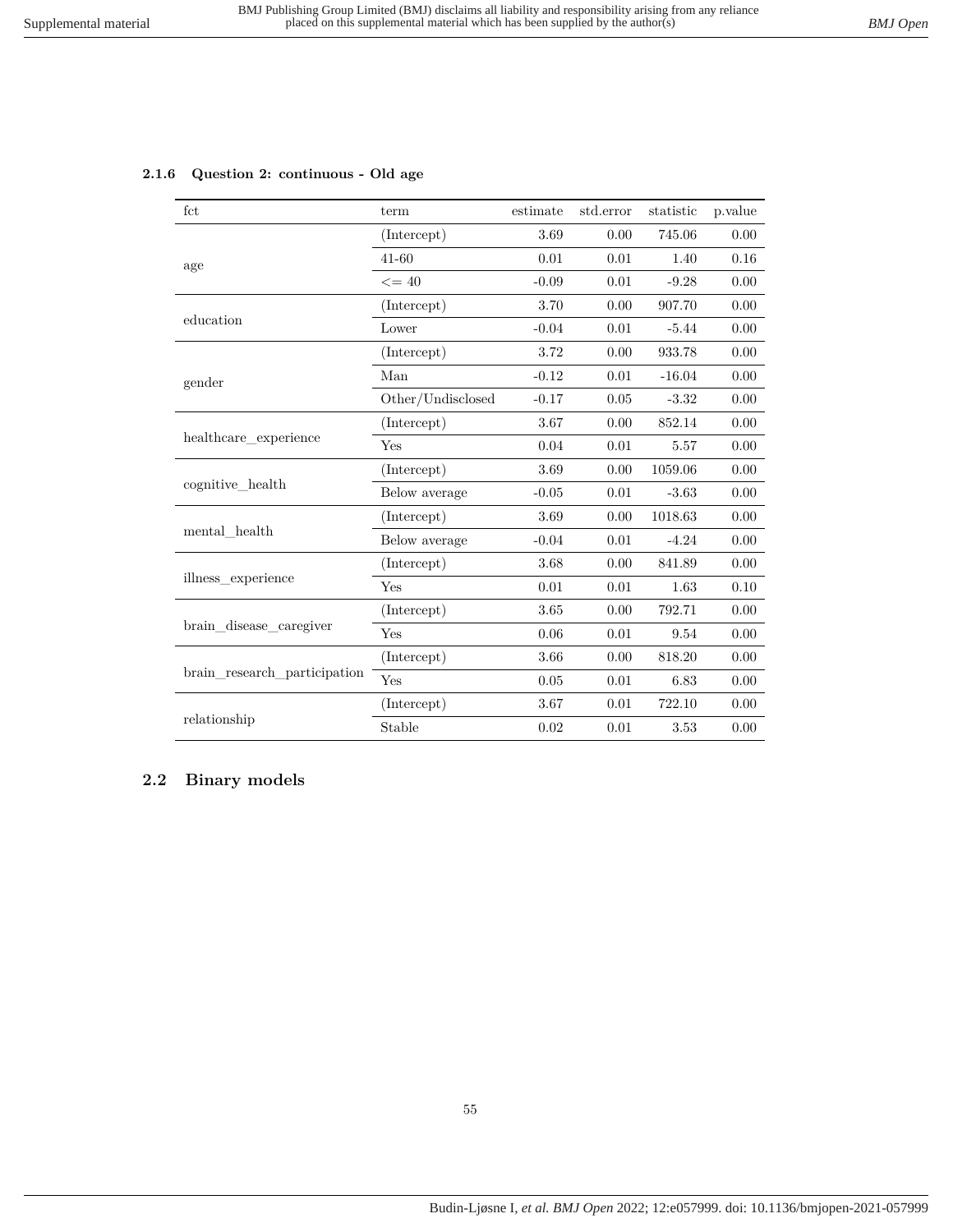| fct                          | term              | estimate | std.error | statistic | p.value |
|------------------------------|-------------------|----------|-----------|-----------|---------|
|                              | (Intercept)       | 3.69     | 0.00      | 745.06    | 0.00    |
| age                          | $41 - 60$         | 0.01     | 0.01      | 1.40      | 0.16    |
|                              | $\leq$ = 40       | $-0.09$  | 0.01      | $-9.28$   | 0.00    |
|                              | (Intercept)       | 3.70     | 0.00      | 907.70    | 0.00    |
| education                    | Lower             | $-0.04$  | 0.01      | $-5.44$   | 0.00    |
|                              | (Intercept)       | 3.72     | 0.00      | 933.78    | 0.00    |
| gender                       | Man               | $-0.12$  | 0.01      | $-16.04$  | 0.00    |
|                              | Other/Undisclosed | $-0.17$  | 0.05      | $-3.32$   | 0.00    |
|                              | (Intercept)       | 3.67     | 0.00      | 852.14    | 0.00    |
| healthcare experience        | Yes               | 0.04     | 0.01      | 5.57      | 0.00    |
|                              | (Intercept)       | 3.69     | 0.00      | 1059.06   | 0.00    |
| cognitive health             | Below average     | $-0.05$  | 0.01      | $-3.63$   | 0.00    |
|                              | (Intercept)       | 3.69     | 0.00      | 1018.63   | 0.00    |
| mental health                | Below average     | $-0.04$  | 0.01      | $-4.24$   | 0.00    |
|                              | (Intercept)       | 3.68     | 0.00      | 841.89    | 0.00    |
| illness experience           | Yes               | 0.01     | 0.01      | 1.63      | 0.10    |
|                              | (Intercept)       | 3.65     | 0.00      | 792.71    | 0.00    |
| brain disease caregiver      | Yes               | 0.06     | 0.01      | 9.54      | 0.00    |
|                              | (Intercept)       | 3.66     | 0.00      | 818.20    | 0.00    |
| brain research participation | Yes               | 0.05     | 0.01      | 6.83      | 0.00    |
|                              | (Intercept)       | 3.67     | 0.01      | 722.10    | 0.00    |
| relationship                 | Stable            | 0.02     | 0.01      | 3.53      | 0.00    |

### **2.1.6 Question 2: continuous - Old age**

# **2.2 Binary models**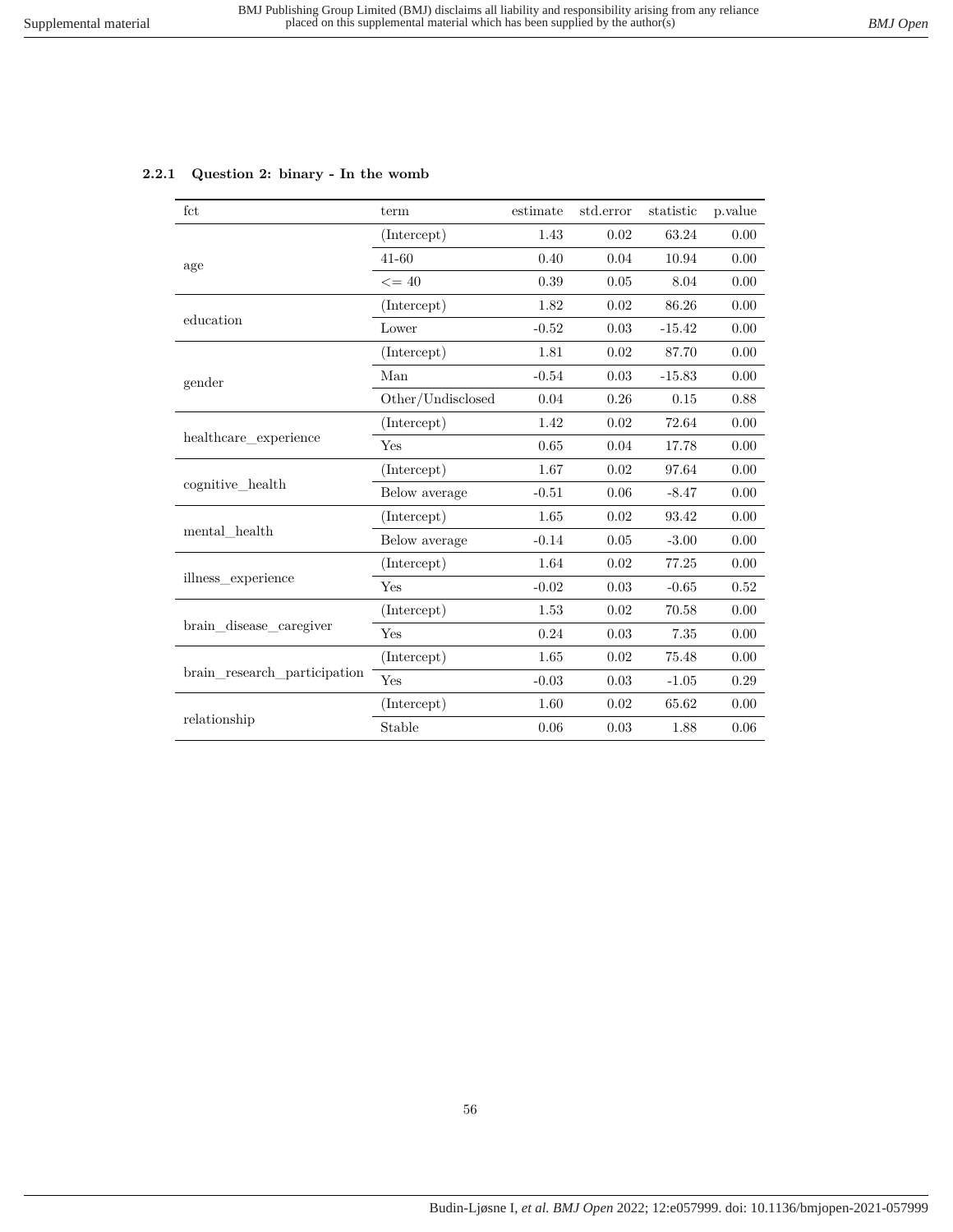| fct                          | term              | estimate | std.error | statistic | p.value |
|------------------------------|-------------------|----------|-----------|-----------|---------|
|                              | (Intercept)       | 1.43     | 0.02      | 63.24     | 0.00    |
| age                          | $41 - 60$         | 0.40     | 0.04      | 10.94     | 0.00    |
|                              | $\leq$ = 40       | 0.39     | 0.05      | 8.04      | 0.00    |
|                              | (Intercept)       | 1.82     | 0.02      | 86.26     | 0.00    |
| education                    | Lower             | $-0.52$  | 0.03      | $-15.42$  | 0.00    |
|                              | (Intercept)       | 1.81     | 0.02      | 87.70     | 0.00    |
| gender                       | Man               | $-0.54$  | 0.03      | $-15.83$  | 0.00    |
|                              | Other/Undisclosed | 0.04     | 0.26      | 0.15      | 0.88    |
|                              | (Intercept)       | 1.42     | 0.02      | 72.64     | 0.00    |
| healthcare experience        | Yes               | 0.65     | 0.04      | 17.78     | 0.00    |
|                              | (Intercept)       | 1.67     | 0.02      | 97.64     | 0.00    |
| cognitive health             | Below average     | $-0.51$  | 0.06      | $-8.47$   | 0.00    |
|                              | (Intercept)       | 1.65     | 0.02      | 93.42     | 0.00    |
| mental health                | Below average     | $-0.14$  | 0.05      | $-3.00$   | 0.00    |
|                              | (Intercept)       | 1.64     | 0.02      | 77.25     | 0.00    |
| illness experience           | Yes               | $-0.02$  | 0.03      | $-0.65$   | 0.52    |
|                              | (Intercept)       | 1.53     | 0.02      | 70.58     | 0.00    |
| brain disease caregiver      | Yes               | 0.24     | 0.03      | 7.35      | 0.00    |
| brain research participation | (Intercept)       | 1.65     | 0.02      | 75.48     | 0.00    |
|                              | Yes               | $-0.03$  | 0.03      | $-1.05$   | 0.29    |
|                              | (Intercept)       | 1.60     | 0.02      | $65.62\,$ | 0.00    |
| relationship                 | Stable            | 0.06     | 0.03      | 1.88      | 0.06    |

#### **2.2.1 Question 2: binary - In the womb**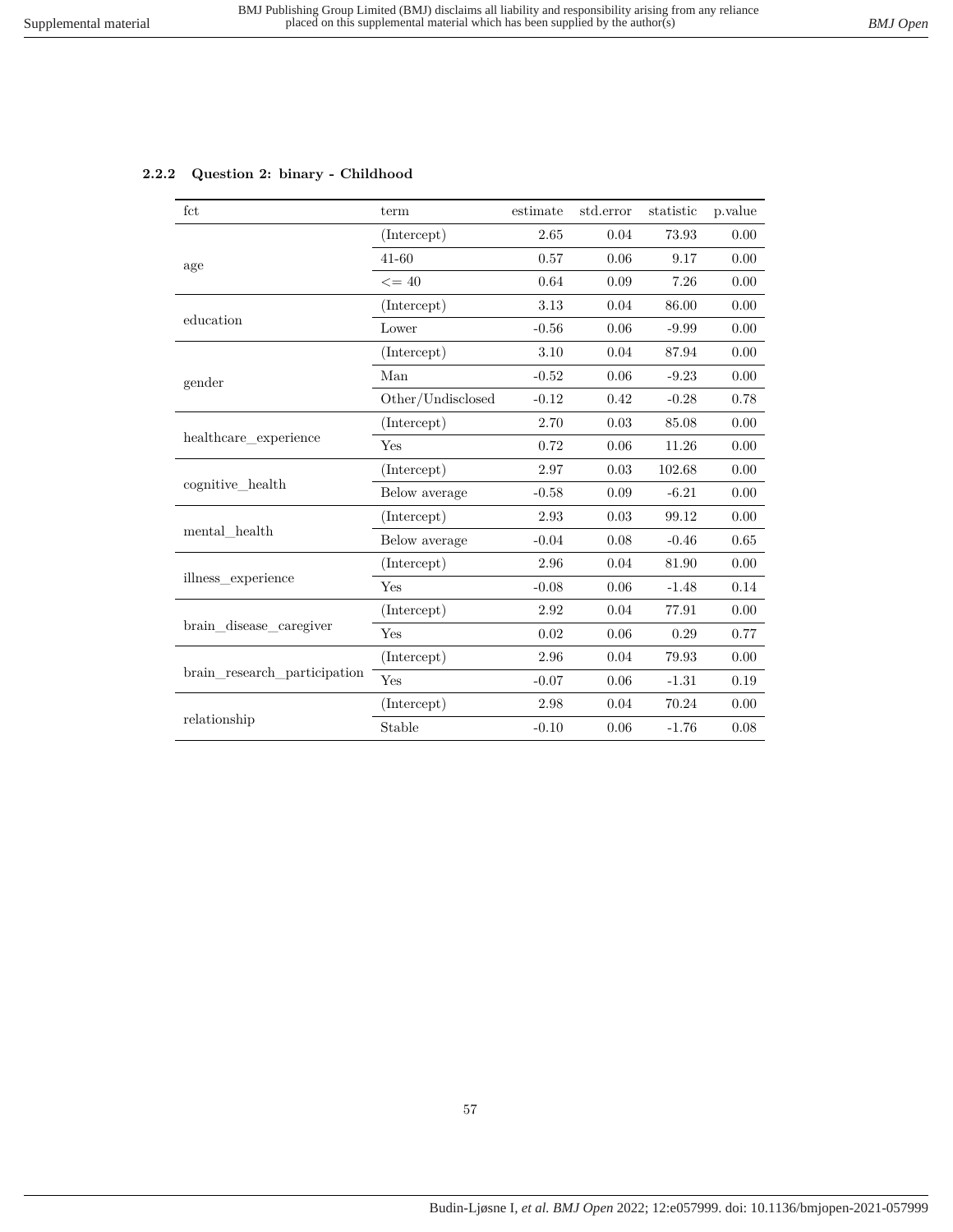|  |  |  |  | 2.2.2 Question 2: binary - Childhood |
|--|--|--|--|--------------------------------------|
|--|--|--|--|--------------------------------------|

| fct                          | term              | estimate | std.error | statistic | p.value |
|------------------------------|-------------------|----------|-----------|-----------|---------|
|                              | (Intercept)       | 2.65     | 0.04      | 73.93     | 0.00    |
| age                          | $41 - 60$         | 0.57     | 0.06      | 9.17      | 0.00    |
|                              | $\leq$ = 40       | 0.64     | 0.09      | 7.26      | 0.00    |
|                              | (Intercept)       | 3.13     | 0.04      | 86.00     | 0.00    |
| education                    | Lower             | $-0.56$  | 0.06      | $-9.99$   | 0.00    |
|                              | (Intercept)       | 3.10     | 0.04      | 87.94     | 0.00    |
| gender                       | Man               | $-0.52$  | 0.06      | $-9.23$   | 0.00    |
|                              | Other/Undisclosed | $-0.12$  | 0.42      | $-0.28$   | 0.78    |
|                              | (Intercept)       | 2.70     | 0.03      | 85.08     | 0.00    |
| healthcare experience        | Yes               | 0.72     | 0.06      | 11.26     | 0.00    |
|                              | (Intercept)       | 2.97     | 0.03      | 102.68    | 0.00    |
| cognitive health             | Below average     | $-0.58$  | 0.09      | $-6.21$   | 0.00    |
|                              | (Intercept)       | 2.93     | 0.03      | 99.12     | 0.00    |
| mental health                | Below average     | $-0.04$  | 0.08      | $-0.46$   | 0.65    |
|                              | (Intercept)       | 2.96     | 0.04      | 81.90     | 0.00    |
| illness experience           | Yes               | $-0.08$  | 0.06      | $-1.48$   | 0.14    |
|                              | (Intercept)       | 2.92     | 0.04      | 77.91     | 0.00    |
| brain disease caregiver      | Yes               | 0.02     | 0.06      | 0.29      | 0.77    |
| brain research participation | (Intercept)       | 2.96     | 0.04      | 79.93     | 0.00    |
|                              | Yes               | $-0.07$  | 0.06      | $-1.31$   | 0.19    |
|                              | (Intercept)       | 2.98     | 0.04      | 70.24     | 0.00    |
| relationship                 | Stable            | $-0.10$  | 0.06      | $-1.76$   | 0.08    |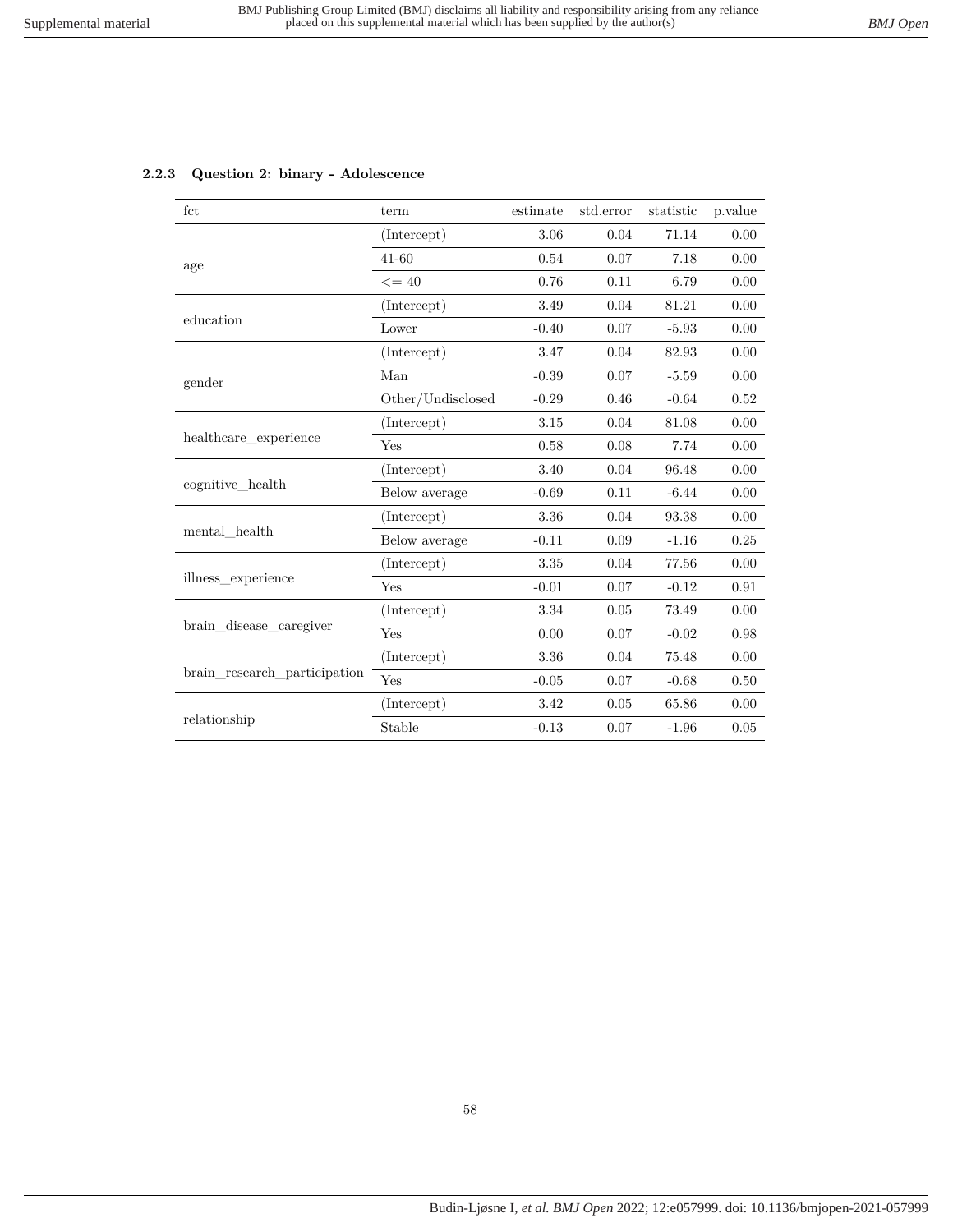| fct                          | term              | estimate | std.error | statistic | p.value |
|------------------------------|-------------------|----------|-----------|-----------|---------|
|                              | (Intercept)       | 3.06     | 0.04      | 71.14     | 0.00    |
| age                          | $41 - 60$         | 0.54     | 0.07      | 7.18      | 0.00    |
|                              | $\leq$ = 40       | 0.76     | 0.11      | 6.79      | 0.00    |
|                              | (Intercept)       | 3.49     | 0.04      | 81.21     | 0.00    |
| education                    | Lower             | $-0.40$  | 0.07      | $-5.93$   | 0.00    |
|                              | (Intercept)       | 3.47     | 0.04      | 82.93     | 0.00    |
| gender                       | Man               | $-0.39$  | 0.07      | $-5.59$   | 0.00    |
|                              | Other/Undisclosed | $-0.29$  | 0.46      | $-0.64$   | 0.52    |
|                              | (Intercept)       | 3.15     | 0.04      | 81.08     | 0.00    |
| healthcare experience        | Yes               | 0.58     | 0.08      | 7.74      | 0.00    |
|                              | (Intercept)       | 3.40     | 0.04      | 96.48     | 0.00    |
| cognitive health             | Below average     | $-0.69$  | 0.11      | $-6.44$   | 0.00    |
|                              | (Intercept)       | 3.36     | 0.04      | 93.38     | 0.00    |
| mental health                | Below average     | $-0.11$  | 0.09      | $-1.16$   | 0.25    |
|                              | (Intercept)       | 3.35     | 0.04      | 77.56     | 0.00    |
| illness experience           | Yes               | $-0.01$  | 0.07      | $-0.12$   | 0.91    |
|                              | (Intercept)       | 3.34     | 0.05      | 73.49     | 0.00    |
| brain_disease_caregiver      | Yes               | 0.00     | 0.07      | $-0.02$   | 0.98    |
| brain research participation | (Intercept)       | 3.36     | 0.04      | 75.48     | 0.00    |
|                              | Yes               | $-0.05$  | 0.07      | $-0.68$   | 0.50    |
|                              | (Intercept)       | 3.42     | $0.05\,$  | 65.86     | 0.00    |
| relationship                 | Stable            | $-0.13$  | 0.07      | $-1.96$   | 0.05    |

#### **2.2.3 Question 2: binary - Adolescence**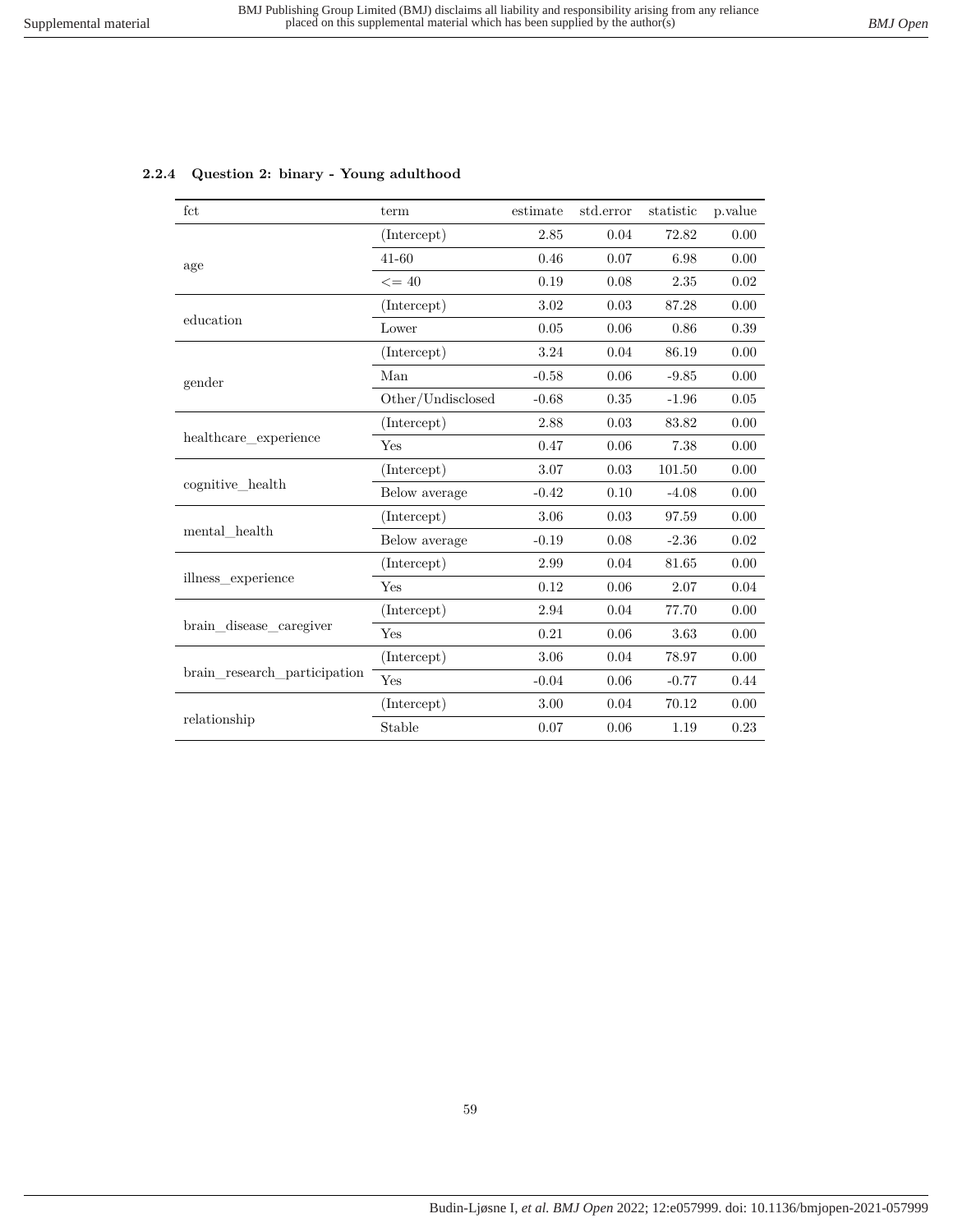| fct                          | term              | estimate | std.error | statistic | p.value |
|------------------------------|-------------------|----------|-----------|-----------|---------|
|                              | (Intercept)       | 2.85     | 0.04      | 72.82     | 0.00    |
| age                          | $41 - 60$         | 0.46     | 0.07      | 6.98      | 0.00    |
|                              | $\leq$ = 40       | 0.19     | 0.08      | 2.35      | 0.02    |
|                              | (Intercept)       | 3.02     | 0.03      | 87.28     | 0.00    |
| education                    | Lower             | 0.05     | 0.06      | 0.86      | 0.39    |
|                              | (Intercept)       | 3.24     | 0.04      | 86.19     | 0.00    |
| gender                       | Man               | $-0.58$  | 0.06      | $-9.85$   | 0.00    |
|                              | Other/Undisclosed | $-0.68$  | 0.35      | $-1.96$   | 0.05    |
|                              | (Intercept)       | 2.88     | 0.03      | 83.82     | 0.00    |
| healthcare experience        | Yes               | 0.47     | 0.06      | 7.38      | 0.00    |
|                              | (Intercept)       | 3.07     | 0.03      | 101.50    | 0.00    |
| cognitive health             | Below average     | $-0.42$  | 0.10      | $-4.08$   | 0.00    |
|                              | (Intercept)       | 3.06     | 0.03      | 97.59     | 0.00    |
| mental health                | Below average     | $-0.19$  | 0.08      | $-2.36$   | 0.02    |
|                              | (Intercept)       | 2.99     | 0.04      | 81.65     | 0.00    |
| illness experience           | Yes               | 0.12     | 0.06      | 2.07      | 0.04    |
|                              | (Intercept)       | 2.94     | 0.04      | 77.70     | 0.00    |
| brain_disease_caregiver      | Yes               | 0.21     | 0.06      | 3.63      | 0.00    |
| brain research participation | (Intercept)       | 3.06     | 0.04      | 78.97     | 0.00    |
|                              | Yes               | $-0.04$  | 0.06      | $-0.77$   | 0.44    |
|                              | (Intercept)       | 3.00     | 0.04      | 70.12     | 0.00    |
| relationship                 | Stable            | 0.07     | 0.06      | 1.19      | 0.23    |

#### **2.2.4 Question 2: binary - Young adulthood**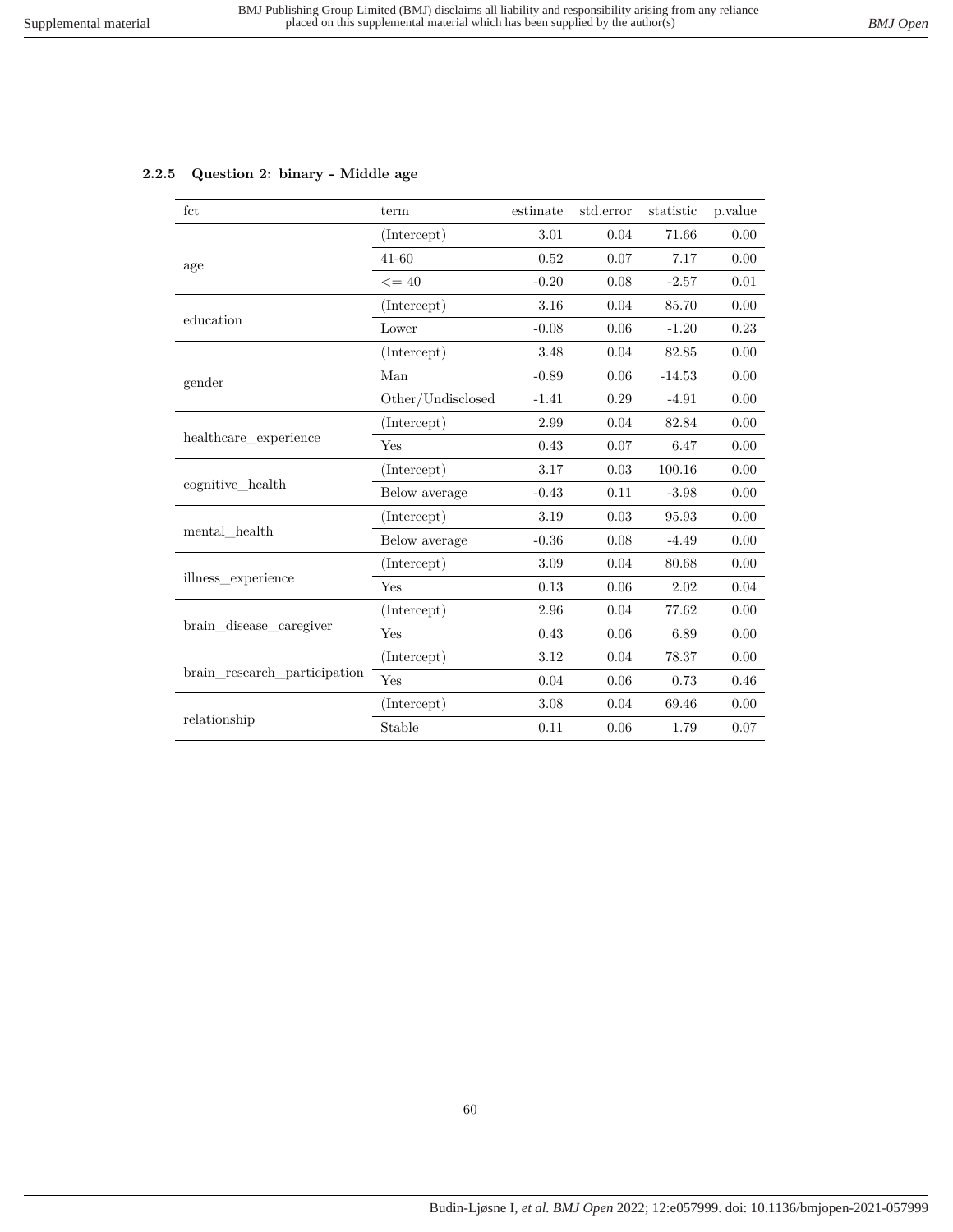|  | 2.2.5 Question 2: binary - Middle age |  |
|--|---------------------------------------|--|
|  |                                       |  |

| fct                             | term              | estimate | std.error | statistic | p.value |
|---------------------------------|-------------------|----------|-----------|-----------|---------|
|                                 | (Intercept)       | 3.01     | 0.04      | 71.66     | 0.00    |
| age                             | $41 - 60$         | 0.52     | 0.07      | 7.17      | 0.00    |
|                                 | $\leq$ = 40       | $-0.20$  | 0.08      | $-2.57$   | 0.01    |
|                                 | (Intercept)       | 3.16     | 0.04      | 85.70     | 0.00    |
| education                       | Lower             | $-0.08$  | 0.06      | $-1.20$   | 0.23    |
|                                 | (Intercept)       | 3.48     | 0.04      | 82.85     | 0.00    |
| gender                          | Man               | $-0.89$  | 0.06      | $-14.53$  | 0.00    |
|                                 | Other/Undisclosed | $-1.41$  | 0.29      | $-4.91$   | 0.00    |
|                                 | (Intercept)       | 2.99     | 0.04      | 82.84     | 0.00    |
| healthcare experience           | Yes               | 0.43     | 0.07      | 6.47      | 0.00    |
|                                 | (Intercept)       | 3.17     | 0.03      | 100.16    | 0.00    |
| cognitive health                | Below average     | $-0.43$  | 0.11      | $-3.98$   | 0.00    |
|                                 | (Intercept)       | 3.19     | 0.03      | 95.93     | 0.00    |
| $\operatorname{mental\_health}$ | Below average     | $-0.36$  | 0.08      | $-4.49$   | 0.00    |
|                                 | (Intercept)       | 3.09     | 0.04      | 80.68     | 0.00    |
| illness experience              | Yes               | 0.13     | 0.06      | 2.02      | 0.04    |
|                                 | (Intercept)       | 2.96     | 0.04      | 77.62     | 0.00    |
| brain disease caregiver         | Yes               | 0.43     | $0.06\,$  | 6.89      | 0.00    |
| brain research participation    | (Intercept)       | 3.12     | 0.04      | 78.37     | 0.00    |
|                                 | Yes               | 0.04     | 0.06      | 0.73      | 0.46    |
|                                 | (Intercept)       | 3.08     | 0.04      | 69.46     | 0.00    |
| relationship                    | Stable            | 0.11     | 0.06      | 1.79      | 0.07    |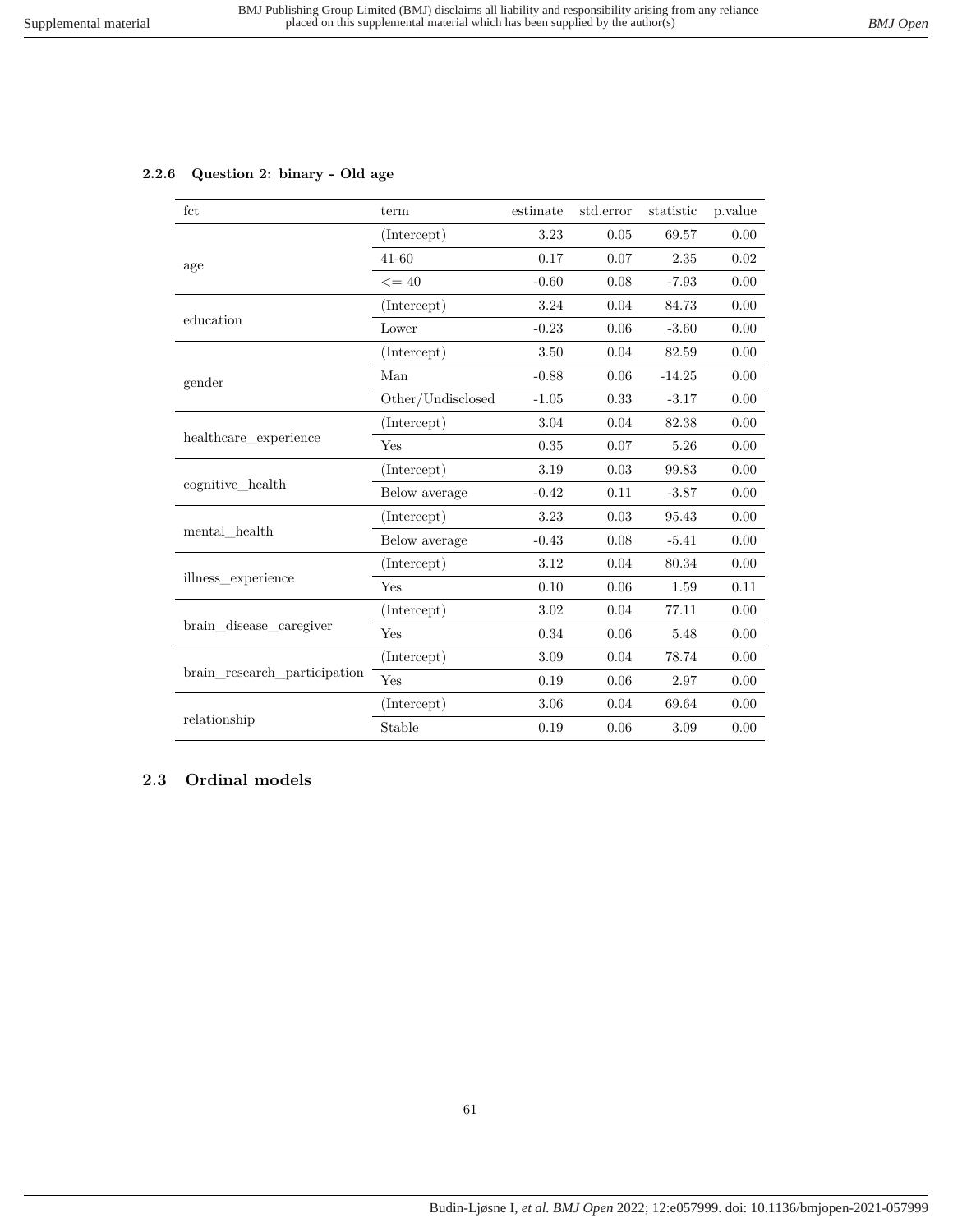# **2.2.6 Question 2: binary - Old age**

| fct                          | term              | estimate | std.error | statistic | p.value |
|------------------------------|-------------------|----------|-----------|-----------|---------|
|                              | (Intercept)       | 3.23     | 0.05      | 69.57     | 0.00    |
| age                          | $41 - 60$         | 0.17     | 0.07      | 2.35      | 0.02    |
|                              | $\leq$ = 40       | $-0.60$  | 0.08      | $-7.93$   | 0.00    |
|                              | (Intercept)       | 3.24     | 0.04      | 84.73     | 0.00    |
| education                    | Lower             | $-0.23$  | 0.06      | $-3.60$   | 0.00    |
|                              | (Intercept)       | 3.50     | 0.04      | 82.59     | 0.00    |
| gender                       | Man               | $-0.88$  | 0.06      | $-14.25$  | 0.00    |
|                              | Other/Undisclosed | $-1.05$  | 0.33      | $-3.17$   | 0.00    |
|                              | (Intercept)       | 3.04     | 0.04      | 82.38     | 0.00    |
| healthcare experience        | Yes               | 0.35     | 0.07      | 5.26      | 0.00    |
|                              | (Intercept)       | 3.19     | 0.03      | 99.83     | 0.00    |
| cognitive health             | Below average     | $-0.42$  | 0.11      | $-3.87$   | 0.00    |
|                              | (Intercept)       | 3.23     | 0.03      | 95.43     | 0.00    |
| mental health                | Below average     | $-0.43$  | 0.08      | $-5.41$   | 0.00    |
|                              | (Intercept)       | 3.12     | 0.04      | 80.34     | 0.00    |
| illness experience           | Yes               | 0.10     | 0.06      | 1.59      | 0.11    |
|                              | (Intercept)       | 3.02     | 0.04      | 77.11     | 0.00    |
| brain disease caregiver      | Yes               | 0.34     | 0.06      | 5.48      | 0.00    |
|                              | (Intercept)       | 3.09     | 0.04      | 78.74     | 0.00    |
| brain research participation | Yes               | 0.19     | 0.06      | 2.97      | 0.00    |
|                              | (Intercept)       | 3.06     | 0.04      | 69.64     | 0.00    |
| relationship                 | Stable            | 0.19     | 0.06      | 3.09      | 0.00    |

# **2.3 Ordinal models**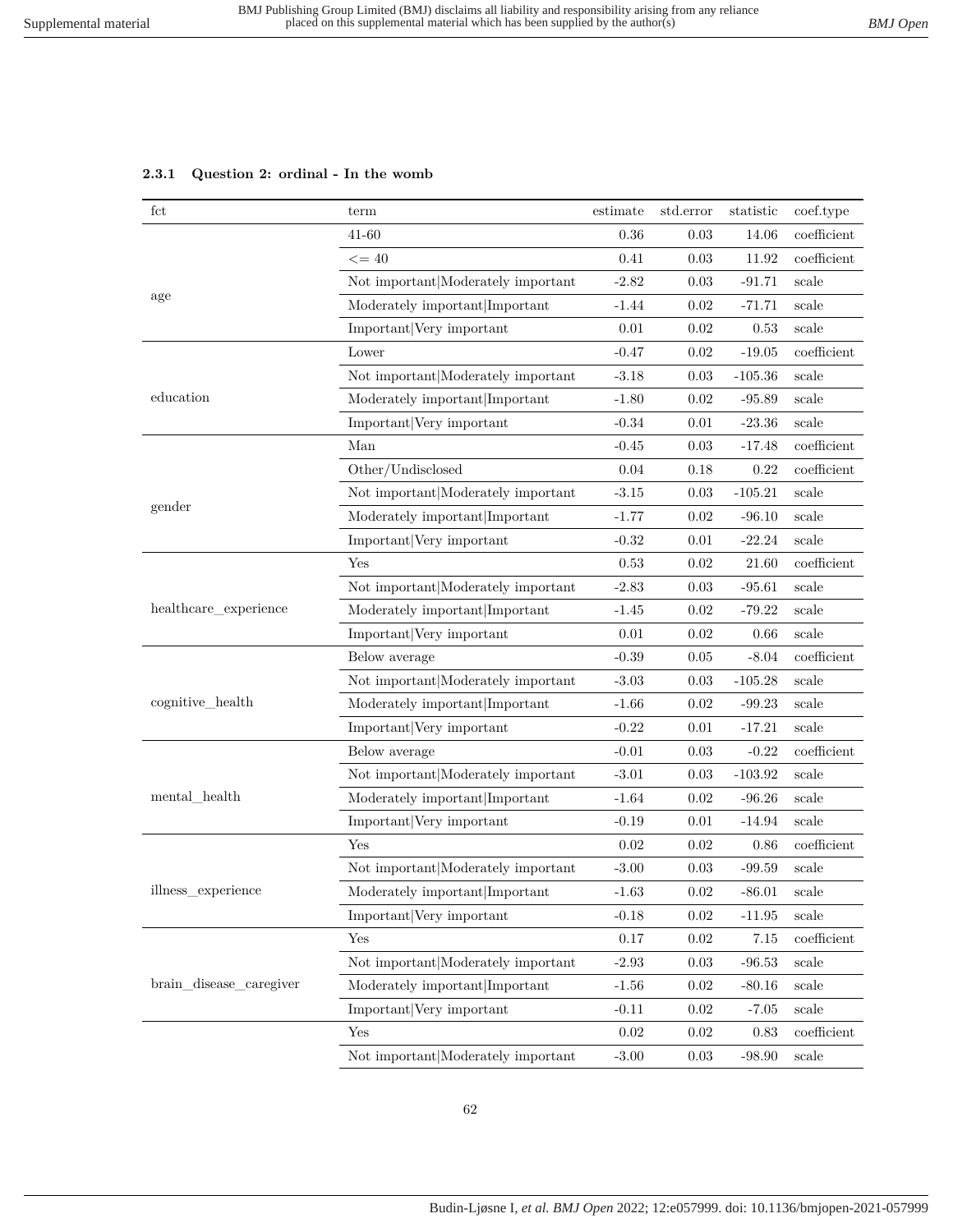# **2.3.1 Question 2: ordinal - In the womb**

| fct                     | term                               | estimate | std.error | statistic | coef.type     |
|-------------------------|------------------------------------|----------|-----------|-----------|---------------|
|                         | 41-60                              | 0.36     | 0.03      | 14.06     | coefficient   |
|                         | $\leq$ = 40                        | 0.41     | 0.03      | 11.92     | coefficient   |
|                         | Not important Moderately important | $-2.82$  | 0.03      | $-91.71$  | scale         |
| age                     | Moderately important Important     | $-1.44$  | 0.02      | $-71.71$  | scale         |
|                         | Important Very important           | 0.01     | 0.02      | 0.53      | scale         |
|                         | Lower                              | $-0.47$  | 0.02      | $-19.05$  | coefficient   |
|                         | Not important Moderately important | $-3.18$  | 0.03      | $-105.36$ | scale         |
| education               | Moderately important Important     | $-1.80$  | 0.02      | $-95.89$  | scale         |
|                         | Important Very important           | $-0.34$  | 0.01      | $-23.36$  | scale         |
|                         | Man                                | $-0.45$  | 0.03      | $-17.48$  | coefficient   |
|                         | Other/Undisclosed                  | 0.04     | 0.18      | 0.22      | coefficient   |
|                         | Not important Moderately important | $-3.15$  | 0.03      | $-105.21$ | scale         |
| gender                  | Moderately important Important     | $-1.77$  | 0.02      | $-96.10$  | scale         |
|                         | Important Very important           | $-0.32$  | 0.01      | $-22.24$  | scale         |
|                         | Yes                                | 0.53     | 0.02      | 21.60     | coefficient   |
|                         | Not important Moderately important | $-2.83$  | 0.03      | $-95.61$  | scale         |
| healthcare_experience   | Moderately important Important     | $-1.45$  | 0.02      | $-79.22$  | scale         |
|                         | Important Very important           | 0.01     | 0.02      | 0.66      | scale         |
|                         | Below average                      | $-0.39$  | 0.05      | $-8.04$   | coefficient   |
|                         | Not important Moderately important | $-3.03$  | 0.03      | $-105.28$ | scale         |
| cognitive_health        | Moderately important Important     | $-1.66$  | 0.02      | $-99.23$  | scale         |
|                         | Important Very important           | $-0.22$  | 0.01      | $-17.21$  | scale         |
|                         | Below average                      | $-0.01$  | 0.03      | $-0.22$   | coefficient   |
|                         | Not important Moderately important | $-3.01$  | 0.03      | $-103.92$ | scale         |
| mental health           | Moderately important Important     | $-1.64$  | 0.02      | $-96.26$  | scale         |
|                         | Important Very important           | $-0.19$  | 0.01      | $-14.94$  | scale         |
|                         | Yes                                | 0.02     | 0.02      | 0.86      | $coefficient$ |
|                         | Not important Moderately important | $-3.00$  | 0.03      | $-99.59$  | scale         |
| illness_experience      | Moderately important Important     | $-1.63$  | 0.02      | $-86.01$  | scale         |
|                         | Important Very important           | $-0.18$  | 0.02      | $-11.95$  | scale         |
|                         | Yes                                | 0.17     | 0.02      | 7.15      | coefficient   |
|                         | Not important Moderately important | $-2.93$  | 0.03      | $-96.53$  | scale         |
| brain_disease_caregiver | Moderately important Important     | $-1.56$  | 0.02      | $-80.16$  | scale         |
|                         | Important Very important           | $-0.11$  | 0.02      | $-7.05$   | scale         |
|                         | Yes                                | 0.02     | 0.02      | 0.83      | coefficient   |
|                         | Not important Moderately important | $-3.00$  | 0.03      | $-98.90$  | scale         |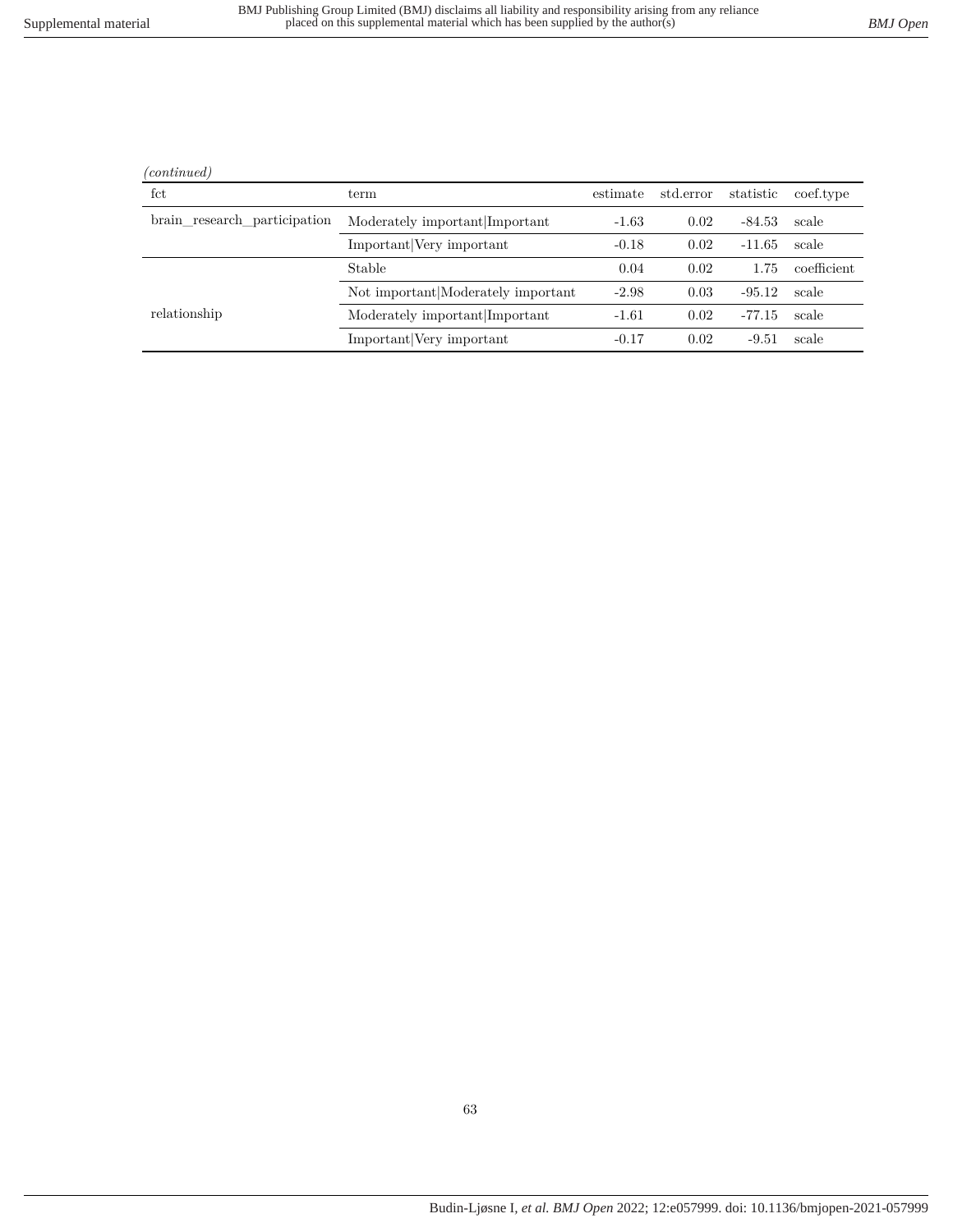| continuea |
|-----------|
|           |

l.

| fct                          | term                               | estimate | std.error | statistic | coef.type   |
|------------------------------|------------------------------------|----------|-----------|-----------|-------------|
| brain research participation | Moderately important Important     | $-1.63$  | 0.02      | $-84.53$  | scale       |
|                              | Important Very important           | $-0.18$  | 0.02      | $-11.65$  | scale       |
|                              | Stable                             | 0.04     | 0.02      | 1.75      | coefficient |
|                              | Not important Moderately important | $-2.98$  | 0.03      | $-95.12$  | scale       |
| relationship                 | Moderately important Important     | $-1.61$  | 0.02      | -77.15    | scale       |
|                              | Important Very important           | $-0.17$  | 0.02      | $-9.51$   | scale       |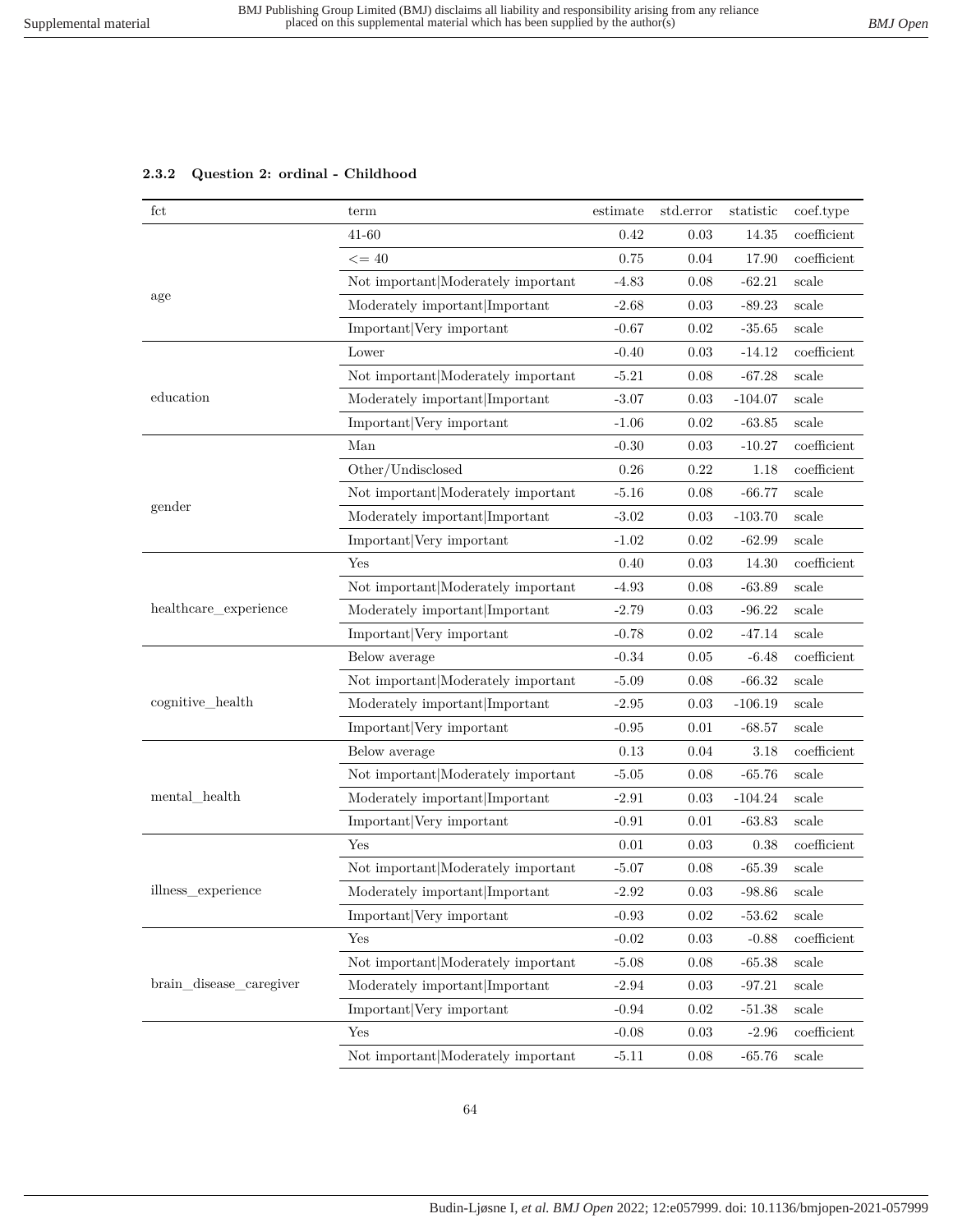### **2.3.2 Question 2: ordinal - Childhood**

| fct                     | term                               | estimate | std.error | statistic | coef.type      |
|-------------------------|------------------------------------|----------|-----------|-----------|----------------|
|                         | $41 - 60$                          | 0.42     | 0.03      | 14.35     | coefficient    |
|                         | $\leq$ = 40                        | 0.75     | 0.04      | 17.90     | coefficient    |
|                         | Not important Moderately important | -4.83    | 0.08      | $-62.21$  | scale          |
| age                     | Moderately important Important     | $-2.68$  | 0.03      | $-89.23$  | scale          |
|                         | Important Very important           | $-0.67$  | 0.02      | $-35.65$  | scale          |
|                         | Lower                              | $-0.40$  | 0.03      | $-14.12$  | coefficient    |
|                         | Not important Moderately important | $-5.21$  | 0.08      | $-67.28$  | scale          |
| education               | Moderately important Important     | $-3.07$  | 0.03      | $-104.07$ | scale          |
|                         | Important Very important           | $-1.06$  | 0.02      | $-63.85$  | $_{\rm scale}$ |
|                         | Man                                | $-0.30$  | 0.03      | $-10.27$  | coefficient    |
|                         | Other/Undisclosed                  | 0.26     | 0.22      | 1.18      | coefficient    |
|                         | Not important Moderately important | $-5.16$  | 0.08      | $-66.77$  | scale          |
| gender                  | Moderately important Important     | $-3.02$  | 0.03      | $-103.70$ | scale          |
|                         | Important Very important           | $-1.02$  | 0.02      | $-62.99$  | scale          |
|                         | Yes                                | 0.40     | 0.03      | 14.30     | coefficient    |
|                         | Not important Moderately important | $-4.93$  | 0.08      | $-63.89$  | scale          |
| healthcare_experience   | Moderately important Important     | $-2.79$  | 0.03      | $-96.22$  | scale          |
|                         | Important Very important           | $-0.78$  | 0.02      | $-47.14$  | scale          |
|                         | Below average                      | $-0.34$  | 0.05      | $-6.48$   | coefficient    |
|                         | Not important Moderately important | $-5.09$  | 0.08      | $-66.32$  | scale          |
| cognitive_health        | Moderately important Important     | $-2.95$  | 0.03      | $-106.19$ | scale          |
|                         | Important Very important           | $-0.95$  | 0.01      | $-68.57$  | scale          |
|                         | Below average                      | 0.13     | 0.04      | 3.18      | coefficient    |
|                         | Not important Moderately important | $-5.05$  | 0.08      | $-65.76$  | scale          |
| mental_health           | Moderately important Important     | $-2.91$  | 0.03      | $-104.24$ | scale          |
|                         | Important Very important           | $-0.91$  | 0.01      | $-63.83$  | scale          |
|                         | Yes                                | 0.01     | 0.03      | 0.38      | coefficient    |
|                         | Not important Moderately important | $-5.07$  | 0.08      | $-65.39$  | scale          |
| illness experience      | Moderately important Important     | $-2.92$  | 0.03      | $-98.86$  | scale          |
|                         | Important Very important           | $-0.93$  | 0.02      | $-53.62$  | scale          |
|                         | Yes                                | $-0.02$  | 0.03      | $-0.88$   | coefficient    |
|                         | Not important Moderately important | $-5.08$  | 0.08      | $-65.38$  | scale          |
| brain disease caregiver | Moderately important Important     | $-2.94$  | 0.03      | $-97.21$  | scale          |
|                         | Important Very important           | $-0.94$  | 0.02      | $-51.38$  | scale          |
|                         | Yes                                | $-0.08$  | 0.03      | $-2.96$   | coefficient    |
|                         | Not important Moderately important | $-5.11$  | 0.08      | $-65.76$  | scale          |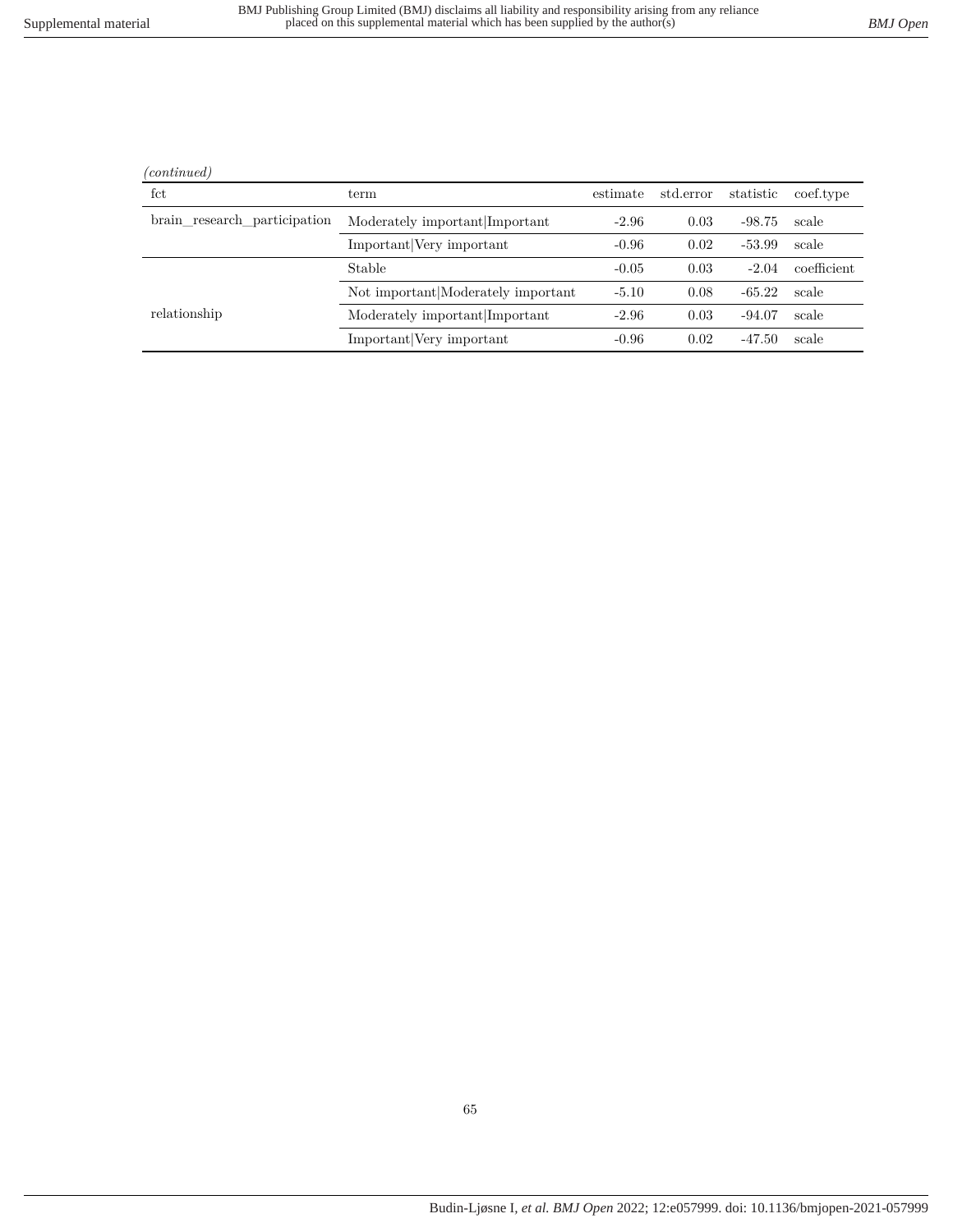|--|

l.

| fct                          | term                               | estimate | std.error | statistic | coef.type   |
|------------------------------|------------------------------------|----------|-----------|-----------|-------------|
| brain research participation | Moderately important Important     | $-2.96$  | 0.03      | $-98.75$  | scale       |
|                              | Important Very important           | $-0.96$  | 0.02      | $-53.99$  | scale       |
|                              | Stable                             | $-0.05$  | 0.03      | $-2.04$   | coefficient |
|                              | Not important Moderately important | $-5.10$  | 0.08      | $-65.22$  | scale       |
| relationship                 | Moderately important Important     | $-2.96$  | 0.03      | $-94.07$  | scale       |
|                              | Important Very important           | $-0.96$  | 0.02      | $-47.50$  | scale       |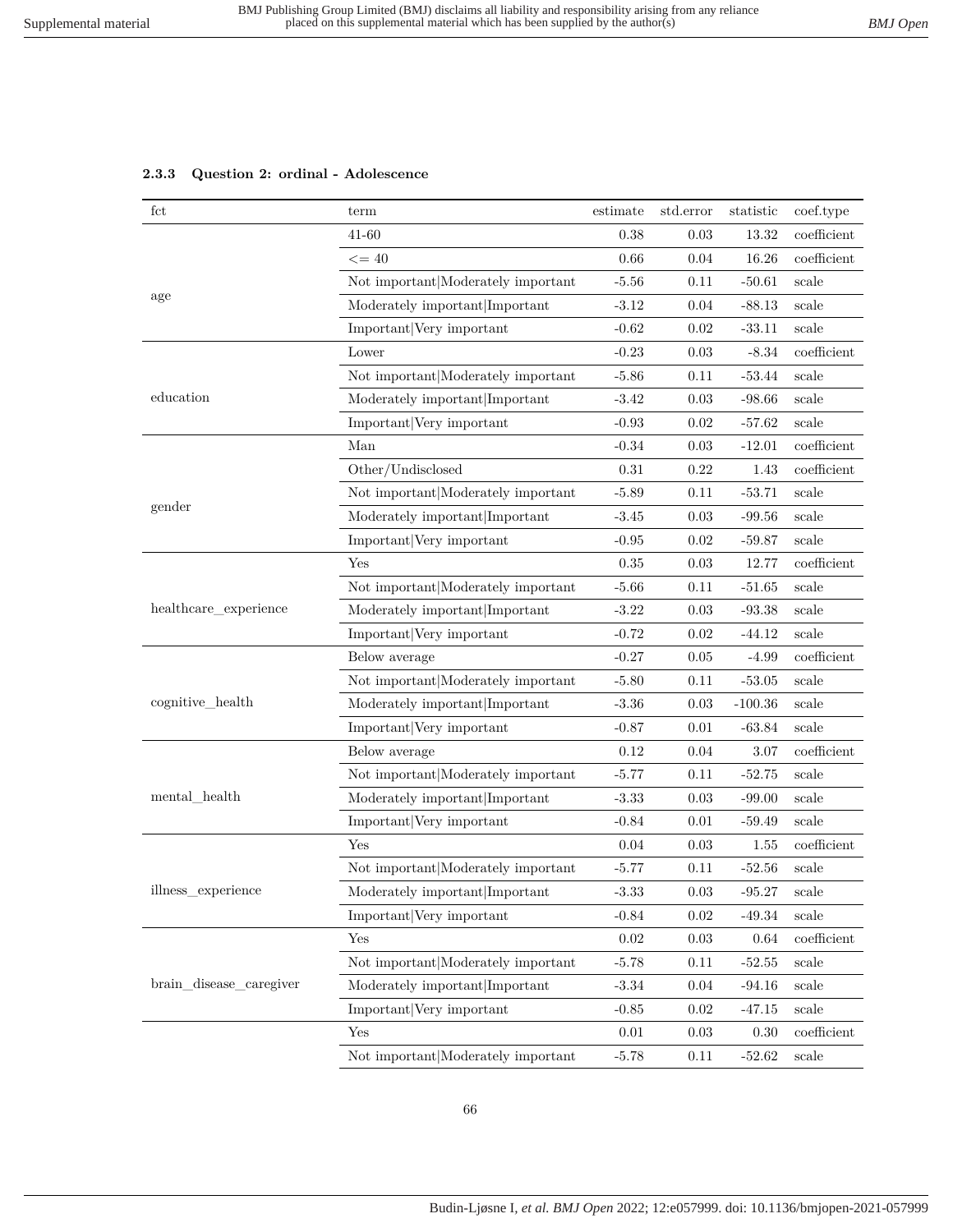# **2.3.3 Question 2: ordinal - Adolescence**

| $_{\rm fct}$            | term                               | estimate   | std.error  | statistic | coef.type      |
|-------------------------|------------------------------------|------------|------------|-----------|----------------|
|                         | 41-60                              | 0.38       | 0.03       | 13.32     | coefficient    |
|                         | $\leq$ = 40                        | 0.66       | 0.04       | 16.26     | coefficient    |
|                         | Not important Moderately important | $-5.56$    | 0.11       | $-50.61$  | scale          |
| age                     | Moderately important Important     | $-3.12$    | 0.04       | $-88.13$  | scale          |
|                         | Important Very important           | $-0.62$    | 0.02       | $-33.11$  | scale          |
|                         | Lower                              | $-0.23$    | 0.03       | $-8.34$   | coefficient    |
|                         | Not important Moderately important | $-5.86$    | 0.11       | $-53.44$  | scale          |
| education               | Moderately important Important     | $-3.42$    | 0.03       | $-98.66$  | scale          |
|                         | Important Very important           | $-0.93$    | 0.02       | $-57.62$  | scale          |
|                         | Man                                | $-0.34$    | 0.03       | $-12.01$  | coefficient    |
|                         | Other/Undisclosed                  | 0.31       | 0.22       | 1.43      | coefficient    |
|                         | Not important Moderately important | $-5.89$    | 0.11       | $-53.71$  | scale          |
| gender                  | Moderately important Important     | $-3.45$    | 0.03       | $-99.56$  | scale          |
|                         | Important Very important           | $-0.95$    | 0.02       | $-59.87$  | $_{\rm scale}$ |
|                         | Yes                                | 0.35       | 0.03       | 12.77     | coefficient    |
|                         | Not important Moderately important | $-5.66$    | 0.11       | $-51.65$  | scale          |
| healthcare_experience   | Moderately important Important     | $-3.22$    | 0.03       | $-93.38$  | scale          |
|                         | Important Very important           | $-0.72$    | 0.02       | $-44.12$  | $_{\rm scale}$ |
|                         | Below average                      | $-0.27$    | 0.05       | $-4.99$   | coefficient    |
|                         | Not important Moderately important | $-5.80$    | 0.11       | $-53.05$  | scale          |
| cognitive_health        | Moderately important Important     | $-3.36$    | 0.03       | $-100.36$ | scale          |
|                         | Important Very important           | $-0.87$    | 0.01       | $-63.84$  | scale          |
|                         | Below average                      | 0.12       | 0.04       | 3.07      | coefficient    |
|                         | Not important Moderately important | $-5.77$    | 0.11       | $-52.75$  | $_{\rm scale}$ |
| mental_health           | Moderately important Important     | $-3.33$    | 0.03       | $-99.00$  | scale          |
|                         | Important Very important           | $-0.84$    | 0.01       | $-59.49$  | scale          |
|                         | Yes                                | 0.04       | 0.03       | 1.55      | coefficient    |
|                         | Not important Moderately important | $-5.77$    | 0.11       | $-52.56$  | scale          |
| illness_experience      | Moderately important Important     | $-3.33$    | $\rm 0.03$ | $-95.27$  | scale          |
|                         | Important Very important           | $-0.84$    | 0.02       | $-49.34$  | scale          |
|                         | Yes                                | 0.02       | 0.03       | 0.64      | coefficient    |
|                         | Not important Moderately important | $-5.78$    | 0.11       | $-52.55$  | scale          |
| brain_disease_caregiver | Moderately important Important     | $-3.34$    | 0.04       | $-94.16$  | scale          |
|                         | Important Very important           | $-0.85$    | 0.02       | $-47.15$  | scale          |
|                         | Yes                                | $\rm 0.01$ | 0.03       | 0.30      | $coefficient$  |
|                         | Not important Moderately important | $-5.78$    | 0.11       | $-52.62$  | scale          |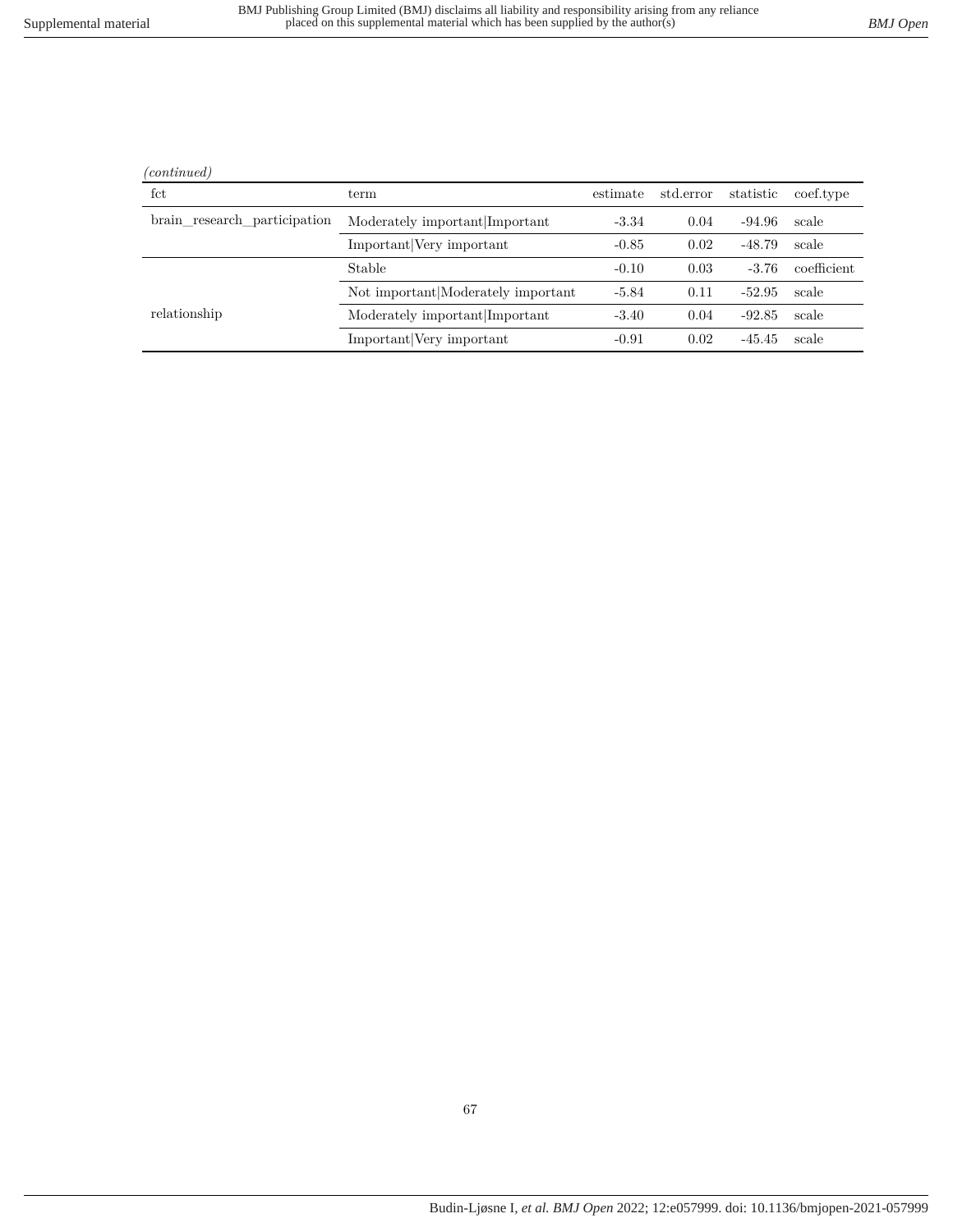relationship Moderately important|Important -3.40 0.04 -92.85 scale

Not important|Moderately important  $-5.84$  0.11  $-52.95$  scale

Important|Very important -0.91 0.02 -45.45 scale

| (continued)                  |                                |          |                               |        |                     |
|------------------------------|--------------------------------|----------|-------------------------------|--------|---------------------|
| fct                          | term                           | estimate | std.error statistic coef.type |        |                     |
| brain_research_participation | Moderately important Important | $-3.34$  | 0.04                          | -94.96 | scale               |
|                              | Important Very important       | $-0.85$  | 0.02                          | -48.79 | scale               |
|                              | Stable                         | $-0.10$  | 0.03                          |        | $-3.76$ coefficient |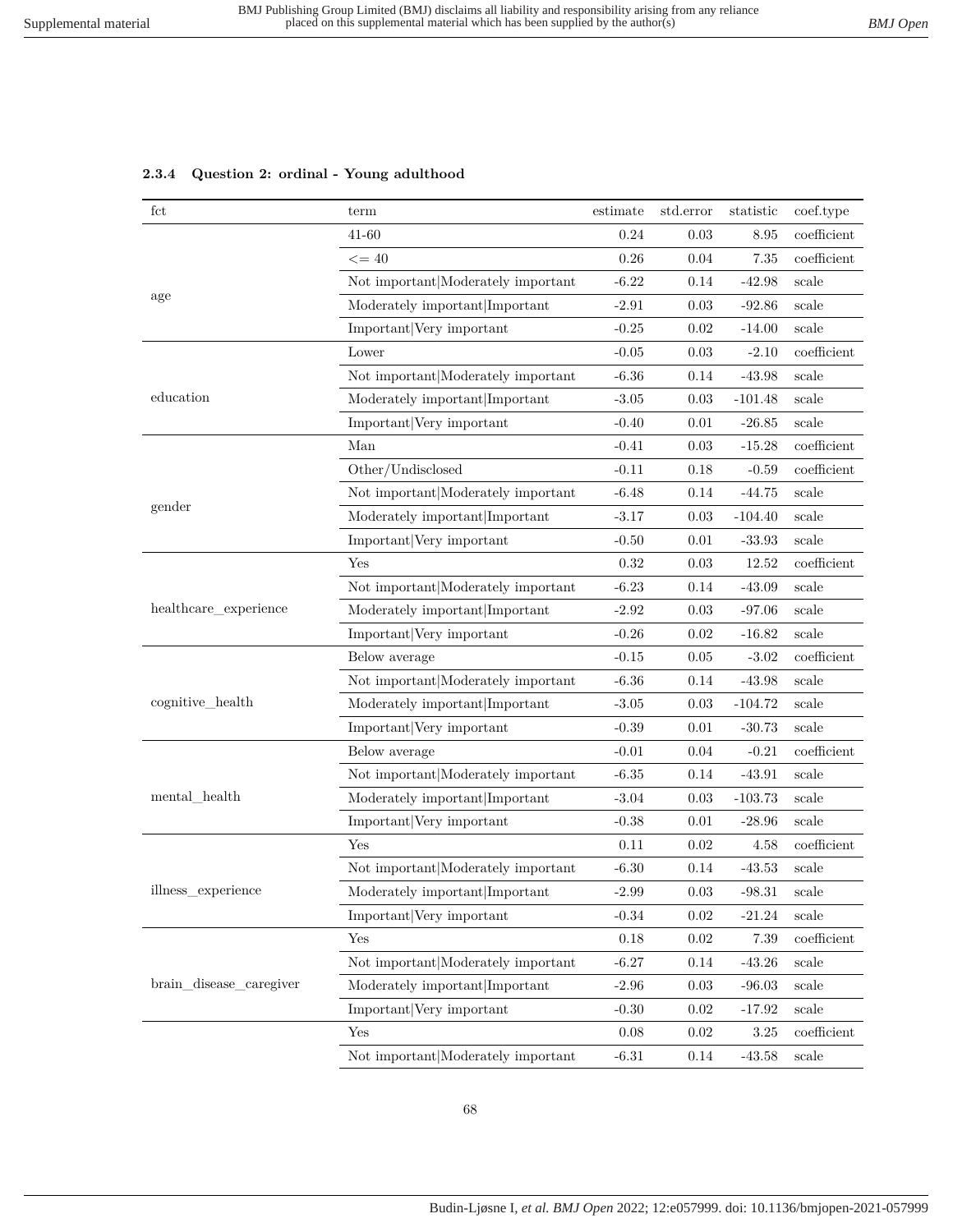| fct                     | term                               | estimate | std.error | statistic | coef.type      |
|-------------------------|------------------------------------|----------|-----------|-----------|----------------|
|                         | $41 - 60$                          | 0.24     | 0.03      | 8.95      | coefficient    |
|                         | $\leq$ = 40                        | 0.26     | 0.04      | 7.35      | coefficient    |
|                         | Not important Moderately important | $-6.22$  | 0.14      | $-42.98$  | scale          |
| age                     | Moderately important Important     | $-2.91$  | 0.03      | $-92.86$  | scale          |
|                         | Important Very important           | $-0.25$  | 0.02      | $-14.00$  | scale          |
|                         | Lower                              | $-0.05$  | 0.03      | $-2.10$   | coefficient    |
|                         | Not important Moderately important | $-6.36$  | 0.14      | $-43.98$  | scale          |
| education               | Moderately important Important     | $-3.05$  | 0.03      | $-101.48$ | scale          |
|                         | Important Very important           | $-0.40$  | 0.01      | $-26.85$  | scale          |
|                         | Man                                | $-0.41$  | 0.03      | $-15.28$  | coefficient    |
|                         | Other/Undisclosed                  | $-0.11$  | 0.18      | $-0.59$   | coefficient    |
|                         | Not important Moderately important | $-6.48$  | 0.14      | $-44.75$  | scale          |
| gender                  | Moderately important Important     | $-3.17$  | 0.03      | $-104.40$ | scale          |
|                         | Important Very important           | $-0.50$  | 0.01      | $-33.93$  | scale          |
|                         | Yes                                | 0.32     | 0.03      | 12.52     | coefficient    |
|                         | Not important Moderately important | $-6.23$  | 0.14      | $-43.09$  | scale          |
| healthcare_experience   | Moderately important Important     | $-2.92$  | 0.03      | $-97.06$  | scale          |
|                         | Important Very important           | $-0.26$  | 0.02      | $-16.82$  | scale          |
|                         | Below average                      | $-0.15$  | 0.05      | $-3.02$   | coefficient    |
|                         | Not important Moderately important | $-6.36$  | 0.14      | $-43.98$  | scale          |
| cognitive_health        | Moderately important Important     | $-3.05$  | 0.03      | $-104.72$ | scale          |
|                         | Important Very important           | $-0.39$  | 0.01      | $-30.73$  | scale          |
|                         | Below average                      | $-0.01$  | 0.04      | $-0.21$   | coefficient    |
|                         | Not important Moderately important | $-6.35$  | 0.14      | $-43.91$  | scale          |
| mental health           | Moderately important Important     | $-3.04$  | 0.03      | $-103.73$ | scale          |
|                         | Important Very important           | $-0.38$  | 0.01      | $-28.96$  | scale          |
|                         | Yes                                | 0.11     | 0.02      | 4.58      | coefficient    |
|                         | Not important Moderately important | $-6.30$  | 0.14      | $-43.53$  | scale          |
| illness_experience      | Moderately important Important     | $-2.99$  | 0.03      | $-98.31$  | scale          |
|                         | Important Very important           | $-0.34$  | 0.02      | $-21.24$  | scale          |
|                         | Yes                                | $0.18\,$ | 0.02      | 7.39      | $coefficient$  |
|                         | Not important Moderately important | $-6.27$  | $0.14\,$  | $-43.26$  | scale          |
| brain_disease_caregiver | Moderately important Important     | $-2.96$  | 0.03      | $-96.03$  | scale          |
|                         | Important Very important           | $-0.30$  | 0.02      | $-17.92$  | scale          |
|                         | Yes                                | 0.08     | 0.02      | 3.25      | $coefficient$  |
|                         | Not important Moderately important | $-6.31$  | $0.14\,$  | $-43.58$  | $_{\rm scale}$ |

### **2.3.4 Question 2: ordinal - Young adulthood**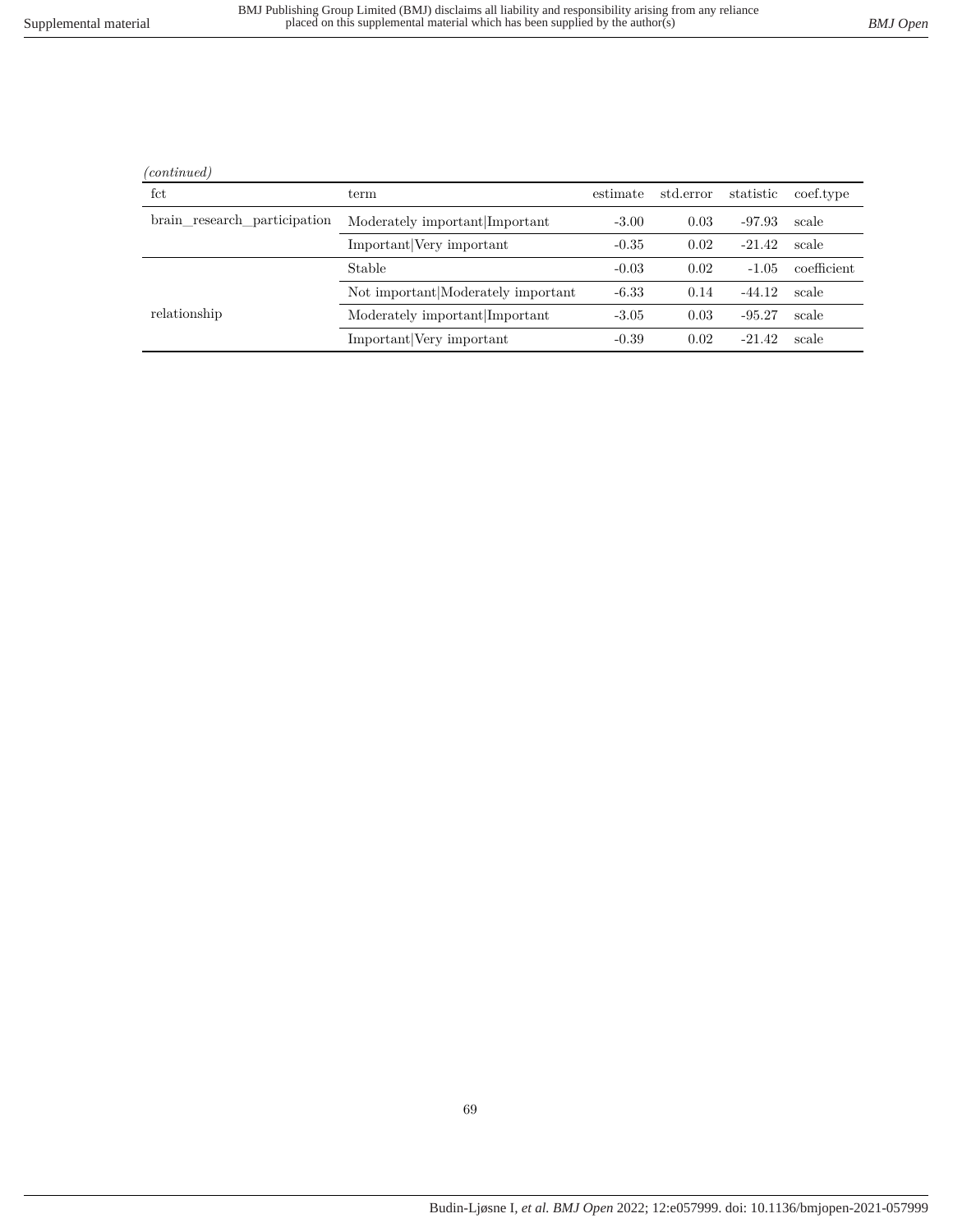| <i>continued</i> |
|------------------|
|                  |

÷

l.

| fct                          | term                               | estimate | std.error | statistic | coef.type   |
|------------------------------|------------------------------------|----------|-----------|-----------|-------------|
| brain research participation | Moderately important Important     | $-3.00$  | 0.03      | $-97.93$  | scale       |
|                              | Important Very important           | $-0.35$  | 0.02      | $-21.42$  | scale       |
|                              | Stable                             | $-0.03$  | 0.02      | $-1.05$   | coefficient |
|                              | Not important Moderately important | $-6.33$  | 0.14      | $-44.12$  | scale       |
| relationship                 | Moderately important Important     | $-3.05$  | 0.03      | $-95.27$  | scale       |
|                              | Important Very important           | $-0.39$  | 0.02      | $-21.42$  | scale       |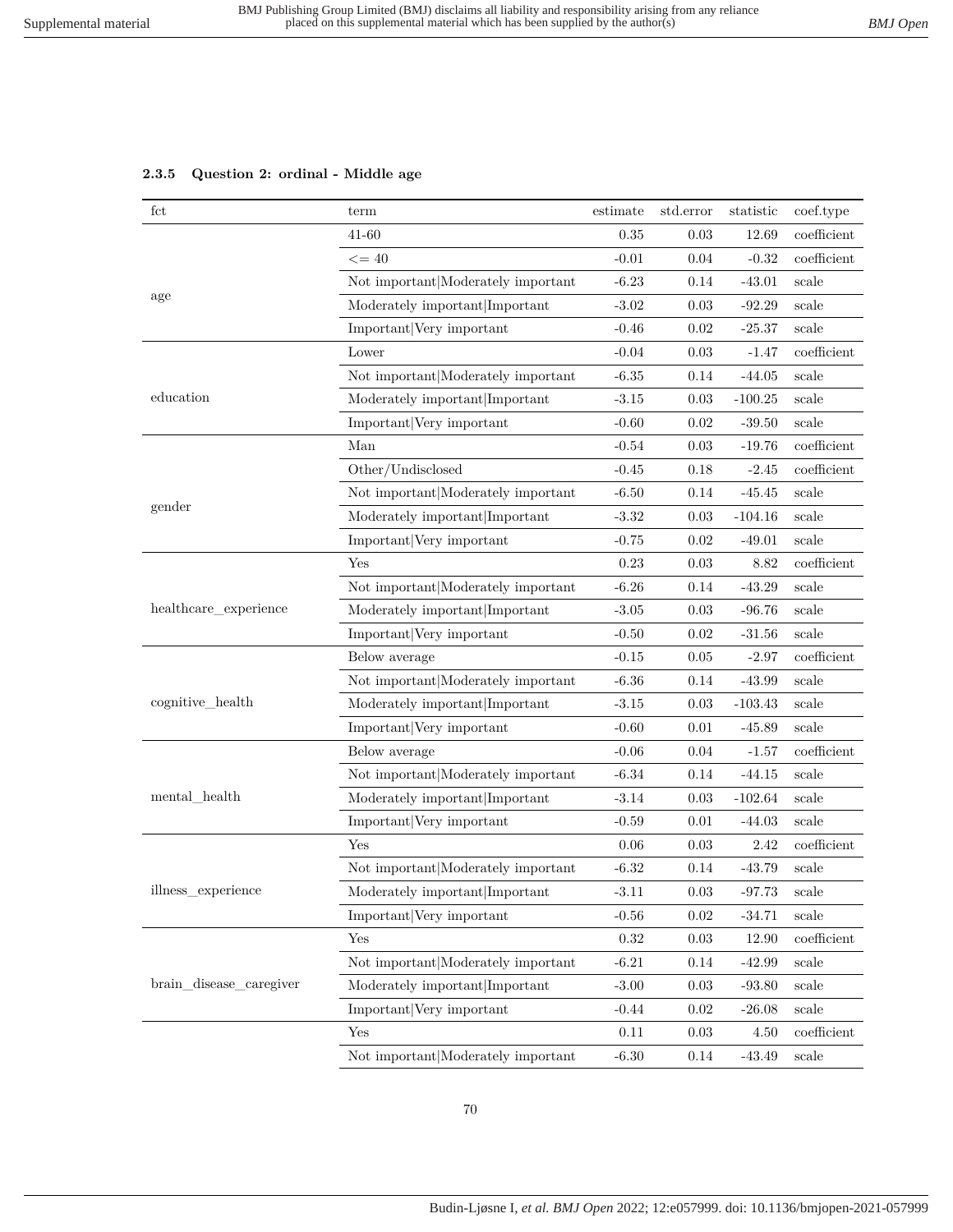### **2.3.5 Question 2: ordinal - Middle age**

| fct                     | term                                                 | estimate | std.error | statistic | coef.type   |
|-------------------------|------------------------------------------------------|----------|-----------|-----------|-------------|
|                         | $41 - 60$                                            | 0.35     | 0.03      | 12.69     | coefficient |
|                         | $\leq$ = 40                                          | $-0.01$  | 0.04      | $-0.32$   | coefficient |
|                         | Not important Moderately important                   | $-6.23$  | 0.14      | $-43.01$  | scale       |
| age                     | Moderately important Important                       | $-3.02$  | 0.03      | $-92.29$  | scale       |
|                         | Important Very important                             | $-0.46$  | 0.02      | $-25.37$  | scale       |
|                         | Lower                                                | $-0.04$  | 0.03      | $-1.47$   | coefficient |
|                         | Not important Moderately important                   | $-6.35$  | 0.14      | $-44.05$  | scale       |
| education               | Moderately important Important                       | $-3.15$  | 0.03      | $-100.25$ | scale       |
|                         | Important Very important                             | $-0.60$  | 0.02      | $-39.50$  | scale       |
|                         | Man                                                  | $-0.54$  | 0.03      | $-19.76$  | coefficient |
|                         | Other/Undisclosed                                    | $-0.45$  | 0.18      | $-2.45$   | coefficient |
|                         | Not important Moderately important                   | $-6.50$  | 0.14      | $-45.45$  | scale       |
| gender                  | Moderately important Important                       | $-3.32$  | 0.03      | $-104.16$ | scale       |
|                         | Important Very important                             | $-0.75$  | 0.02      | $-49.01$  | scale       |
|                         | Yes                                                  | 0.23     | 0.03      | 8.82      | coefficient |
|                         | Not important Moderately important                   | $-6.26$  | 0.14      | $-43.29$  | scale       |
| healthcare_experience   | Moderately important Important                       | $-3.05$  | 0.03      | $-96.76$  | scale       |
|                         | Important Very important                             | $-0.50$  | 0.02      | $-31.56$  | scale       |
|                         | Below average                                        | $-0.15$  | 0.05      | $-2.97$   | coefficient |
|                         | Not important Moderately important                   | $-6.36$  | 0.14      | $-43.99$  | scale       |
| cognitive_health        | Moderately important Important                       | $-3.15$  | 0.03      | $-103.43$ | scale       |
|                         | Important Very important                             | $-0.60$  | 0.01      | $-45.89$  | scale       |
|                         | Below average                                        | $-0.06$  | 0.04      | $-1.57$   | coefficient |
|                         | Not important Moderately important                   | $-6.34$  | 0.14      | $-44.15$  | scale       |
| mental_health           | Moderately important Important                       | $-3.14$  | 0.03      | $-102.64$ | scale       |
|                         | Important Very important                             | $-0.59$  | 0.01      | $-44.03$  | scale       |
|                         | Yes                                                  | 0.06     | 0.03      | 2.42      | coefficient |
|                         | Not important Moderately important                   | $-6.32$  | 0.14      | $-43.79$  | scale       |
| illness_experience      | $\textbf{Modernately important} \textbf{Important} $ | $-3.11$  | 0.03      | -97.73    | scale       |
|                         | Important Very important                             | $-0.56$  | 0.02      | $-34.71$  | scale       |
|                         | Yes                                                  | 0.32     | 0.03      | 12.90     | coefficient |
|                         | Not important Moderately important                   | $-6.21$  | 0.14      | $-42.99$  | scale       |
| brain disease caregiver | Moderately important Important                       | $-3.00$  | 0.03      | $-93.80$  | scale       |
|                         | Important Very important                             | $-0.44$  | 0.02      | $-26.08$  | scale       |
|                         | Yes                                                  | $0.11\,$ | 0.03      | 4.50      | coefficient |
|                         | Not important Moderately important                   | $-6.30$  | 0.14      | $-43.49$  | scale       |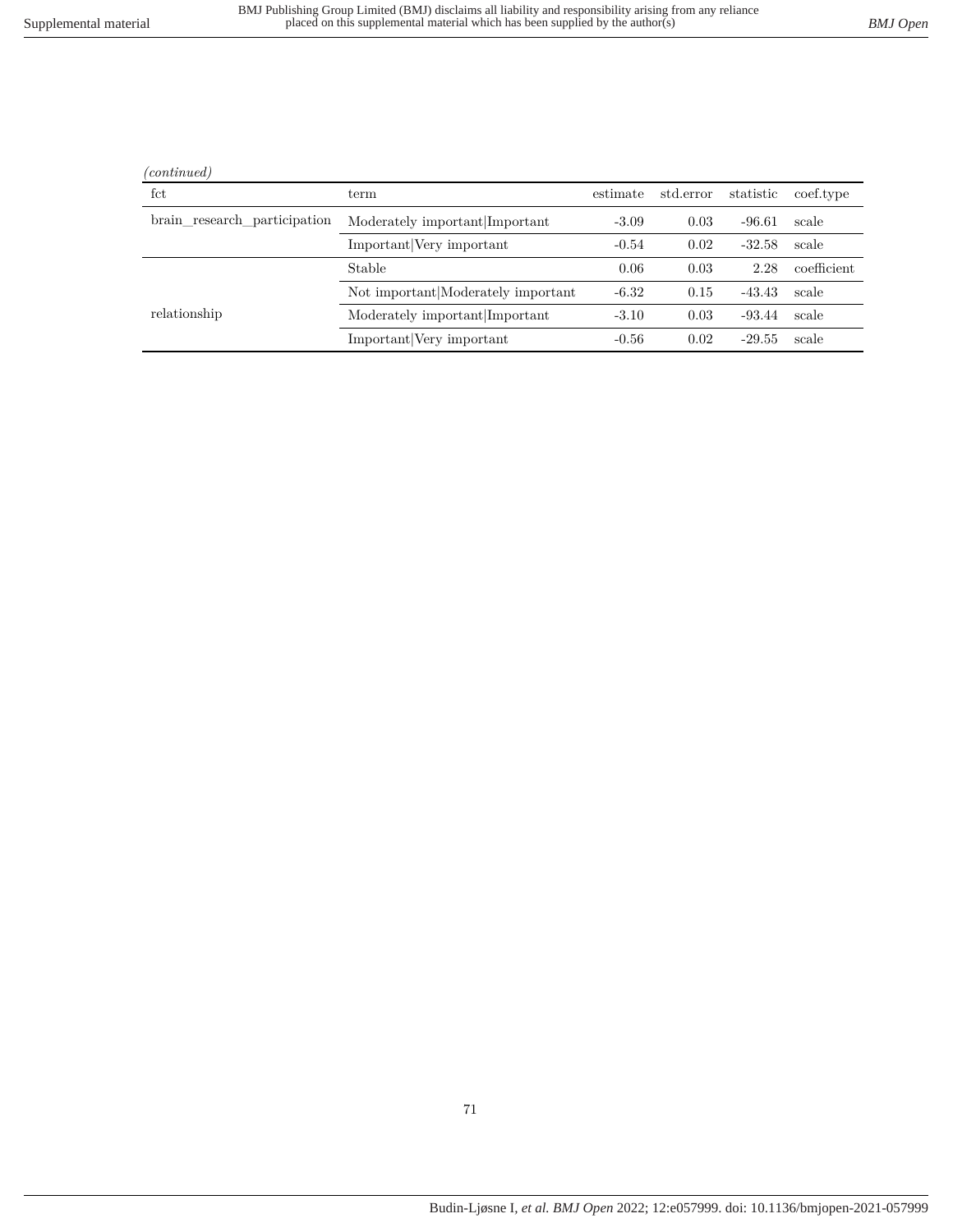| (continued) |
|-------------|
|             |

l.

| fct                          | term                               | estimate | std.error | statistic | coef.type   |
|------------------------------|------------------------------------|----------|-----------|-----------|-------------|
| brain research participation | Moderately important Important     | $-3.09$  | 0.03      | $-96.61$  | scale       |
|                              | Important Very important           | $-0.54$  | 0.02      | $-32.58$  | scale       |
|                              | Stable                             | 0.06     | 0.03      | 2.28      | coefficient |
|                              | Not important Moderately important | $-6.32$  | 0.15      | $-43.43$  | scale       |
| relationship                 | Moderately important Important     | $-3.10$  | 0.03      | $-93.44$  | scale       |
|                              | Important Very important           | $-0.56$  | 0.02      | $-29.55$  | scale       |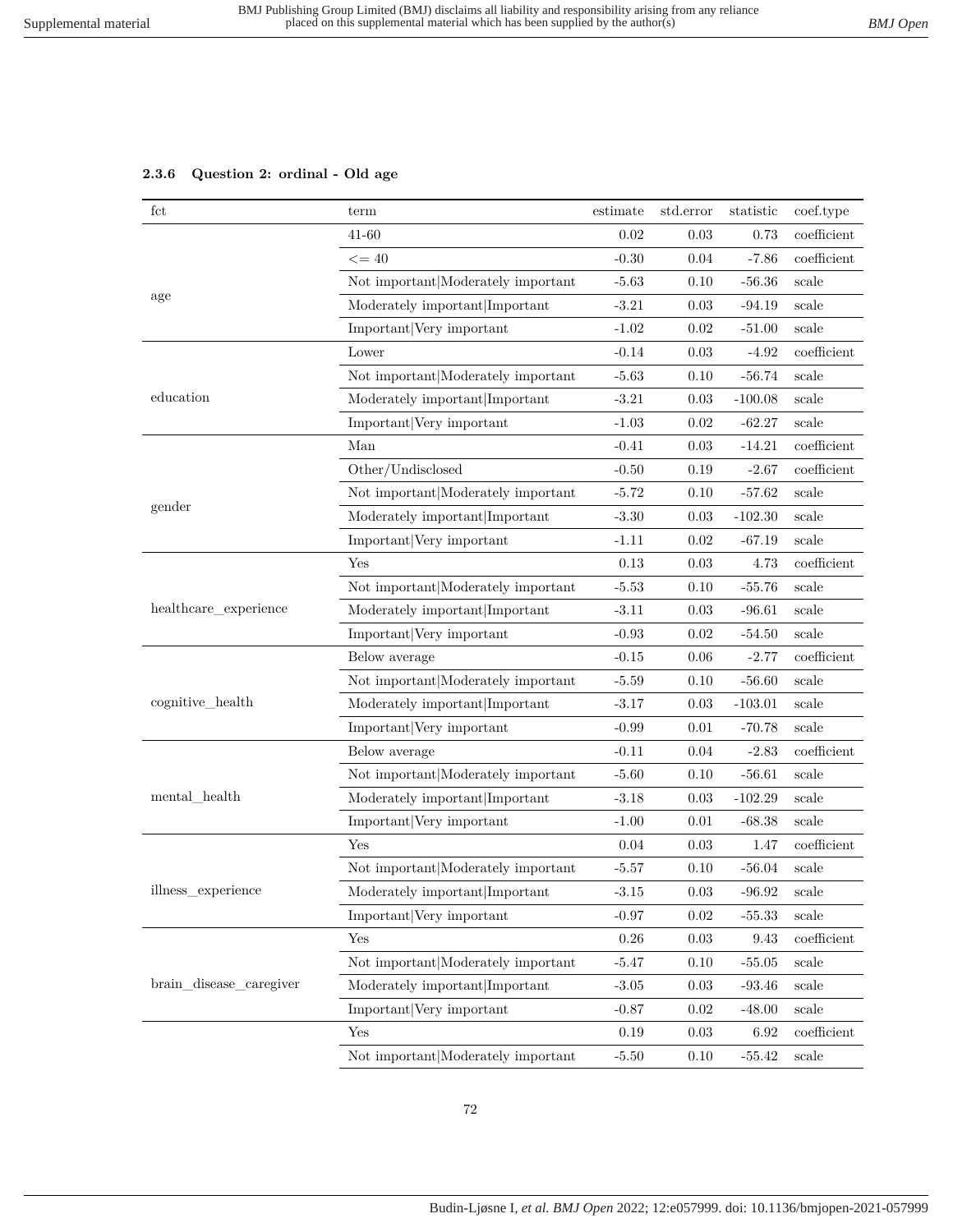# **2.3.6 Question 2: ordinal - Old age**

| fct                     | term                               | estimate | std.error | statistic | coef.type   |
|-------------------------|------------------------------------|----------|-----------|-----------|-------------|
|                         | 41-60                              | 0.02     | 0.03      | 0.73      | coefficient |
|                         | $\leq$ = 40                        | $-0.30$  | 0.04      | $-7.86$   | coefficient |
|                         | Not important Moderately important | $-5.63$  | 0.10      | $-56.36$  | scale       |
| age                     | Moderately important Important     | $-3.21$  | 0.03      | $-94.19$  | scale       |
|                         | Important Very important           | $-1.02$  | 0.02      | $-51.00$  | scale       |
|                         | Lower                              | $-0.14$  | 0.03      | $-4.92$   | coefficient |
|                         | Not important Moderately important | $-5.63$  | 0.10      | $-56.74$  | scale       |
| education               | Moderately important Important     | $-3.21$  | 0.03      | $-100.08$ | scale       |
|                         | Important Very important           | $-1.03$  | 0.02      | $-62.27$  | scale       |
|                         | Man                                | $-0.41$  | 0.03      | $-14.21$  | coefficient |
|                         | Other/Undisclosed                  | $-0.50$  | 0.19      | $-2.67$   | coefficient |
|                         | Not important Moderately important | $-5.72$  | 0.10      | $-57.62$  | scale       |
| gender                  | Moderately important Important     | $-3.30$  | 0.03      | $-102.30$ | scale       |
|                         | Important Very important           | $-1.11$  | 0.02      | $-67.19$  | scale       |
|                         | Yes                                | 0.13     | 0.03      | 4.73      | coefficient |
|                         | Not important Moderately important | $-5.53$  | 0.10      | $-55.76$  | scale       |
| healthcare_experience   | Moderately important Important     | $-3.11$  | 0.03      | $-96.61$  | scale       |
|                         | Important Very important           | $-0.93$  | 0.02      | $-54.50$  | scale       |
|                         | Below average                      | $-0.15$  | 0.06      | $-2.77$   | coefficient |
|                         | Not important Moderately important | $-5.59$  | 0.10      | $-56.60$  | scale       |
| cognitive_health        | Moderately important Important     | $-3.17$  | 0.03      | $-103.01$ | scale       |
|                         | Important Very important           | $-0.99$  | 0.01      | $-70.78$  | scale       |
|                         | Below average                      | $-0.11$  | 0.04      | $-2.83$   | coefficient |
|                         | Not important Moderately important | $-5.60$  | 0.10      | $-56.61$  | scale       |
| mental health           | Moderately important Important     | $-3.18$  | 0.03      | $-102.29$ | scale       |
|                         | Important Very important           | $-1.00$  | 0.01      | $-68.38$  | scale       |
|                         | Yes                                | 0.04     | 0.03      | 1.47      | coefficient |
|                         | Not important Moderately important | $-5.57$  | 0.10      | $-56.04$  | scale       |
| illness_experience      | Moderately important Important     | $-3.15$  | 0.03      | $-96.92$  | scale       |
|                         | Important Very important           | $-0.97$  | 0.02      | $-55.33$  | scale       |
|                         | Yes                                | $0.26\,$ | 0.03      | 9.43      | coefficient |
|                         | Not important Moderately important | $-5.47$  | 0.10      | $-55.05$  | scale       |
| brain_disease_caregiver | Moderately important Important     | $-3.05$  | 0.03      | $-93.46$  | scale       |
|                         | Important Very important           | $-0.87$  | 0.02      | $-48.00$  | scale       |
|                         | Yes                                | $0.19\,$ | 0.03      | 6.92      | coefficient |
|                         | Not important Moderately important | $-5.50$  | 0.10      | $-55.42$  | scale       |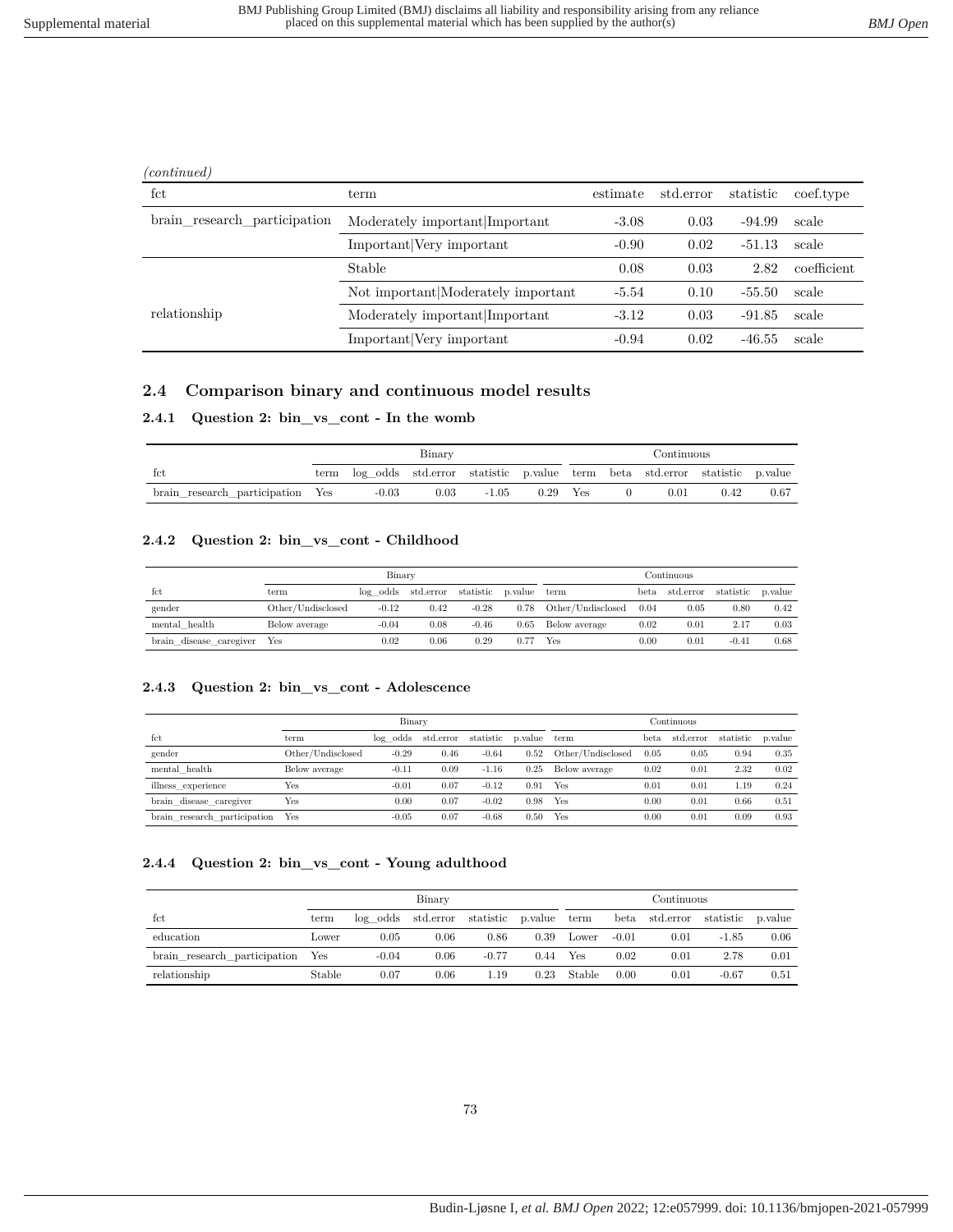| 'continued |  |
|------------|--|
|            |  |

| fct                          | term                               | estimate | std.error | statistic | coef.type   |
|------------------------------|------------------------------------|----------|-----------|-----------|-------------|
| brain research participation | Moderately important Important     | $-3.08$  | 0.03      | $-94.99$  | scale       |
|                              | Important Very important           | $-0.90$  | 0.02      | $-51.13$  | scale       |
|                              | Stable                             | 0.08     | 0.03      | 2.82      | coefficient |
|                              | Not important Moderately important | $-5.54$  | 0.10      | -55.50    | scale       |
| relationship                 | Moderately important Important     | $-3.12$  | 0.03      | $-91.85$  | scale       |
|                              | Important Very important           | $-0.94$  | 0.02      | $-46.55$  | scale       |

### **2.4 Comparison binary and continuous model results**

### **2.4.1 Question 2: bin\_vs\_cont - In the womb**

|                                  | Binary                                                                          |      |       |            |  | Continuous |      |      |
|----------------------------------|---------------------------------------------------------------------------------|------|-------|------------|--|------------|------|------|
| tct                              | term log odds std.error statistic p.value term beta std.error statistic p.value |      |       |            |  |            |      |      |
| brain research_participation Yes | $-0.03$                                                                         | 0.03 | -1.05 | $0.29$ Yes |  | 0.01       | 0.42 | 0.67 |

#### **2.4.2 Question 2: bin\_vs\_cont - Childhood**

|                         |                   | Binary  |                      |           |         | Continuous        |           |                     |         |         |
|-------------------------|-------------------|---------|----------------------|-----------|---------|-------------------|-----------|---------------------|---------|---------|
| fct                     | term              |         | $log$ odds std.error | statistic | p.value | term              | beta      | std.error statistic |         | p.value |
| gender                  | Other/Undisclosed | $-0.12$ | 0.42                 | $-0.28$   | 0.78    | Other/Undisclosed | 0.04      | 0.05                | 0.80    | 0.42    |
| mental health           | Below average     | $-0.04$ | 0.08                 | $-0.46$   | 0.65    | Below average     | 0.02      | 0.01                | 2.17    | 0.03    |
| brain disease caregiver | Yes               | 0.02    | 0.06                 | 0.29      | 0.77    | Yes               | $_{0.00}$ | 0.01                | $-0.41$ | 0.68    |

### **2.4.3 Question 2: bin\_vs\_cont - Adolescence**

|                              |                   | Binary   |           |           |         | Continuous        |      |           |           |         |
|------------------------------|-------------------|----------|-----------|-----------|---------|-------------------|------|-----------|-----------|---------|
| fct                          | term              | log odds | std.error | statistic | p.value | term              | beta | std.error | statistic | p.value |
| gender                       | Other/Undisclosed | $-0.29$  | 0.46      | $-0.64$   | 0.52    | Other/Undisclosed | 0.05 | 0.05      | 0.94      | 0.35    |
| mental health                | Below average     | $-0.11$  | 0.09      | $-1.16$   | 0.25    | Below average     | 0.02 | 0.01      | 2.32      | 0.02    |
| illness experience           | Yes               | $-0.01$  | 0.07      | $-0.12$   | 0.91    | Yes               | 0.01 | 0.01      | 1.19      | 0.24    |
| brain disease caregiver      | Yes               | 0.00     | 0.07      | $-0.02$   | 0.98    | Yes               | 0.00 | 0.01      | 0.66      | 0.51    |
| brain research participation | Yes               | $-0.05$  | 0.07      | $-0.68$   | 0.50    | Yes               | 0.00 | 0.01      | 0.09      | 0.93    |

### **2.4.4 Question 2: bin\_vs\_cont - Young adulthood**

|                              |        | Binary  |                    |                        |      |        |         | Continuous     |           |         |
|------------------------------|--------|---------|--------------------|------------------------|------|--------|---------|----------------|-----------|---------|
| fct                          | term   |         | log odds std.error | statistic p.value term |      |        |         | beta std.error | statistic | p.value |
| education                    | Lower  | 0.05    | 0.06               | 0.86                   | 0.39 | Lower  | $-0.01$ | 0.01           | $-1.85$   | 0.06    |
| brain research participation | Yes    | $-0.04$ | 0.06               | $-0.77$                | 0.44 | Yes    | 0.02    | 0.01           | 2.78      | 0.01    |
| relationship                 | Stable | 0.07    | 0.06               | 1.19                   | 0.23 | Stable | 0.00    | 0.01           | $-0.67$   | 0.51    |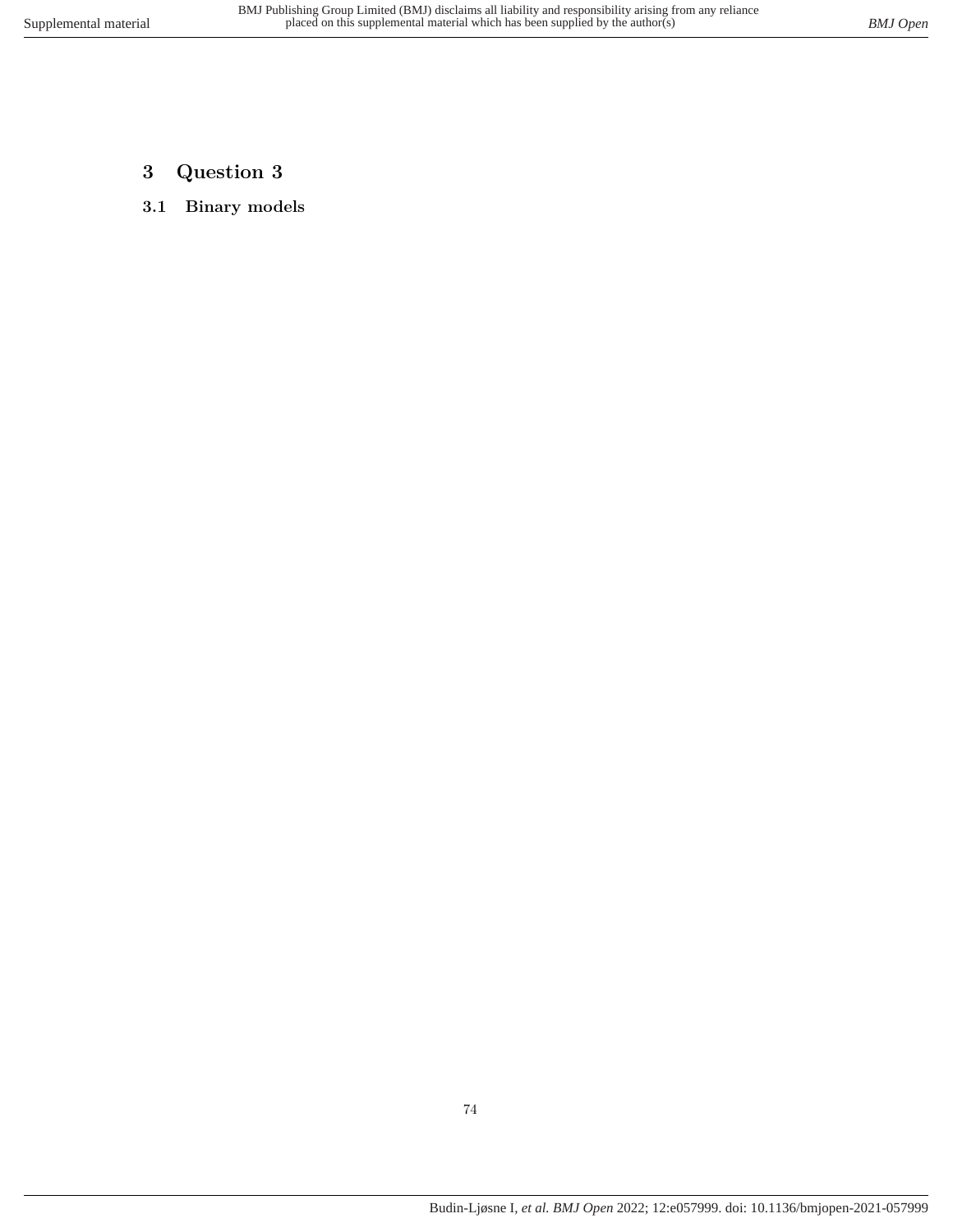- **3 Question 3**
- **3.1 Binary models**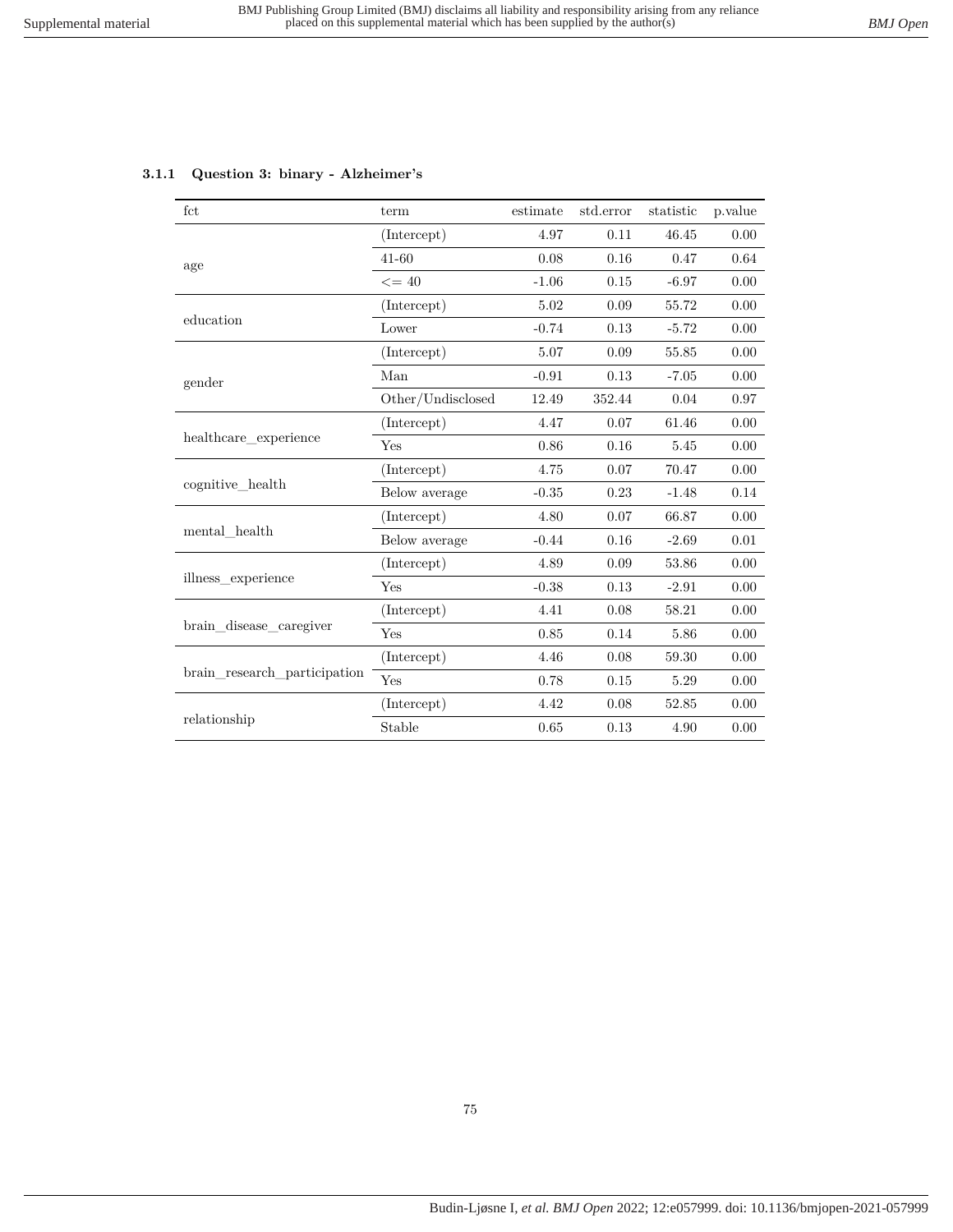| fct                          | term              | estimate | std.error | statistic | p.value |
|------------------------------|-------------------|----------|-----------|-----------|---------|
|                              | (Intercept)       | 4.97     | 0.11      | 46.45     | 0.00    |
| age                          | $41 - 60$         | 0.08     | 0.16      | 0.47      | 0.64    |
|                              | $\leq$ = 40       | $-1.06$  | 0.15      | $-6.97$   | 0.00    |
|                              | (Intercept)       | 5.02     | 0.09      | 55.72     | 0.00    |
| education                    | Lower             | $-0.74$  | 0.13      | $-5.72$   | 0.00    |
|                              | (Intercept)       | 5.07     | 0.09      | 55.85     | 0.00    |
| gender                       | Man               | $-0.91$  | 0.13      | $-7.05$   | 0.00    |
|                              | Other/Undisclosed | 12.49    | 352.44    | 0.04      | 0.97    |
|                              | (Intercept)       | 4.47     | 0.07      | 61.46     | 0.00    |
| healthcare experience        | Yes               | 0.86     | 0.16      | 5.45      | 0.00    |
|                              | (Intercept)       | 4.75     | 0.07      | 70.47     | 0.00    |
| cognitive health             | Below average     | $-0.35$  | 0.23      | $-1.48$   | 0.14    |
|                              | (Intercept)       | 4.80     | 0.07      | 66.87     | 0.00    |
| mental health                | Below average     | $-0.44$  | 0.16      | $-2.69$   | 0.01    |
|                              | (Intercept)       | 4.89     | 0.09      | 53.86     | 0.00    |
| illness experience           | Yes               | $-0.38$  | 0.13      | $-2.91$   | 0.00    |
|                              | (Intercept)       | 4.41     | 0.08      | 58.21     | 0.00    |
| brain disease caregiver      | Yes               | 0.85     | 0.14      | 5.86      | 0.00    |
|                              | (Intercept)       | 4.46     | 0.08      | 59.30     | 0.00    |
| brain research participation | Yes               | 0.78     | 0.15      | 5.29      | 0.00    |
|                              | (Intercept)       | 4.42     | 0.08      | 52.85     | 0.00    |
| relationship                 | Stable            | 0.65     | 0.13      | 4.90      | 0.00    |

### **3.1.1 Question 3: binary - Alzheimer's**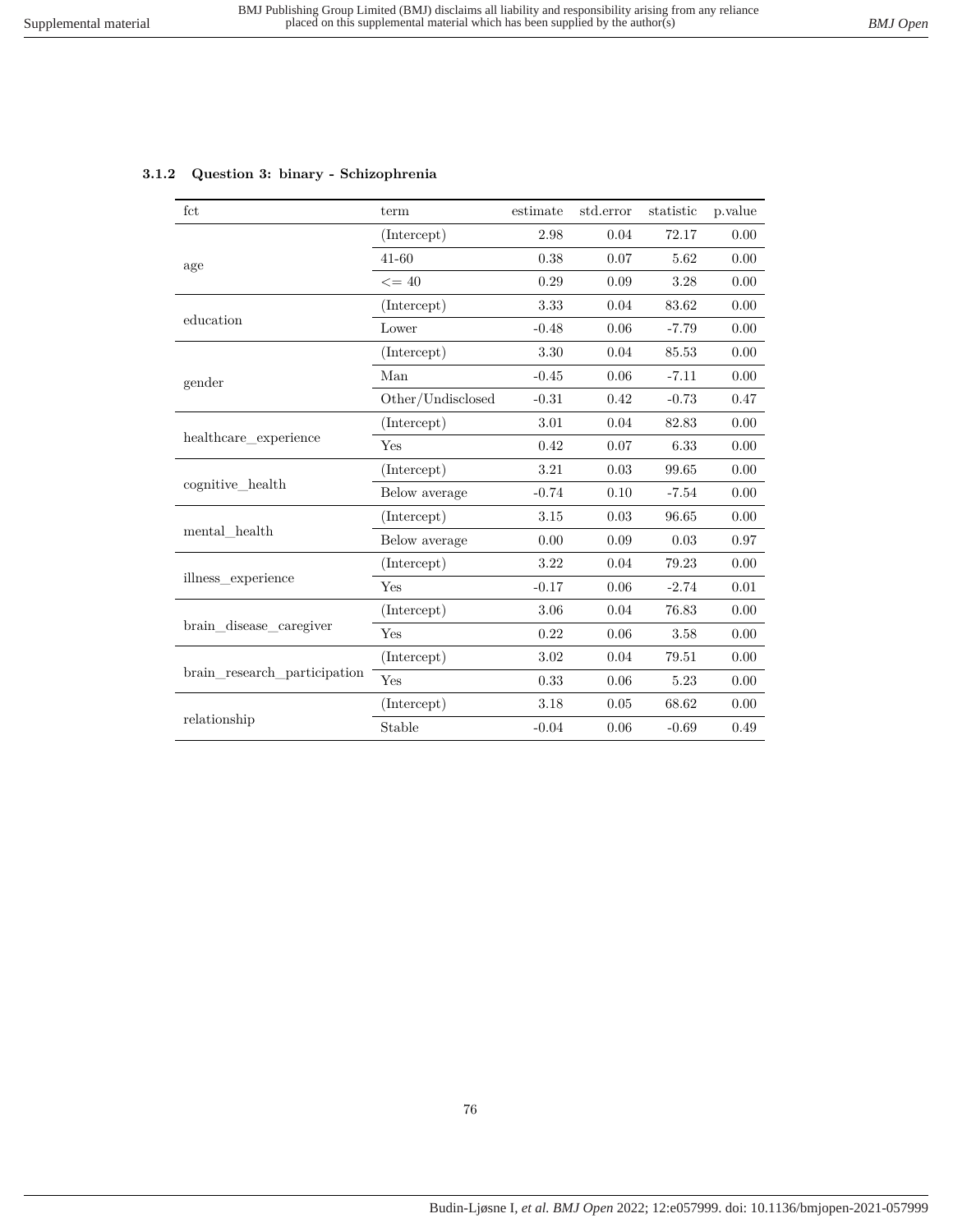| fct                          | term              | estimate | std.error | statistic | p.value |
|------------------------------|-------------------|----------|-----------|-----------|---------|
|                              | (Intercept)       | 2.98     | 0.04      | 72.17     | 0.00    |
| age                          | 41-60             | 0.38     | 0.07      | 5.62      | 0.00    |
|                              | $\leq$ = 40       | 0.29     | 0.09      | 3.28      | 0.00    |
|                              | (Intercept)       | 3.33     | 0.04      | 83.62     | 0.00    |
| education                    | Lower             | $-0.48$  | 0.06      | $-7.79$   | 0.00    |
|                              | (Intercept)       | 3.30     | 0.04      | 85.53     | 0.00    |
| gender                       | Man               | $-0.45$  | 0.06      | $-7.11$   | 0.00    |
|                              | Other/Undisclosed | $-0.31$  | 0.42      | $-0.73$   | 0.47    |
|                              | (Intercept)       | 3.01     | 0.04      | 82.83     | 0.00    |
| healthcare experience        | Yes               | 0.42     | 0.07      | 6.33      | 0.00    |
|                              | (Intercept)       | 3.21     | 0.03      | 99.65     | 0.00    |
| cognitive health             | Below average     | $-0.74$  | 0.10      | $-7.54$   | 0.00    |
|                              | (Intercept)       | 3.15     | 0.03      | 96.65     | 0.00    |
| mental health                | Below average     | 0.00     | 0.09      | 0.03      | 0.97    |
|                              | (Intercept)       | $3.22\,$ | 0.04      | 79.23     | 0.00    |
| illness experience           | Yes               | $-0.17$  | 0.06      | $-2.74$   | 0.01    |
|                              | (Intercept)       | 3.06     | 0.04      | 76.83     | 0.00    |
| brain disease caregiver      | Yes               | 0.22     | 0.06      | 3.58      | 0.00    |
|                              | (Intercept)       | 3.02     | 0.04      | 79.51     | 0.00    |
| brain research participation | Yes               | 0.33     | 0.06      | 5.23      | 0.00    |
|                              | (Intercept)       | 3.18     | 0.05      | 68.62     | 0.00    |
| relationship                 | Stable            | $-0.04$  | 0.06      | $-0.69$   | 0.49    |

### **3.1.2 Question 3: binary - Schizophrenia**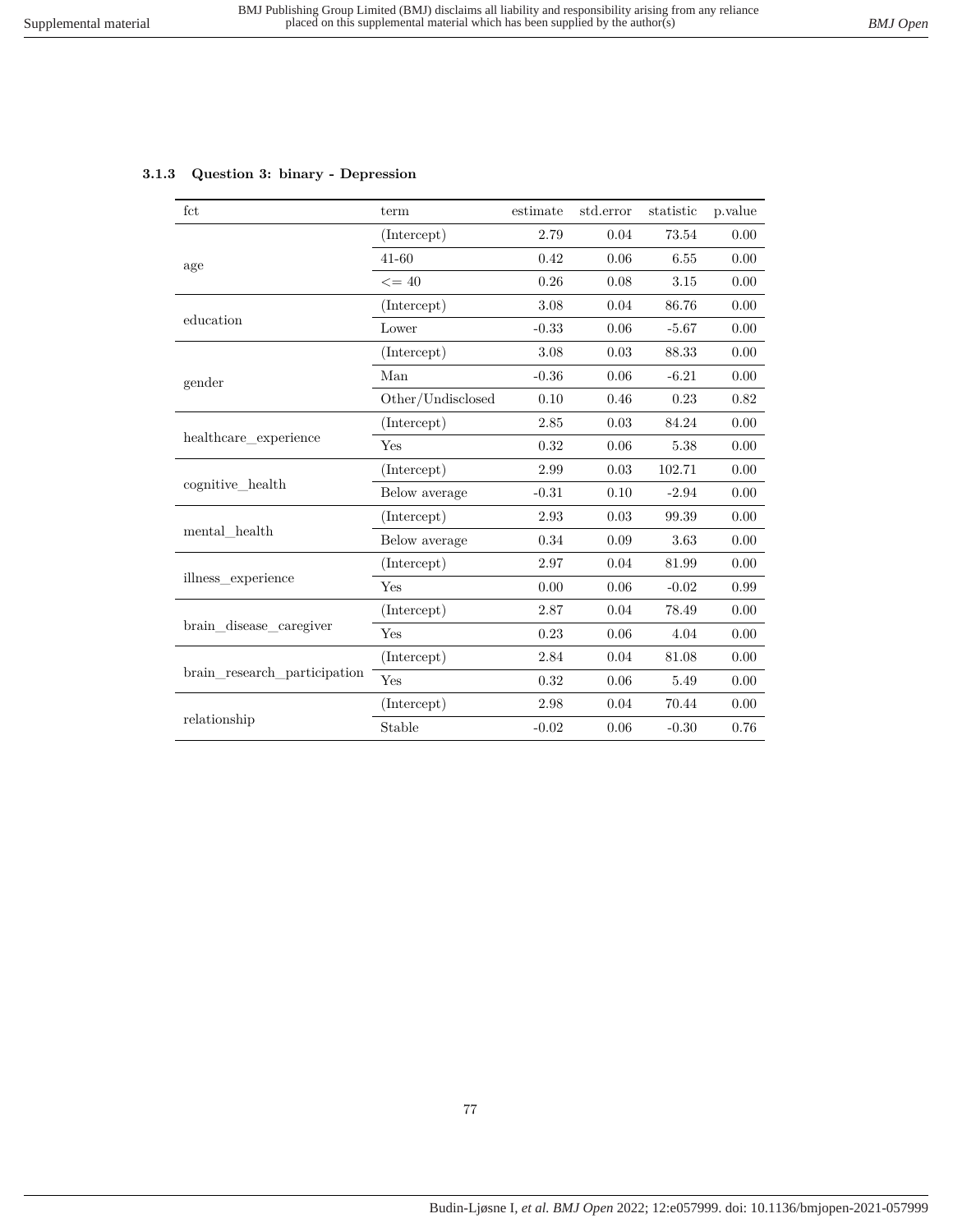| fct                          | term              | estimate | std.error | statistic | p.value |
|------------------------------|-------------------|----------|-----------|-----------|---------|
|                              | (Intercept)       | 2.79     | 0.04      | 73.54     | 0.00    |
| age                          | $41 - 60$         | 0.42     | 0.06      | 6.55      | 0.00    |
|                              | $\leq$ = 40       | 0.26     | 0.08      | 3.15      | 0.00    |
|                              | (Intercept)       | 3.08     | 0.04      | 86.76     | 0.00    |
| education                    | Lower             | $-0.33$  | 0.06      | $-5.67$   | 0.00    |
|                              | (Intercept)       | 3.08     | 0.03      | 88.33     | 0.00    |
| gender                       | Man               | $-0.36$  | $0.06\,$  | $-6.21$   | 0.00    |
|                              | Other/Undisclosed | 0.10     | 0.46      | 0.23      | 0.82    |
|                              | (Intercept)       | 2.85     | 0.03      | 84.24     | 0.00    |
| healthcare experience        | Yes               | 0.32     | 0.06      | 5.38      | 0.00    |
|                              | (Intercept)       | 2.99     | 0.03      | 102.71    | 0.00    |
| cognitive health             | Below average     | $-0.31$  | 0.10      | $-2.94$   | 0.00    |
|                              | (Intercept)       | 2.93     | 0.03      | 99.39     | 0.00    |
| mental health                | Below average     | 0.34     | 0.09      | 3.63      | 0.00    |
|                              | (Intercept)       | 2.97     | 0.04      | 81.99     | 0.00    |
| illness experience           | Yes               | 0.00     | 0.06      | $-0.02$   | 0.99    |
|                              | (Intercept)       | 2.87     | 0.04      | 78.49     | 0.00    |
| brain disease caregiver      | Yes               | 0.23     | 0.06      | 4.04      | 0.00    |
|                              | (Intercept)       | 2.84     | 0.04      | 81.08     | 0.00    |
| brain research participation | Yes               | 0.32     | 0.06      | 5.49      | 0.00    |
|                              | (Intercept)       | 2.98     | 0.04      | 70.44     | 0.00    |
| relationship                 | Stable            | $-0.02$  | 0.06      | $-0.30$   | 0.76    |

### **3.1.3 Question 3: binary - Depression**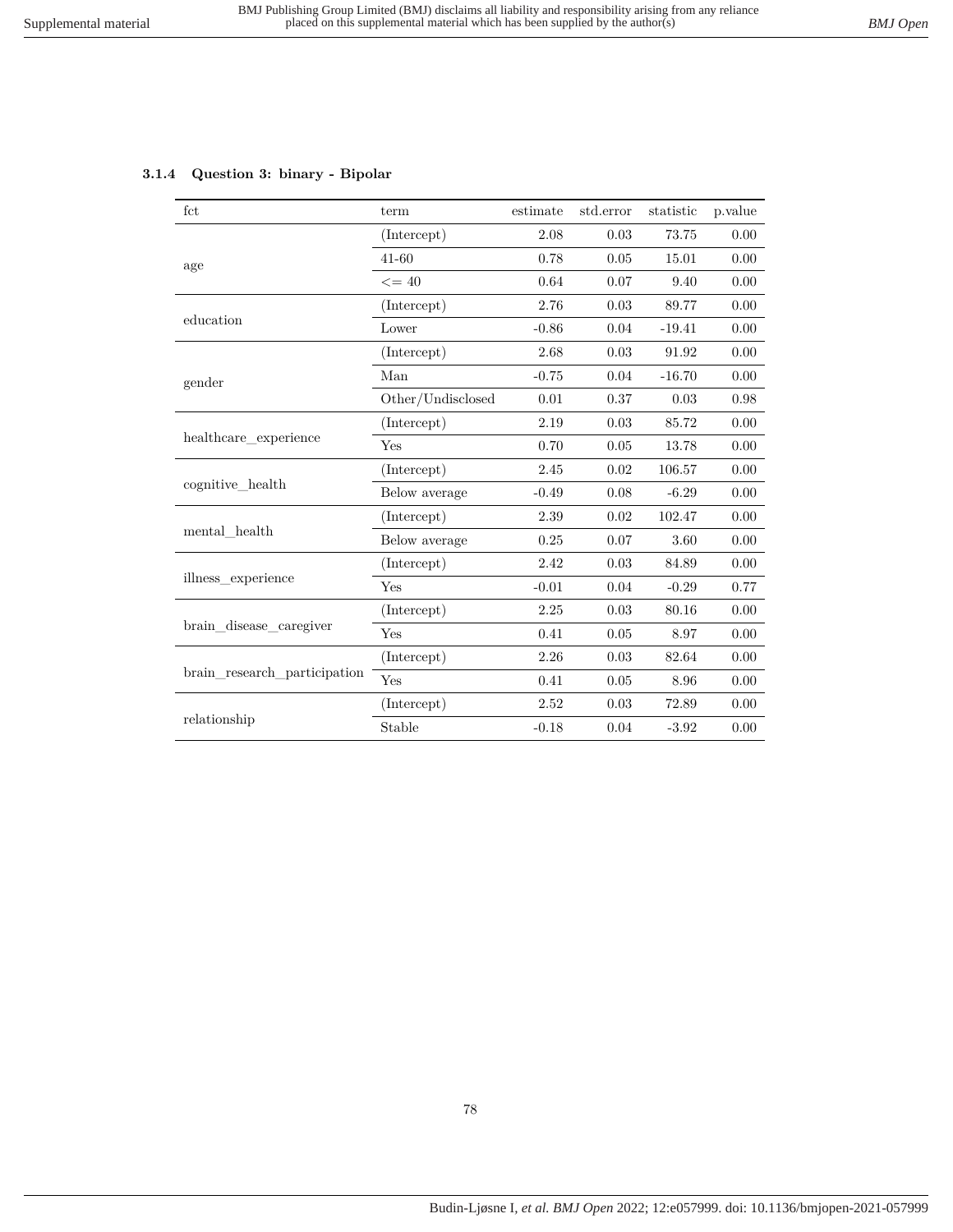# **3.1.4 Question 3: binary - Bipolar**

| fct                          | term              | estimate | std.error | statistic | p.value |
|------------------------------|-------------------|----------|-----------|-----------|---------|
|                              | (Intercept)       | 2.08     | 0.03      | 73.75     | 0.00    |
| age                          | $41 - 60$         | 0.78     | 0.05      | 15.01     | 0.00    |
|                              | $\leq$ = 40       | 0.64     | 0.07      | 9.40      | 0.00    |
|                              | (Intercept)       | 2.76     | 0.03      | 89.77     | 0.00    |
| education                    | Lower             | $-0.86$  | 0.04      | $-19.41$  | 0.00    |
|                              | (Intercept)       | 2.68     | 0.03      | 91.92     | 0.00    |
| gender                       | Man               | $-0.75$  | 0.04      | $-16.70$  | 0.00    |
|                              | Other/Undisclosed | 0.01     | 0.37      | 0.03      | 0.98    |
|                              | (Intercept)       | 2.19     | 0.03      | 85.72     | 0.00    |
| healthcare experience        | Yes               | 0.70     | 0.05      | 13.78     | 0.00    |
|                              | (Intercept)       | 2.45     | 0.02      | 106.57    | 0.00    |
| cognitive_health             | Below average     | $-0.49$  | 0.08      | $-6.29$   | 0.00    |
|                              | (Intercept)       | 2.39     | 0.02      | 102.47    | 0.00    |
| mental health                | Below average     | 0.25     | 0.07      | 3.60      | 0.00    |
|                              | (Intercept)       | 2.42     | 0.03      | 84.89     | 0.00    |
| illness experience           | Yes               | $-0.01$  | 0.04      | $-0.29$   | 0.77    |
|                              | (Intercept)       | 2.25     | 0.03      | 80.16     | 0.00    |
| brain_disease_caregiver      | Yes               | 0.41     | 0.05      | 8.97      | 0.00    |
|                              | (Intercept)       | 2.26     | 0.03      | 82.64     | 0.00    |
| brain research participation | Yes               | 0.41     | $0.05\,$  | 8.96      | 0.00    |
|                              | (Intercept)       | 2.52     | 0.03      | 72.89     | 0.00    |
| relationship                 | Stable            | $-0.18$  | 0.04      | $-3.92$   | 0.00    |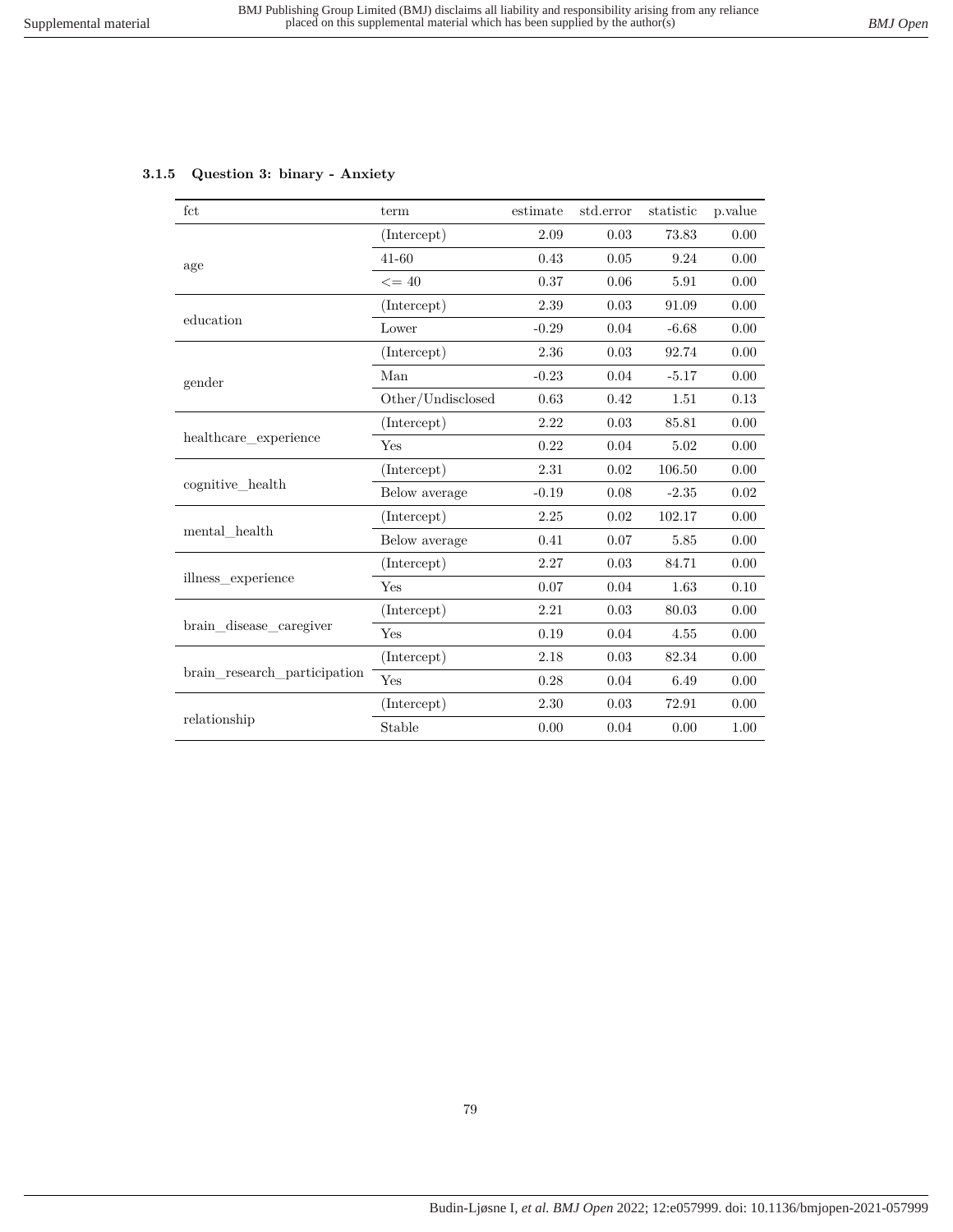# **3.1.5 Question 3: binary - Anxiety**

| fct                          | term              | estimate | std.error | statistic | p.value |
|------------------------------|-------------------|----------|-----------|-----------|---------|
|                              | (Intercept)       | 2.09     | 0.03      | 73.83     | 0.00    |
| age                          | $41 - 60$         | 0.43     | 0.05      | 9.24      | 0.00    |
|                              | $\leq$ = 40       | 0.37     | 0.06      | 5.91      | 0.00    |
|                              | (Intercept)       | 2.39     | 0.03      | 91.09     | 0.00    |
| education                    | Lower             | $-0.29$  | 0.04      | $-6.68$   | 0.00    |
|                              | (Intercept)       | 2.36     | 0.03      | 92.74     | 0.00    |
| gender                       | Man               | $-0.23$  | 0.04      | $-5.17$   | 0.00    |
|                              | Other/Undisclosed | 0.63     | 0.42      | 1.51      | 0.13    |
|                              | (Intercept)       | 2.22     | 0.03      | 85.81     | 0.00    |
| healthcare experience        | Yes               | 0.22     | 0.04      | 5.02      | 0.00    |
|                              | (Intercept)       | 2.31     | 0.02      | 106.50    | 0.00    |
| cognitive_health             | Below average     | $-0.19$  | 0.08      | $-2.35$   | 0.02    |
|                              | (Intercept)       | 2.25     | 0.02      | 102.17    | 0.00    |
| mental health                | Below average     | 0.41     | 0.07      | 5.85      | 0.00    |
|                              | (Intercept)       | 2.27     | 0.03      | 84.71     | 0.00    |
| illness experience           | Yes               | 0.07     | 0.04      | 1.63      | 0.10    |
|                              | (Intercept)       | 2.21     | 0.03      | 80.03     | 0.00    |
| brain_disease_caregiver      | Yes               | 0.19     | 0.04      | 4.55      | 0.00    |
|                              | (Intercept)       | 2.18     | 0.03      | 82.34     | 0.00    |
| brain research participation | Yes               | 0.28     | 0.04      | 6.49      | 0.00    |
|                              | (Intercept)       | 2.30     | 0.03      | 72.91     | 0.00    |
| relationship                 | Stable            | 0.00     | 0.04      | 0.00      | 1.00    |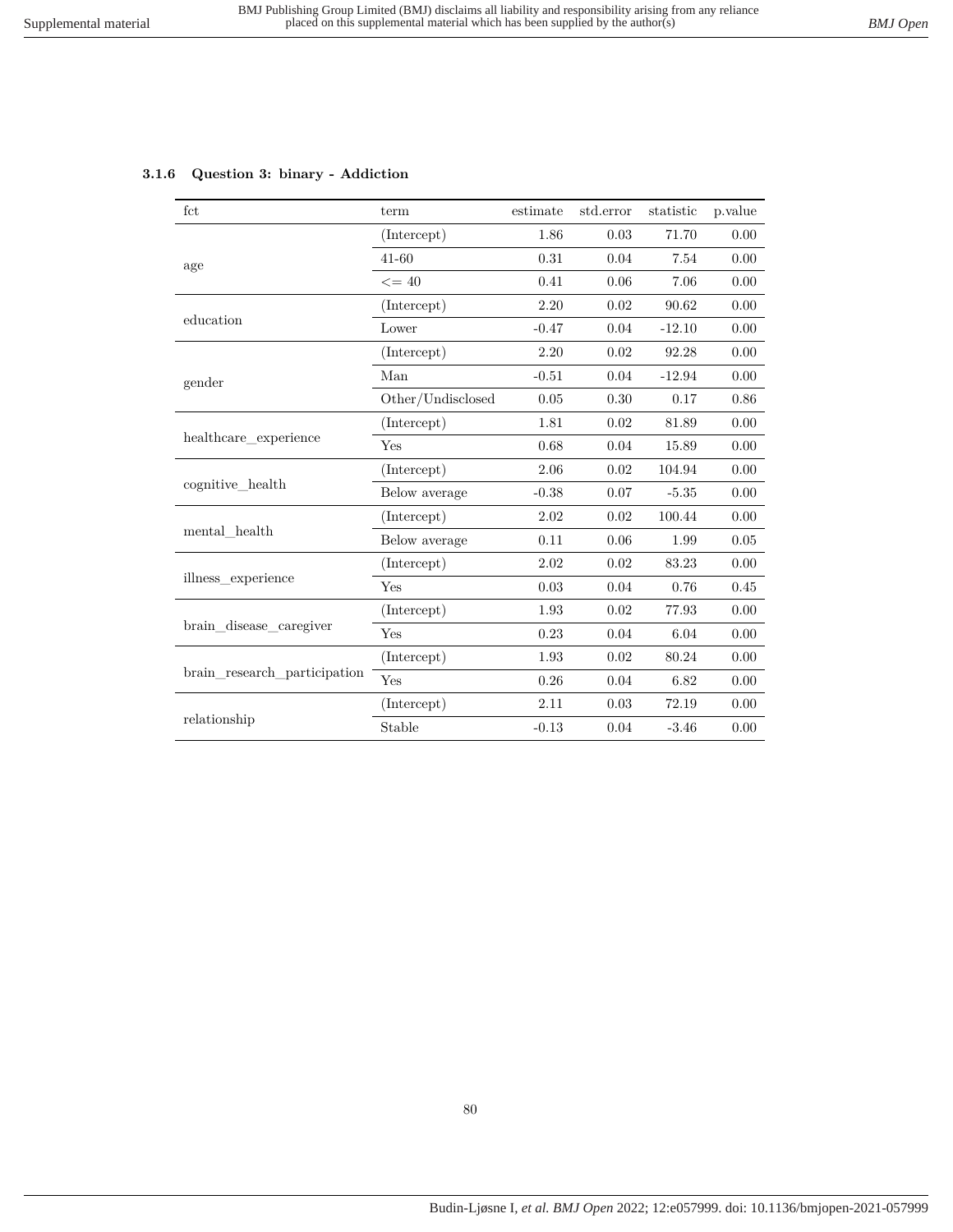|  |  |  |  | 3.1.6 Question 3: binary - Addiction |
|--|--|--|--|--------------------------------------|
|--|--|--|--|--------------------------------------|

| fct                          | term              | estimate | std.error | statistic | p.value |
|------------------------------|-------------------|----------|-----------|-----------|---------|
|                              | (Intercept)       | 1.86     | 0.03      | 71.70     | 0.00    |
| age                          | $41 - 60$         | 0.31     | 0.04      | 7.54      | 0.00    |
|                              | $\leq$ = 40       | 0.41     | 0.06      | 7.06      | 0.00    |
|                              | (Intercept)       | 2.20     | 0.02      | 90.62     | 0.00    |
| education                    | Lower             | $-0.47$  | 0.04      | $-12.10$  | 0.00    |
|                              | (Intercept)       | 2.20     | 0.02      | 92.28     | 0.00    |
| gender                       | Man               | $-0.51$  | 0.04      | $-12.94$  | 0.00    |
|                              | Other/Undisclosed | 0.05     | 0.30      | 0.17      | 0.86    |
|                              | (Intercept)       | 1.81     | 0.02      | 81.89     | 0.00    |
| healthcare_experience        | Yes               | 0.68     | 0.04      | 15.89     | 0.00    |
|                              | (Intercept)       | 2.06     | 0.02      | 104.94    | 0.00    |
| cognitive health             | Below average     | $-0.38$  | 0.07      | $-5.35$   | 0.00    |
|                              | (Intercept)       | 2.02     | 0.02      | 100.44    | 0.00    |
| mental health                | Below average     | 0.11     | 0.06      | 1.99      | 0.05    |
|                              | (Intercept)       | 2.02     | 0.02      | 83.23     | 0.00    |
| illness experience           | Yes               | 0.03     | 0.04      | 0.76      | 0.45    |
|                              | (Intercept)       | 1.93     | 0.02      | 77.93     | 0.00    |
| brain_disease_caregiver      | Yes               | 0.23     | $0.04\,$  | 6.04      | 0.00    |
| brain_research_participation | (Intercept)       | 1.93     | 0.02      | 80.24     | 0.00    |
|                              | Yes               | 0.26     | 0.04      | 6.82      | 0.00    |
|                              | (Intercept)       | 2.11     | 0.03      | 72.19     | 0.00    |
| relationship                 | Stable            | $-0.13$  | 0.04      | $-3.46$   | 0.00    |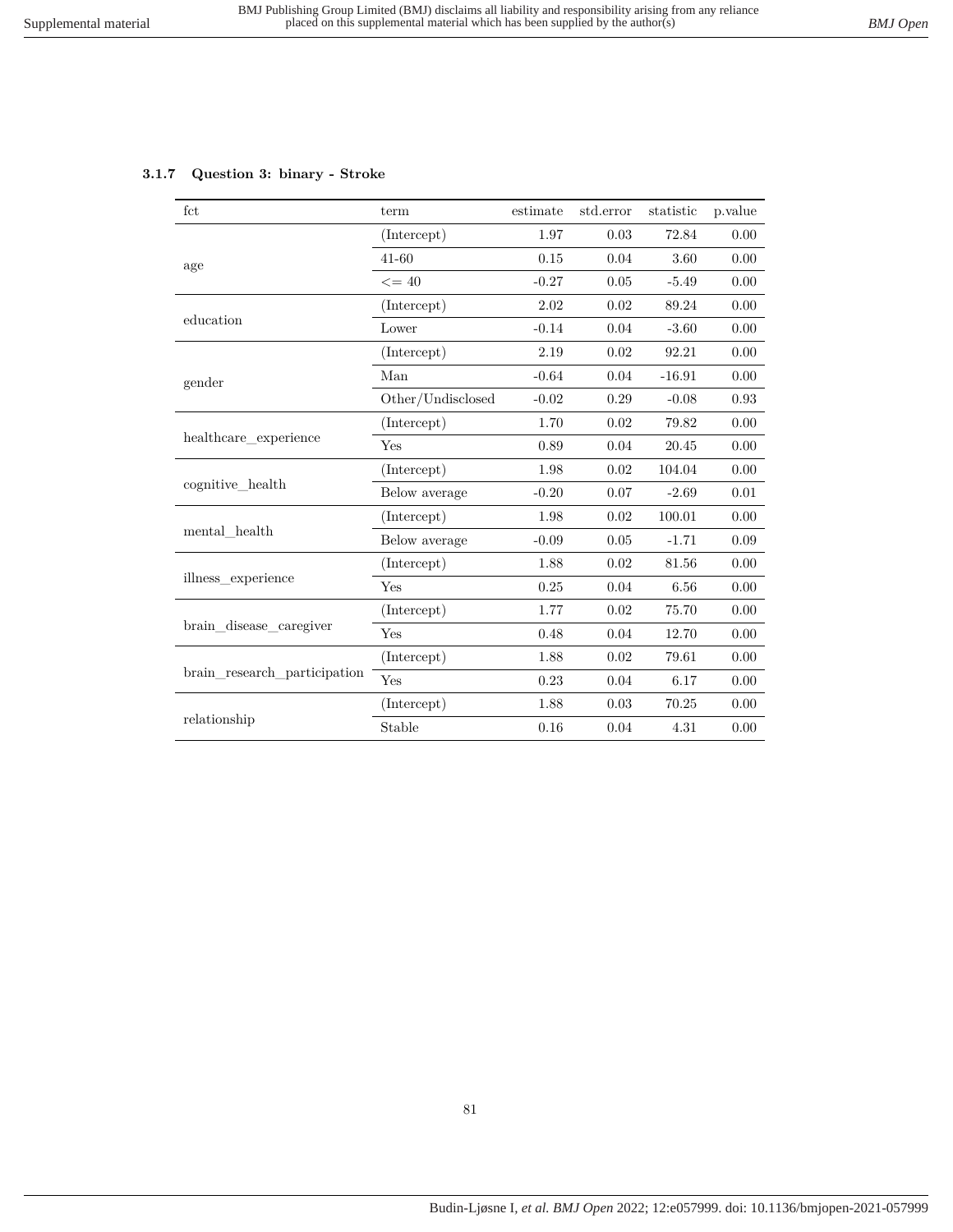### **3.1.7 Question 3: binary - Stroke**

| fct                          | term              | estimate | std.error | statistic | p.value |
|------------------------------|-------------------|----------|-----------|-----------|---------|
|                              | (Intercept)       | 1.97     | 0.03      | 72.84     | 0.00    |
| age                          | $41 - 60$         | 0.15     | 0.04      | 3.60      | 0.00    |
|                              | $\leq$ = 40       | $-0.27$  | 0.05      | $-5.49$   | 0.00    |
|                              | (Intercept)       | $2.02\,$ | 0.02      | 89.24     | 0.00    |
| education                    | Lower             | $-0.14$  | 0.04      | $-3.60$   | 0.00    |
|                              | (Intercept)       | 2.19     | 0.02      | 92.21     | 0.00    |
| gender                       | Man               | $-0.64$  | 0.04      | $-16.91$  | 0.00    |
|                              | Other/Undisclosed | $-0.02$  | 0.29      | $-0.08$   | 0.93    |
|                              | (Intercept)       | 1.70     | 0.02      | 79.82     | 0.00    |
| healthcare experience        | Yes               | 0.89     | 0.04      | 20.45     | 0.00    |
|                              | (Intercept)       | 1.98     | 0.02      | 104.04    | 0.00    |
| cognitive_health             | Below average     | $-0.20$  | 0.07      | $-2.69$   | 0.01    |
|                              | (Intercept)       | 1.98     | 0.02      | 100.01    | 0.00    |
| mental health                | Below average     | $-0.09$  | 0.05      | $-1.71$   | 0.09    |
|                              | (Intercept)       | 1.88     | 0.02      | 81.56     | 0.00    |
| illness experience           | Yes               | 0.25     | 0.04      | $6.56\,$  | 0.00    |
|                              | (Intercept)       | 1.77     | 0.02      | 75.70     | 0.00    |
| brain_disease_caregiver      | Yes               | 0.48     | 0.04      | 12.70     | 0.00    |
|                              | (Intercept)       | 1.88     | 0.02      | 79.61     | 0.00    |
| brain research participation | Yes               | 0.23     | 0.04      | 6.17      | 0.00    |
|                              | (Intercept)       | 1.88     | 0.03      | 70.25     | 0.00    |
| relationship                 | Stable            | 0.16     | 0.04      | 4.31      | 0.00    |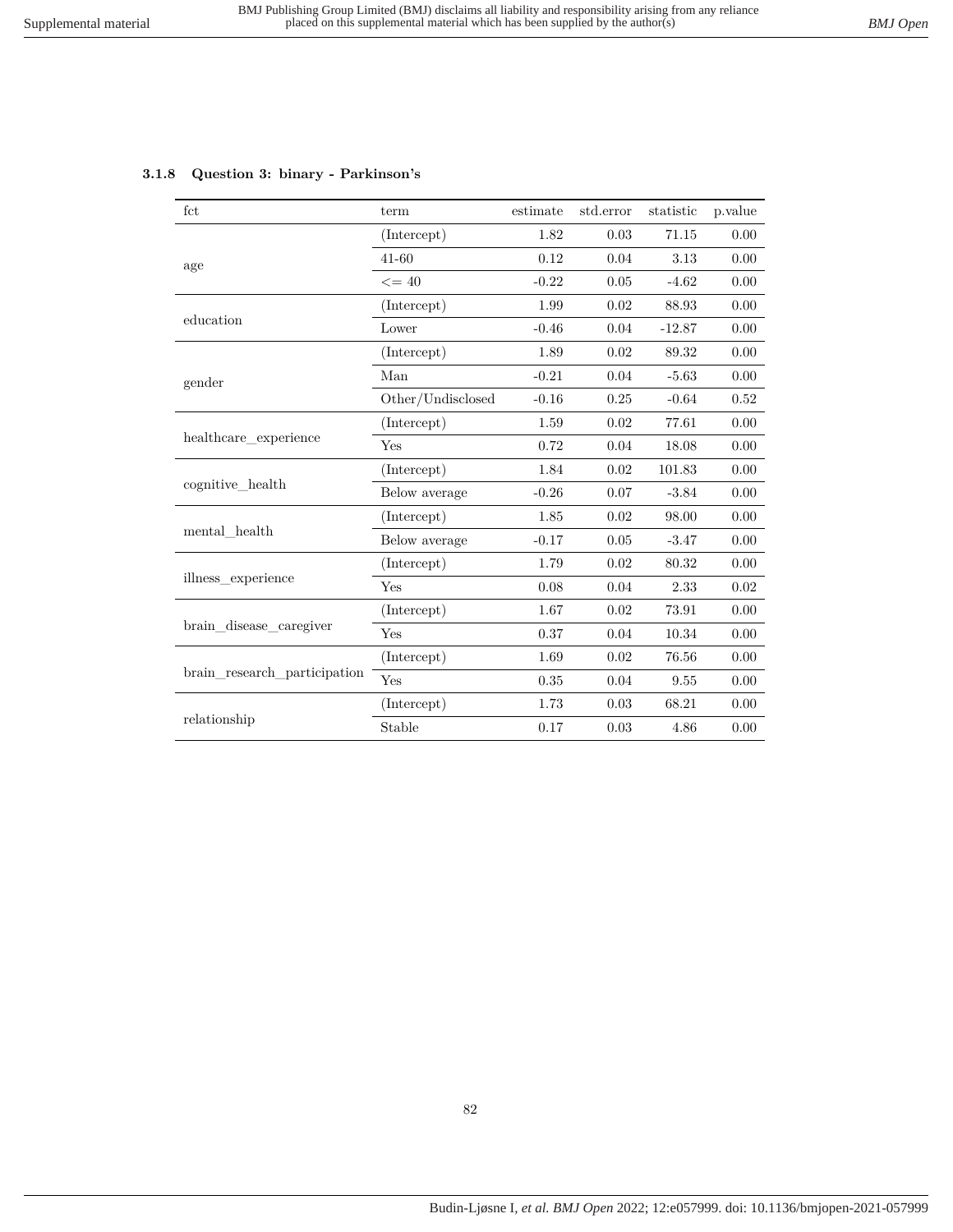| $_{\rm fct}$                    | term              | estimate | std.error | statistic | p.value |
|---------------------------------|-------------------|----------|-----------|-----------|---------|
|                                 | (Intercept)       | 1.82     | 0.03      | 71.15     | 0.00    |
| age                             | $41 - 60$         | 0.12     | 0.04      | 3.13      | 0.00    |
|                                 | $\leq$ = 40       | $-0.22$  | 0.05      | $-4.62$   | 0.00    |
|                                 | (Intercept)       | 1.99     | 0.02      | 88.93     | 0.00    |
| education                       | Lower             | $-0.46$  | 0.04      | $-12.87$  | 0.00    |
|                                 | (Intercept)       | 1.89     | 0.02      | 89.32     | 0.00    |
| gender                          | Man               | $-0.21$  | 0.04      | $-5.63$   | 0.00    |
|                                 | Other/Undisclosed | $-0.16$  | 0.25      | $-0.64$   | 0.52    |
|                                 | (Intercept)       | 1.59     | 0.02      | 77.61     | 0.00    |
| healthcare experience           | Yes               | 0.72     | 0.04      | 18.08     | 0.00    |
|                                 | (Intercept)       | 1.84     | 0.02      | 101.83    | 0.00    |
| cognitive health                | Below average     | $-0.26$  | 0.07      | $-3.84$   | 0.00    |
|                                 | (Intercept)       | 1.85     | 0.02      | 98.00     | 0.00    |
| $\operatorname{mental\_health}$ | Below average     | $-0.17$  | 0.05      | $-3.47$   | 0.00    |
|                                 | (Intercept)       | 1.79     | 0.02      | 80.32     | 0.00    |
| illness experience              | Yes               | 0.08     | 0.04      | 2.33      | 0.02    |
|                                 | (Intercept)       | 1.67     | 0.02      | 73.91     | 0.00    |
| brain disease caregiver         | Yes               | 0.37     | 0.04      | 10.34     | 0.00    |
|                                 | (Intercept)       | 1.69     | 0.02      | 76.56     | 0.00    |
| brain_research_participation    | Yes               | 0.35     | 0.04      | 9.55      | 0.00    |
|                                 | (Intercept)       | 1.73     | 0.03      | 68.21     | 0.00    |
| relationship                    | Stable            | 0.17     | 0.03      | 4.86      | 0.00    |

### **3.1.8 Question 3: binary - Parkinson's**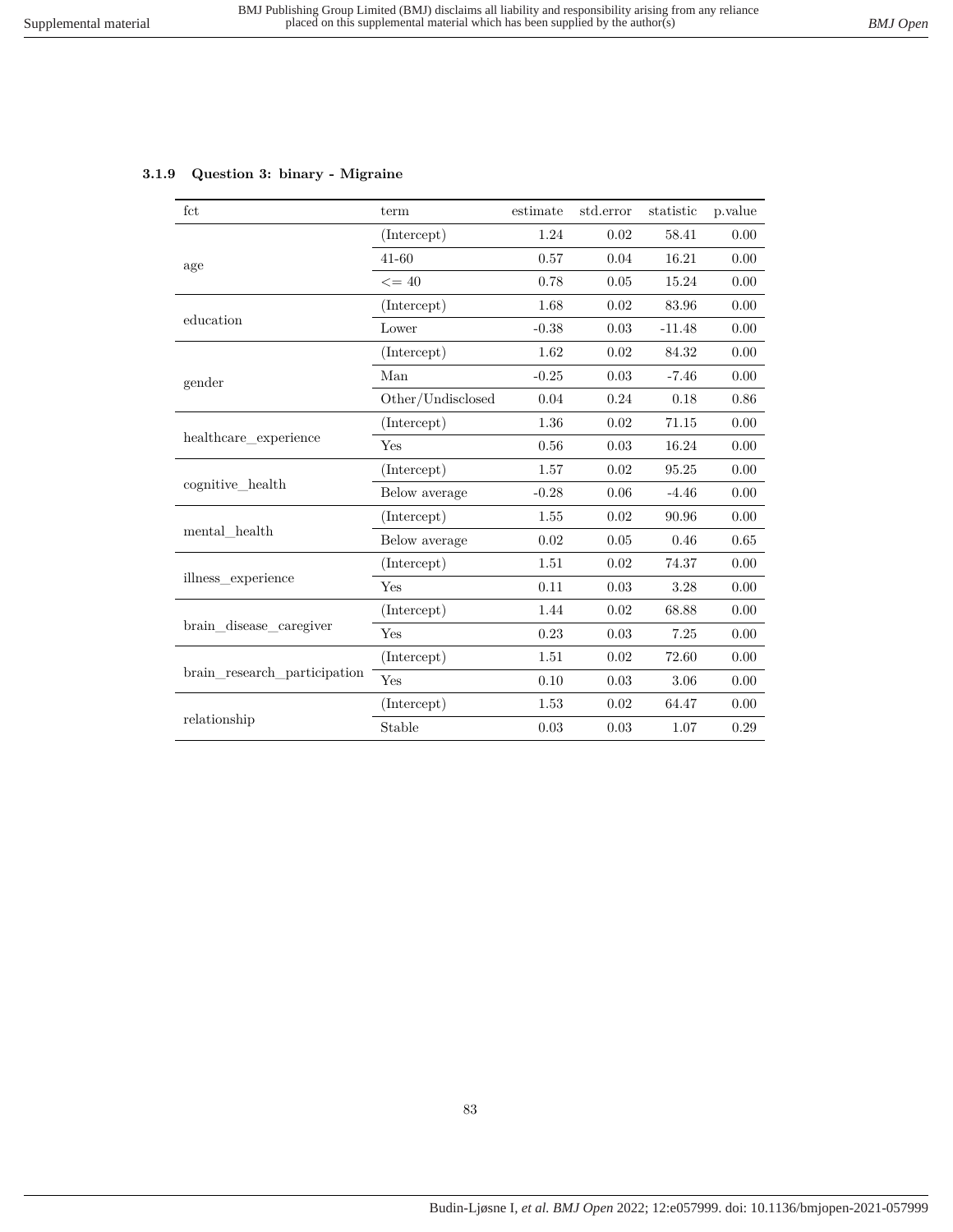# **3.1.9 Question 3: binary - Migraine**

| fct                          | term              | estimate | std.error | statistic | p.value  |
|------------------------------|-------------------|----------|-----------|-----------|----------|
|                              | (Intercept)       | 1.24     | 0.02      | 58.41     | 0.00     |
| age                          | $41 - 60$         | 0.57     | 0.04      | 16.21     | 0.00     |
|                              | $\leq$ = 40       | 0.78     | 0.05      | 15.24     | 0.00     |
|                              | (Intercept)       | 1.68     | 0.02      | 83.96     | 0.00     |
| education                    | Lower             | $-0.38$  | 0.03      | $-11.48$  | 0.00     |
|                              | (Intercept)       | 1.62     | 0.02      | 84.32     | 0.00     |
| gender                       | Man               | $-0.25$  | 0.03      | $-7.46$   | 0.00     |
|                              | Other/Undisclosed | 0.04     | 0.24      | 0.18      | 0.86     |
|                              | (Intercept)       | 1.36     | 0.02      | 71.15     | 0.00     |
| healthcare_experience        | Yes               | 0.56     | 0.03      | 16.24     | 0.00     |
|                              | (Intercept)       | 1.57     | 0.02      | 95.25     | 0.00     |
| cognitive health             | Below average     | $-0.28$  | 0.06      | $-4.46$   | 0.00     |
|                              | (Intercept)       | 1.55     | 0.02      | 90.96     | $0.00\,$ |
| mental health                | Below average     | 0.02     | 0.05      | 0.46      | 0.65     |
|                              | (Intercept)       | 1.51     | 0.02      | 74.37     | 0.00     |
| illness_experience           | Yes               | 0.11     | 0.03      | 3.28      | 0.00     |
|                              | (Intercept)       | 1.44     | 0.02      | 68.88     | 0.00     |
| brain disease caregiver      | Yes               | 0.23     | 0.03      | 7.25      | 0.00     |
| brain research participation | (Intercept)       | 1.51     | 0.02      | 72.60     | 0.00     |
|                              | Yes               | 0.10     | 0.03      | 3.06      | 0.00     |
|                              | (Intercept)       | 1.53     | 0.02      | 64.47     | 0.00     |
| relationship                 | Stable            | 0.03     | 0.03      | 1.07      | 0.29     |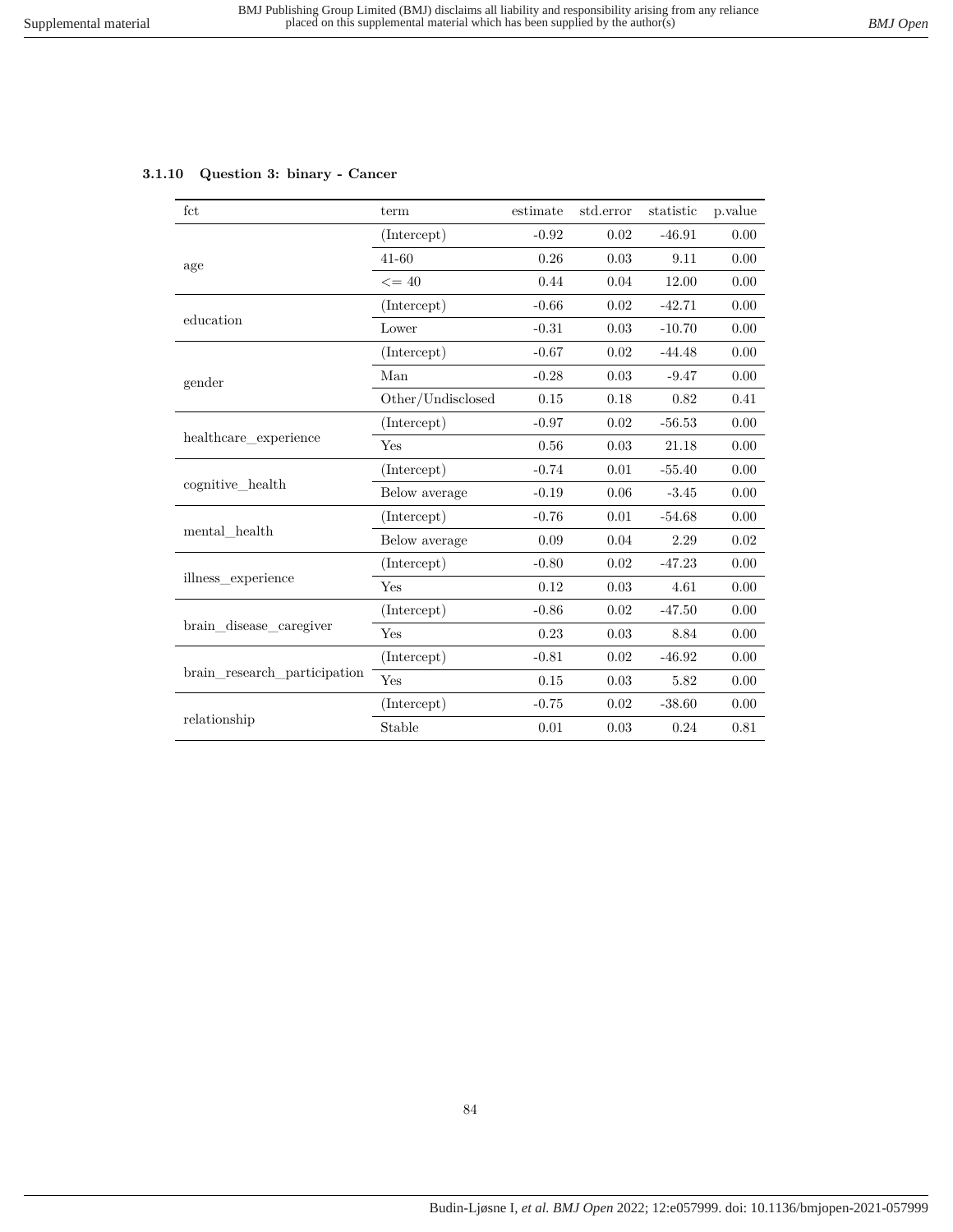# **3.1.10 Question 3: binary - Cancer**

| fct                          | term              | estimate | std.error | statistic | p.value  |
|------------------------------|-------------------|----------|-----------|-----------|----------|
|                              | (Intercept)       | $-0.92$  | 0.02      | $-46.91$  | 0.00     |
| age                          | $41 - 60$         | 0.26     | 0.03      | 9.11      | 0.00     |
|                              | $\leq$ = 40       | 0.44     | 0.04      | 12.00     | 0.00     |
|                              | (Intercept)       | $-0.66$  | 0.02      | $-42.71$  | 0.00     |
| education                    | Lower             | $-0.31$  | 0.03      | $-10.70$  | 0.00     |
|                              | (Intercept)       | $-0.67$  | 0.02      | $-44.48$  | 0.00     |
| gender                       | Man               | $-0.28$  | 0.03      | $-9.47$   | 0.00     |
|                              | Other/Undisclosed | 0.15     | 0.18      | 0.82      | 0.41     |
|                              | (Intercept)       | $-0.97$  | 0.02      | $-56.53$  | 0.00     |
| healthcare experience        | Yes               | 0.56     | 0.03      | 21.18     | 0.00     |
|                              | (Intercept)       | $-0.74$  | 0.01      | $-55.40$  | 0.00     |
| cognitive health             | Below average     | $-0.19$  | 0.06      | $-3.45$   | 0.00     |
|                              | (Intercept)       | $-0.76$  | $0.01\,$  | $-54.68$  | $0.00\,$ |
| mental health                | Below average     | 0.09     | 0.04      | 2.29      | 0.02     |
|                              | (Intercept)       | $-0.80$  | 0.02      | $-47.23$  | 0.00     |
| illness_experience           | Yes               | 0.12     | 0.03      | 4.61      | 0.00     |
|                              | (Intercept)       | $-0.86$  | 0.02      | $-47.50$  | 0.00     |
| brain disease caregiver      | Yes               | 0.23     | 0.03      | 8.84      | 0.00     |
|                              | (Intercept)       | $-0.81$  | 0.02      | $-46.92$  | 0.00     |
| brain research participation | Yes               | 0.15     | 0.03      | 5.82      | 0.00     |
|                              | (Intercept)       | $-0.75$  | 0.02      | $-38.60$  | 0.00     |
| relationship                 | Stable            | 0.01     | 0.03      | 0.24      | 0.81     |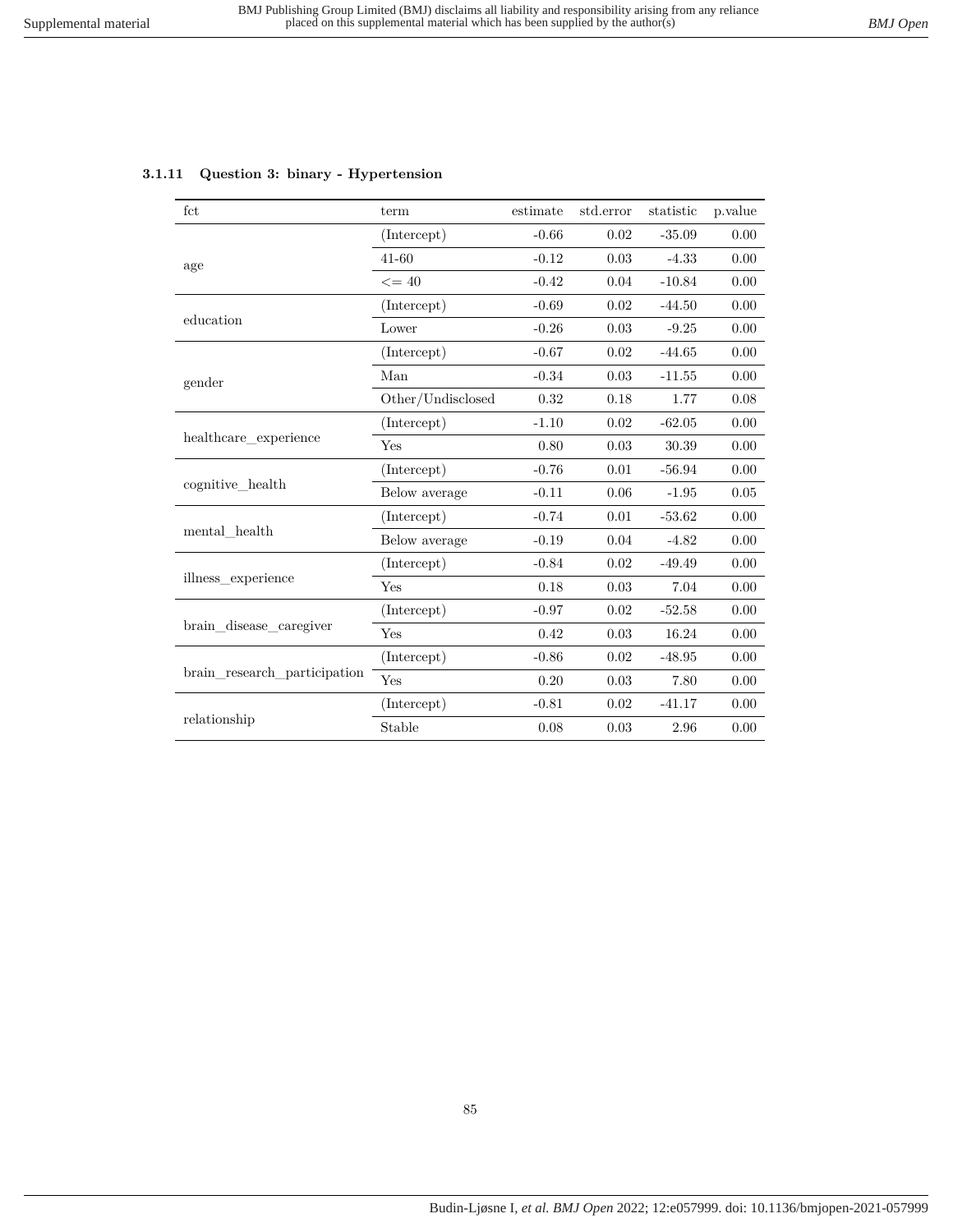|  |  | 3.1.11 Question 3: binary - Hypertension |
|--|--|------------------------------------------|
|--|--|------------------------------------------|

| fct                          | term              | estimate | std.error | statistic | p.value |
|------------------------------|-------------------|----------|-----------|-----------|---------|
|                              | (Intercept)       | $-0.66$  | 0.02      | $-35.09$  | 0.00    |
| age                          | $41 - 60$         | $-0.12$  | 0.03      | $-4.33$   | 0.00    |
|                              | $\leq$ = 40       | $-0.42$  | 0.04      | $-10.84$  | 0.00    |
|                              | (Intercept)       | $-0.69$  | 0.02      | $-44.50$  | 0.00    |
| education                    | Lower             | $-0.26$  | 0.03      | $-9.25$   | 0.00    |
|                              | (Intercept)       | $-0.67$  | 0.02      | $-44.65$  | 0.00    |
| gender                       | Man               | $-0.34$  | 0.03      | $-11.55$  | 0.00    |
|                              | Other/Undisclosed | 0.32     | 0.18      | 1.77      | 0.08    |
|                              | (Intercept)       | $-1.10$  | 0.02      | $-62.05$  | 0.00    |
| healthcare experience        | Yes               | 0.80     | 0.03      | 30.39     | 0.00    |
|                              | (Intercept)       | $-0.76$  | 0.01      | $-56.94$  | 0.00    |
| cognitive health             | Below average     | $-0.11$  | 0.06      | $-1.95$   | 0.05    |
|                              | (Intercept)       | $-0.74$  | 0.01      | $-53.62$  | 0.00    |
| mental health                | Below average     | $-0.19$  | 0.04      | $-4.82$   | 0.00    |
|                              | (Intercept)       | $-0.84$  | 0.02      | $-49.49$  | 0.00    |
| illness experience           | Yes               | 0.18     | 0.03      | 7.04      | 0.00    |
|                              | (Intercept)       | $-0.97$  | 0.02      | $-52.58$  | 0.00    |
| brain disease caregiver      | Yes               | 0.42     | 0.03      | 16.24     | 0.00    |
| brain research participation | (Intercept)       | $-0.86$  | 0.02      | $-48.95$  | 0.00    |
|                              | Yes               | 0.20     | 0.03      | 7.80      | 0.00    |
|                              | (Intercept)       | $-0.81$  | 0.02      | $-41.17$  | 0.00    |
| relationship                 | Stable            | 0.08     | 0.03      | 2.96      | 0.00    |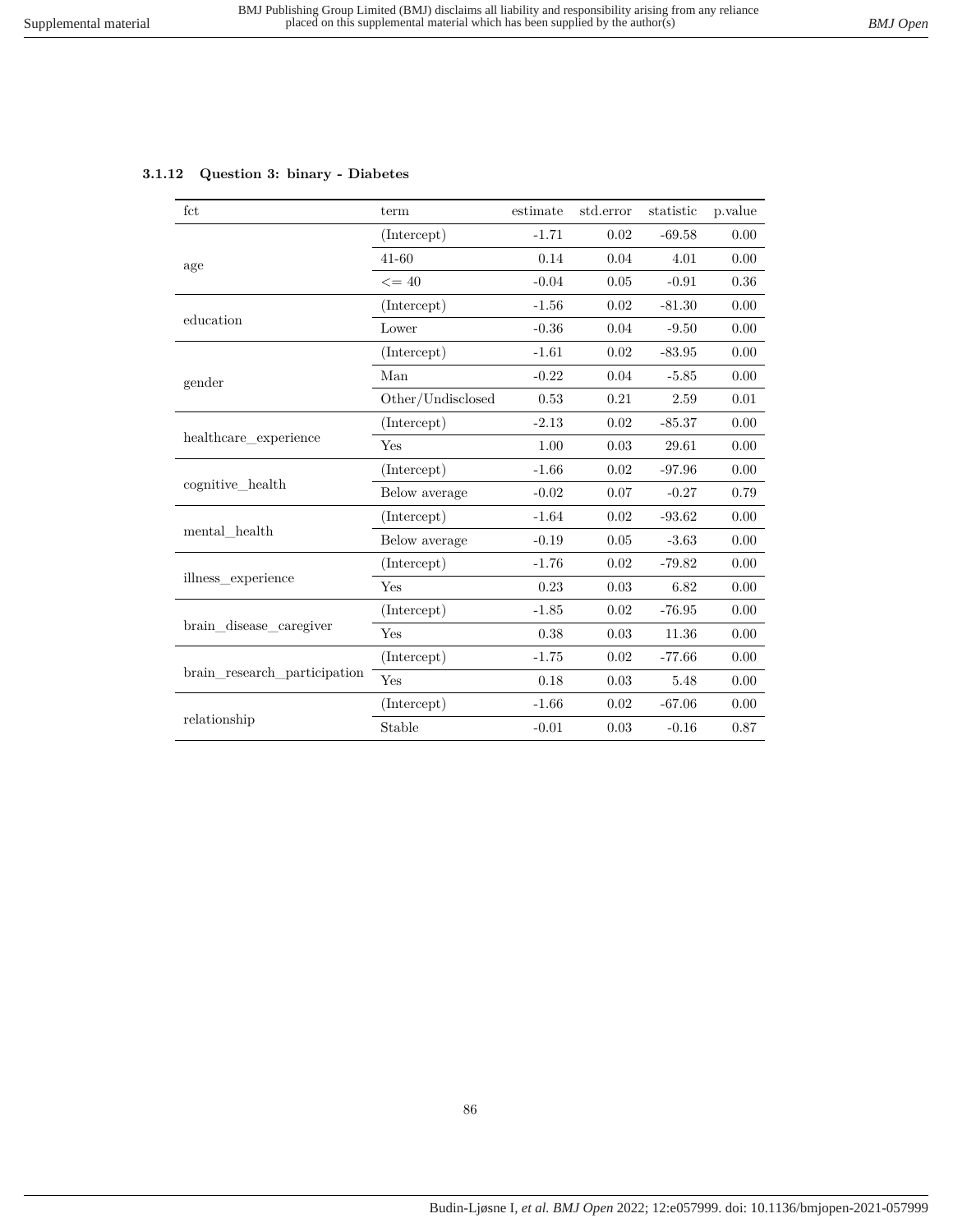# **3.1.12 Question 3: binary - Diabetes**

| fct                          | term              | estimate | std.error | statistic | p.value |
|------------------------------|-------------------|----------|-----------|-----------|---------|
|                              | (Intercept)       | $-1.71$  | 0.02      | $-69.58$  | 0.00    |
| age                          | $41 - 60$         | 0.14     | 0.04      | 4.01      | 0.00    |
|                              | $\leq$ = 40       | $-0.04$  | 0.05      | $-0.91$   | 0.36    |
|                              | (Intercept)       | $-1.56$  | 0.02      | $-81.30$  | 0.00    |
| education                    | Lower             | $-0.36$  | 0.04      | $-9.50$   | 0.00    |
|                              | (Intercept)       | $-1.61$  | 0.02      | $-83.95$  | 0.00    |
| gender                       | Man               | $-0.22$  | 0.04      | $-5.85$   | 0.00    |
|                              | Other/Undisclosed | 0.53     | 0.21      | 2.59      | 0.01    |
|                              | (Intercept)       | $-2.13$  | 0.02      | $-85.37$  | 0.00    |
| healthcare experience        | Yes               | 1.00     | 0.03      | 29.61     | 0.00    |
|                              | (Intercept)       | $-1.66$  | 0.02      | $-97.96$  | 0.00    |
| cognitive_health             | Below average     | $-0.02$  | 0.07      | $-0.27$   | 0.79    |
|                              | (Intercept)       | $-1.64$  | 0.02      | $-93.62$  | 0.00    |
| mental health                | Below average     | $-0.19$  | 0.05      | $-3.63$   | 0.00    |
|                              | (Intercept)       | $-1.76$  | 0.02      | $-79.82$  | 0.00    |
| illness experience           | Yes               | 0.23     | 0.03      | 6.82      | 0.00    |
|                              | (Intercept)       | $-1.85$  | 0.02      | $-76.95$  | 0.00    |
| brain_disease_caregiver      | Yes               | 0.38     | 0.03      | 11.36     | 0.00    |
|                              | (Intercept)       | $-1.75$  | 0.02      | $-77.66$  | 0.00    |
| brain research participation | Yes               | 0.18     | 0.03      | 5.48      | 0.00    |
|                              | (Intercept)       | $-1.66$  | 0.02      | $-67.06$  | 0.00    |
| relationship                 | Stable            | $-0.01$  | 0.03      | $-0.16$   | 0.87    |